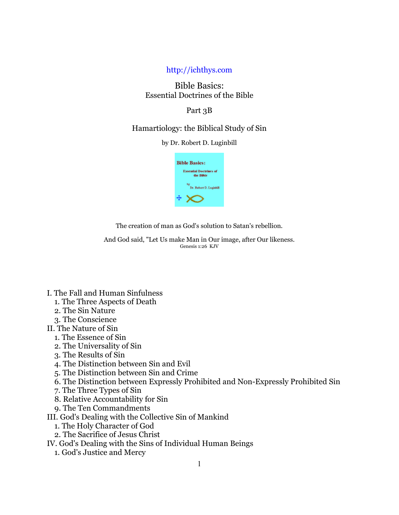### http://ichthys.com

# Bible Basics: Essential Doctrines of the Bible

### Part 3B

## Hamartiology: the Biblical Study of Sin

by Dr. Robert D. Luginbill



The creation of man as God's solution to Satan's rebellion.

And God said, "Let Us make Man in Our image, after Our likeness. Genesis 1:26 KJV

- I. The Fall and Human Sinfulness
	- 1. The Three Aspects of Death
	- 2. The Sin Nature
	- 3. The Conscience
- II. The Nature of Sin
	- 1. The Essence of Sin
	- 2. The Universality of Sin
	- 3. The Results of Sin
	- 4. The Distinction between Sin and Evil
	- 5. The Distinction between Sin and Crime
	- 6. The Distinction between Expressly Prohibited and Non-Expressly Prohibited Sin
	- 7. The Three Types of Sin
	- 8. Relative Accountability for Sin
	- 9. The Ten Commandments
- III. God's Dealing with the Collective Sin of Mankind
	- 1. The Holy Character of God
	- 2. The Sacrifice of Jesus Christ

IV. God's Dealing with the Sins of Individual Human Beings

1. God's Justice and Mercy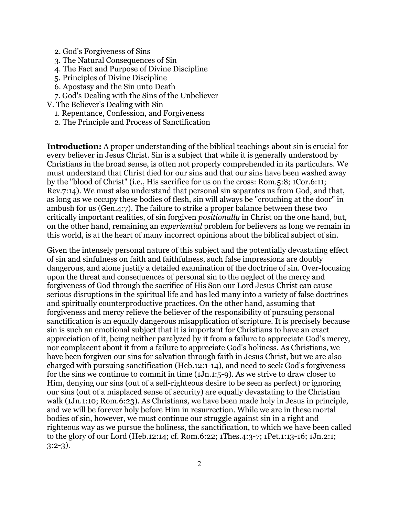- 2. God's Forgiveness of Sins
- 3. The Natural Consequences of Sin
- 4. The Fact and Purpose of Divine Discipline
- 5. Principles of Divine Discipline
- 6. Apostasy and the Sin unto Death
- 7. God's Dealing with the Sins of the Unbeliever
- V. The Believer's Dealing with Sin
	- 1. Repentance, Confession, and Forgiveness
	- 2. The Principle and Process of Sanctification

**Introduction:** A proper understanding of the biblical teachings about sin is crucial for every believer in Jesus Christ. Sin is a subject that while it is generally understood by Christians in the broad sense, is often not properly comprehended in its particulars. We must understand that Christ died for our sins and that our sins have been washed away by the "blood of Christ" (i.e., His sacrifice for us on the cross: Rom.5:8; 1Cor.6:11; Rev.7:14). We must also understand that personal sin separates us from God, and that, as long as we occupy these bodies of flesh, sin will always be "crouching at the door" in ambush for us (Gen.4:7). The failure to strike a proper balance between these two critically important realities, of sin forgiven *positionally* in Christ on the one hand, but, on the other hand, remaining an *experiential* problem for believers as long we remain in this world, is at the heart of many incorrect opinions about the biblical subject of sin.

Given the intensely personal nature of this subject and the potentially devastating effect of sin and sinfulness on faith and faithfulness, such false impressions are doubly dangerous, and alone justify a detailed examination of the doctrine of sin. Over-focusing upon the threat and consequences of personal sin to the neglect of the mercy and forgiveness of God through the sacrifice of His Son our Lord Jesus Christ can cause serious disruptions in the spiritual life and has led many into a variety of false doctrines and spiritually counterproductive practices. On the other hand, assuming that forgiveness and mercy relieve the believer of the responsibility of pursuing personal sanctification is an equally dangerous misapplication of scripture. It is precisely because sin is such an emotional subject that it is important for Christians to have an exact appreciation of it, being neither paralyzed by it from a failure to appreciate God's mercy, nor complacent about it from a failure to appreciate God's holiness. As Christians, we have been forgiven our sins for salvation through faith in Jesus Christ, but we are also charged with pursuing sanctification (Heb.12:1-14), and need to seek God's forgiveness for the sins we continue to commit in time (1Jn.1:5-9). As we strive to draw closer to Him, denying our sins (out of a self-righteous desire to be seen as perfect) or ignoring our sins (out of a misplaced sense of security) are equally devastating to the Christian walk (1Jn.1:10; Rom.6:23). As Christians, we have been made holy in Jesus in principle, and we will be forever holy before Him in resurrection. While we are in these mortal bodies of sin, however, we must continue our struggle against sin in a right and righteous way as we pursue the holiness, the sanctification, to which we have been called to the glory of our Lord (Heb.12:14; cf. Rom.6:22; 1Thes.4:3-7; 1Pet.1:13-16; 1Jn.2:1; 3:2-3).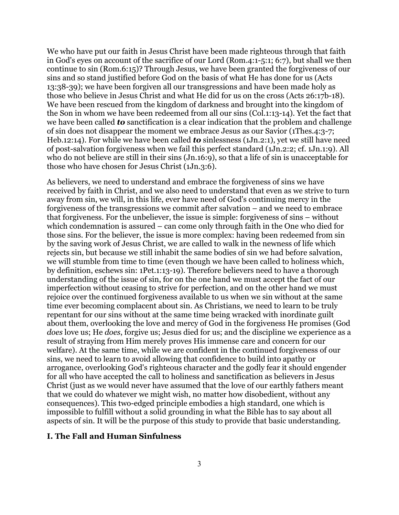We who have put our faith in Jesus Christ have been made righteous through that faith in God's eyes on account of the sacrifice of our Lord (Rom.4:1-5:1; 6:7), but shall we then continue to sin (Rom.6:15)? Through Jesus, we have been granted the forgiveness of our sins and so stand justified before God on the basis of what He has done for us (Acts 13:38-39); we have been forgiven all our transgressions and have been made holy as those who believe in Jesus Christ and what He did for us on the cross (Acts 26:17b-18). We have been rescued from the kingdom of darkness and brought into the kingdom of the Son in whom we have been redeemed from all our sins (Col.1:13-14). Yet the fact that we have been called *to* sanctification is a clear indication that the problem and challenge of sin does not disappear the moment we embrace Jesus as our Savior (1Thes.4:3-7; Heb.12:14). For while we have been called *to* sinlessness (1Jn.2:1), yet we still have need of post-salvation forgiveness when we fail this perfect standard (1Jn.2:2; cf. 1Jn.1:9). All who do not believe are still in their sins (Jn.16:9), so that a life of sin is unacceptable for those who have chosen for Jesus Christ (1Jn.3:6).

As believers, we need to understand and embrace the forgiveness of sins we have received by faith in Christ, and we also need to understand that even as we strive to turn away from sin, we will, in this life, ever have need of God's continuing mercy in the forgiveness of the transgressions we commit after salvation – and we need to embrace that forgiveness. For the unbeliever, the issue is simple: forgiveness of sins – without which condemnation is assured – can come only through faith in the One who died for those sins. For the believer, the issue is more complex: having been redeemed from sin by the saving work of Jesus Christ, we are called to walk in the newness of life which rejects sin, but because we still inhabit the same bodies of sin we had before salvation, we will stumble from time to time (even though we have been called to holiness which, by definition, eschews sin: 1Pet.1:13-19). Therefore believers need to have a thorough understanding of the issue of sin, for on the one hand we must accept the fact of our imperfection without ceasing to strive for perfection, and on the other hand we must rejoice over the continued forgiveness available to us when we sin without at the same time ever becoming complacent about sin. As Christians, we need to learn to be truly repentant for our sins without at the same time being wracked with inordinate guilt about them, overlooking the love and mercy of God in the forgiveness He promises (God *does* love us; He *does*, forgive us; Jesus died for us; and the discipline we experience as a result of straying from Him merely proves His immense care and concern for our welfare). At the same time, while we are confident in the continued forgiveness of our sins, we need to learn to avoid allowing that confidence to build into apathy or arrogance, overlooking God's righteous character and the godly fear it should engender for all who have accepted the call to holiness and sanctification as believers in Jesus Christ (just as we would never have assumed that the love of our earthly fathers meant that we could do whatever we might wish, no matter how disobedient, without any consequences). This two-edged principle embodies a high standard, one which is impossible to fulfill without a solid grounding in what the Bible has to say about all aspects of sin. It will be the purpose of this study to provide that basic understanding.

### **I. The Fall and Human Sinfulness**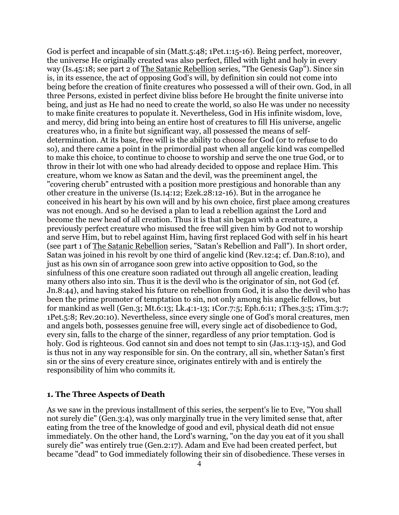God is perfect and incapable of sin (Matt.5:48; 1Pet.1:15-16). Being perfect, moreover, the universe He originally created was also perfect, filled with light and holy in every way (Is.45:18; see part 2 of The Satanic Rebellion series, "The Genesis Gap"). Since sin is, in its essence, the act of opposing God's will, by definition sin could not come into being before the creation of finite creatures who possessed a will of their own. God, in all three Persons, existed in perfect divine bliss before He brought the finite universe into being, and just as He had no need to create the world, so also He was under no necessity to make finite creatures to populate it. Nevertheless, God in His infinite wisdom, love, and mercy, did bring into being an entire host of creatures to fill His universe, angelic creatures who, in a finite but significant way, all possessed the means of selfdetermination. At its base, free will is the ability to choose for God (or to refuse to do so), and there came a point in the primordial past when all angelic kind was compelled to make this choice, to continue to choose to worship and serve the one true God, or to throw in their lot with one who had already decided to oppose and replace Him. This creature, whom we know as Satan and the devil, was the preeminent angel, the "covering cherub" entrusted with a position more prestigious and honorable than any other creature in the universe (Is.14:12; Ezek.28:12-16). But in the arrogance he conceived in his heart by his own will and by his own choice, first place among creatures was not enough. And so he devised a plan to lead a rebellion against the Lord and become the new head of all creation. Thus it is that sin began with a creature, a previously perfect creature who misused the free will given him by God not to worship and serve Him, but to rebel against Him, having first replaced God with self in his heart (see part 1 of The Satanic Rebellion series, "Satan's Rebellion and Fall"). In short order, Satan was joined in his revolt by one third of angelic kind (Rev.12:4; cf. Dan.8:10), and just as his own sin of arrogance soon grew into active opposition to God, so the sinfulness of this one creature soon radiated out through all angelic creation, leading many others also into sin. Thus it is the devil who is the originator of sin, not God (cf. Jn.8:44), and having staked his future on rebellion from God, it is also the devil who has been the prime promoter of temptation to sin, not only among his angelic fellows, but for mankind as well (Gen.3; Mt.6:13; Lk.4:1-13; 1Cor.7:5; Eph.6:11; 1Thes.3:5; 1Tim.3:7; 1Pet.5:8; Rev.20:10). Nevertheless, since every single one of God's moral creatures, men and angels both, possesses genuine free will, every single act of disobedience to God, every sin, falls to the charge of the sinner, regardless of any prior temptation. God is holy. God is righteous. God cannot sin and does not tempt to sin (Jas.1:13-15), and God is thus not in any way responsible for sin. On the contrary, all sin, whether Satan's first sin or the sins of every creature since, originates entirely with and is entirely the responsibility of him who commits it.

#### **1. The Three Aspects of Death**

As we saw in the previous installment of this series, the serpent's lie to Eve, "You shall not surely die" (Gen.3:4), was only marginally true in the very limited sense that, after eating from the tree of the knowledge of good and evil, physical death did not ensue immediately. On the other hand, the Lord's warning, "on the day you eat of it you shall surely die" was entirely true (Gen.2:17). Adam and Eve had been created perfect, but became "dead" to God immediately following their sin of disobedience. These verses in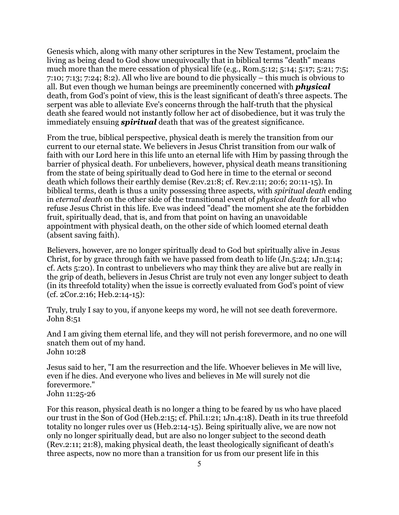Genesis which, along with many other scriptures in the New Testament, proclaim the living as being dead to God show unequivocally that in biblical terms "death" means much more than the mere cessation of physical life (e.g., Rom.5:12; 5:14; 5:17; 5:21; 7:5; 7:10; 7:13; 7:24; 8:2). All who live are bound to die physically – this much is obvious to all. But even though we human beings are preeminently concerned with *physical* death, from God's point of view, this is the least significant of death's three aspects. The serpent was able to alleviate Eve's concerns through the half-truth that the physical death she feared would not instantly follow her act of disobedience, but it was truly the immediately ensuing *spiritual* death that was of the greatest significance.

From the true, biblical perspective, physical death is merely the transition from our current to our eternal state. We believers in Jesus Christ transition from our walk of faith with our Lord here in this life unto an eternal life with Him by passing through the barrier of physical death. For unbelievers, however, physical death means transitioning from the state of being spiritually dead to God here in time to the eternal or second death which follows their earthly demise (Rev.21:8; cf. Rev.2:11; 20:6; 20:11-15). In biblical terms, death is thus a unity possessing three aspects, with *spiritual death* ending in *eternal death* on the other side of the transitional event of *physical death* for all who refuse Jesus Christ in this life. Eve was indeed "dead" the moment she ate the forbidden fruit, spiritually dead, that is, and from that point on having an unavoidable appointment with physical death, on the other side of which loomed eternal death (absent saving faith).

Believers, however, are no longer spiritually dead to God but spiritually alive in Jesus Christ, for by grace through faith we have passed from death to life (Jn.5:24; 1Jn.3:14; cf. Acts 5:20). In contrast to unbelievers who may think they are alive but are really in the grip of death, believers in Jesus Christ are truly not even any longer subject to death (in its threefold totality) when the issue is correctly evaluated from God's point of view (cf. 2Cor.2:16; Heb.2:14-15):

Truly, truly I say to you, if anyone keeps my word, he will not see death forevermore. John 8:51

And I am giving them eternal life, and they will not perish forevermore, and no one will snatch them out of my hand. John 10:28

Jesus said to her, "I am the resurrection and the life. Whoever believes in Me will live, even if he dies. And everyone who lives and believes in Me will surely not die forevermore." John 11:25-26

For this reason, physical death is no longer a thing to be feared by us who have placed our trust in the Son of God (Heb.2:15; cf. Phil.1:21; 1Jn.4:18). Death in its true threefold totality no longer rules over us (Heb.2:14-15). Being spiritually alive, we are now not only no longer spiritually dead, but are also no longer subject to the second death (Rev.2:11; 21:8), making physical death, the least theologically significant of death's three aspects, now no more than a transition for us from our present life in this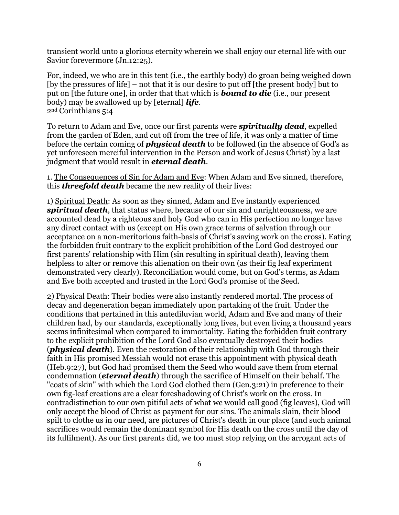transient world unto a glorious eternity wherein we shall enjoy our eternal life with our Savior forevermore (Jn.12:25).

For, indeed, we who are in this tent (i.e., the earthly body) do groan being weighed down [by the pressures of life] – not that it is our desire to put off [the present body] but to put on [the future one], in order that that which is *bound to die* (i.e., our present body) may be swallowed up by [eternal] *life*. 2nd Corinthians 5:4

To return to Adam and Eve, once our first parents were *spiritually dead*, expelled from the garden of Eden, and cut off from the tree of life, it was only a matter of time before the certain coming of *physical death* to be followed (in the absence of God's as yet unforeseen merciful intervention in the Person and work of Jesus Christ) by a last judgment that would result in *eternal death*.

1. The Consequences of Sin for Adam and Eve: When Adam and Eve sinned, therefore, this *threefold death* became the new reality of their lives:

1) Spiritual Death: As soon as they sinned, Adam and Eve instantly experienced *spiritual death*, that status where, because of our sin and unrighteousness, we are accounted dead by a righteous and holy God who can in His perfection no longer have any direct contact with us (except on His own grace terms of salvation through our acceptance on a non-meritorious faith-basis of Christ's saving work on the cross). Eating the forbidden fruit contrary to the explicit prohibition of the Lord God destroyed our first parents' relationship with Him (sin resulting in spiritual death), leaving them helpless to alter or remove this alienation on their own (as their fig leaf experiment demonstrated very clearly). Reconciliation would come, but on God's terms, as Adam and Eve both accepted and trusted in the Lord God's promise of the Seed.

2) Physical Death: Their bodies were also instantly rendered mortal. The process of decay and degeneration began immediately upon partaking of the fruit. Under the conditions that pertained in this antediluvian world, Adam and Eve and many of their children had, by our standards, exceptionally long lives, but even living a thousand years seems infinitesimal when compared to immortality. Eating the forbidden fruit contrary to the explicit prohibition of the Lord God also eventually destroyed their bodies (*physical death*). Even the restoration of their relationship with God through their faith in His promised Messiah would not erase this appointment with physical death (Heb.9:27), but God had promised them the Seed who would save them from eternal condemnation (*eternal death*) through the sacrifice of Himself on their behalf. The "coats of skin" with which the Lord God clothed them (Gen.3:21) in preference to their own fig-leaf creations are a clear foreshadowing of Christ's work on the cross. In contradistinction to our own pitiful acts of what we would call good (fig leaves), God will only accept the blood of Christ as payment for our sins. The animals slain, their blood spilt to clothe us in our need, are pictures of Christ's death in our place (and such animal sacrifices would remain the dominant symbol for His death on the cross until the day of its fulfilment). As our first parents did, we too must stop relying on the arrogant acts of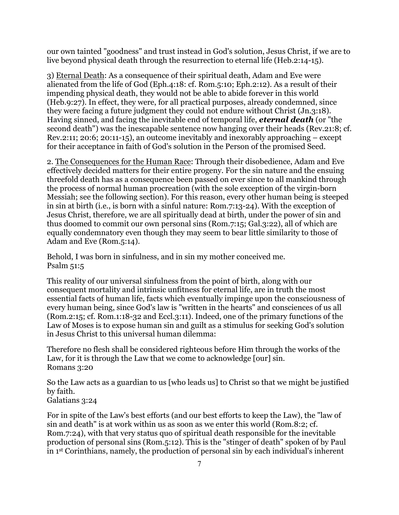our own tainted "goodness" and trust instead in God's solution, Jesus Christ, if we are to live beyond physical death through the resurrection to eternal life (Heb.2:14-15).

3) Eternal Death: As a consequence of their spiritual death, Adam and Eve were alienated from the life of God (Eph.4:18: cf. Rom.5:10; Eph.2:12). As a result of their impending physical death, they would not be able to abide forever in this world (Heb.9:27). In effect, they were, for all practical purposes, already condemned, since they were facing a future judgment they could not endure without Christ (Jn.3:18). Having sinned, and facing the inevitable end of temporal life, *eternal death* (or "the second death") was the inescapable sentence now hanging over their heads (Rev.21:8; cf. Rev.2:11; 20:6; 20:11-15), an outcome inevitably and inexorably approaching – except for their acceptance in faith of God's solution in the Person of the promised Seed.

2. The Consequences for the Human Race: Through their disobedience, Adam and Eve effectively decided matters for their entire progeny. For the sin nature and the ensuing threefold death has as a consequence been passed on ever since to all mankind through the process of normal human procreation (with the sole exception of the virgin-born Messiah; see the following section). For this reason, every other human being is steeped in sin at birth (i.e., is born with a sinful nature: Rom.7:13-24). With the exception of Jesus Christ, therefore, we are all spiritually dead at birth, under the power of sin and thus doomed to commit our own personal sins (Rom.7:15; Gal.3:22), all of which are equally condemnatory even though they may seem to bear little similarity to those of Adam and Eve (Rom.5:14).

Behold, I was born in sinfulness, and in sin my mother conceived me. Psalm 51:5

This reality of our universal sinfulness from the point of birth, along with our consequent mortality and intrinsic unfitness for eternal life, are in truth the most essential facts of human life, facts which eventually impinge upon the consciousness of every human being, since God's law is "written in the hearts" and consciences of us all (Rom.2:15; cf. Rom.1:18-32 and Eccl.3:11). Indeed, one of the primary functions of the Law of Moses is to expose human sin and guilt as a stimulus for seeking God's solution in Jesus Christ to this universal human dilemma:

Therefore no flesh shall be considered righteous before Him through the works of the Law, for it is through the Law that we come to acknowledge [our] sin. Romans 3:20

So the Law acts as a guardian to us [who leads us] to Christ so that we might be justified by faith.

Galatians 3:24

For in spite of the Law's best efforts (and our best efforts to keep the Law), the "law of sin and death" is at work within us as soon as we enter this world (Rom.8:2; cf. Rom.7:24), with that very status quo of spiritual death responsible for the inevitable production of personal sins (Rom.5:12). This is the "stinger of death" spoken of by Paul in 1st Corinthians, namely, the production of personal sin by each individual's inherent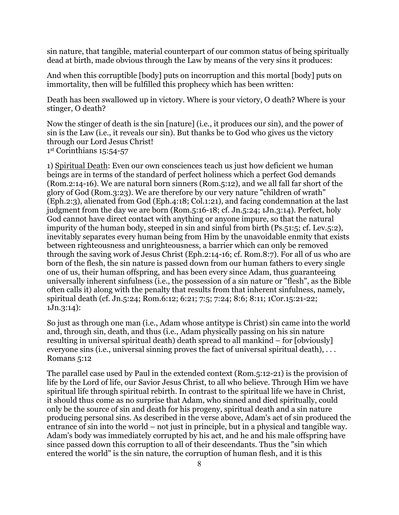sin nature, that tangible, material counterpart of our common status of being spiritually dead at birth, made obvious through the Law by means of the very sins it produces:

And when this corruptible [body] puts on incorruption and this mortal [body] puts on immortality, then will be fulfilled this prophecy which has been written:

Death has been swallowed up in victory. Where is your victory, O death? Where is your stinger, O death?

Now the stinger of death is the sin [nature] (i.e., it produces our sin), and the power of sin is the Law (i.e., it reveals our sin). But thanks be to God who gives us the victory through our Lord Jesus Christ! 1st Corinthians 15:54-57

1) Spiritual Death: Even our own consciences teach us just how deficient we human beings are in terms of the standard of perfect holiness which a perfect God demands (Rom.2:14-16). We are natural born sinners (Rom.5:12), and we all fall far short of the glory of God (Rom.3:23). We are therefore by our very nature "children of wrath" (Eph.2:3), alienated from God (Eph.4:18; Col.1:21), and facing condemnation at the last judgment from the day we are born (Rom.5:16-18; cf. Jn.5:24; 1Jn.3:14). Perfect, holy God cannot have direct contact with anything or anyone impure, so that the natural impurity of the human body, steeped in sin and sinful from birth (Ps.51:5; cf. Lev.5:2), inevitably separates every human being from Him by the unavoidable enmity that exists between righteousness and unrighteousness, a barrier which can only be removed through the saving work of Jesus Christ (Eph.2:14-16; cf. Rom.8:7). For all of us who are born of the flesh, the sin nature is passed down from our human fathers to every single one of us, their human offspring, and has been every since Adam, thus guaranteeing universally inherent sinfulness (i.e., the possession of a sin nature or "flesh", as the Bible often calls it) along with the penalty that results from that inherent sinfulness, namely, spiritual death (cf. Jn.5:24; Rom.6:12; 6:21; 7:5; 7:24; 8:6; 8:11; 1Cor.15:21-22; 1Jn.3:14):

So just as through one man (i.e., Adam whose antitype is Christ) sin came into the world and, through sin, death, and thus (i.e., Adam physically passing on his sin nature resulting in universal spiritual death) death spread to all mankind – for [obviously] everyone sins (i.e., universal sinning proves the fact of universal spiritual death), . . . Romans 5:12

The parallel case used by Paul in the extended context (Rom.5:12-21) is the provision of life by the Lord of life, our Savior Jesus Christ, to all who believe. Through Him we have spiritual life through spiritual rebirth. In contrast to the spiritual life we have in Christ, it should thus come as no surprise that Adam, who sinned and died spiritually, could only be the source of sin and death for his progeny, spiritual death and a sin nature producing personal sins. As described in the verse above, Adam's act of sin produced the entrance of sin into the world – not just in principle, but in a physical and tangible way. Adam's body was immediately corrupted by his act, and he and his male offspring have since passed down this corruption to all of their descendants. Thus the "sin which entered the world" is the sin nature, the corruption of human flesh, and it is this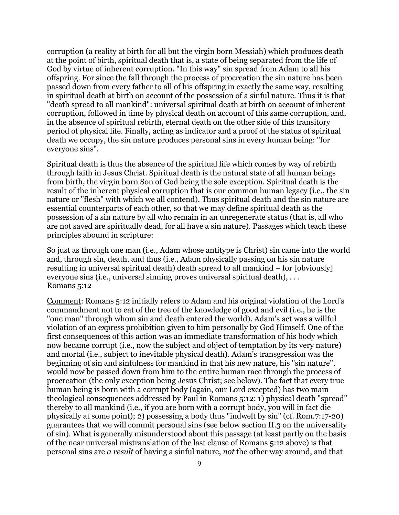corruption (a reality at birth for all but the virgin born Messiah) which produces death at the point of birth, spiritual death that is, a state of being separated from the life of God by virtue of inherent corruption. "In this way" sin spread from Adam to all his offspring. For since the fall through the process of procreation the sin nature has been passed down from every father to all of his offspring in exactly the same way, resulting in spiritual death at birth on account of the possession of a sinful nature. Thus it is that "death spread to all mankind": universal spiritual death at birth on account of inherent corruption, followed in time by physical death on account of this same corruption, and, in the absence of spiritual rebirth, eternal death on the other side of this transitory period of physical life. Finally, acting as indicator and a proof of the status of spiritual death we occupy, the sin nature produces personal sins in every human being: "for everyone sins".

Spiritual death is thus the absence of the spiritual life which comes by way of rebirth through faith in Jesus Christ. Spiritual death is the natural state of all human beings from birth, the virgin born Son of God being the sole exception. Spiritual death is the result of the inherent physical corruption that is our common human legacy (i.e., the sin nature or "flesh" with which we all contend). Thus spiritual death and the sin nature are essential counterparts of each other, so that we may define spiritual death as the possession of a sin nature by all who remain in an unregenerate status (that is, all who are not saved are spiritually dead, for all have a sin nature). Passages which teach these principles abound in scripture:

So just as through one man (i.e., Adam whose antitype is Christ) sin came into the world and, through sin, death, and thus (i.e., Adam physically passing on his sin nature resulting in universal spiritual death) death spread to all mankind – for [obviously] everyone sins (i.e., universal sinning proves universal spiritual death), . . . Romans 5:12

Comment: Romans 5:12 initially refers to Adam and his original violation of the Lord's commandment not to eat of the tree of the knowledge of good and evil (i.e., he is the "one man" through whom sin and death entered the world). Adam's act was a willful violation of an express prohibition given to him personally by God Himself. One of the first consequences of this action was an immediate transformation of his body which now became corrupt (i.e., now the subject and object of temptation by its very nature) and mortal (i.e., subject to inevitable physical death). Adam's transgression was the beginning of sin and sinfulness for mankind in that his new nature, his "sin nature", would now be passed down from him to the entire human race through the process of procreation (the only exception being Jesus Christ; see below). The fact that every true human being is born with a corrupt body (again, our Lord excepted) has two main theological consequences addressed by Paul in Romans 5:12: 1) physical death "spread" thereby to all mankind (i.e., if you are born with a corrupt body, you will in fact die physically at some point); 2) possessing a body thus "indwelt by sin" (cf. Rom.7:17-20) guarantees that we will commit personal sins (see below section II.3 on the universality of sin). What is generally misunderstood about this passage (at least partly on the basis of the near universal mistranslation of the last clause of Romans 5:12 above) is that personal sins are *a result* of having a sinful nature, *not* the other way around, and that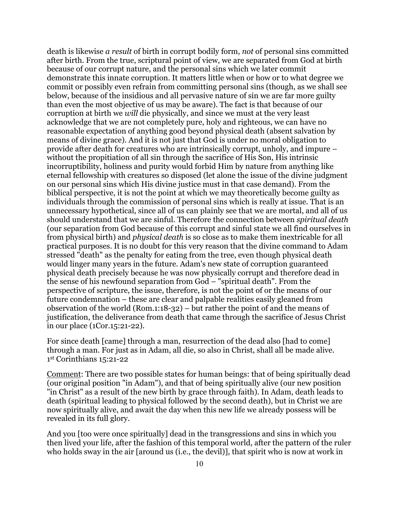death is likewise *a result* of birth in corrupt bodily form, *not* of personal sins committed after birth. From the true, scriptural point of view, we are separated from God at birth because of our corrupt nature, and the personal sins which we later commit demonstrate this innate corruption. It matters little when or how or to what degree we commit or possibly even refrain from committing personal sins (though, as we shall see below, because of the insidious and all pervasive nature of sin we are far more guilty than even the most objective of us may be aware). The fact is that because of our corruption at birth we *will* die physically, and since we must at the very least acknowledge that we are not completely pure, holy and righteous, we can have no reasonable expectation of anything good beyond physical death (absent salvation by means of divine grace). And it is not just that God is under no moral obligation to provide after death for creatures who are intrinsically corrupt, unholy, and impure – without the propitiation of all sin through the sacrifice of His Son, His intrinsic incorruptibility, holiness and purity would forbid Him by nature from anything like eternal fellowship with creatures so disposed (let alone the issue of the divine judgment on our personal sins which His divine justice must in that case demand). From the biblical perspective, it is not the point at which we may theoretically become guilty as individuals through the commission of personal sins which is really at issue. That is an unnecessary hypothetical, since all of us can plainly see that we are mortal, and all of us should understand that we are sinful. Therefore the connection between *spiritual death* (our separation from God because of this corrupt and sinful state we all find ourselves in from physical birth) and *physical death* is so close as to make them inextricable for all practical purposes. It is no doubt for this very reason that the divine command to Adam stressed "death" as the penalty for eating from the tree, even though physical death would linger many years in the future. Adam's new state of corruption guaranteed physical death precisely because he was now physically corrupt and therefore dead in the sense of his newfound separation from God – "spiritual death". From the perspective of scripture, the issue, therefore, is not the point of or the means of our future condemnation – these are clear and palpable realities easily gleaned from observation of the world (Rom.1:18-32) – but rather the point of and the means of justification, the deliverance from death that came through the sacrifice of Jesus Christ in our place (1Cor.15:21-22).

For since death [came] through a man, resurrection of the dead also [had to come] through a man. For just as in Adam, all die, so also in Christ, shall all be made alive. 1st Corinthians 15:21-22

Comment: There are two possible states for human beings: that of being spiritually dead (our original position "in Adam"), and that of being spiritually alive (our new position "in Christ" as a result of the new birth by grace through faith). In Adam, death leads to death (spiritual leading to physical followed by the second death), but in Christ we are now spiritually alive, and await the day when this new life we already possess will be revealed in its full glory.

And you [too were once spiritually] dead in the transgressions and sins in which you then lived your life, after the fashion of this temporal world, after the pattern of the ruler who holds sway in the air [around us (i.e., the devil)], that spirit who is now at work in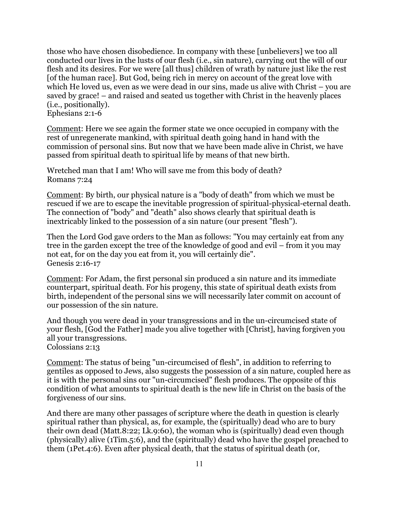those who have chosen disobedience. In company with these [unbelievers] we too all conducted our lives in the lusts of our flesh (i.e., sin nature), carrying out the will of our flesh and its desires. For we were [all thus] children of wrath by nature just like the rest [of the human race]. But God, being rich in mercy on account of the great love with which He loved us, even as we were dead in our sins, made us alive with Christ – you are saved by grace! – and raised and seated us together with Christ in the heavenly places (i.e., positionally).

Ephesians 2:1-6

Comment: Here we see again the former state we once occupied in company with the rest of unregenerate mankind, with spiritual death going hand in hand with the commission of personal sins. But now that we have been made alive in Christ, we have passed from spiritual death to spiritual life by means of that new birth.

Wretched man that I am! Who will save me from this body of death? Romans 7:24

Comment: By birth, our physical nature is a "body of death" from which we must be rescued if we are to escape the inevitable progression of spiritual-physical-eternal death. The connection of "body" and "death" also shows clearly that spiritual death is inextricably linked to the possession of a sin nature (our present "flesh").

Then the Lord God gave orders to the Man as follows: "You may certainly eat from any tree in the garden except the tree of the knowledge of good and evil – from it you may not eat, for on the day you eat from it, you will certainly die". Genesis 2:16-17

Comment: For Adam, the first personal sin produced a sin nature and its immediate counterpart, spiritual death. For his progeny, this state of spiritual death exists from birth, independent of the personal sins we will necessarily later commit on account of our possession of the sin nature.

And though you were dead in your transgressions and in the un-circumcised state of your flesh, [God the Father] made you alive together with [Christ], having forgiven you all your transgressions.

Colossians 2:13

Comment: The status of being "un-circumcised of flesh", in addition to referring to gentiles as opposed to Jews, also suggests the possession of a sin nature, coupled here as it is with the personal sins our "un-circumcised" flesh produces. The opposite of this condition of what amounts to spiritual death is the new life in Christ on the basis of the forgiveness of our sins.

And there are many other passages of scripture where the death in question is clearly spiritual rather than physical, as, for example, the (spiritually) dead who are to bury their own dead (Matt.8:22; Lk.9:60), the woman who is (spiritually) dead even though (physically) alive (1Tim.5:6), and the (spiritually) dead who have the gospel preached to them (1Pet.4:6). Even after physical death, that the status of spiritual death (or,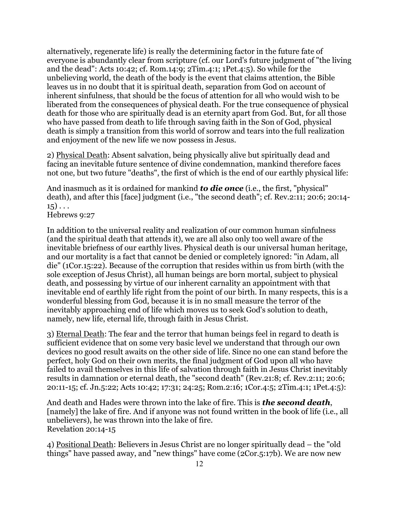alternatively, regenerate life) is really the determining factor in the future fate of everyone is abundantly clear from scripture (cf. our Lord's future judgment of "the living and the dead": Acts 10:42; cf. Rom.14:9; 2Tim.4:1; 1Pet.4:5). So while for the unbelieving world, the death of the body is the event that claims attention, the Bible leaves us in no doubt that it is spiritual death, separation from God on account of inherent sinfulness, that should be the focus of attention for all who would wish to be liberated from the consequences of physical death. For the true consequence of physical death for those who are spiritually dead is an eternity apart from God. But, for all those who have passed from death to life through saving faith in the Son of God, physical death is simply a transition from this world of sorrow and tears into the full realization and enjoyment of the new life we now possess in Jesus.

2) Physical Death: Absent salvation, being physically alive but spiritually dead and facing an inevitable future sentence of divine condemnation, mankind therefore faces not one, but two future "deaths", the first of which is the end of our earthly physical life:

And inasmuch as it is ordained for mankind *to die once* (i.e., the first, "physical" death), and after this [face] judgment (i.e., "the second death"; cf. Rev.2:11; 20:6; 20:14-  $15) \ldots$ 

Hebrews 9:27

In addition to the universal reality and realization of our common human sinfulness (and the spiritual death that attends it), we are all also only too well aware of the inevitable briefness of our earthly lives. Physical death is our universal human heritage, and our mortality is a fact that cannot be denied or completely ignored: "in Adam, all die" (1Cor.15:22). Because of the corruption that resides within us from birth (with the sole exception of Jesus Christ), all human beings are born mortal, subject to physical death, and possessing by virtue of our inherent carnality an appointment with that inevitable end of earthly life right from the point of our birth. In many respects, this is a wonderful blessing from God, because it is in no small measure the terror of the inevitably approaching end of life which moves us to seek God's solution to death, namely, new life, eternal life, through faith in Jesus Christ.

3) Eternal Death: The fear and the terror that human beings feel in regard to death is sufficient evidence that on some very basic level we understand that through our own devices no good result awaits on the other side of life. Since no one can stand before the perfect, holy God on their own merits, the final judgment of God upon all who have failed to avail themselves in this life of salvation through faith in Jesus Christ inevitably results in damnation or eternal death, the "second death" (Rev.21:8; cf. Rev.2:11; 20:6; 20:11-15; cf. Jn.5:22; Acts 10:42; 17:31; 24:25; Rom.2:16; 1Cor.4:5; 2Tim.4:1; 1Pet.4:5):

And death and Hades were thrown into the lake of fire. This is *the second death*, [namely] the lake of fire. And if anyone was not found written in the book of life (i.e., all unbelievers), he was thrown into the lake of fire. Revelation 20:14-15

4) Positional Death: Believers in Jesus Christ are no longer spiritually dead – the "old things" have passed away, and "new things" have come (2Cor.5:17b). We are now new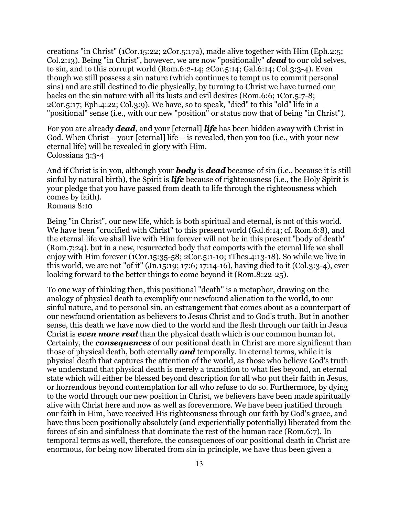creations "in Christ" (1Cor.15:22; 2Cor.5:17a), made alive together with Him (Eph.2:5; Col.2:13). Being "in Christ", however, we are now "positionally" *dead* to our old selves, to sin, and to this corrupt world (Rom.6:2-14; 2Cor.5:14; Gal.6:14; Col.3:3-4). Even though we still possess a sin nature (which continues to tempt us to commit personal sins) and are still destined to die physically, by turning to Christ we have turned our backs on the sin nature with all its lusts and evil desires (Rom.6:6; 1Cor.5:7-8; 2Cor.5:17; Eph.4:22; Col.3:9). We have, so to speak, "died" to this "old" life in a "positional" sense (i.e., with our new "position" or status now that of being "in Christ").

For you are already *dead*, and your [eternal] *life* has been hidden away with Christ in God. When Christ – your [eternal] life – is revealed, then you too (i.e., with your new eternal life) will be revealed in glory with Him. Colossians 3:3-4

And if Christ is in you, although your *body* is *dead* because of sin (i.e., because it is still sinful by natural birth), the Spirit is *life* because of righteousness (i.e., the Holy Spirit is your pledge that you have passed from death to life through the righteousness which comes by faith).

Romans 8:10

Being "in Christ", our new life, which is both spiritual and eternal, is not of this world. We have been "crucified with Christ" to this present world (Gal.6:14; cf. Rom.6:8), and the eternal life we shall live with Him forever will not be in this present "body of death" (Rom.7:24), but in a new, resurrected body that comports with the eternal life we shall enjoy with Him forever (1Cor.15:35-58; 2Cor.5:1-10; 1Thes.4:13-18). So while we live in this world, we are not "of it" (Jn.15:19; 17:6; 17:14-16), having died to it (Col.3:3-4), ever looking forward to the better things to come beyond it (Rom.8:22-25).

To one way of thinking then, this positional "death" is a metaphor, drawing on the analogy of physical death to exemplify our newfound alienation to the world, to our sinful nature, and to personal sin, an estrangement that comes about as a counterpart of our newfound orientation as believers to Jesus Christ and to God's truth. But in another sense, this death we have now died to the world and the flesh through our faith in Jesus Christ is *even more real* than the physical death which is our common human lot. Certainly, the *consequences* of our positional death in Christ are more significant than those of physical death, both eternally *and* temporally. In eternal terms, while it is physical death that captures the attention of the world, as those who believe God's truth we understand that physical death is merely a transition to what lies beyond, an eternal state which will either be blessed beyond description for all who put their faith in Jesus, or horrendous beyond contemplation for all who refuse to do so. Furthermore, by dying to the world through our new position in Christ, we believers have been made spiritually alive with Christ here and now as well as forevermore. We have been justified through our faith in Him, have received His righteousness through our faith by God's grace, and have thus been positionally absolutely (and experientially potentially) liberated from the forces of sin and sinfulness that dominate the rest of the human race (Rom.6:7). In temporal terms as well, therefore, the consequences of our positional death in Christ are enormous, for being now liberated from sin in principle, we have thus been given a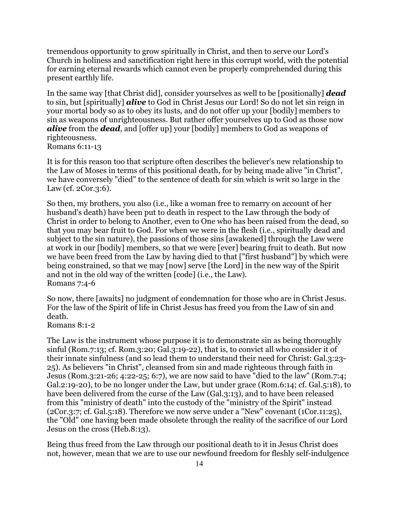tremendous opportunity to grow spiritually in Christ, and then to serve our Lord's Church in holiness and sanctification right here in this corrupt world, with the potential for earning eternal rewards which cannot even be properly comprehended during this present earthly life.

In the same way [that Christ did], consider yourselves as well to be [positionally] *dead* to sin, but [spiritually] *alive* to God in Christ Jesus our Lord! So do not let sin reign in your mortal body so as to obey its lusts, and do not offer up your [bodily] members to sin as weapons of unrighteousness. But rather offer yourselves up to God as those now *alive* from the *dead*, and [offer up] your [bodily] members to God as weapons of righteousness. Romans 6:11-13

It is for this reason too that scripture often describes the believer's new relationship to the Law of Moses in terms of this positional death, for by being made alive "in Christ", we have conversely "died" to the sentence of death for sin which is writ so large in the Law (cf. 2Cor.3:6).

So then, my brothers, you also (i.e., like a woman free to remarry on account of her husband's death) have been put to death in respect to the Law through the body of Christ in order to belong to Another, even to One who has been raised from the dead, so that you may bear fruit to God. For when we were in the flesh (i.e., spiritually dead and subject to the sin nature), the passions of those sins [awakened] through the Law were at work in our [bodily] members, so that we were [ever] bearing fruit to death. But now we have been freed from the Law by having died to that ["first husband"] by which were being constrained, so that we may [now] serve [the Lord] in the new way of the Spirit and not in the old way of the written [code] (i.e., the Law). Romans 7:4-6

So now, there [awaits] no judgment of condemnation for those who are in Christ Jesus. For the law of the Spirit of life in Christ Jesus has freed you from the Law of sin and death.

Romans 8:1-2

The Law is the instrument whose purpose it is to demonstrate sin as being thoroughly sinful (Rom.7:13; cf. Rom.3:20; Gal.3:19-22), that is, to convict all who consider it of their innate sinfulness (and so lead them to understand their need for Christ: Gal.3:23- 25). As believers "in Christ", cleansed from sin and made righteous through faith in Jesus (Rom.3:21-26; 4:22-25; 6:7), we are now said to have "died to the law" (Rom.7:4; Gal.2:19-20), to be no longer under the Law, but under grace (Rom.6:14; cf. Gal.5:18), to have been delivered from the curse of the Law (Gal.3:13), and to have been released from this "ministry of death" into the custody of the "ministry of the Spirit" instead (2Cor.3:7; cf. Gal.5:18). Therefore we now serve under a "New" covenant (1Cor.11:25), the "Old" one having been made obsolete through the reality of the sacrifice of our Lord Jesus on the cross (Heb.8:13).

Being thus freed from the Law through our positional death to it in Jesus Christ does not, however, mean that we are to use our newfound freedom for fleshly self-indulgence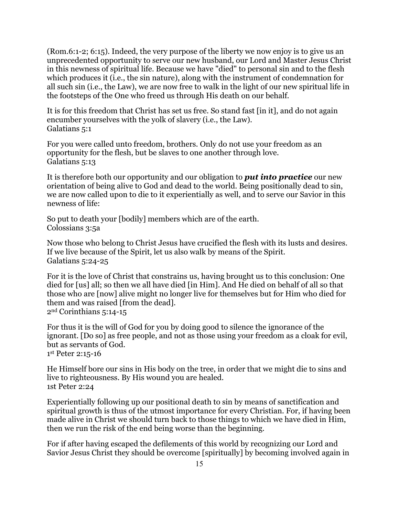(Rom.6:1-2; 6:15). Indeed, the very purpose of the liberty we now enjoy is to give us an unprecedented opportunity to serve our new husband, our Lord and Master Jesus Christ in this newness of spiritual life. Because we have "died" to personal sin and to the flesh which produces it (i.e., the sin nature), along with the instrument of condemnation for all such sin (i.e., the Law), we are now free to walk in the light of our new spiritual life in the footsteps of the One who freed us through His death on our behalf.

It is for this freedom that Christ has set us free. So stand fast [in it], and do not again encumber yourselves with the yolk of slavery (i.e., the Law). Galatians 5:1

For you were called unto freedom, brothers. Only do not use your freedom as an opportunity for the flesh, but be slaves to one another through love. Galatians 5:13

It is therefore both our opportunity and our obligation to *put into practice* our new orientation of being alive to God and dead to the world. Being positionally dead to sin, we are now called upon to die to it experientially as well, and to serve our Savior in this newness of life:

So put to death your [bodily] members which are of the earth. Colossians 3:5a

Now those who belong to Christ Jesus have crucified the flesh with its lusts and desires. If we live because of the Spirit, let us also walk by means of the Spirit. Galatians 5:24-25

For it is the love of Christ that constrains us, having brought us to this conclusion: One died for [us] all; so then we all have died [in Him]. And He died on behalf of all so that those who are [now] alive might no longer live for themselves but for Him who died for them and was raised [from the dead]. 2nd Corinthians 5:14-15

For thus it is the will of God for you by doing good to silence the ignorance of the ignorant. [Do so] as free people, and not as those using your freedom as a cloak for evil, but as servants of God. 1st Peter 2:15-16

He Himself bore our sins in His body on the tree, in order that we might die to sins and live to righteousness. By His wound you are healed. 1st Peter 2:24

Experientially following up our positional death to sin by means of sanctification and spiritual growth is thus of the utmost importance for every Christian. For, if having been made alive in Christ we should turn back to those things to which we have died in Him, then we run the risk of the end being worse than the beginning.

For if after having escaped the defilements of this world by recognizing our Lord and Savior Jesus Christ they should be overcome [spiritually] by becoming involved again in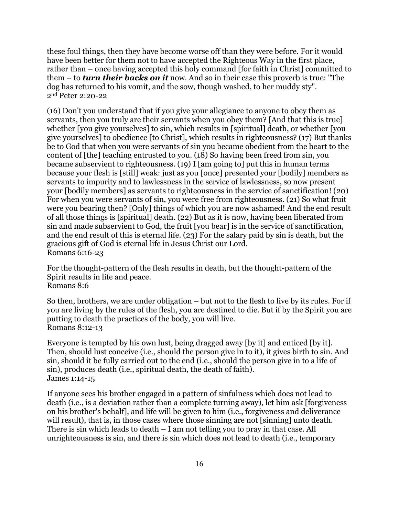these foul things, then they have become worse off than they were before. For it would have been better for them not to have accepted the Righteous Way in the first place, rather than – once having accepted this holy command [for faith in Christ] committed to them – to *turn their backs on it* now. And so in their case this proverb is true: "The dog has returned to his vomit, and the sow, though washed, to her muddy sty". 2nd Peter 2:20-22

(16) Don't you understand that if you give your allegiance to anyone to obey them as servants, then you truly are their servants when you obey them? [And that this is true] whether [you give yourselves] to sin, which results in [spiritual] death, or whether [you give yourselves] to obedience [to Christ], which results in righteousness? (17) But thanks be to God that when you were servants of sin you became obedient from the heart to the content of [the] teaching entrusted to you. (18) So having been freed from sin, you became subservient to righteousness. (19) I [am going to] put this in human terms because your flesh is [still] weak: just as you [once] presented your [bodily] members as servants to impurity and to lawlessness in the service of lawlessness, so now present your [bodily members] as servants to righteousness in the service of sanctification! (20) For when you were servants of sin, you were free from righteousness. (21) So what fruit were you bearing then? [Only] things of which you are now ashamed! And the end result of all those things is [spiritual] death. (22) But as it is now, having been liberated from sin and made subservient to God, the fruit [you bear] is in the service of sanctification, and the end result of this is eternal life. (23) For the salary paid by sin is death, but the gracious gift of God is eternal life in Jesus Christ our Lord. Romans 6:16-23

For the thought-pattern of the flesh results in death, but the thought-pattern of the Spirit results in life and peace. Romans 8:6

So then, brothers, we are under obligation – but not to the flesh to live by its rules. For if you are living by the rules of the flesh, you are destined to die. But if by the Spirit you are putting to death the practices of the body, you will live. Romans 8:12-13

Everyone is tempted by his own lust, being dragged away [by it] and enticed [by it]. Then, should lust conceive (i.e., should the person give in to it), it gives birth to sin. And sin, should it be fully carried out to the end (i.e., should the person give in to a life of sin), produces death (i.e., spiritual death, the death of faith). James 1:14-15

If anyone sees his brother engaged in a pattern of sinfulness which does not lead to death (i.e., is a deviation rather than a complete turning away), let him ask [forgiveness on his brother's behalf], and life will be given to him (i.e., forgiveness and deliverance will result), that is, in those cases where those sinning are not [sinning] unto death. There is sin which leads to death – I am not telling you to pray in that case. All unrighteousness is sin, and there is sin which does not lead to death (i.e., temporary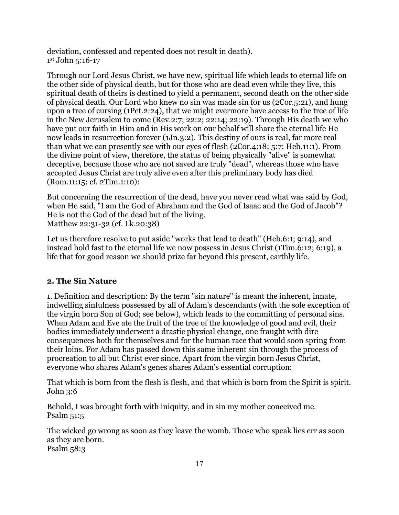deviation, confessed and repented does not result in death). 1st John 5:16-17

Through our Lord Jesus Christ, we have new, spiritual life which leads to eternal life on the other side of physical death, but for those who are dead even while they live, this spiritual death of theirs is destined to yield a permanent, second death on the other side of physical death. Our Lord who knew no sin was made sin for us (2Cor.5:21), and hung upon a tree of cursing (1Pet.2:24), that we might evermore have access to the tree of life in the New Jerusalem to come (Rev.2:7; 22:2; 22:14; 22:19). Through His death we who have put our faith in Him and in His work on our behalf will share the eternal life He now leads in resurrection forever (1Jn.3:2). This destiny of ours is real, far more real than what we can presently see with our eyes of flesh (2Cor.4:18; 5:7; Heb.11:1). From the divine point of view, therefore, the status of being physically "alive" is somewhat deceptive, because those who are not saved are truly "dead", whereas those who have accepted Jesus Christ are truly alive even after this preliminary body has died (Rom.11:15; cf. 2Tim.1:10):

But concerning the resurrection of the dead, have you never read what was said by God, when He said, "I am the God of Abraham and the God of Isaac and the God of Jacob"? He is not the God of the dead but of the living. Matthew 22:31-32 (cf. Lk.20:38)

Let us therefore resolve to put aside "works that lead to death" (Heb.6:1; 9:14), and instead hold fast to the eternal life we now possess in Jesus Christ (1Tim.6:12; 6:19), a life that for good reason we should prize far beyond this present, earthly life.

## **2. The Sin Nature**

1. Definition and description: By the term "sin nature" is meant the inherent, innate, indwelling sinfulness possessed by all of Adam's descendants (with the sole exception of the virgin born Son of God; see below), which leads to the committing of personal sins. When Adam and Eve ate the fruit of the tree of the knowledge of good and evil, their bodies immediately underwent a drastic physical change, one fraught with dire consequences both for themselves and for the human race that would soon spring from their loins. For Adam has passed down this same inherent sin through the process of procreation to all but Christ ever since. Apart from the virgin born Jesus Christ, everyone who shares Adam's genes shares Adam's essential corruption:

That which is born from the flesh is flesh, and that which is born from the Spirit is spirit. John 3:6

Behold, I was brought forth with iniquity, and in sin my mother conceived me. Psalm 51:5

The wicked go wrong as soon as they leave the womb. Those who speak lies err as soon as they are born. Psalm 58:3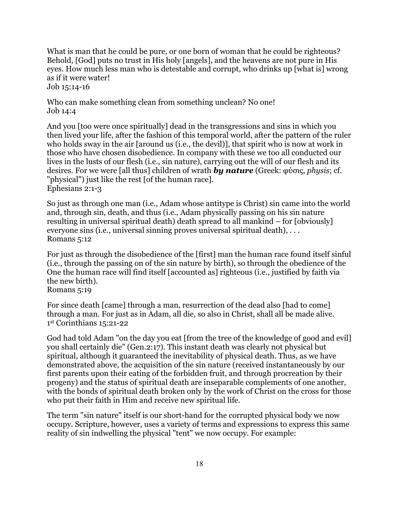What is man that he could be pure, or one born of woman that he could be righteous? Behold, [God] puts no trust in His holy [angels], and the heavens are not pure in His eyes. How much less man who is detestable and corrupt, who drinks up [what is] wrong as if it were water! Job 15:14-16

Who can make something clean from something unclean? No one! Job 14:4

And you [too were once spiritually] dead in the transgressions and sins in which you then lived your life, after the fashion of this temporal world, after the pattern of the ruler who holds sway in the air [around us (i.e., the devil)], that spirit who is now at work in those who have chosen disobedience. In company with these we too all conducted our lives in the lusts of our flesh (i.e., sin nature), carrying out the will of our flesh and its desires. For we were [all thus] children of wrath *by nature* (Greek: φύσις, *physis*; cf. "physical") just like the rest [of the human race]. Ephesians 2:1-3

So just as through one man (i.e., Adam whose antitype is Christ) sin came into the world and, through sin, death, and thus (i.e., Adam physically passing on his sin nature resulting in universal spiritual death) death spread to all mankind – for [obviously] everyone sins (i.e., universal sinning proves universal spiritual death), . . . Romans 5:12

For just as through the disobedience of the [first] man the human race found itself sinful (i.e., through the passing on of the sin nature by birth), so through the obedience of the One the human race will find itself [accounted as] righteous (i.e., justified by faith via the new birth). Romans 5:19

For since death [came] through a man, resurrection of the dead also [had to come] through a man. For just as in Adam, all die, so also in Christ, shall all be made alive. 1st Corinthians 15:21-22

God had told Adam "on the day you eat [from the tree of the knowledge of good and evil] you shall certainly die" (Gen.2:17). This instant death was clearly not physical but spiritual, although it guaranteed the inevitability of physical death. Thus, as we have demonstrated above, the acquisition of the sin nature (received instantaneously by our first parents upon their eating of the forbidden fruit, and through procreation by their progeny) and the status of spiritual death are inseparable complements of one another, with the bonds of spiritual death broken only by the work of Christ on the cross for those who put their faith in Him and receive new spiritual life.

The term "sin nature" itself is our short-hand for the corrupted physical body we now occupy. Scripture, however, uses a variety of terms and expressions to express this same reality of sin indwelling the physical "tent" we now occupy. For example: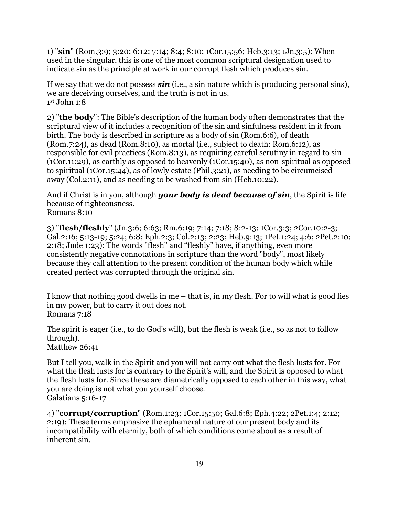1) "**sin**" (Rom.3:9; 3:20; 6:12; 7:14; 8:4; 8:10; 1Cor.15:56; Heb.3:13; 1Jn.3:5): When used in the singular, this is one of the most common scriptural designation used to indicate sin as the principle at work in our corrupt flesh which produces sin.

If we say that we do not possess *sin* (i.e., a sin nature which is producing personal sins), we are deceiving ourselves, and the truth is not in us. 1st John 1:8

2) "**the body**": The Bible's description of the human body often demonstrates that the scriptural view of it includes a recognition of the sin and sinfulness resident in it from birth. The body is described in scripture as a body of sin (Rom.6:6), of death (Rom.7:24), as dead (Rom.8:10), as mortal (i.e., subject to death: Rom.6:12), as responsible for evil practices (Rom.8:13), as requiring careful scrutiny in regard to sin (1Cor.11:29), as earthly as opposed to heavenly (1Cor.15:40), as non-spiritual as opposed to spiritual (1Cor.15:44), as of lowly estate (Phil.3:21), as needing to be circumcised away (Col.2:11), and as needing to be washed from sin (Heb.10:22).

And if Christ is in you, although *your body is dead because of sin*, the Spirit is life because of righteousness. Romans 8:10

3) "**flesh/fleshly**" (Jn.3:6; 6:63; Rm.6:19; 7:14; 7:18; 8:2-13; 1Cor.3:3; 2Cor.10:2-3; Gal.2:16; 5:13-19; 5:24; 6:8; Eph.2:3; Col.2:13; 2:23; Heb.9:13; 1Pet.1:24; 4:6; 2Pet.2:10; 2:18; Jude 1:23): The words "flesh" and "fleshly" have, if anything, even more consistently negative connotations in scripture than the word "body", most likely because they call attention to the present condition of the human body which while created perfect was corrupted through the original sin.

I know that nothing good dwells in me – that is, in my flesh. For to will what is good lies in my power, but to carry it out does not. Romans 7:18

The spirit is eager (i.e., to do God's will), but the flesh is weak (i.e., so as not to follow through). Matthew 26:41

But I tell you, walk in the Spirit and you will not carry out what the flesh lusts for. For what the flesh lusts for is contrary to the Spirit's will, and the Spirit is opposed to what the flesh lusts for. Since these are diametrically opposed to each other in this way, what you are doing is not what you yourself choose. Galatians 5:16-17

4) "**corrupt/corruption**" (Rom.1:23; 1Cor.15:50; Gal.6:8; Eph.4:22; 2Pet.1:4; 2:12; 2:19): These terms emphasize the ephemeral nature of our present body and its incompatibility with eternity, both of which conditions come about as a result of inherent sin.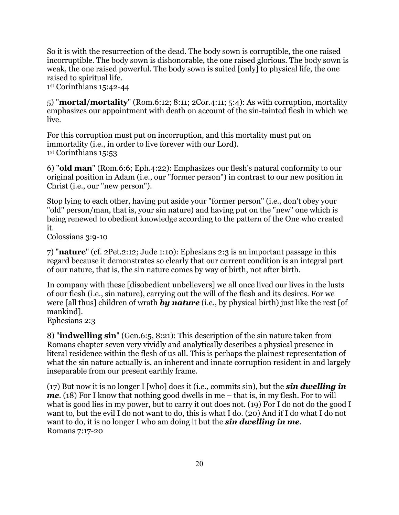So it is with the resurrection of the dead. The body sown is corruptible, the one raised incorruptible. The body sown is dishonorable, the one raised glorious. The body sown is weak, the one raised powerful. The body sown is suited [only] to physical life, the one raised to spiritual life.

1st Corinthians 15:42-44

5) "**mortal/mortality**" (Rom.6:12; 8:11; 2Cor.4:11; 5:4): As with corruption, mortality emphasizes our appointment with death on account of the sin-tainted flesh in which we live.

For this corruption must put on incorruption, and this mortality must put on immortality (i.e., in order to live forever with our Lord). 1st Corinthians 15:53

6) "**old man**" (Rom.6:6; Eph.4:22): Emphasizes our flesh's natural conformity to our original position in Adam (i.e., our "former person") in contrast to our new position in Christ (i.e., our "new person").

Stop lying to each other, having put aside your "former person" (i.e., don't obey your "old" person/man, that is, your sin nature) and having put on the "new" one which is being renewed to obedient knowledge according to the pattern of the One who created it.

Colossians 3:9-10

7) "**nature**" (cf. 2Pet.2:12; Jude 1:10): Ephesians 2:3 is an important passage in this regard because it demonstrates so clearly that our current condition is an integral part of our nature, that is, the sin nature comes by way of birth, not after birth.

In company with these [disobedient unbelievers] we all once lived our lives in the lusts of our flesh (i.e., sin nature), carrying out the will of the flesh and its desires. For we were [all thus] children of wrath *by nature* (i.e., by physical birth) just like the rest [of mankind].

Ephesians 2:3

8) "**indwelling sin**" (Gen.6:5, 8:21): This description of the sin nature taken from Romans chapter seven very vividly and analytically describes a physical presence in literal residence within the flesh of us all. This is perhaps the plainest representation of what the sin nature actually is, an inherent and innate corruption resident in and largely inseparable from our present earthly frame.

(17) But now it is no longer I [who] does it (i.e., commits sin), but the *sin dwelling in me*. (18) For I know that nothing good dwells in me – that is, in my flesh. For to will what is good lies in my power, but to carry it out does not. (19) For I do not do the good I want to, but the evil I do not want to do, this is what I do. (20) And if I do what I do not want to do, it is no longer I who am doing it but the *sin dwelling in me*. Romans 7:17-20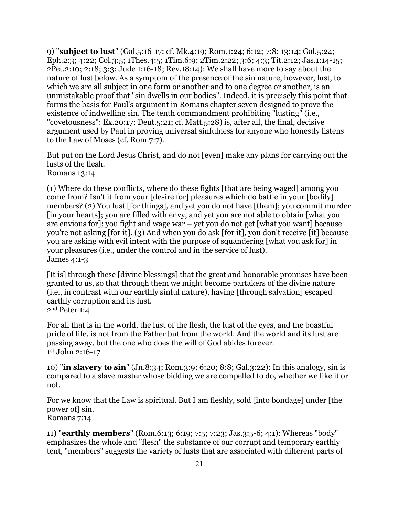9) "**subject to lust**" (Gal.5:16-17; cf. Mk.4:19; Rom.1:24; 6:12; 7:8; 13:14; Gal.5:24; Eph.2:3; 4:22; Col.3:5; 1Thes.4:5; 1Tim.6:9; 2Tim.2:22; 3:6; 4:3; Tit.2:12; Jas.1:14-15; 2Pet.2:10; 2:18; 3:3; Jude 1:16-18; Rev.18:14): We shall have more to say about the nature of lust below. As a symptom of the presence of the sin nature, however, lust, to which we are all subject in one form or another and to one degree or another, is an unmistakable proof that "sin dwells in our bodies". Indeed, it is precisely this point that forms the basis for Paul's argument in Romans chapter seven designed to prove the existence of indwelling sin. The tenth commandment prohibiting "lusting" (i.e., "covetousness": Ex.20:17; Deut.5:21; cf. Matt.5:28) is, after all, the final, decisive argument used by Paul in proving universal sinfulness for anyone who honestly listens to the Law of Moses (cf. Rom.7:7).

But put on the Lord Jesus Christ, and do not [even] make any plans for carrying out the lusts of the flesh. Romans 13:14

(1) Where do these conflicts, where do these fights [that are being waged] among you come from? Isn't it from your [desire for] pleasures which do battle in your [bodily] members? (2) You lust [for things], and yet you do not have [them]; you commit murder [in your hearts]; you are filled with envy, and yet you are not able to obtain [what you are envious for]; you fight and wage war – yet you do not get [what you want] because you're not asking [for it]. (3) And when you do ask [for it], you don't receive [it] because you are asking with evil intent with the purpose of squandering [what you ask for] in your pleasures (i.e., under the control and in the service of lust). James 4:1-3

[It is] through these [divine blessings] that the great and honorable promises have been granted to us, so that through them we might become partakers of the divine nature (i.e., in contrast with our earthly sinful nature), having [through salvation] escaped earthly corruption and its lust. 2nd Peter 1:4

For all that is in the world, the lust of the flesh, the lust of the eyes, and the boastful pride of life, is not from the Father but from the world. And the world and its lust are passing away, but the one who does the will of God abides forever. 1st John 2:16-17

10) "**in slavery to sin**" (Jn.8:34; Rom.3:9; 6:20; 8:8; Gal.3:22): In this analogy, sin is compared to a slave master whose bidding we are compelled to do, whether we like it or not.

For we know that the Law is spiritual. But I am fleshly, sold [into bondage] under [the power of] sin. Romans 7:14

11) "**earthly members**" (Rom.6:13; 6:19; 7:5; 7:23; Jas.3:5-6; 4:1): Whereas "body" emphasizes the whole and "flesh" the substance of our corrupt and temporary earthly tent, "members" suggests the variety of lusts that are associated with different parts of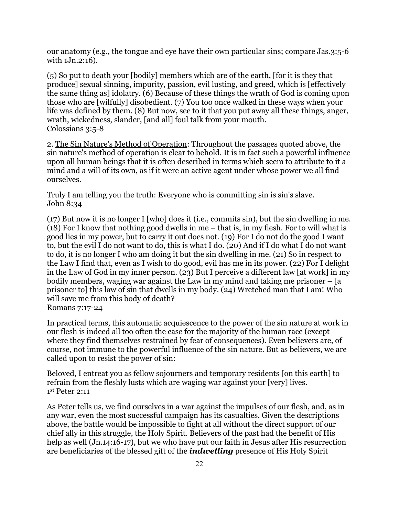our anatomy (e.g., the tongue and eye have their own particular sins; compare Jas.3:5-6 with 1Jn.2:16).

(5) So put to death your [bodily] members which are of the earth, [for it is they that produce] sexual sinning, impurity, passion, evil lusting, and greed, which is [effectively the same thing as] idolatry. (6) Because of these things the wrath of God is coming upon those who are [wilfully] disobedient. (7) You too once walked in these ways when your life was defined by them. (8) But now, see to it that you put away all these things, anger, wrath, wickedness, slander, [and all] foul talk from your mouth. Colossians 3:5-8

2. The Sin Nature's Method of Operation: Throughout the passages quoted above, the sin nature's method of operation is clear to behold. It is in fact such a powerful influence upon all human beings that it is often described in terms which seem to attribute to it a mind and a will of its own, as if it were an active agent under whose power we all find ourselves.

Truly I am telling you the truth: Everyone who is committing sin is sin's slave. John 8:34

(17) But now it is no longer I [who] does it (i.e., commits sin), but the sin dwelling in me. (18) For I know that nothing good dwells in me – that is, in my flesh. For to will what is good lies in my power, but to carry it out does not. (19) For I do not do the good I want to, but the evil I do not want to do, this is what I do. (20) And if I do what I do not want to do, it is no longer I who am doing it but the sin dwelling in me. (21) So in respect to the Law I find that, even as I wish to do good, evil has me in its power. (22) For I delight in the Law of God in my inner person. (23) But I perceive a different law [at work] in my bodily members, waging war against the Law in my mind and taking me prisoner – [a prisoner to] this law of sin that dwells in my body. (24) Wretched man that I am! Who will save me from this body of death? Romans 7:17-24

In practical terms, this automatic acquiescence to the power of the sin nature at work in our flesh is indeed all too often the case for the majority of the human race (except where they find themselves restrained by fear of consequences). Even believers are, of course, not immune to the powerful influence of the sin nature. But as believers, we are called upon to resist the power of sin:

Beloved, I entreat you as fellow sojourners and temporary residents [on this earth] to refrain from the fleshly lusts which are waging war against your [very] lives. 1st Peter 2:11

As Peter tells us, we find ourselves in a war against the impulses of our flesh, and, as in any war, even the most successful campaign has its casualties. Given the descriptions above, the battle would be impossible to fight at all without the direct support of our chief ally in this struggle, the Holy Spirit. Believers of the past had the benefit of His help as well (Jn.14:16-17), but we who have put our faith in Jesus after His resurrection are beneficiaries of the blessed gift of the *indwelling* presence of His Holy Spirit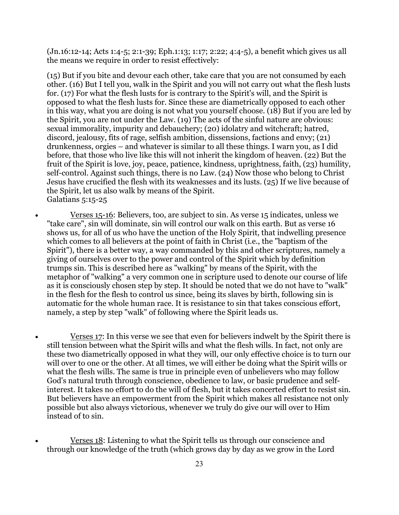(Jn.16:12-14; Acts 1:4-5; 2:1-39; Eph.1:13; 1:17; 2:22; 4:4-5), a benefit which gives us all the means we require in order to resist effectively:

(15) But if you bite and devour each other, take care that you are not consumed by each other. (16) But I tell you, walk in the Spirit and you will not carry out what the flesh lusts for. (17) For what the flesh lusts for is contrary to the Spirit's will, and the Spirit is opposed to what the flesh lusts for. Since these are diametrically opposed to each other in this way, what you are doing is not what you yourself choose. (18) But if you are led by the Spirit, you are not under the Law. (19) The acts of the sinful nature are obvious: sexual immorality, impurity and debauchery; (20) idolatry and witchcraft; hatred, discord, jealousy, fits of rage, selfish ambition, dissensions, factions and envy; (21) drunkenness, orgies – and whatever is similar to all these things. I warn you, as I did before, that those who live like this will not inherit the kingdom of heaven. (22) But the fruit of the Spirit is love, joy, peace, patience, kindness, uprightness, faith, (23) humility, self-control. Against such things, there is no Law. (24) Now those who belong to Christ Jesus have crucified the flesh with its weaknesses and its lusts. (25) If we live because of the Spirit, let us also walk by means of the Spirit. Galatians 5:15-25

• Verses 15-16: Believers, too, are subject to sin. As verse 15 indicates, unless we "take care", sin will dominate, sin will control our walk on this earth. But as verse 16 shows us, for all of us who have the unction of the Holy Spirit, that indwelling presence which comes to all believers at the point of faith in Christ (i.e., the "baptism of the Spirit"), there is a better way, a way commanded by this and other scriptures, namely a giving of ourselves over to the power and control of the Spirit which by definition trumps sin. This is described here as "walking" by means of the Spirit, with the metaphor of "walking" a very common one in scripture used to denote our course of life as it is consciously chosen step by step. It should be noted that we do not have to "walk" in the flesh for the flesh to control us since, being its slaves by birth, following sin is automatic for the whole human race. It is resistance to sin that takes conscious effort, namely, a step by step "walk" of following where the Spirit leads us.

• Verses 17: In this verse we see that even for believers indwelt by the Spirit there is still tension between what the Spirit wills and what the flesh wills. In fact, not only are these two diametrically opposed in what they will, our only effective choice is to turn our will over to one or the other. At all times, we will either be doing what the Spirit wills or what the flesh wills. The same is true in principle even of unbelievers who may follow God's natural truth through conscience, obedience to law, or basic prudence and selfinterest. It takes no effort to do the will of flesh, but it takes concerted effort to resist sin. But believers have an empowerment from the Spirit which makes all resistance not only possible but also always victorious, whenever we truly do give our will over to Him instead of to sin.

• Verses 18: Listening to what the Spirit tells us through our conscience and through our knowledge of the truth (which grows day by day as we grow in the Lord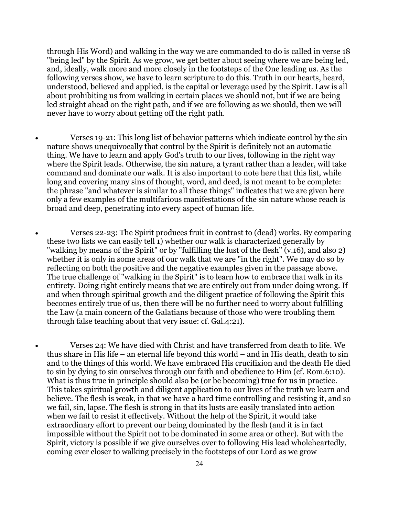through His Word) and walking in the way we are commanded to do is called in verse 18 "being led" by the Spirit. As we grow, we get better about seeing where we are being led, and, ideally, walk more and more closely in the footsteps of the One leading us. As the following verses show, we have to learn scripture to do this. Truth in our hearts, heard, understood, believed and applied, is the capital or leverage used by the Spirit. Law is all about prohibiting us from walking in certain places we should not, but if we are being led straight ahead on the right path, and if we are following as we should, then we will never have to worry about getting off the right path.

- Verses 19-21: This long list of behavior patterns which indicate control by the sin nature shows unequivocally that control by the Spirit is definitely not an automatic thing. We have to learn and apply God's truth to our lives, following in the right way where the Spirit leads. Otherwise, the sin nature, a tyrant rather than a leader, will take command and dominate our walk. It is also important to note here that this list, while long and covering many sins of thought, word, and deed, is not meant to be complete: the phrase "and whatever is similar to all these things" indicates that we are given here only a few examples of the multifarious manifestations of the sin nature whose reach is broad and deep, penetrating into every aspect of human life.
- Verses 22-23: The Spirit produces fruit in contrast to (dead) works. By comparing these two lists we can easily tell 1) whether our walk is characterized generally by "walking by means of the Spirit" or by "fulfilling the lust of the flesh" (v.16), and also 2) whether it is only in some areas of our walk that we are "in the right". We may do so by reflecting on both the positive and the negative examples given in the passage above. The true challenge of "walking in the Spirit" is to learn how to embrace that walk in its entirety. Doing right entirely means that we are entirely out from under doing wrong. If and when through spiritual growth and the diligent practice of following the Spirit this becomes entirely true of us, then there will be no further need to worry about fulfilling the Law (a main concern of the Galatians because of those who were troubling them through false teaching about that very issue: cf. Gal.4:21).
- Verses 24: We have died with Christ and have transferred from death to life. We thus share in His life – an eternal life beyond this world – and in His death, death to sin and to the things of this world. We have embraced His crucifixion and the death He died to sin by dying to sin ourselves through our faith and obedience to Him (cf. Rom.6:10). What is thus true in principle should also be (or be becoming) true for us in practice. This takes spiritual growth and diligent application to our lives of the truth we learn and believe. The flesh is weak, in that we have a hard time controlling and resisting it, and so we fail, sin, lapse. The flesh is strong in that its lusts are easily translated into action when we fail to resist it effectively. Without the help of the Spirit, it would take extraordinary effort to prevent our being dominated by the flesh (and it is in fact impossible without the Spirit not to be dominated in some area or other). But with the Spirit, victory is possible if we give ourselves over to following His lead wholeheartedly, coming ever closer to walking precisely in the footsteps of our Lord as we grow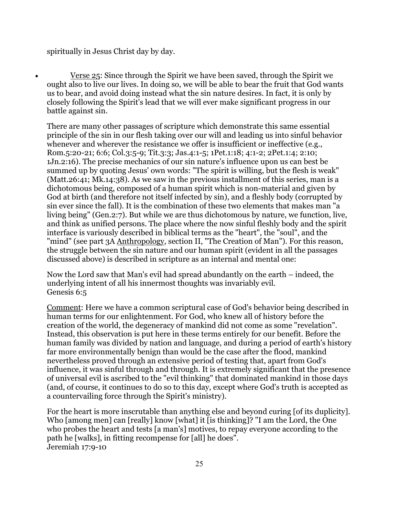spiritually in Jesus Christ day by day.

• Verse 25: Since through the Spirit we have been saved, through the Spirit we ought also to live our lives. In doing so, we will be able to bear the fruit that God wants us to bear, and avoid doing instead what the sin nature desires. In fact, it is only by closely following the Spirit's lead that we will ever make significant progress in our battle against sin.

There are many other passages of scripture which demonstrate this same essential principle of the sin in our flesh taking over our will and leading us into sinful behavior whenever and wherever the resistance we offer is insufficient or ineffective (e.g., Rom.5:20-21; 6:6; Col.3:5-9; Tit.3:3; Jas.4:1-5; 1Pet.1:18; 4:1-2; 2Pet.1:4; 2:10; 1Jn.2:16). The precise mechanics of our sin nature's influence upon us can best be summed up by quoting Jesus' own words: "The spirit is willing, but the flesh is weak" (Matt.26:41; Mk.14:38). As we saw in the previous installment of this series, man is a dichotomous being, composed of a human spirit which is non-material and given by God at birth (and therefore not itself infected by sin), and a fleshly body (corrupted by sin ever since the fall). It is the combination of these two elements that makes man "a living being" (Gen.2:7). But while we are thus dichotomous by nature, we function, live, and think as unified persons. The place where the now sinful fleshly body and the spirit interface is variously described in biblical terms as the "heart", the "soul", and the "mind" (see part 3A Anthropology, section II, "The Creation of Man"). For this reason, the struggle between the sin nature and our human spirit (evident in all the passages discussed above) is described in scripture as an internal and mental one:

Now the Lord saw that Man's evil had spread abundantly on the earth – indeed, the underlying intent of all his innermost thoughts was invariably evil. Genesis 6:5

Comment: Here we have a common scriptural case of God's behavior being described in human terms for our enlightenment. For God, who knew all of history before the creation of the world, the degeneracy of mankind did not come as some "revelation". Instead, this observation is put here in these terms entirely for our benefit. Before the human family was divided by nation and language, and during a period of earth's history far more environmentally benign than would be the case after the flood, mankind nevertheless proved through an extensive period of testing that, apart from God's influence, it was sinful through and through. It is extremely significant that the presence of universal evil is ascribed to the "evil thinking" that dominated mankind in those days (and, of course, it continues to do so to this day, except where God's truth is accepted as a countervailing force through the Spirit's ministry).

For the heart is more inscrutable than anything else and beyond curing [of its duplicity]. Who [among men] can [really] know [what] it [is thinking]? "I am the Lord, the One who probes the heart and tests [a man's] motives, to repay everyone according to the path he [walks], in fitting recompense for [all] he does". Jeremiah 17:9-10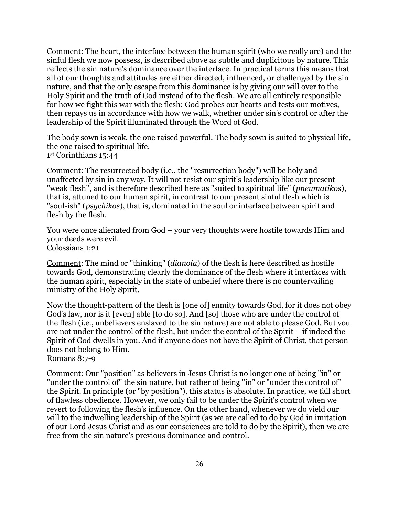Comment: The heart, the interface between the human spirit (who we really are) and the sinful flesh we now possess, is described above as subtle and duplicitous by nature. This reflects the sin nature's dominance over the interface. In practical terms this means that all of our thoughts and attitudes are either directed, influenced, or challenged by the sin nature, and that the only escape from this dominance is by giving our will over to the Holy Spirit and the truth of God instead of to the flesh. We are all entirely responsible for how we fight this war with the flesh: God probes our hearts and tests our motives, then repays us in accordance with how we walk, whether under sin's control or after the leadership of the Spirit illuminated through the Word of God.

The body sown is weak, the one raised powerful. The body sown is suited to physical life, the one raised to spiritual life. 1st Corinthians 15:44

Comment: The resurrected body (i.e., the "resurrection body") will be holy and unaffected by sin in any way. It will not resist our spirit's leadership like our present "weak flesh", and is therefore described here as "suited to spiritual life" (*pneumatikos*), that is, attuned to our human spirit, in contrast to our present sinful flesh which is "soul-ish" (*psychikos*), that is, dominated in the soul or interface between spirit and flesh by the flesh.

You were once alienated from God – your very thoughts were hostile towards Him and your deeds were evil. Colossians 1:21

Comment: The mind or "thinking" (*dianoia*) of the flesh is here described as hostile towards God, demonstrating clearly the dominance of the flesh where it interfaces with the human spirit, especially in the state of unbelief where there is no countervailing ministry of the Holy Spirit.

Now the thought-pattern of the flesh is [one of] enmity towards God, for it does not obey God's law, nor is it [even] able [to do so]. And [so] those who are under the control of the flesh (i.e., unbelievers enslaved to the sin nature) are not able to please God. But you are not under the control of the flesh, but under the control of the Spirit – if indeed the Spirit of God dwells in you. And if anyone does not have the Spirit of Christ, that person does not belong to Him.

Romans 8:7-9

Comment: Our "position" as believers in Jesus Christ is no longer one of being "in" or "under the control of" the sin nature, but rather of being "in" or "under the control of" the Spirit. In principle (or "by position"), this status is absolute. In practice, we fall short of flawless obedience. However, we only fail to be under the Spirit's control when we revert to following the flesh's influence. On the other hand, whenever we do yield our will to the indwelling leadership of the Spirit (as we are called to do by God in imitation of our Lord Jesus Christ and as our consciences are told to do by the Spirit), then we are free from the sin nature's previous dominance and control.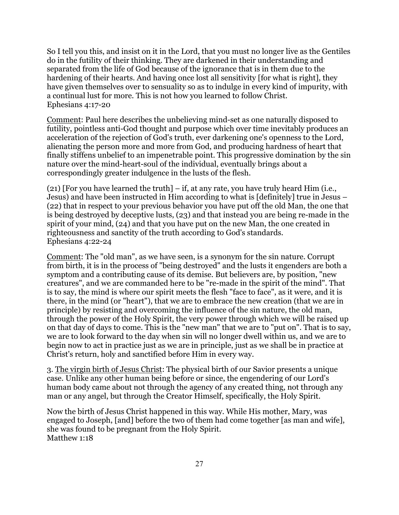So I tell you this, and insist on it in the Lord, that you must no longer live as the Gentiles do in the futility of their thinking. They are darkened in their understanding and separated from the life of God because of the ignorance that is in them due to the hardening of their hearts. And having once lost all sensitivity [for what is right], they have given themselves over to sensuality so as to indulge in every kind of impurity, with a continual lust for more. This is not how you learned to follow Christ. Ephesians 4:17-20

Comment: Paul here describes the unbelieving mind-set as one naturally disposed to futility, pointless anti-God thought and purpose which over time inevitably produces an acceleration of the rejection of God's truth, ever darkening one's openness to the Lord, alienating the person more and more from God, and producing hardness of heart that finally stiffens unbelief to an impenetrable point. This progressive domination by the sin nature over the mind-heart-soul of the individual, eventually brings about a correspondingly greater indulgence in the lusts of the flesh.

(21) [For you have learned the truth] – if, at any rate, you have truly heard Him (i.e., Jesus) and have been instructed in Him according to what is [definitely] true in Jesus – (22) that in respect to your previous behavior you have put off the old Man, the one that is being destroyed by deceptive lusts, (23) and that instead you are being re-made in the spirit of your mind, (24) and that you have put on the new Man, the one created in righteousness and sanctity of the truth according to God's standards. Ephesians 4:22-24

Comment: The "old man", as we have seen, is a synonym for the sin nature. Corrupt from birth, it is in the process of "being destroyed" and the lusts it engenders are both a symptom and a contributing cause of its demise. But believers are, by position, "new creatures", and we are commanded here to be "re-made in the spirit of the mind". That is to say, the mind is where our spirit meets the flesh "face to face", as it were, and it is there, in the mind (or "heart"), that we are to embrace the new creation (that we are in principle) by resisting and overcoming the influence of the sin nature, the old man, through the power of the Holy Spirit, the very power through which we will be raised up on that day of days to come. This is the "new man" that we are to "put on". That is to say, we are to look forward to the day when sin will no longer dwell within us, and we are to begin now to act in practice just as we are in principle, just as we shall be in practice at Christ's return, holy and sanctified before Him in every way.

3. The virgin birth of Jesus Christ: The physical birth of our Savior presents a unique case. Unlike any other human being before or since, the engendering of our Lord's human body came about not through the agency of any created thing, not through any man or any angel, but through the Creator Himself, specifically, the Holy Spirit.

Now the birth of Jesus Christ happened in this way. While His mother, Mary, was engaged to Joseph, [and] before the two of them had come together [as man and wife], she was found to be pregnant from the Holy Spirit. Matthew 1:18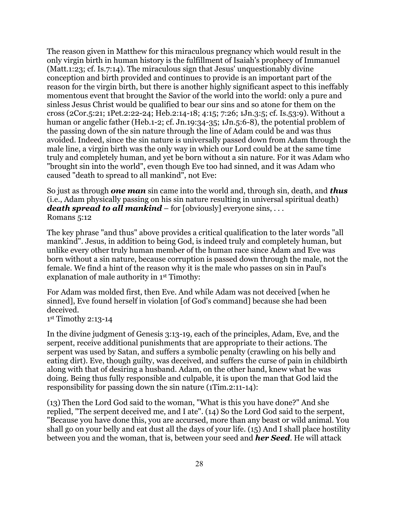The reason given in Matthew for this miraculous pregnancy which would result in the only virgin birth in human history is the fulfillment of Isaiah's prophecy of Immanuel (Matt.1:23; cf. Is.7:14). The miraculous sign that Jesus' unquestionably divine conception and birth provided and continues to provide is an important part of the reason for the virgin birth, but there is another highly significant aspect to this ineffably momentous event that brought the Savior of the world into the world: only a pure and sinless Jesus Christ would be qualified to bear our sins and so atone for them on the cross (2Cor.5:21; 1Pet.2:22-24; Heb.2:14-18; 4:15; 7:26; 1Jn.3:5; cf. Is.53:9). Without a human or angelic father (Heb.1-2; cf. Jn.19:34-35; 1Jn.5:6-8), the potential problem of the passing down of the sin nature through the line of Adam could be and was thus avoided. Indeed, since the sin nature is universally passed down from Adam through the male line, a virgin birth was the only way in which our Lord could be at the same time truly and completely human, and yet be born without a sin nature. For it was Adam who "brought sin into the world", even though Eve too had sinned, and it was Adam who caused "death to spread to all mankind", not Eve:

So just as through *one man* sin came into the world and, through sin, death, and *thus* (i.e., Adam physically passing on his sin nature resulting in universal spiritual death) *death spread to all mankind* – for [obviously] everyone sins, ... Romans 5:12

The key phrase "and thus" above provides a critical qualification to the later words "all mankind". Jesus, in addition to being God, is indeed truly and completely human, but unlike every other truly human member of the human race since Adam and Eve was born without a sin nature, because corruption is passed down through the male, not the female. We find a hint of the reason why it is the male who passes on sin in Paul's explanation of male authority in 1st Timothy:

For Adam was molded first, then Eve. And while Adam was not deceived [when he sinned], Eve found herself in violation [of God's command] because she had been deceived.

1st Timothy 2:13-14

In the divine judgment of Genesis 3:13-19, each of the principles, Adam, Eve, and the serpent, receive additional punishments that are appropriate to their actions. The serpent was used by Satan, and suffers a symbolic penalty (crawling on his belly and eating dirt). Eve, though guilty, was deceived, and suffers the curse of pain in childbirth along with that of desiring a husband. Adam, on the other hand, knew what he was doing. Being thus fully responsible and culpable, it is upon the man that God laid the responsibility for passing down the sin nature (1Tim.2:11-14):

(13) Then the Lord God said to the woman, "What is this you have done?" And she replied, "The serpent deceived me, and I ate". (14) So the Lord God said to the serpent, "Because you have done this, you are accursed, more than any beast or wild animal. You shall go on your belly and eat dust all the days of your life. (15) And I shall place hostility between you and the woman, that is, between your seed and *her Seed*. He will attack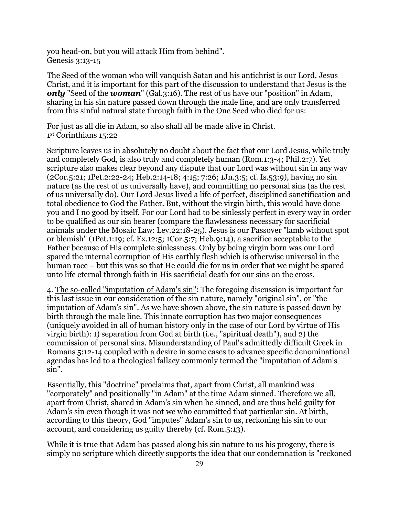you head-on, but you will attack Him from behind". Genesis 3:13-15

The Seed of the woman who will vanquish Satan and his antichrist is our Lord, Jesus Christ, and it is important for this part of the discussion to understand that Jesus is the *only* "Seed of the *woman*" (Gal.3:16). The rest of us have our "position" in Adam, sharing in his sin nature passed down through the male line, and are only transferred from this sinful natural state through faith in the One Seed who died for us:

For just as all die in Adam, so also shall all be made alive in Christ. 1st Corinthians 15:22

Scripture leaves us in absolutely no doubt about the fact that our Lord Jesus, while truly and completely God, is also truly and completely human (Rom.1:3-4; Phil.2:7). Yet scripture also makes clear beyond any dispute that our Lord was without sin in any way (2Cor.5:21; 1Pet.2:22-24; Heb.2:14-18; 4:15; 7:26; 1Jn.3:5; cf. Is.53:9), having no sin nature (as the rest of us universally have), and committing no personal sins (as the rest of us universally do). Our Lord Jesus lived a life of perfect, disciplined sanctification and total obedience to God the Father. But, without the virgin birth, this would have done you and I no good by itself. For our Lord had to be sinlessly perfect in every way in order to be qualified as our sin bearer (compare the flawlessness necessary for sacrificial animals under the Mosaic Law: Lev.22:18-25). Jesus is our Passover "lamb without spot or blemish" (1Pet.1:19; cf. Ex.12:5; 1Cor.5:7; Heb.9:14), a sacrifice acceptable to the Father because of His complete sinlessness. Only by being virgin born was our Lord spared the internal corruption of His earthly flesh which is otherwise universal in the human race – but this was so that He could die for us in order that we might be spared unto life eternal through faith in His sacrificial death for our sins on the cross.

4. The so-called "imputation of Adam's sin": The foregoing discussion is important for this last issue in our consideration of the sin nature, namely "original sin", or "the imputation of Adam's sin". As we have shown above, the sin nature is passed down by birth through the male line. This innate corruption has two major consequences (uniquely avoided in all of human history only in the case of our Lord by virtue of His virgin birth): 1) separation from God at birth (i.e., "spiritual death"), and 2) the commission of personal sins. Misunderstanding of Paul's admittedly difficult Greek in Romans 5:12-14 coupled with a desire in some cases to advance specific denominational agendas has led to a theological fallacy commonly termed the "imputation of Adam's sin".

Essentially, this "doctrine" proclaims that, apart from Christ, all mankind was "corporately" and positionally "in Adam" at the time Adam sinned. Therefore we all, apart from Christ, shared in Adam's sin when he sinned, and are thus held guilty for Adam's sin even though it was not we who committed that particular sin. At birth, according to this theory, God "imputes" Adam's sin to us, reckoning his sin to our account, and considering us guilty thereby (cf. Rom.5:13).

While it is true that Adam has passed along his sin nature to us his progeny, there is simply no scripture which directly supports the idea that our condemnation is "reckoned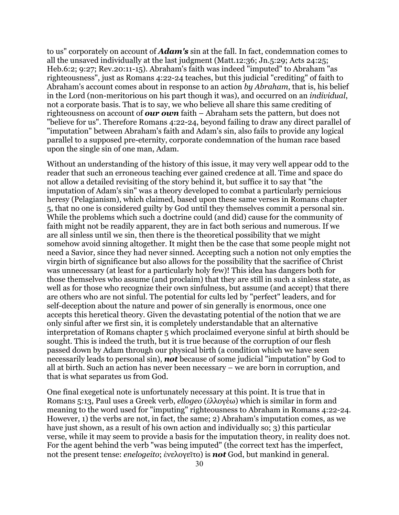to us" corporately on account of *Adam's* sin at the fall. In fact, condemnation comes to all the unsaved individually at the last judgment (Matt.12:36; Jn.5:29; Acts 24:25; Heb.6:2; 9:27; Rev.20:11-15). Abraham's faith was indeed "imputed" to Abraham "as righteousness", just as Romans 4:22-24 teaches, but this judicial "crediting" of faith to Abraham's account comes about in response to an action *by Abraham*, that is, his belief in the Lord (non-meritorious on his part though it was), and occurred on an *individual*, not a corporate basis. That is to say, we who believe all share this same crediting of righteousness on account of *our own* faith – Abraham sets the pattern, but does not "believe for us". Therefore Romans 4:22-24, beyond failing to draw any direct parallel of "imputation" between Abraham's faith and Adam's sin, also fails to provide any logical parallel to a supposed pre-eternity, corporate condemnation of the human race based upon the single sin of one man, Adam.

Without an understanding of the history of this issue, it may very well appear odd to the reader that such an erroneous teaching ever gained credence at all. Time and space do not allow a detailed revisiting of the story behind it, but suffice it to say that "the imputation of Adam's sin" was a theory developed to combat a particularly pernicious heresy (Pelagianism), which claimed, based upon these same verses in Romans chapter 5, that no one is considered guilty by God until they themselves commit a personal sin. While the problems which such a doctrine could (and did) cause for the community of faith might not be readily apparent, they are in fact both serious and numerous. If we are all sinless until we sin, then there is the theoretical possibility that we might somehow avoid sinning altogether. It might then be the case that some people might not need a Savior, since they had never sinned. Accepting such a notion not only empties the virgin birth of significance but also allows for the possibility that the sacrifice of Christ was unnecessary (at least for a particularly holy few)! This idea has dangers both for those themselves who assume (and proclaim) that they are still in such a sinless state, as well as for those who recognize their own sinfulness, but assume (and accept) that there are others who are not sinful. The potential for cults led by "perfect" leaders, and for self-deception about the nature and power of sin generally is enormous, once one accepts this heretical theory. Given the devastating potential of the notion that we are only sinful after we first sin, it is completely understandable that an alternative interpretation of Romans chapter 5 which proclaimed everyone sinful at birth should be sought. This is indeed the truth, but it is true because of the corruption of our flesh passed down by Adam through our physical birth (a condition which we have seen necessarily leads to personal sin), *not* because of some judicial "imputation" by God to all at birth. Such an action has never been necessary – we are born in corruption, and that is what separates us from God.

One final exegetical note is unfortunately necessary at this point. It is true that in Romans 5:13, Paul uses a Greek verb, *ellogeo* (ἐλλογέω) which is similar in form and meaning to the word used for "imputing" righteousness to Abraham in Romans 4:22-24. However, 1) the verbs are not, in fact, the same; 2) Abraham's imputation comes, as we have just shown, as a result of his own action and individually so; 3) this particular verse, while it may seem to provide a basis for the imputation theory, in reality does not. For the agent behind the verb "was being imputed" (the correct text has the imperfect, not the present tense: *enelogeito*; ἐνελογεῖτο) is *not* God, but mankind in general.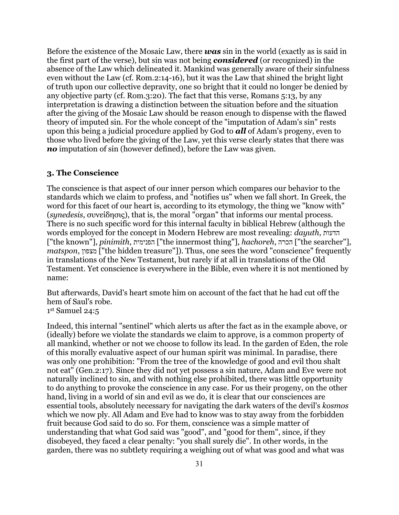Before the existence of the Mosaic Law, there *was* sin in the world (exactly as is said in the first part of the verse), but sin was not being *considered* (or recognized) in the absence of the Law which delineated it. Mankind was generally aware of their sinfulness even without the Law (cf. Rom.2:14-16), but it was the Law that shined the bright light of truth upon our collective depravity, one so bright that it could no longer be denied by any objective party (cf. Rom.3:20). The fact that this verse, Romans 5:13, by any interpretation is drawing a distinction between the situation before and the situation after the giving of the Mosaic Law should be reason enough to dispense with the flawed theory of imputed sin. For the whole concept of the "imputation of Adam's sin" rests upon this being a judicial procedure applied by God to *all* of Adam's progeny, even to those who lived before the giving of the Law, yet this verse clearly states that there was *no* imputation of sin (however defined), before the Law was given.

### **3. The Conscience**

The conscience is that aspect of our inner person which compares our behavior to the standards which we claim to profess, and "notifies us" when we fall short. In Greek, the word for this facet of our heart is, according to its etymology, the thing we "know with" (*synedesis*, συνείδησις), that is, the moral "organ" that informs our mental process. There is no such specific word for this internal faculty in biblical Hebrew (although the words employed for the concept in Modern Hebrew are most revealing: *dayuth*, הדעות ["the known"], *pinimith*, הפנימית"] the innermost thing"], *hachoreh*, הכרה"] the searcher"], *matspon*, מצפון"] the hidden treasure"]). Thus, one sees the word "conscience" frequently in translations of the New Testament, but rarely if at all in translations of the Old Testament. Yet conscience is everywhere in the Bible, even where it is not mentioned by name:

But afterwards, David's heart smote him on account of the fact that he had cut off the hem of Saul's robe.

1st Samuel 24:5

Indeed, this internal "sentinel" which alerts us after the fact as in the example above, or (ideally) before we violate the standards we claim to approve, is a common property of all mankind, whether or not we choose to follow its lead. In the garden of Eden, the role of this morally evaluative aspect of our human spirit was minimal. In paradise, there was only one prohibition: "From the tree of the knowledge of good and evil thou shalt not eat" (Gen.2:17). Since they did not yet possess a sin nature, Adam and Eve were not naturally inclined to sin, and with nothing else prohibited, there was little opportunity to do anything to provoke the conscience in any case. For us their progeny, on the other hand, living in a world of sin and evil as we do, it is clear that our consciences are essential tools, absolutely necessary for navigating the dark waters of the devil's *kosmos* which we now ply. All Adam and Eve had to know was to stay away from the forbidden fruit because God said to do so. For them, conscience was a simple matter of understanding that what God said was "good", and "good for them", since, if they disobeyed, they faced a clear penalty: "you shall surely die". In other words, in the garden, there was no subtlety requiring a weighing out of what was good and what was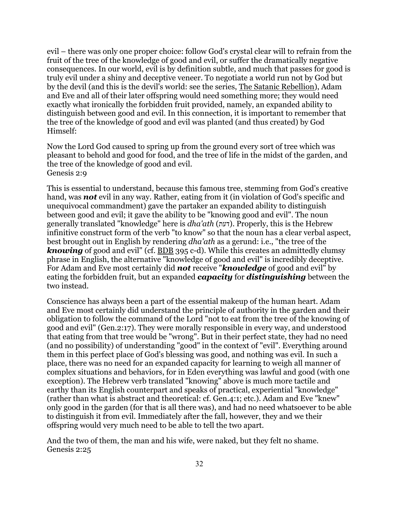evil – there was only one proper choice: follow God's crystal clear will to refrain from the fruit of the tree of the knowledge of good and evil, or suffer the dramatically negative consequences. In our world, evil is by definition subtle, and much that passes for good is truly evil under a shiny and deceptive veneer. To negotiate a world run not by God but by the devil (and this is the devil's world: see the series, The Satanic Rebellion), Adam and Eve and all of their later offspring would need something more; they would need exactly what ironically the forbidden fruit provided, namely, an expanded ability to distinguish between good and evil. In this connection, it is important to remember that the tree of the knowledge of good and evil was planted (and thus created) by God Himself:

Now the Lord God caused to spring up from the ground every sort of tree which was pleasant to behold and good for food, and the tree of life in the midst of the garden, and the tree of the knowledge of good and evil. Genesis 2:9

This is essential to understand, because this famous tree, stemming from God's creative hand, was *not* evil in any way. Rather, eating from it (in violation of God's specific and unequivocal commandment) gave the partaker an expanded ability to distinguish between good and evil; it gave the ability to be "knowing good and evil". The noun generally translated "knowledge" here is *dha'ath* (דעת). Properly, this is the Hebrew infinitive construct form of the verb "to know" so that the noun has a clear verbal aspect, best brought out in English by rendering *dha'ath* as a gerund: i.e., "the tree of the *knowing* of good and evil" (cf. BDB 395 c-d). While this creates an admittedly clumsy phrase in English, the alternative "knowledge of good and evil" is incredibly deceptive. For Adam and Eve most certainly did *not* receive "*knowledge* of good and evil" by eating the forbidden fruit, but an expanded *capacity* for *distinguishing* between the two instead.

Conscience has always been a part of the essential makeup of the human heart. Adam and Eve most certainly did understand the principle of authority in the garden and their obligation to follow the command of the Lord "not to eat from the tree of the knowing of good and evil" (Gen.2:17). They were morally responsible in every way, and understood that eating from that tree would be "wrong". But in their perfect state, they had no need (and no possibility) of understanding "good" in the context of "evil". Everything around them in this perfect place of God's blessing was good, and nothing was evil. In such a place, there was no need for an expanded capacity for learning to weigh all manner of complex situations and behaviors, for in Eden everything was lawful and good (with one exception). The Hebrew verb translated "knowing" above is much more tactile and earthy than its English counterpart and speaks of practical, experiential "knowledge" (rather than what is abstract and theoretical: cf. Gen.4:1; etc.). Adam and Eve "knew" only good in the garden (for that is all there was), and had no need whatsoever to be able to distinguish it from evil. Immediately after the fall, however, they and we their offspring would very much need to be able to tell the two apart.

And the two of them, the man and his wife, were naked, but they felt no shame. Genesis 2:25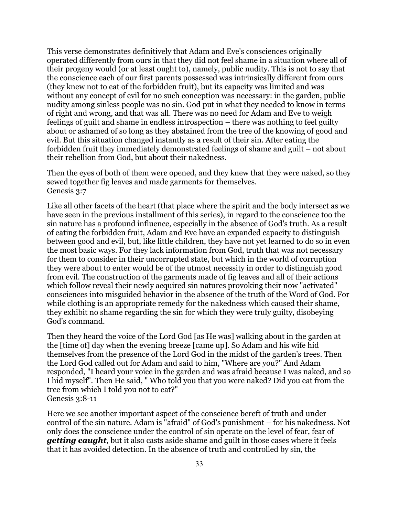This verse demonstrates definitively that Adam and Eve's consciences originally operated differently from ours in that they did not feel shame in a situation where all of their progeny would (or at least ought to), namely, public nudity. This is not to say that the conscience each of our first parents possessed was intrinsically different from ours (they knew not to eat of the forbidden fruit), but its capacity was limited and was without any concept of evil for no such conception was necessary: in the garden, public nudity among sinless people was no sin. God put in what they needed to know in terms of right and wrong, and that was all. There was no need for Adam and Eve to weigh feelings of guilt and shame in endless introspection – there was nothing to feel guilty about or ashamed of so long as they abstained from the tree of the knowing of good and evil. But this situation changed instantly as a result of their sin. After eating the forbidden fruit they immediately demonstrated feelings of shame and guilt – not about their rebellion from God, but about their nakedness.

Then the eyes of both of them were opened, and they knew that they were naked, so they sewed together fig leaves and made garments for themselves. Genesis 3:7

Like all other facets of the heart (that place where the spirit and the body intersect as we have seen in the previous installment of this series), in regard to the conscience too the sin nature has a profound influence, especially in the absence of God's truth. As a result of eating the forbidden fruit, Adam and Eve have an expanded capacity to distinguish between good and evil, but, like little children, they have not yet learned to do so in even the most basic ways. For they lack information from God, truth that was not necessary for them to consider in their uncorrupted state, but which in the world of corruption they were about to enter would be of the utmost necessity in order to distinguish good from evil. The construction of the garments made of fig leaves and all of their actions which follow reveal their newly acquired sin natures provoking their now "activated" consciences into misguided behavior in the absence of the truth of the Word of God. For while clothing is an appropriate remedy for the nakedness which caused their shame, they exhibit no shame regarding the sin for which they were truly guilty, disobeying God's command.

Then they heard the voice of the Lord God [as He was] walking about in the garden at the [time of] day when the evening breeze [came up]. So Adam and his wife hid themselves from the presence of the Lord God in the midst of the garden's trees. Then the Lord God called out for Adam and said to him, "Where are you?" And Adam responded, "I heard your voice in the garden and was afraid because I was naked, and so I hid myself". Then He said, " Who told you that you were naked? Did you eat from the tree from which I told you not to eat?" Genesis 3:8-11

Here we see another important aspect of the conscience bereft of truth and under control of the sin nature. Adam is "afraid" of God's punishment – for his nakedness. Not only does the conscience under the control of sin operate on the level of fear, fear of *getting caught*, but it also casts aside shame and guilt in those cases where it feels that it has avoided detection. In the absence of truth and controlled by sin, the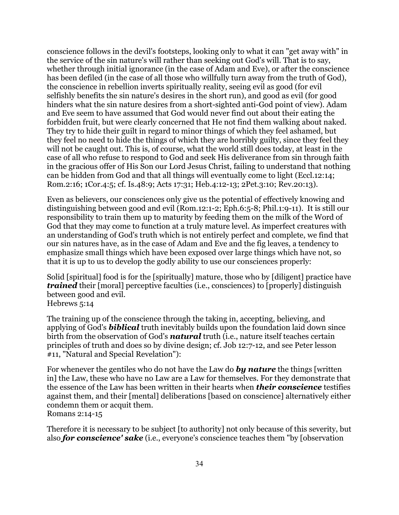conscience follows in the devil's footsteps, looking only to what it can "get away with" in the service of the sin nature's will rather than seeking out God's will. That is to say, whether through initial ignorance (in the case of Adam and Eve), or after the conscience has been defiled (in the case of all those who willfully turn away from the truth of God), the conscience in rebellion inverts spiritually reality, seeing evil as good (for evil selfishly benefits the sin nature's desires in the short run), and good as evil (for good hinders what the sin nature desires from a short-sighted anti-God point of view). Adam and Eve seem to have assumed that God would never find out about their eating the forbidden fruit, but were clearly concerned that He not find them walking about naked. They try to hide their guilt in regard to minor things of which they feel ashamed, but they feel no need to hide the things of which they are horribly guilty, since they feel they will not be caught out. This is, of course, what the world still does today, at least in the case of all who refuse to respond to God and seek His deliverance from sin through faith in the gracious offer of His Son our Lord Jesus Christ, failing to understand that nothing can be hidden from God and that all things will eventually come to light (Eccl.12:14; Rom.2:16; 1Cor.4:5; cf. Is.48:9; Acts 17:31; Heb.4:12-13; 2Pet.3:10; Rev.20:13).

Even as believers, our consciences only give us the potential of effectively knowing and distinguishing between good and evil (Rom.12:1-2; Eph.6:5-8; Phil.1:9-11). It is still our responsibility to train them up to maturity by feeding them on the milk of the Word of God that they may come to function at a truly mature level. As imperfect creatures with an understanding of God's truth which is not entirely perfect and complete, we find that our sin natures have, as in the case of Adam and Eve and the fig leaves, a tendency to emphasize small things which have been exposed over large things which have not, so that it is up to us to develop the godly ability to use our consciences properly:

Solid [spiritual] food is for the [spiritually] mature, those who by [diligent] practice have *trained* their [moral] perceptive faculties (i.e., consciences) to [properly] distinguish between good and evil.

Hebrews 5:14

The training up of the conscience through the taking in, accepting, believing, and applying of God's *biblical* truth inevitably builds upon the foundation laid down since birth from the observation of God's *natural* truth (i.e., nature itself teaches certain principles of truth and does so by divine design; cf. Job 12:7-12, and see Peter lesson #11, "Natural and Special Revelation"):

For whenever the gentiles who do not have the Law do *by nature* the things [written in] the Law, these who have no Law are a Law for themselves. For they demonstrate that the essence of the Law has been written in their hearts when *their conscience* testifies against them, and their [mental] deliberations [based on conscience] alternatively either condemn them or acquit them. Romans 2:14-15

Therefore it is necessary to be subject [to authority] not only because of this severity, but also *for conscience' sake* (i.e., everyone's conscience teaches them "by [observation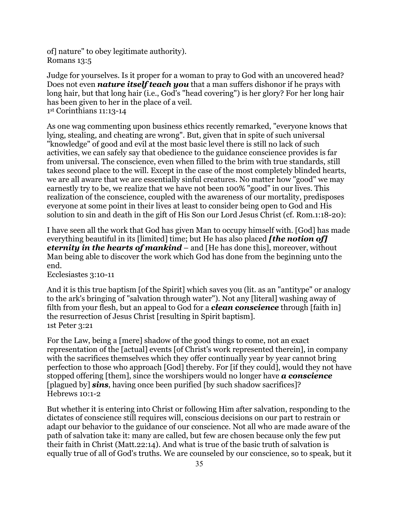of] nature" to obey legitimate authority). Romans 13:5

Judge for yourselves. Is it proper for a woman to pray to God with an uncovered head? Does not even *nature itself teach you* that a man suffers dishonor if he prays with long hair, but that long hair (i.e., God's "head covering") is her glory? For her long hair has been given to her in the place of a veil. 1st Corinthians 11:13-14

As one wag commenting upon business ethics recently remarked, "everyone knows that lying, stealing, and cheating are wrong". But, given that in spite of such universal "knowledge" of good and evil at the most basic level there is still no lack of such activities, we can safely say that obedience to the guidance conscience provides is far from universal. The conscience, even when filled to the brim with true standards, still takes second place to the will. Except in the case of the most completely blinded hearts, we are all aware that we are essentially sinful creatures. No matter how "good" we may earnestly try to be, we realize that we have not been 100% "good" in our lives. This realization of the conscience, coupled with the awareness of our mortality, predisposes everyone at some point in their lives at least to consider being open to God and His solution to sin and death in the gift of His Son our Lord Jesus Christ (cf. Rom.1:18-20):

I have seen all the work that God has given Man to occupy himself with. [God] has made everything beautiful in its [limited] time; but He has also placed *[the notion of] eternity in the hearts of mankind* – and [He has done this], moreover, without Man being able to discover the work which God has done from the beginning unto the end.

Ecclesiastes 3:10-11

And it is this true baptism [of the Spirit] which saves you (lit. as an "antitype" or analogy to the ark's bringing of "salvation through water"). Not any [literal] washing away of filth from your flesh, but an appeal to God for a *clean conscience* through [faith in] the resurrection of Jesus Christ [resulting in Spirit baptism]. 1st Peter 3:21

For the Law, being a [mere] shadow of the good things to come, not an exact representation of the [actual] events [of Christ's work represented therein], in company with the sacrifices themselves which they offer continually year by year cannot bring perfection to those who approach [God] thereby. For [if they could], would they not have stopped offering [them], since the worshipers would no longer have *a conscience* [plagued by] *sins*, having once been purified [by such shadow sacrifices]? Hebrews 10:1-2

But whether it is entering into Christ or following Him after salvation, responding to the dictates of conscience still requires will, conscious decisions on our part to restrain or adapt our behavior to the guidance of our conscience. Not all who are made aware of the path of salvation take it: many are called, but few are chosen because only the few put their faith in Christ (Matt.22:14). And what is true of the basic truth of salvation is equally true of all of God's truths. We are counseled by our conscience, so to speak, but it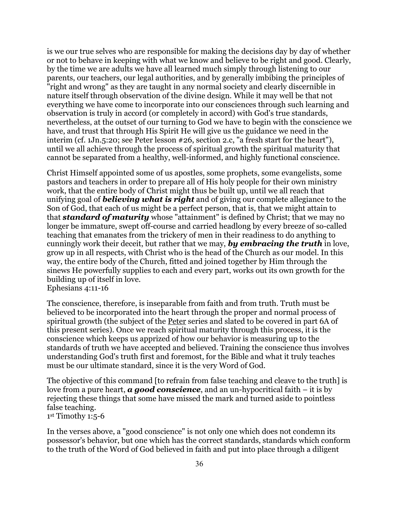is we our true selves who are responsible for making the decisions day by day of whether or not to behave in keeping with what we know and believe to be right and good. Clearly, by the time we are adults we have all learned much simply through listening to our parents, our teachers, our legal authorities, and by generally imbibing the principles of "right and wrong" as they are taught in any normal society and clearly discernible in nature itself through observation of the divine design. While it may well be that not everything we have come to incorporate into our consciences through such learning and observation is truly in accord (or completely in accord) with God's true standards, nevertheless, at the outset of our turning to God we have to begin with the conscience we have, and trust that through His Spirit He will give us the guidance we need in the interim (cf. 1Jn.5:20; see Peter lesson #26, section 2.c, "a fresh start for the heart"), until we all achieve through the process of spiritual growth the spiritual maturity that cannot be separated from a healthy, well-informed, and highly functional conscience.

Christ Himself appointed some of us apostles, some prophets, some evangelists, some pastors and teachers in order to prepare all of His holy people for their own ministry work, that the entire body of Christ might thus be built up, until we all reach that unifying goal of *believing what is right* and of giving our complete allegiance to the Son of God, that each of us might be a perfect person, that is, that we might attain to that *standard of maturity* whose "attainment" is defined by Christ; that we may no longer be immature, swept off-course and carried headlong by every breeze of so-called teaching that emanates from the trickery of men in their readiness to do anything to cunningly work their deceit, but rather that we may, *by embracing the truth* in love, grow up in all respects, with Christ who is the head of the Church as our model. In this way, the entire body of the Church, fitted and joined together by Him through the sinews He powerfully supplies to each and every part, works out its own growth for the building up of itself in love. Ephesians 4:11-16

The conscience, therefore, is inseparable from faith and from truth. Truth must be believed to be incorporated into the heart through the proper and normal process of spiritual growth (the subject of the <u>Peter</u> series and slated to be covered in part 6A of this present series). Once we reach spiritual maturity through this process, it is the conscience which keeps us apprized of how our behavior is measuring up to the standards of truth we have accepted and believed. Training the conscience thus involves understanding God's truth first and foremost, for the Bible and what it truly teaches must be our ultimate standard, since it is the very Word of God.

The objective of this command [to refrain from false teaching and cleave to the truth] is love from a pure heart, *a good conscience*, and an un-hypocritical faith – it is by rejecting these things that some have missed the mark and turned aside to pointless false teaching. 1st Timothy 1:5-6

In the verses above, a "good conscience" is not only one which does not condemn its possessor's behavior, but one which has the correct standards, standards which conform to the truth of the Word of God believed in faith and put into place through a diligent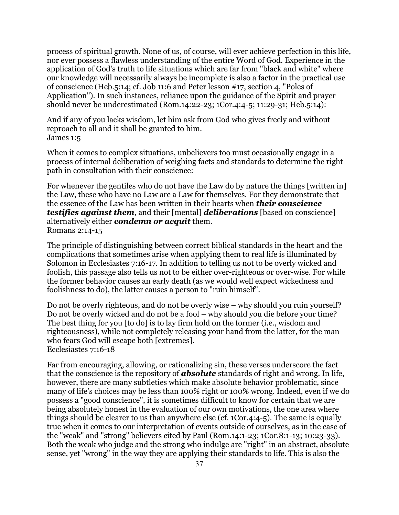process of spiritual growth. None of us, of course, will ever achieve perfection in this life, nor ever possess a flawless understanding of the entire Word of God. Experience in the application of God's truth to life situations which are far from "black and white" where our knowledge will necessarily always be incomplete is also a factor in the practical use of conscience (Heb.5:14; cf. Job 11:6 and Peter lesson #17, section 4, "Poles of Application"). In such instances, reliance upon the guidance of the Spirit and prayer should never be underestimated (Rom.14:22-23; 1Cor.4:4-5; 11:29-31; Heb.5:14):

And if any of you lacks wisdom, let him ask from God who gives freely and without reproach to all and it shall be granted to him. James 1:5

When it comes to complex situations, unbelievers too must occasionally engage in a process of internal deliberation of weighing facts and standards to determine the right path in consultation with their conscience:

For whenever the gentiles who do not have the Law do by nature the things [written in] the Law, these who have no Law are a Law for themselves. For they demonstrate that the essence of the Law has been written in their hearts when *their conscience testifies against them*, and their [mental] *deliberations* [based on conscience] alternatively either *condemn or acquit* them. Romans 2:14-15

The principle of distinguishing between correct biblical standards in the heart and the complications that sometimes arise when applying them to real life is illuminated by Solomon in Ecclesiastes 7:16-17. In addition to telling us not to be overly wicked and foolish, this passage also tells us not to be either over-righteous or over-wise. For while the former behavior causes an early death (as we would well expect wickedness and foolishness to do), the latter causes a person to "ruin himself".

Do not be overly righteous, and do not be overly wise – why should you ruin yourself? Do not be overly wicked and do not be a fool – why should you die before your time? The best thing for you [to do] is to lay firm hold on the former (i.e., wisdom and righteousness), while not completely releasing your hand from the latter, for the man who fears God will escape both [extremes]. Ecclesiastes 7:16-18

Far from encouraging, allowing, or rationalizing sin, these verses underscore the fact that the conscience is the repository of *absolute* standards of right and wrong. In life, however, there are many subtleties which make absolute behavior problematic, since many of life's choices may be less than 100% right or 100% wrong. Indeed, even if we do possess a "good conscience", it is sometimes difficult to know for certain that we are being absolutely honest in the evaluation of our own motivations, the one area where things should be clearer to us than anywhere else (cf. 1Cor.4:4-5). The same is equally true when it comes to our interpretation of events outside of ourselves, as in the case of the "weak" and "strong" believers cited by Paul (Rom.14:1-23; 1Cor.8:1-13; 10:23-33). Both the weak who judge and the strong who indulge are "right" in an abstract, absolute sense, yet "wrong" in the way they are applying their standards to life. This is also the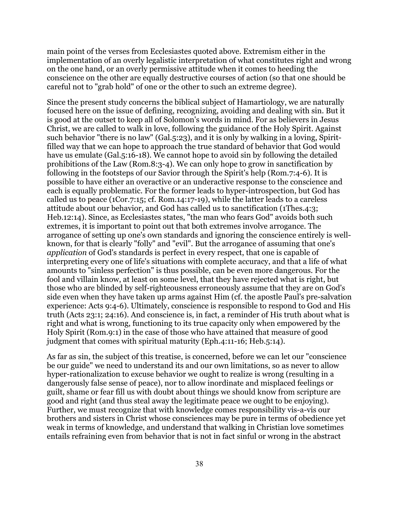main point of the verses from Ecclesiastes quoted above. Extremism either in the implementation of an overly legalistic interpretation of what constitutes right and wrong on the one hand, or an overly permissive attitude when it comes to heeding the conscience on the other are equally destructive courses of action (so that one should be careful not to "grab hold" of one or the other to such an extreme degree).

Since the present study concerns the biblical subject of Hamartiology, we are naturally focused here on the issue of defining, recognizing, avoiding and dealing with sin. But it is good at the outset to keep all of Solomon's words in mind. For as believers in Jesus Christ, we are called to walk in love, following the guidance of the Holy Spirit. Against such behavior "there is no law" (Gal.5:23), and it is only by walking in a loving, Spiritfilled way that we can hope to approach the true standard of behavior that God would have us emulate (Gal.5:16-18). We cannot hope to avoid sin by following the detailed prohibitions of the Law (Rom.8:3-4). We can only hope to grow in sanctification by following in the footsteps of our Savior through the Spirit's help (Rom.7:4-6). It is possible to have either an overactive or an underactive response to the conscience and each is equally problematic. For the former leads to hyper-introspection, but God has called us to peace (1Cor.7:15; cf. Rom.14:17-19), while the latter leads to a careless attitude about our behavior, and God has called us to sanctification (1Thes.4:3; Heb.12:14). Since, as Ecclesiastes states, "the man who fears God" avoids both such extremes, it is important to point out that both extremes involve arrogance. The arrogance of setting up one's own standards and ignoring the conscience entirely is wellknown, for that is clearly "folly" and "evil". But the arrogance of assuming that one's *application* of God's standards is perfect in every respect, that one is capable of interpreting every one of life's situations with complete accuracy, and that a life of what amounts to "sinless perfection" is thus possible, can be even more dangerous. For the fool and villain know, at least on some level, that they have rejected what is right, but those who are blinded by self-righteousness erroneously assume that they are on God's side even when they have taken up arms against Him (cf. the apostle Paul's pre-salvation experience: Acts 9:4-6). Ultimately, conscience is responsible to respond to God and His truth (Acts 23:1; 24:16). And conscience is, in fact, a reminder of His truth about what is right and what is wrong, functioning to its true capacity only when empowered by the Holy Spirit (Rom.9:1) in the case of those who have attained that measure of good judgment that comes with spiritual maturity (Eph.4:11-16; Heb.5:14).

As far as sin, the subject of this treatise, is concerned, before we can let our "conscience be our guide" we need to understand its and our own limitations, so as never to allow hyper-rationalization to excuse behavior we ought to realize is wrong (resulting in a dangerously false sense of peace), nor to allow inordinate and misplaced feelings or guilt, shame or fear fill us with doubt about things we should know from scripture are good and right (and thus steal away the legitimate peace we ought to be enjoying). Further, we must recognize that with knowledge comes responsibility vis-a-vis our brothers and sisters in Christ whose consciences may be pure in terms of obedience yet weak in terms of knowledge, and understand that walking in Christian love sometimes entails refraining even from behavior that is not in fact sinful or wrong in the abstract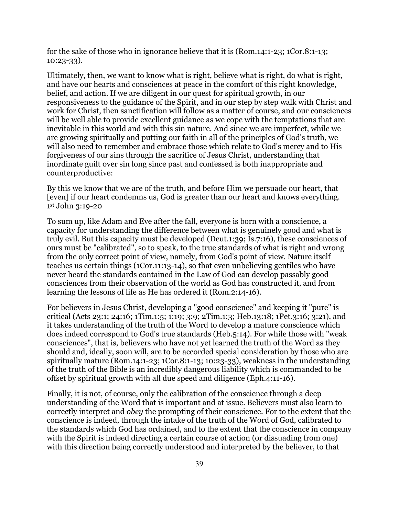for the sake of those who in ignorance believe that it is (Rom.14:1-23; 1Cor.8:1-13; 10:23-33).

Ultimately, then, we want to know what is right, believe what is right, do what is right, and have our hearts and consciences at peace in the comfort of this right knowledge, belief, and action. If we are diligent in our quest for spiritual growth, in our responsiveness to the guidance of the Spirit, and in our step by step walk with Christ and work for Christ, then sanctification will follow as a matter of course, and our consciences will be well able to provide excellent guidance as we cope with the temptations that are inevitable in this world and with this sin nature. And since we are imperfect, while we are growing spiritually and putting our faith in all of the principles of God's truth, we will also need to remember and embrace those which relate to God's mercy and to His forgiveness of our sins through the sacrifice of Jesus Christ, understanding that inordinate guilt over sin long since past and confessed is both inappropriate and counterproductive:

By this we know that we are of the truth, and before Him we persuade our heart, that [even] if our heart condemns us, God is greater than our heart and knows everything. 1st John 3:19-20

To sum up, like Adam and Eve after the fall, everyone is born with a conscience, a capacity for understanding the difference between what is genuinely good and what is truly evil. But this capacity must be developed (Deut.1:39; Is.7:16), these consciences of ours must be "calibrated", so to speak, to the true standards of what is right and wrong from the only correct point of view, namely, from God's point of view. Nature itself teaches us certain things (1Cor.11:13-14), so that even unbelieving gentiles who have never heard the standards contained in the Law of God can develop passably good consciences from their observation of the world as God has constructed it, and from learning the lessons of life as He has ordered it (Rom.2:14-16).

For believers in Jesus Christ, developing a "good conscience" and keeping it "pure" is critical (Acts 23:1; 24:16; 1Tim.1:5; 1:19; 3:9; 2Tim.1:3; Heb.13:18; 1Pet.3:16; 3:21), and it takes understanding of the truth of the Word to develop a mature conscience which does indeed correspond to God's true standards (Heb.5:14). For while those with "weak consciences", that is, believers who have not yet learned the truth of the Word as they should and, ideally, soon will, are to be accorded special consideration by those who are spiritually mature (Rom.14:1-23; 1Cor.8:1-13; 10:23-33), weakness in the understanding of the truth of the Bible is an incredibly dangerous liability which is commanded to be offset by spiritual growth with all due speed and diligence (Eph.4:11-16).

Finally, it is not, of course, only the calibration of the conscience through a deep understanding of the Word that is important and at issue. Believers must also learn to correctly interpret and *obey* the prompting of their conscience. For to the extent that the conscience is indeed, through the intake of the truth of the Word of God, calibrated to the standards which God has ordained, and to the extent that the conscience in company with the Spirit is indeed directing a certain course of action (or dissuading from one) with this direction being correctly understood and interpreted by the believer, to that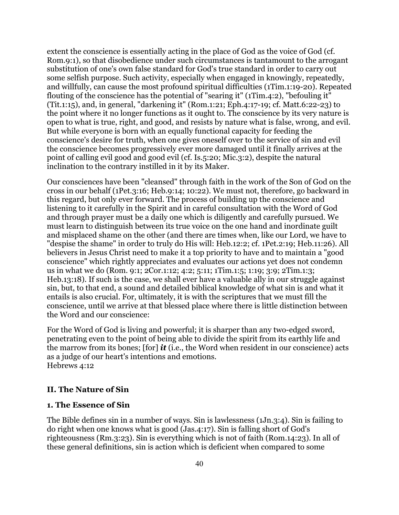extent the conscience is essentially acting in the place of God as the voice of God (cf. Rom.9:1), so that disobedience under such circumstances is tantamount to the arrogant substitution of one's own false standard for God's true standard in order to carry out some selfish purpose. Such activity, especially when engaged in knowingly, repeatedly, and willfully, can cause the most profound spiritual difficulties (1Tim.1:19-20). Repeated flouting of the conscience has the potential of "searing it" (1Tim.4:2), "befouling it" (Tit.1:15), and, in general, "darkening it" (Rom.1:21; Eph.4:17-19; cf. Matt.6:22-23) to the point where it no longer functions as it ought to. The conscience by its very nature is open to what is true, right, and good, and resists by nature what is false, wrong, and evil. But while everyone is born with an equally functional capacity for feeding the conscience's desire for truth, when one gives oneself over to the service of sin and evil the conscience becomes progressively ever more damaged until it finally arrives at the point of calling evil good and good evil (cf. Is.5:20; Mic.3:2), despite the natural inclination to the contrary instilled in it by its Maker.

Our consciences have been "cleansed" through faith in the work of the Son of God on the cross in our behalf (1Pet.3:16; Heb.9:14; 10:22). We must not, therefore, go backward in this regard, but only ever forward. The process of building up the conscience and listening to it carefully in the Spirit and in careful consultation with the Word of God and through prayer must be a daily one which is diligently and carefully pursued. We must learn to distinguish between its true voice on the one hand and inordinate guilt and misplaced shame on the other (and there are times when, like our Lord, we have to "despise the shame" in order to truly do His will: Heb.12:2; cf. 1Pet.2:19; Heb.11:26). All believers in Jesus Christ need to make it a top priority to have and to maintain a "good conscience" which rightly appreciates and evaluates our actions yet does not condemn us in what we do (Rom. 9:1; 2Cor.1:12; 4:2; 5:11; 1Tim.1:5; 1:19; 3:9; 2Tim.1:3; Heb.13:18). If such is the case, we shall ever have a valuable ally in our struggle against sin, but, to that end, a sound and detailed biblical knowledge of what sin is and what it entails is also crucial. For, ultimately, it is with the scriptures that we must fill the conscience, until we arrive at that blessed place where there is little distinction between the Word and our conscience:

For the Word of God is living and powerful; it is sharper than any two-edged sword, penetrating even to the point of being able to divide the spirit from its earthly life and the marrow from its bones; [for] *it* (i.e., the Word when resident in our conscience) acts as a judge of our heart's intentions and emotions. Hebrews 4:12

### **II. The Nature of Sin**

#### **1. The Essence of Sin**

The Bible defines sin in a number of ways. Sin is lawlessness (1Jn.3:4). Sin is failing to do right when one knows what is good (Jas.4:17). Sin is falling short of God's righteousness (Rm.3:23). Sin is everything which is not of faith (Rom.14:23). In all of these general definitions, sin is action which is deficient when compared to some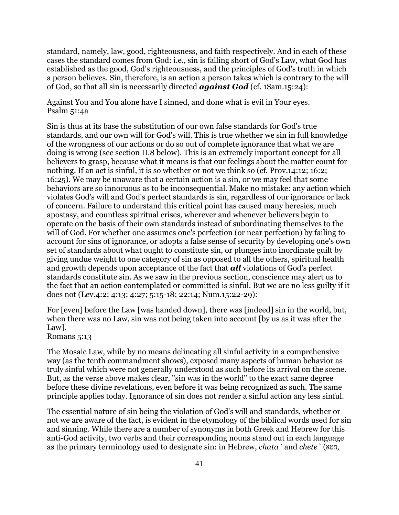standard, namely, law, good, righteousness, and faith respectively. And in each of these cases the standard comes from God: i.e., sin is falling short of God's Law, what God has established as the good, God's righteousness, and the principles of God's truth in which a person believes. Sin, therefore, is an action a person takes which is contrary to the will of God, so that all sin is necessarily directed *against God* (cf. 1Sam.15:24):

Against You and You alone have I sinned, and done what is evil in Your eyes. Psalm 51:4a

Sin is thus at its base the substitution of our own false standards for God's true standards, and our own will for God's will. This is true whether we sin in full knowledge of the wrongness of our actions or do so out of complete ignorance that what we are doing is wrong (see section II.8 below). This is an extremely important concept for all believers to grasp, because what it means is that our feelings about the matter count for nothing. If an act is sinful, it is so whether or not we think so (cf. Prov.14:12; 16:2; 16:25). We may be unaware that a certain action is a sin, or we may feel that some behaviors are so innocuous as to be inconsequential. Make no mistake: any action which violates God's will and God's perfect standards is sin, regardless of our ignorance or lack of concern. Failure to understand this critical point has caused many heresies, much apostasy, and countless spiritual crises, wherever and whenever believers begin to operate on the basis of their own standards instead of subordinating themselves to the will of God. For whether one assumes one's perfection (or near perfection) by failing to account for sins of ignorance, or adopts a false sense of security by developing one's own set of standards about what ought to constitute sin, or plunges into inordinate guilt by giving undue weight to one category of sin as opposed to all the others, spiritual health and growth depends upon acceptance of the fact that *all* violations of God's perfect standards constitute sin. As we saw in the previous section, conscience may alert us to the fact that an action contemplated or committed is sinful. But we are no less guilty if it does not (Lev.4:2; 4:13; 4:27; 5:15-18; 22:14; Num.15:22-29):

For [even] before the Law [was handed down], there was [indeed] sin in the world, but, when there was no Law, sin was not being taken into account [by us as it was after the Law].

Romans 5:13

The Mosaic Law, while by no means delineating all sinful activity in a comprehensive way (as the tenth commandment shows), exposed many aspects of human behavior as truly sinful which were not generally understood as such before its arrival on the scene. But, as the verse above makes clear, "sin was in the world" to the exact same degree before these divine revelations, even before it was being recognized as such. The same principle applies today. Ignorance of sin does not render a sinful action any less sinful.

The essential nature of sin being the violation of God's will and standards, whether or not we are aware of the fact, is evident in the etymology of the biblical words used for sin and sinning. While there are a number of synonyms in both Greek and Hebrew for this anti-God activity, two verbs and their corresponding nouns stand out in each language as the primary terminology used to designate sin: in Hebrew, *chata`* and *chete`* (חטא,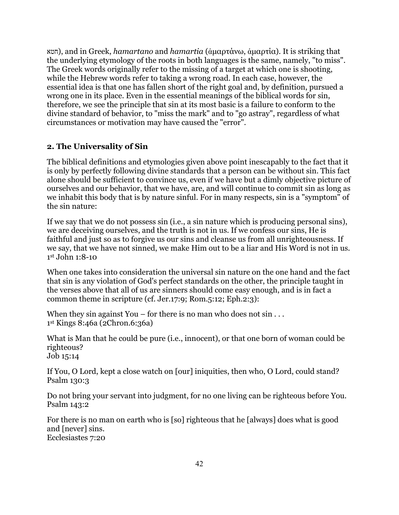חטא(, and in Greek, *hamartano* and *hamartia* (ἁμαρτάνω, ἁμαρτία). It is striking that the underlying etymology of the roots in both languages is the same, namely, "to miss". The Greek words originally refer to the missing of a target at which one is shooting, while the Hebrew words refer to taking a wrong road. In each case, however, the essential idea is that one has fallen short of the right goal and, by definition, pursued a wrong one in its place. Even in the essential meanings of the biblical words for sin, therefore, we see the principle that sin at its most basic is a failure to conform to the divine standard of behavior, to "miss the mark" and to "go astray", regardless of what circumstances or motivation may have caused the "error".

### **2. The Universality of Sin**

The biblical definitions and etymologies given above point inescapably to the fact that it is only by perfectly following divine standards that a person can be without sin. This fact alone should be sufficient to convince us, even if we have but a dimly objective picture of ourselves and our behavior, that we have, are, and will continue to commit sin as long as we inhabit this body that is by nature sinful. For in many respects, sin is a "symptom" of the sin nature:

If we say that we do not possess sin (i.e., a sin nature which is producing personal sins), we are deceiving ourselves, and the truth is not in us. If we confess our sins, He is faithful and just so as to forgive us our sins and cleanse us from all unrighteousness. If we say, that we have not sinned, we make Him out to be a liar and His Word is not in us. 1st John 1:8-10

When one takes into consideration the universal sin nature on the one hand and the fact that sin is any violation of God's perfect standards on the other, the principle taught in the verses above that all of us are sinners should come easy enough, and is in fact a common theme in scripture (cf. Jer.17:9; Rom.5:12; Eph.2:3):

When they sin against You – for there is no man who does not  $sin \ldots$ 1st Kings 8:46a (2Chron.6:36a)

What is Man that he could be pure (i.e., innocent), or that one born of woman could be righteous? Job 15:14

If You, O Lord, kept a close watch on [our] iniquities, then who, O Lord, could stand? Psalm 130:3

Do not bring your servant into judgment, for no one living can be righteous before You. Psalm 143:2

For there is no man on earth who is [so] righteous that he [always] does what is good and [never] sins. Ecclesiastes 7:20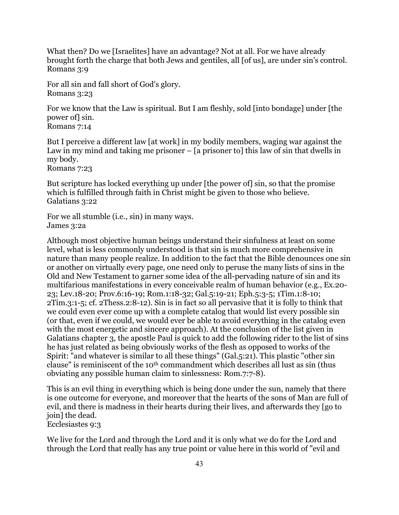What then? Do we [Israelites] have an advantage? Not at all. For we have already brought forth the charge that both Jews and gentiles, all [of us], are under sin's control. Romans 3:9

For all sin and fall short of God's glory. Romans 3:23

For we know that the Law is spiritual. But I am fleshly, sold [into bondage] under [the power of] sin. Romans 7:14

But I perceive a different law [at work] in my bodily members, waging war against the Law in my mind and taking me prisoner – [a prisoner to] this law of sin that dwells in my body. Romans 7:23

But scripture has locked everything up under [the power of] sin, so that the promise which is fulfilled through faith in Christ might be given to those who believe. Galatians 3:22

For we all stumble (i.e., sin) in many ways. James 3:2a

Although most objective human beings understand their sinfulness at least on some level, what is less commonly understood is that sin is much more comprehensive in nature than many people realize. In addition to the fact that the Bible denounces one sin or another on virtually every page, one need only to peruse the many lists of sins in the Old and New Testament to garner some idea of the all-pervading nature of sin and its multifarious manifestations in every conceivable realm of human behavior (e.g., Ex.20- 23; Lev.18-20; Prov.6:16-19; Rom.1:18-32; Gal.5:19-21; Eph.5:3-5; 1Tim.1:8-10; 2Tim.3:1-5; cf. 2Thess.2:8-12). Sin is in fact so all pervasive that it is folly to think that we could even ever come up with a complete catalog that would list every possible sin (or that, even if we could, we would ever be able to avoid everything in the catalog even with the most energetic and sincere approach). At the conclusion of the list given in Galatians chapter 3, the apostle Paul is quick to add the following rider to the list of sins he has just related as being obviously works of the flesh as opposed to works of the Spirit: "and whatever is similar to all these things" (Gal.5:21). This plastic "other sin clause" is reminiscent of the 10th commandment which describes all lust as sin (thus obviating any possible human claim to sinlessness: Rom.7:7-8).

This is an evil thing in everything which is being done under the sun, namely that there is one outcome for everyone, and moreover that the hearts of the sons of Man are full of evil, and there is madness in their hearts during their lives, and afterwards they [go to join] the dead.

Ecclesiastes 9:3

We live for the Lord and through the Lord and it is only what we do for the Lord and through the Lord that really has any true point or value here in this world of "evil and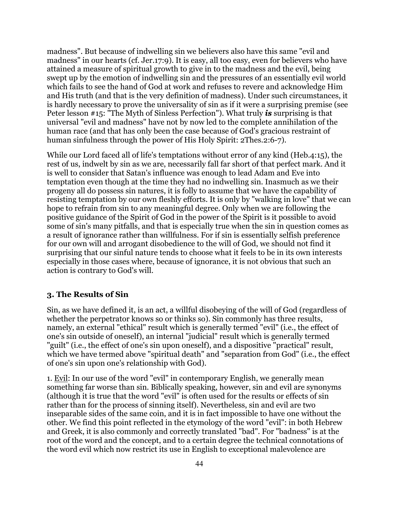madness". But because of indwelling sin we believers also have this same "evil and madness" in our hearts (cf. Jer.17:9). It is easy, all too easy, even for believers who have attained a measure of spiritual growth to give in to the madness and the evil, being swept up by the emotion of indwelling sin and the pressures of an essentially evil world which fails to see the hand of God at work and refuses to revere and acknowledge Him and His truth (and that is the very definition of madness). Under such circumstances, it is hardly necessary to prove the universality of sin as if it were a surprising premise (see Peter lesson #15: "The Myth of Sinless Perfection"). What truly *is* surprising is that universal "evil and madness" have not by now led to the complete annihilation of the human race (and that has only been the case because of God's gracious restraint of human sinfulness through the power of His Holy Spirit: 2Thes.2:6-7).

While our Lord faced all of life's temptations without error of any kind (Heb.4:15), the rest of us, indwelt by sin as we are, necessarily fall far short of that perfect mark. And it is well to consider that Satan's influence was enough to lead Adam and Eve into temptation even though at the time they had no indwelling sin. Inasmuch as we their progeny all do possess sin natures, it is folly to assume that we have the capability of resisting temptation by our own fleshly efforts. It is only by "walking in love" that we can hope to refrain from sin to any meaningful degree. Only when we are following the positive guidance of the Spirit of God in the power of the Spirit is it possible to avoid some of sin's many pitfalls, and that is especially true when the sin in question comes as a result of ignorance rather than willfulness. For if sin is essentially selfish preference for our own will and arrogant disobedience to the will of God, we should not find it surprising that our sinful nature tends to choose what it feels to be in its own interests especially in those cases where, because of ignorance, it is not obvious that such an action is contrary to God's will.

### **3. The Results of Sin**

Sin, as we have defined it, is an act, a willful disobeying of the will of God (regardless of whether the perpetrator knows so or thinks so). Sin commonly has three results, namely, an external "ethical" result which is generally termed "evil" (i.e., the effect of one's sin outside of oneself), an internal "judicial" result which is generally termed "guilt" (i.e., the effect of one's sin upon oneself), and a dispositive "practical" result, which we have termed above "spiritual death" and "separation from God" (i.e., the effect of one's sin upon one's relationship with God).

1. Evil: In our use of the word "evil" in contemporary English, we generally mean something far worse than sin. Biblically speaking, however, sin and evil are synonyms (although it is true that the word "evil" is often used for the results or effects of sin rather than for the process of sinning itself). Nevertheless, sin and evil are two inseparable sides of the same coin, and it is in fact impossible to have one without the other. We find this point reflected in the etymology of the word "evil": in both Hebrew and Greek, it is also commonly and correctly translated "bad". For "badness" is at the root of the word and the concept, and to a certain degree the technical connotations of the word evil which now restrict its use in English to exceptional malevolence are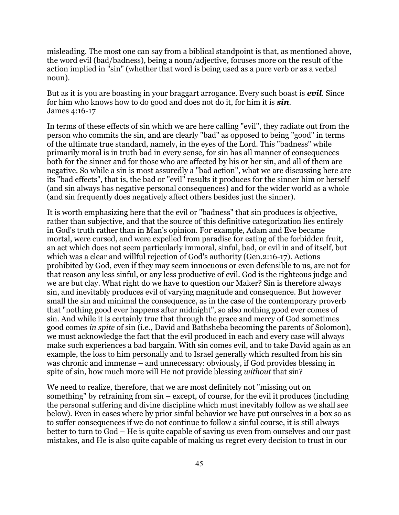misleading. The most one can say from a biblical standpoint is that, as mentioned above, the word evil (bad/badness), being a noun/adjective, focuses more on the result of the action implied in "sin" (whether that word is being used as a pure verb or as a verbal noun).

But as it is you are boasting in your braggart arrogance. Every such boast is *evil*. Since for him who knows how to do good and does not do it, for him it is *sin*. James 4:16-17

In terms of these effects of sin which we are here calling "evil", they radiate out from the person who commits the sin, and are clearly "bad" as opposed to being "good" in terms of the ultimate true standard, namely, in the eyes of the Lord. This "badness" while primarily moral is in truth bad in every sense, for sin has all manner of consequences both for the sinner and for those who are affected by his or her sin, and all of them are negative. So while a sin is most assuredly a "bad action", what we are discussing here are its "bad effects", that is, the bad or "evil" results it produces for the sinner him or herself (and sin always has negative personal consequences) and for the wider world as a whole (and sin frequently does negatively affect others besides just the sinner).

It is worth emphasizing here that the evil or "badness" that sin produces is objective, rather than subjective, and that the source of this definitive categorization lies entirely in God's truth rather than in Man's opinion. For example, Adam and Eve became mortal, were cursed, and were expelled from paradise for eating of the forbidden fruit, an act which does not seem particularly immoral, sinful, bad, or evil in and of itself, but which was a clear and willful rejection of God's authority (Gen.2:16-17). Actions prohibited by God, even if they may seem innocuous or even defensible to us, are not for that reason any less sinful, or any less productive of evil. God is the righteous judge and we are but clay. What right do we have to question our Maker? Sin is therefore always sin, and inevitably produces evil of varying magnitude and consequence. But however small the sin and minimal the consequence, as in the case of the contemporary proverb that "nothing good ever happens after midnight", so also nothing good ever comes of sin. And while it is certainly true that through the grace and mercy of God sometimes good comes *in spite* of sin (i.e., David and Bathsheba becoming the parents of Solomon), we must acknowledge the fact that the evil produced in each and every case will always make such experiences a bad bargain. With sin comes evil, and to take David again as an example, the loss to him personally and to Israel generally which resulted from his sin was chronic and immense – and unnecessary: obviously, if God provides blessing in spite of sin, how much more will He not provide blessing *without* that sin?

We need to realize, therefore, that we are most definitely not "missing out on something" by refraining from sin – except, of course, for the evil it produces (including the personal suffering and divine discipline which must inevitably follow as we shall see below). Even in cases where by prior sinful behavior we have put ourselves in a box so as to suffer consequences if we do not continue to follow a sinful course, it is still always better to turn to God – He is quite capable of saving us even from ourselves and our past mistakes, and He is also quite capable of making us regret every decision to trust in our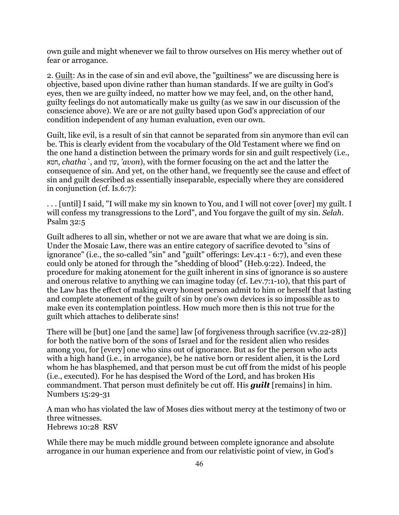own guile and might whenever we fail to throw ourselves on His mercy whether out of fear or arrogance.

2. Guilt: As in the case of sin and evil above, the "guiltiness" we are discussing here is objective, based upon divine rather than human standards. If we are guilty in God's eyes, then we are guilty indeed, no matter how we may feel, and, on the other hand, guilty feelings do not automatically make us guilty (as we saw in our discussion of the conscience above). We are or are not guilty based upon God's appreciation of our condition independent of any human evaluation, even our own.

Guilt, like evil, is a result of sin that cannot be separated from sin anymore than evil can be. This is clearly evident from the vocabulary of the Old Testament where we find on the one hand a distinction between the primary words for sin and guilt respectively (i.e., חטא, *chatha`*, and עון,*' avon*), with the former focusing on the act and the latter the consequence of sin. And yet, on the other hand, we frequently see the cause and effect of sin and guilt described as essentially inseparable, especially where they are considered in conjunction (cf. Is.6:7):

. . . [until] I said, "I will make my sin known to You, and I will not cover [over] my guilt. I will confess my transgressions to the Lord", and You forgave the guilt of my sin. *Selah*. Psalm 32:5

Guilt adheres to all sin, whether or not we are aware that what we are doing is sin. Under the Mosaic Law, there was an entire category of sacrifice devoted to "sins of ignorance" (i.e., the so-called "sin" and "guilt" offerings: Lev.4:1 - 6:7), and even these could only be atoned for through the "shedding of blood" (Heb.9:22). Indeed, the procedure for making atonement for the guilt inherent in sins of ignorance is so austere and onerous relative to anything we can imagine today (cf. Lev.7:1-10), that this part of the Law has the effect of making every honest person admit to him or herself that lasting and complete atonement of the guilt of sin by one's own devices is so impossible as to make even its contemplation pointless. How much more then is this not true for the guilt which attaches to deliberate sins!

There will be [but] one [and the same] law [of forgiveness through sacrifice (vv.22-28)] for both the native born of the sons of Israel and for the resident alien who resides among you, for [every] one who sins out of ignorance. But as for the person who acts with a high hand (i.e., in arrogance), be he native born or resident alien, it is the Lord whom he has blasphemed, and that person must be cut off from the midst of his people (i.e., executed). For he has despised the Word of the Lord, and has broken His commandment. That person must definitely be cut off. His *guilt* [remains] in him. Numbers 15:29-31

A man who has violated the law of Moses dies without mercy at the testimony of two or three witnesses. Hebrews 10:28 RSV

While there may be much middle ground between complete ignorance and absolute arrogance in our human experience and from our relativistic point of view, in God's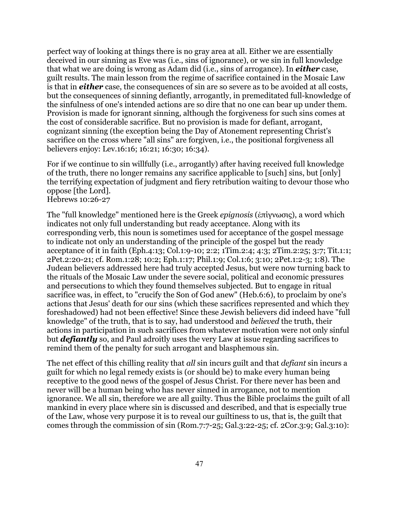perfect way of looking at things there is no gray area at all. Either we are essentially deceived in our sinning as Eve was (i.e., sins of ignorance), or we sin in full knowledge that what we are doing is wrong as Adam did (i.e., sins of arrogance). In *either* case, guilt results. The main lesson from the regime of sacrifice contained in the Mosaic Law is that in *either* case, the consequences of sin are so severe as to be avoided at all costs, but the consequences of sinning defiantly, arrogantly, in premeditated full-knowledge of the sinfulness of one's intended actions are so dire that no one can bear up under them. Provision is made for ignorant sinning, although the forgiveness for such sins comes at the cost of considerable sacrifice. But no provision is made for defiant, arrogant, cognizant sinning (the exception being the Day of Atonement representing Christ's sacrifice on the cross where "all sins" are forgiven, i.e., the positional forgiveness all believers enjoy: Lev.16:16; 16:21; 16:30; 16:34).

For if we continue to sin willfully (i.e., arrogantly) after having received full knowledge of the truth, there no longer remains any sacrifice applicable to [such] sins, but [only] the terrifying expectation of judgment and fiery retribution waiting to devour those who oppose [the Lord].

Hebrews 10:26-27

The "full knowledge" mentioned here is the Greek *epignosis* (ἐπίγνωσις), a word which indicates not only full understanding but ready acceptance. Along with its corresponding verb, this noun is sometimes used for acceptance of the gospel message to indicate not only an understanding of the principle of the gospel but the ready acceptance of it in faith (Eph.4:13; Col.1:9-10; 2:2; 1Tim.2:4; 4:3; 2Tim.2:25; 3:7; Tit.1:1; 2Pet.2:20-21; cf. Rom.1:28; 10:2; Eph.1:17; Phil.1:9; Col.1:6; 3:10; 2Pet.1:2-3; 1:8). The Judean believers addressed here had truly accepted Jesus, but were now turning back to the rituals of the Mosaic Law under the severe social, political and economic pressures and persecutions to which they found themselves subjected. But to engage in ritual sacrifice was, in effect, to "crucify the Son of God anew" (Heb.6:6), to proclaim by one's actions that Jesus' death for our sins (which these sacrifices represented and which they foreshadowed) had not been effective! Since these Jewish believers did indeed have "full knowledge" of the truth, that is to say, had understood and *believed* the truth, their actions in participation in such sacrifices from whatever motivation were not only sinful but *defiantly* so, and Paul adroitly uses the very Law at issue regarding sacrifices to remind them of the penalty for such arrogant and blasphemous sin.

The net effect of this chilling reality that *all* sin incurs guilt and that *defiant* sin incurs a guilt for which no legal remedy exists is (or should be) to make every human being receptive to the good news of the gospel of Jesus Christ. For there never has been and never will be a human being who has never sinned in arrogance, not to mention ignorance. We all sin, therefore we are all guilty. Thus the Bible proclaims the guilt of all mankind in every place where sin is discussed and described, and that is especially true of the Law, whose very purpose it is to reveal our guiltiness to us, that is, the guilt that comes through the commission of sin (Rom.7:7-25; Gal.3:22-25; cf. 2Cor.3:9; Gal.3:10):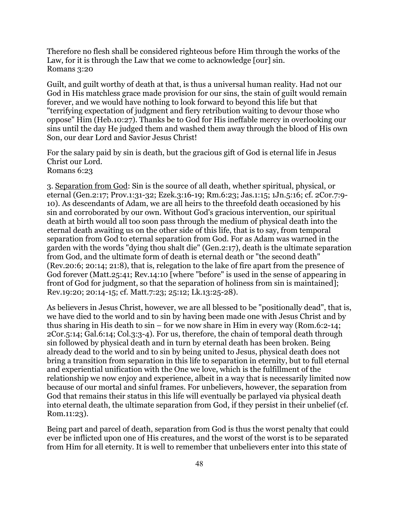Therefore no flesh shall be considered righteous before Him through the works of the Law, for it is through the Law that we come to acknowledge [our] sin. Romans 3:20

Guilt, and guilt worthy of death at that, is thus a universal human reality. Had not our God in His matchless grace made provision for our sins, the stain of guilt would remain forever, and we would have nothing to look forward to beyond this life but that "terrifying expectation of judgment and fiery retribution waiting to devour those who oppose" Him (Heb.10:27). Thanks be to God for His ineffable mercy in overlooking our sins until the day He judged them and washed them away through the blood of His own Son, our dear Lord and Savior Jesus Christ!

For the salary paid by sin is death, but the gracious gift of God is eternal life in Jesus Christ our Lord. Romans 6:23

3. Separation from God: Sin is the source of all death, whether spiritual, physical, or eternal (Gen.2:17; Prov.1:31-32; Ezek.3:16-19; Rm.6:23; Jas.1:15; 1Jn.5:16; cf. 2Cor.7:9- 10). As descendants of Adam, we are all heirs to the threefold death occasioned by his sin and corroborated by our own. Without God's gracious intervention, our spiritual death at birth would all too soon pass through the medium of physical death into the eternal death awaiting us on the other side of this life, that is to say, from temporal separation from God to eternal separation from God. For as Adam was warned in the garden with the words "dying thou shalt die" (Gen.2:17), death is the ultimate separation from God, and the ultimate form of death is eternal death or "the second death" (Rev.20:6; 20:14; 21:8), that is, relegation to the lake of fire apart from the presence of God forever (Matt.25:41; Rev.14:10 [where "before" is used in the sense of appearing in front of God for judgment, so that the separation of holiness from sin is maintained]; Rev.19:20; 20:14-15; cf. Matt.7:23; 25:12; Lk.13:25-28).

As believers in Jesus Christ, however, we are all blessed to be "positionally dead", that is, we have died to the world and to sin by having been made one with Jesus Christ and by thus sharing in His death to sin – for we now share in Him in every way (Rom.6:2-14; 2Cor.5:14; Gal.6:14; Col.3:3-4). For us, therefore, the chain of temporal death through sin followed by physical death and in turn by eternal death has been broken. Being already dead to the world and to sin by being united to Jesus, physical death does not bring a transition from separation in this life to separation in eternity, but to full eternal and experiential unification with the One we love, which is the fulfillment of the relationship we now enjoy and experience, albeit in a way that is necessarily limited now because of our mortal and sinful frames. For unbelievers, however, the separation from God that remains their status in this life will eventually be parlayed via physical death into eternal death, the ultimate separation from God, if they persist in their unbelief (cf. Rom.11:23).

Being part and parcel of death, separation from God is thus the worst penalty that could ever be inflicted upon one of His creatures, and the worst of the worst is to be separated from Him for all eternity. It is well to remember that unbelievers enter into this state of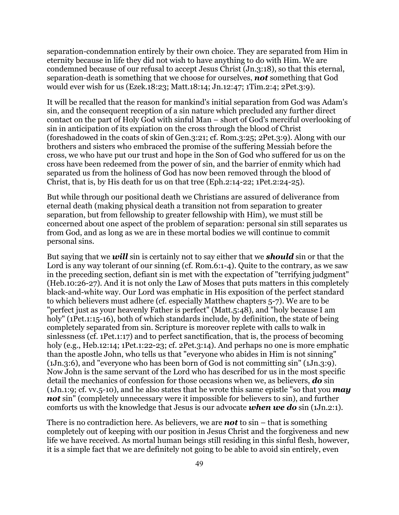separation-condemnation entirely by their own choice. They are separated from Him in eternity because in life they did not wish to have anything to do with Him. We are condemned because of our refusal to accept Jesus Christ (Jn.3:18), so that this eternal, separation-death is something that we choose for ourselves, *not* something that God would ever wish for us (Ezek.18:23; Matt.18:14; Jn.12:47; 1Tim.2:4; 2Pet.3:9).

It will be recalled that the reason for mankind's initial separation from God was Adam's sin, and the consequent reception of a sin nature which precluded any further direct contact on the part of Holy God with sinful Man – short of God's merciful overlooking of sin in anticipation of its expiation on the cross through the blood of Christ (foreshadowed in the coats of skin of Gen.3:21; cf. Rom.3:25; 2Pet.3:9). Along with our brothers and sisters who embraced the promise of the suffering Messiah before the cross, we who have put our trust and hope in the Son of God who suffered for us on the cross have been redeemed from the power of sin, and the barrier of enmity which had separated us from the holiness of God has now been removed through the blood of Christ, that is, by His death for us on that tree (Eph.2:14-22; 1Pet.2:24-25).

But while through our positional death we Christians are assured of deliverance from eternal death (making physical death a transition not from separation to greater separation, but from fellowship to greater fellowship with Him), we must still be concerned about one aspect of the problem of separation: personal sin still separates us from God, and as long as we are in these mortal bodies we will continue to commit personal sins.

But saying that we *will* sin is certainly not to say either that we *should* sin or that the Lord is any way tolerant of our sinning (cf. Rom.6:1-4). Quite to the contrary, as we saw in the preceding section, defiant sin is met with the expectation of "terrifying judgment" (Heb.10:26-27). And it is not only the Law of Moses that puts matters in this completely black-and-white way. Our Lord was emphatic in His exposition of the perfect standard to which believers must adhere (cf. especially Matthew chapters 5-7). We are to be "perfect just as your heavenly Father is perfect" (Matt.5:48), and "holy because I am holy" (1Pet.1:15-16), both of which standards include, by definition, the state of being completely separated from sin. Scripture is moreover replete with calls to walk in sinlessness (cf. 1Pet.1:17) and to perfect sanctification, that is, the process of becoming holy (e.g., Heb.12:14; 1Pet.1:22-23; cf. 2Pet.3:14). And perhaps no one is more emphatic than the apostle John, who tells us that "everyone who abides in Him is not sinning" (1Jn.3:6), and "everyone who has been born of God is not committing sin" (1Jn.3:9). Now John is the same servant of the Lord who has described for us in the most specific detail the mechanics of confession for those occasions when we, as believers, *do* sin (1Jn.1:9; cf. vv.5-10), and he also states that he wrote this same epistle "so that you *may not* sin" (completely unnecessary were it impossible for believers to sin), and further comforts us with the knowledge that Jesus is our advocate *when we do* sin (1Jn.2:1).

There is no contradiction here. As believers, we are *not* to sin – that is something completely out of keeping with our position in Jesus Christ and the forgiveness and new life we have received. As mortal human beings still residing in this sinful flesh, however, it is a simple fact that we are definitely not going to be able to avoid sin entirely, even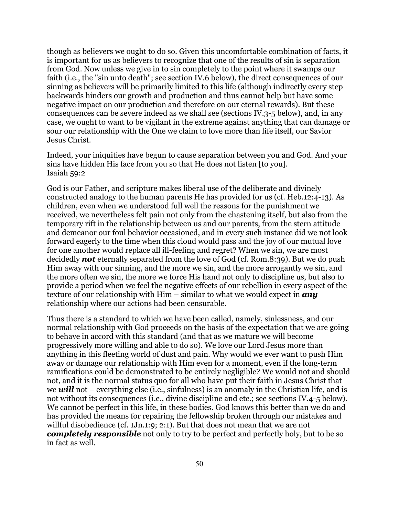though as believers we ought to do so. Given this uncomfortable combination of facts, it is important for us as believers to recognize that one of the results of sin is separation from God. Now unless we give in to sin completely to the point where it swamps our faith (i.e., the "sin unto death"; see section IV.6 below), the direct consequences of our sinning as believers will be primarily limited to this life (although indirectly every step backwards hinders our growth and production and thus cannot help but have some negative impact on our production and therefore on our eternal rewards). But these consequences can be severe indeed as we shall see (sections IV.3-5 below), and, in any case, we ought to want to be vigilant in the extreme against anything that can damage or sour our relationship with the One we claim to love more than life itself, our Savior Jesus Christ.

Indeed, your iniquities have begun to cause separation between you and God. And your sins have hidden His face from you so that He does not listen [to you]. Isaiah 59:2

God is our Father, and scripture makes liberal use of the deliberate and divinely constructed analogy to the human parents He has provided for us (cf. Heb.12:4-13). As children, even when we understood full well the reasons for the punishment we received, we nevertheless felt pain not only from the chastening itself, but also from the temporary rift in the relationship between us and our parents, from the stern attitude and demeanor our foul behavior occasioned, and in every such instance did we not look forward eagerly to the time when this cloud would pass and the joy of our mutual love for one another would replace all ill-feeling and regret? When we sin, we are most decidedly *not* eternally separated from the love of God (cf. Rom.8:39). But we do push Him away with our sinning, and the more we sin, and the more arrogantly we sin, and the more often we sin, the more we force His hand not only to discipline us, but also to provide a period when we feel the negative effects of our rebellion in every aspect of the texture of our relationship with Him – similar to what we would expect in *any* relationship where our actions had been censurable.

Thus there is a standard to which we have been called, namely, sinlessness, and our normal relationship with God proceeds on the basis of the expectation that we are going to behave in accord with this standard (and that as we mature we will become progressively more willing and able to do so). We love our Lord Jesus more than anything in this fleeting world of dust and pain. Why would we ever want to push Him away or damage our relationship with Him even for a moment, even if the long-term ramifications could be demonstrated to be entirely negligible? We would not and should not, and it is the normal status quo for all who have put their faith in Jesus Christ that we *will* not – everything else (i.e., sinfulness) is an anomaly in the Christian life, and is not without its consequences (i.e., divine discipline and etc.; see sections IV.4-5 below). We cannot be perfect in this life, in these bodies. God knows this better than we do and has provided the means for repairing the fellowship broken through our mistakes and willful disobedience (cf. 1Jn.1:9; 2:1). But that does not mean that we are not *completely responsible* not only to try to be perfect and perfectly holy, but to be so in fact as well.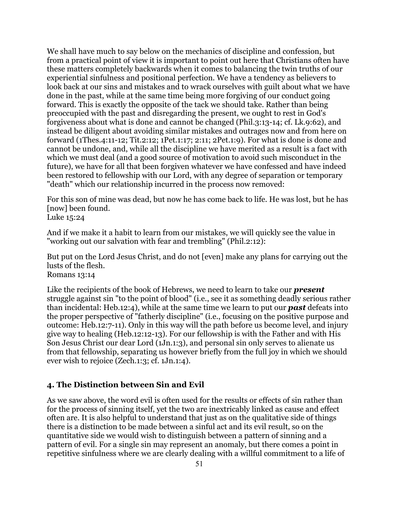We shall have much to say below on the mechanics of discipline and confession, but from a practical point of view it is important to point out here that Christians often have these matters completely backwards when it comes to balancing the twin truths of our experiential sinfulness and positional perfection. We have a tendency as believers to look back at our sins and mistakes and to wrack ourselves with guilt about what we have done in the past, while at the same time being more forgiving of our conduct going forward. This is exactly the opposite of the tack we should take. Rather than being preoccupied with the past and disregarding the present, we ought to rest in God's forgiveness about what is done and cannot be changed (Phil.3:13-14; cf. Lk.9:62), and instead be diligent about avoiding similar mistakes and outrages now and from here on forward (1Thes.4:11-12; Tit.2:12; 1Pet.1:17; 2:11; 2Pet.1:9). For what is done is done and cannot be undone, and, while all the discipline we have merited as a result is a fact with which we must deal (and a good source of motivation to avoid such misconduct in the future), we have for all that been forgiven whatever we have confessed and have indeed been restored to fellowship with our Lord, with any degree of separation or temporary "death" which our relationship incurred in the process now removed:

For this son of mine was dead, but now he has come back to life. He was lost, but he has [now] been found.

Luke 15:24

And if we make it a habit to learn from our mistakes, we will quickly see the value in "working out our salvation with fear and trembling" (Phil.2:12):

But put on the Lord Jesus Christ, and do not [even] make any plans for carrying out the lusts of the flesh. Romans 13:14

Like the recipients of the book of Hebrews, we need to learn to take our *present* struggle against sin "to the point of blood" (i.e., see it as something deadly serious rather than incidental: Heb.12:4), while at the same time we learn to put our *past* defeats into the proper perspective of "fatherly discipline" (i.e., focusing on the positive purpose and outcome: Heb.12:7-11). Only in this way will the path before us become level, and injury give way to healing (Heb.12:12-13). For our fellowship is with the Father and with His Son Jesus Christ our dear Lord (1Jn.1:3), and personal sin only serves to alienate us from that fellowship, separating us however briefly from the full joy in which we should ever wish to rejoice (Zech.1:3; cf. 1Jn.1:4).

### **4. The Distinction between Sin and Evil**

As we saw above, the word evil is often used for the results or effects of sin rather than for the process of sinning itself, yet the two are inextricably linked as cause and effect often are. It is also helpful to understand that just as on the qualitative side of things there is a distinction to be made between a sinful act and its evil result, so on the quantitative side we would wish to distinguish between a pattern of sinning and a pattern of evil. For a single sin may represent an anomaly, but there comes a point in repetitive sinfulness where we are clearly dealing with a willful commitment to a life of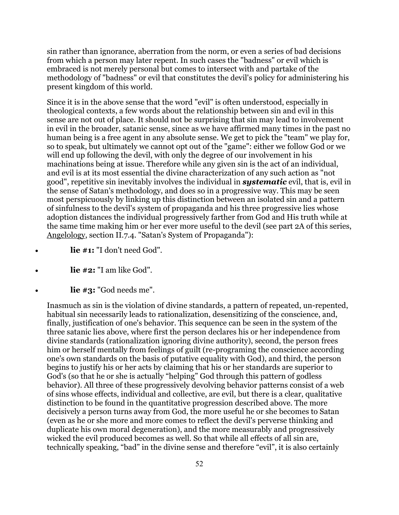sin rather than ignorance, aberration from the norm, or even a series of bad decisions from which a person may later repent. In such cases the "badness" or evil which is embraced is not merely personal but comes to intersect with and partake of the methodology of "badness" or evil that constitutes the devil's policy for administering his present kingdom of this world.

Since it is in the above sense that the word "evil" is often understood, especially in theological contexts, a few words about the relationship between sin and evil in this sense are not out of place. It should not be surprising that sin may lead to involvement in evil in the broader, satanic sense, since as we have affirmed many times in the past no human being is a free agent in any absolute sense. We get to pick the "team" we play for, so to speak, but ultimately we cannot opt out of the "game": either we follow God or we will end up following the devil, with only the degree of our involvement in his machinations being at issue. Therefore while any given sin is the act of an individual, and evil is at its most essential the divine characterization of any such action as "not good", repetitive sin inevitably involves the individual in *systematic* evil, that is, evil in the sense of Satan's methodology, and does so in a progressive way. This may be seen most perspicuously by linking up this distinction between an isolated sin and a pattern of sinfulness to the devil's system of propaganda and his three progressive lies whose adoption distances the individual progressively farther from God and His truth while at the same time making him or her ever more useful to the devil (see part 2A of this series, Angelology, section II.7.4. "Satan's System of Propaganda"):

- lie #1: "I don't need God".
- **lie #2:** "I am like God".
- lie #3: "God needs me".

Inasmuch as sin is the violation of divine standards, a pattern of repeated, un-repented, habitual sin necessarily leads to rationalization, desensitizing of the conscience, and, finally, justification of one's behavior. This sequence can be seen in the system of the three satanic lies above, where first the person declares his or her independence from divine standards (rationalization ignoring divine authority), second, the person frees him or herself mentally from feelings of guilt (re-programing the conscience according one's own standards on the basis of putative equality with God), and third, the person begins to justify his or her acts by claiming that his or her standards are superior to God's (so that he or she is actually "helping" God through this pattern of godless behavior). All three of these progressively devolving behavior patterns consist of a web of sins whose effects, individual and collective, are evil, but there is a clear, qualitative distinction to be found in the quantitative progression described above. The more decisively a person turns away from God, the more useful he or she becomes to Satan (even as he or she more and more comes to reflect the devil's perverse thinking and duplicate his own moral degeneration), and the more measurably and progressively wicked the evil produced becomes as well. So that while all effects of all sin are, technically speaking, "bad" in the divine sense and therefore "evil", it is also certainly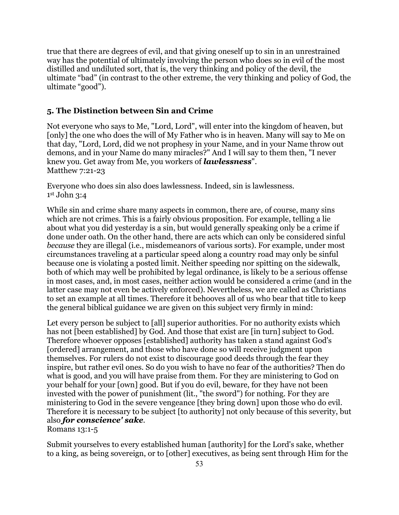true that there are degrees of evil, and that giving oneself up to sin in an unrestrained way has the potential of ultimately involving the person who does so in evil of the most distilled and undiluted sort, that is, the very thinking and policy of the devil, the ultimate "bad" (in contrast to the other extreme, the very thinking and policy of God, the ultimate "good").

### **5. The Distinction between Sin and Crime**

Not everyone who says to Me, "Lord, Lord", will enter into the kingdom of heaven, but [only] the one who does the will of My Father who is in heaven. Many will say to Me on that day, "Lord, Lord, did we not prophesy in your Name, and in your Name throw out demons, and in your Name do many miracles?" And I will say to them then, "I never knew you. Get away from Me, you workers of *lawlessness*". Matthew 7:21-23

Everyone who does sin also does lawlessness. Indeed, sin is lawlessness.  $1<sup>st</sup>$  John 3:4

While sin and crime share many aspects in common, there are, of course, many sins which are not crimes. This is a fairly obvious proposition. For example, telling a lie about what you did yesterday is a sin, but would generally speaking only be a crime if done under oath. On the other hand, there are acts which can only be considered sinful *because* they are illegal (i.e., misdemeanors of various sorts). For example, under most circumstances traveling at a particular speed along a country road may only be sinful because one is violating a posted limit. Neither speeding nor spitting on the sidewalk, both of which may well be prohibited by legal ordinance, is likely to be a serious offense in most cases, and, in most cases, neither action would be considered a crime (and in the latter case may not even be actively enforced). Nevertheless, we are called as Christians to set an example at all times. Therefore it behooves all of us who bear that title to keep the general biblical guidance we are given on this subject very firmly in mind:

Let every person be subject to [all] superior authorities. For no authority exists which has not [been established] by God. And those that exist are [in turn] subject to God. Therefore whoever opposes [established] authority has taken a stand against God's [ordered] arrangement, and those who have done so will receive judgment upon themselves. For rulers do not exist to discourage good deeds through the fear they inspire, but rather evil ones. So do you wish to have no fear of the authorities? Then do what is good, and you will have praise from them. For they are ministering to God on your behalf for your [own] good. But if you do evil, beware, for they have not been invested with the power of punishment (lit., "the sword") for nothing. For they are ministering to God in the severe vengeance [they bring down] upon those who do evil. Therefore it is necessary to be subject [to authority] not only because of this severity, but also *for conscience' sake*.

Romans 13:1-5

Submit yourselves to every established human [authority] for the Lord's sake, whether to a king, as being sovereign, or to [other] executives, as being sent through Him for the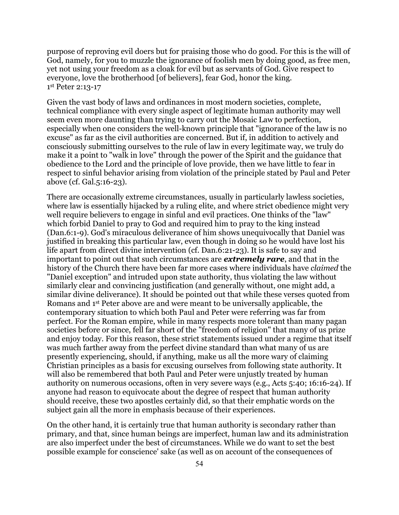purpose of reproving evil doers but for praising those who do good. For this is the will of God, namely, for you to muzzle the ignorance of foolish men by doing good, as free men, yet not using your freedom as a cloak for evil but as servants of God. Give respect to everyone, love the brotherhood [of believers], fear God, honor the king. 1st Peter 2:13-17

Given the vast body of laws and ordinances in most modern societies, complete, technical compliance with every single aspect of legitimate human authority may well seem even more daunting than trying to carry out the Mosaic Law to perfection, especially when one considers the well-known principle that "ignorance of the law is no excuse" as far as the civil authorities are concerned. But if, in addition to actively and consciously submitting ourselves to the rule of law in every legitimate way, we truly do make it a point to "walk in love" through the power of the Spirit and the guidance that obedience to the Lord and the principle of love provide, then we have little to fear in respect to sinful behavior arising from violation of the principle stated by Paul and Peter above (cf. Gal.5:16-23).

There are occasionally extreme circumstances, usually in particularly lawless societies, where law is essentially hijacked by a ruling elite, and where strict obedience might very well require believers to engage in sinful and evil practices. One thinks of the "law" which forbid Daniel to pray to God and required him to pray to the king instead (Dan.6:1-9). God's miraculous deliverance of him shows unequivocally that Daniel was justified in breaking this particular law, even though in doing so he would have lost his life apart from direct divine intervention (cf. Dan.6:21-23). It is safe to say and important to point out that such circumstances are *extremely rare*, and that in the history of the Church there have been far more cases where individuals have *claimed* the "Daniel exception" and intruded upon state authority, thus violating the law without similarly clear and convincing justification (and generally without, one might add, a similar divine deliverance). It should be pointed out that while these verses quoted from Romans and 1st Peter above are and were meant to be universally applicable, the contemporary situation to which both Paul and Peter were referring was far from perfect. For the Roman empire, while in many respects more tolerant than many pagan societies before or since, fell far short of the "freedom of religion" that many of us prize and enjoy today. For this reason, these strict statements issued under a regime that itself was much farther away from the perfect divine standard than what many of us are presently experiencing, should, if anything, make us all the more wary of claiming Christian principles as a basis for excusing ourselves from following state authority. It will also be remembered that both Paul and Peter were unjustly treated by human authority on numerous occasions, often in very severe ways (e.g., Acts 5:40; 16:16-24). If anyone had reason to equivocate about the degree of respect that human authority should receive, these two apostles certainly did, so that their emphatic words on the subject gain all the more in emphasis because of their experiences.

On the other hand, it is certainly true that human authority is secondary rather than primary, and that, since human beings are imperfect, human law and its administration are also imperfect under the best of circumstances. While we do want to set the best possible example for conscience' sake (as well as on account of the consequences of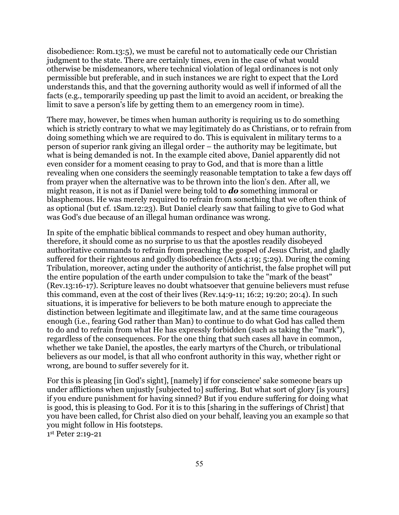disobedience: Rom.13:5), we must be careful not to automatically cede our Christian judgment to the state. There are certainly times, even in the case of what would otherwise be misdemeanors, where technical violation of legal ordinances is not only permissible but preferable, and in such instances we are right to expect that the Lord understands this, and that the governing authority would as well if informed of all the facts (e.g., temporarily speeding up past the limit to avoid an accident, or breaking the limit to save a person's life by getting them to an emergency room in time).

There may, however, be times when human authority is requiring us to do something which is strictly contrary to what we may legitimately do as Christians, or to refrain from doing something which we are required to do. This is equivalent in military terms to a person of superior rank giving an illegal order – the authority may be legitimate, but what is being demanded is not. In the example cited above, Daniel apparently did not even consider for a moment ceasing to pray to God, and that is more than a little revealing when one considers the seemingly reasonable temptation to take a few days off from prayer when the alternative was to be thrown into the lion's den. After all, we might reason, it is not as if Daniel were being told to *do* something immoral or blasphemous. He was merely required to refrain from something that we often think of as optional (but cf. 1Sam.12:23). But Daniel clearly saw that failing to give to God what was God's due because of an illegal human ordinance was wrong.

In spite of the emphatic biblical commands to respect and obey human authority, therefore, it should come as no surprise to us that the apostles readily disobeyed authoritative commands to refrain from preaching the gospel of Jesus Christ, and gladly suffered for their righteous and godly disobedience (Acts 4:19; 5:29). During the coming Tribulation, moreover, acting under the authority of antichrist, the false prophet will put the entire population of the earth under compulsion to take the "mark of the beast" (Rev.13:16-17). Scripture leaves no doubt whatsoever that genuine believers must refuse this command, even at the cost of their lives (Rev.14:9-11; 16:2; 19:20; 20:4). In such situations, it is imperative for believers to be both mature enough to appreciate the distinction between legitimate and illegitimate law, and at the same time courageous enough (i.e., fearing God rather than Man) to continue to do what God has called them to do and to refrain from what He has expressly forbidden (such as taking the "mark"), regardless of the consequences. For the one thing that such cases all have in common, whether we take Daniel, the apostles, the early martyrs of the Church, or tribulational believers as our model, is that all who confront authority in this way, whether right or wrong, are bound to suffer severely for it.

For this is pleasing [in God's sight], [namely] if for conscience' sake someone bears up under afflictions when unjustly [subjected to] suffering. But what sort of glory [is yours] if you endure punishment for having sinned? But if you endure suffering for doing what is good, this is pleasing to God. For it is to this [sharing in the sufferings of Christ] that you have been called, for Christ also died on your behalf, leaving you an example so that you might follow in His footsteps.

1st Peter 2:19-21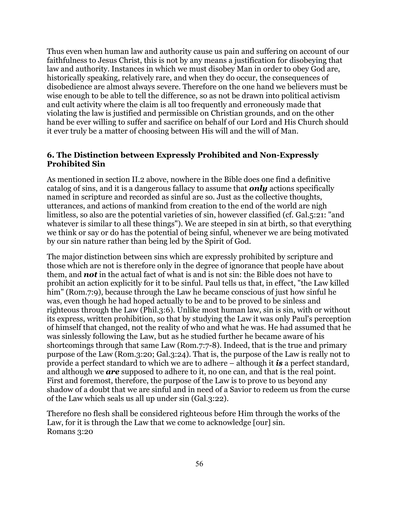Thus even when human law and authority cause us pain and suffering on account of our faithfulness to Jesus Christ, this is not by any means a justification for disobeying that law and authority. Instances in which we must disobey Man in order to obey God are, historically speaking, relatively rare, and when they do occur, the consequences of disobedience are almost always severe. Therefore on the one hand we believers must be wise enough to be able to tell the difference, so as not be drawn into political activism and cult activity where the claim is all too frequently and erroneously made that violating the law is justified and permissible on Christian grounds, and on the other hand be ever willing to suffer and sacrifice on behalf of our Lord and His Church should it ever truly be a matter of choosing between His will and the will of Man.

# **6. The Distinction between Expressly Prohibited and Non-Expressly Prohibited Sin**

As mentioned in section II.2 above, nowhere in the Bible does one find a definitive catalog of sins, and it is a dangerous fallacy to assume that *only* actions specifically named in scripture and recorded as sinful are so. Just as the collective thoughts, utterances, and actions of mankind from creation to the end of the world are nigh limitless, so also are the potential varieties of sin, however classified (cf. Gal.5:21: "and whatever is similar to all these things"). We are steeped in sin at birth, so that everything we think or say or do has the potential of being sinful, whenever we are being motivated by our sin nature rather than being led by the Spirit of God.

The major distinction between sins which are expressly prohibited by scripture and those which are not is therefore only in the degree of ignorance that people have about them, and *not* in the actual fact of what is and is not sin: the Bible does not have to prohibit an action explicitly for it to be sinful. Paul tells us that, in effect, "the Law killed him" (Rom.7:9), because through the Law he became conscious of just how sinful he was, even though he had hoped actually to be and to be proved to be sinless and righteous through the Law (Phil.3:6). Unlike most human law, sin is sin, with or without its express, written prohibition, so that by studying the Law it was only Paul's perception of himself that changed, not the reality of who and what he was. He had assumed that he was sinlessly following the Law, but as he studied further he became aware of his shortcomings through that same Law (Rom.7:7-8). Indeed, that is the true and primary purpose of the Law (Rom.3:20; Gal.3:24). That is, the purpose of the Law is really not to provide a perfect standard to which we are to adhere – although it *is* a perfect standard, and although we *are* supposed to adhere to it, no one can, and that is the real point. First and foremost, therefore, the purpose of the Law is to prove to us beyond any shadow of a doubt that we are sinful and in need of a Savior to redeem us from the curse of the Law which seals us all up under sin (Gal.3:22).

Therefore no flesh shall be considered righteous before Him through the works of the Law, for it is through the Law that we come to acknowledge [our] sin. Romans 3:20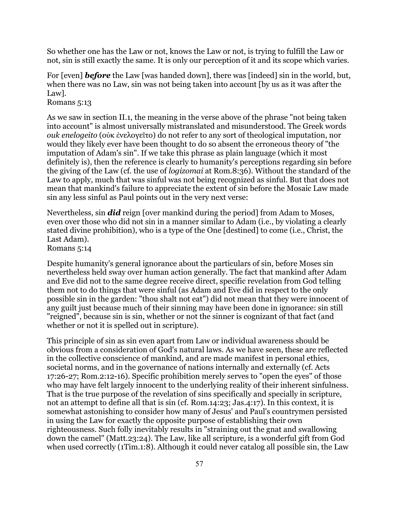So whether one has the Law or not, knows the Law or not, is trying to fulfill the Law or not, sin is still exactly the same. It is only our perception of it and its scope which varies.

For [even] *before* the Law [was handed down], there was [indeed] sin in the world, but, when there was no Law, sin was not being taken into account [by us as it was after the Law].

Romans 5:13

As we saw in section II.1, the meaning in the verse above of the phrase "not being taken into account" is almost universally mistranslated and misunderstood. The Greek words *ouk enelogeito* (οὐκ ἐνελογεῖτο) do not refer to any sort of theological imputation, nor would they likely ever have been thought to do so absent the erroneous theory of "the imputation of Adam's sin". If we take this phrase as plain language (which it most definitely is), then the reference is clearly to humanity's perceptions regarding sin before the giving of the Law (cf. the use of *logizomai* at Rom.8:36). Without the standard of the Law to apply, much that was sinful was not being recognized as sinful. But that does not mean that mankind's failure to appreciate the extent of sin before the Mosaic Law made sin any less sinful as Paul points out in the very next verse:

Nevertheless, sin *did* reign [over mankind during the period] from Adam to Moses, even over those who did not sin in a manner similar to Adam (i.e., by violating a clearly stated divine prohibition), who is a type of the One [destined] to come (i.e., Christ, the Last Adam).

Romans 5:14

Despite humanity's general ignorance about the particulars of sin, before Moses sin nevertheless held sway over human action generally. The fact that mankind after Adam and Eve did not to the same degree receive direct, specific revelation from God telling them not to do things that were sinful (as Adam and Eve did in respect to the only possible sin in the garden: "thou shalt not eat") did not mean that they were innocent of any guilt just because much of their sinning may have been done in ignorance: sin still "reigned", because sin is sin, whether or not the sinner is cognizant of that fact (and whether or not it is spelled out in scripture).

This principle of sin as sin even apart from Law or individual awareness should be obvious from a consideration of God's natural laws. As we have seen, these are reflected in the collective conscience of mankind, and are made manifest in personal ethics, societal norms, and in the governance of nations internally and externally (cf. Acts 17:26-27; Rom.2:12-16). Specific prohibition merely serves to "open the eyes" of those who may have felt largely innocent to the underlying reality of their inherent sinfulness. That is the true purpose of the revelation of sins specifically and specially in scripture, not an attempt to define all that is sin (cf. Rom.14:23; Jas.4:17). In this context, it is somewhat astonishing to consider how many of Jesus' and Paul's countrymen persisted in using the Law for exactly the opposite purpose of establishing their own righteousness. Such folly inevitably results in "straining out the gnat and swallowing down the camel" (Matt.23:24). The Law, like all scripture, is a wonderful gift from God when used correctly (1Tim.1:8). Although it could never catalog all possible sin, the Law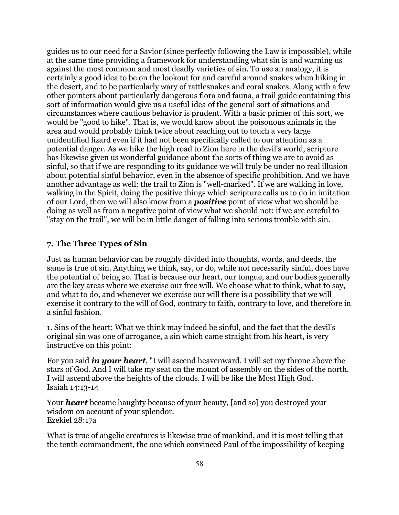guides us to our need for a Savior (since perfectly following the Law is impossible), while at the same time providing a framework for understanding what sin is and warning us against the most common and most deadly varieties of sin. To use an analogy, it is certainly a good idea to be on the lookout for and careful around snakes when hiking in the desert, and to be particularly wary of rattlesnakes and coral snakes. Along with a few other pointers about particularly dangerous flora and fauna, a trail guide containing this sort of information would give us a useful idea of the general sort of situations and circumstances where cautious behavior is prudent. With a basic primer of this sort, we would be "good to hike". That is, we would know about the poisonous animals in the area and would probably think twice about reaching out to touch a very large unidentified lizard even if it had not been specifically called to our attention as a potential danger. As we hike the high road to Zion here in the devil's world, scripture has likewise given us wonderful guidance about the sorts of thing we are to avoid as sinful, so that if we are responding to its guidance we will truly be under no real illusion about potential sinful behavior, even in the absence of specific prohibition. And we have another advantage as well: the trail to Zion is "well-marked". If we are walking in love, walking in the Spirit, doing the positive things which scripture calls us to do in imitation of our Lord, then we will also know from a *positive* point of view what we should be doing as well as from a negative point of view what we should not: if we are careful to "stay on the trail", we will be in little danger of falling into serious trouble with sin.

# **7. The Three Types of Sin**

Just as human behavior can be roughly divided into thoughts, words, and deeds, the same is true of sin. Anything we think, say, or do, while not necessarily sinful, does have the potential of being so. That is because our heart, our tongue, and our bodies generally are the key areas where we exercise our free will. We choose what to think, what to say, and what to do, and whenever we exercise our will there is a possibility that we will exercise it contrary to the will of God, contrary to faith, contrary to love, and therefore in a sinful fashion.

1. Sins of the heart: What we think may indeed be sinful, and the fact that the devil's original sin was one of arrogance, a sin which came straight from his heart, is very instructive on this point:

For you said *in your heart*, "I will ascend heavenward. I will set my throne above the stars of God. And I will take my seat on the mount of assembly on the sides of the north. I will ascend above the heights of the clouds. I will be like the Most High God. Isaiah 14:13-14

Your *heart* became haughty because of your beauty, [and so] you destroyed your wisdom on account of your splendor. Ezekiel 28:17a

What is true of angelic creatures is likewise true of mankind, and it is most telling that the tenth commandment, the one which convinced Paul of the impossibility of keeping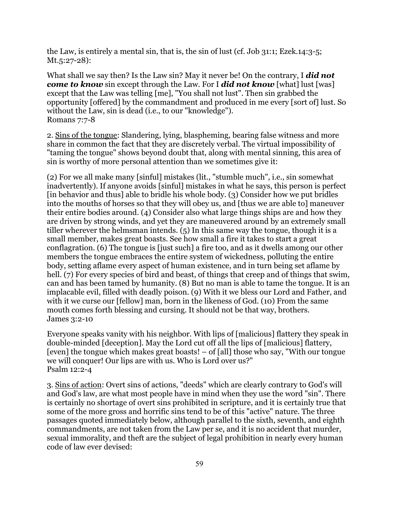the Law, is entirely a mental sin, that is, the sin of lust (cf. Job 31:1; Ezek.14:3-5; Mt.5:27-28):

What shall we say then? Is the Law sin? May it never be! On the contrary, I *did not come to know* sin except through the Law. For I **did not know** [what] lust [was] except that the Law was telling [me], "You shall not lust". Then sin grabbed the opportunity [offered] by the commandment and produced in me every [sort of] lust. So without the Law, sin is dead (i.e., to our "knowledge"). Romans 7:7-8

2. Sins of the tongue: Slandering, lying, blaspheming, bearing false witness and more share in common the fact that they are discretely verbal. The virtual impossibility of "taming the tongue" shows beyond doubt that, along with mental sinning, this area of sin is worthy of more personal attention than we sometimes give it:

(2) For we all make many [sinful] mistakes (lit., "stumble much", i.e., sin somewhat inadvertently). If anyone avoids [sinful] mistakes in what he says, this person is perfect [in behavior and thus] able to bridle his whole body. (3) Consider how we put bridles into the mouths of horses so that they will obey us, and [thus we are able to] maneuver their entire bodies around. (4) Consider also what large things ships are and how they are driven by strong winds, and yet they are maneuvered around by an extremely small tiller wherever the helmsman intends. (5) In this same way the tongue, though it is a small member, makes great boasts. See how small a fire it takes to start a great conflagration. (6) The tongue is [just such] a fire too, and as it dwells among our other members the tongue embraces the entire system of wickedness, polluting the entire body, setting aflame every aspect of human existence, and in turn being set aflame by hell. (7) For every species of bird and beast, of things that creep and of things that swim, can and has been tamed by humanity. (8) But no man is able to tame the tongue. It is an implacable evil, filled with deadly poison. (9) With it we bless our Lord and Father, and with it we curse our [fellow] man, born in the likeness of God. (10) From the same mouth comes forth blessing and cursing. It should not be that way, brothers. James 3:2-10

Everyone speaks vanity with his neighbor. With lips of [malicious] flattery they speak in double-minded [deception]. May the Lord cut off all the lips of [malicious] flattery, [even] the tongue which makes great boasts!  $-$  of [all] those who say, "With our tongue we will conquer! Our lips are with us. Who is Lord over us?" Psalm 12:2-4

3. Sins of action: Overt sins of actions, "deeds" which are clearly contrary to God's will and God's law, are what most people have in mind when they use the word "sin". There is certainly no shortage of overt sins prohibited in scripture, and it is certainly true that some of the more gross and horrific sins tend to be of this "active" nature. The three passages quoted immediately below, although parallel to the sixth, seventh, and eighth commandments, are not taken from the Law per se, and it is no accident that murder, sexual immorality, and theft are the subject of legal prohibition in nearly every human code of law ever devised: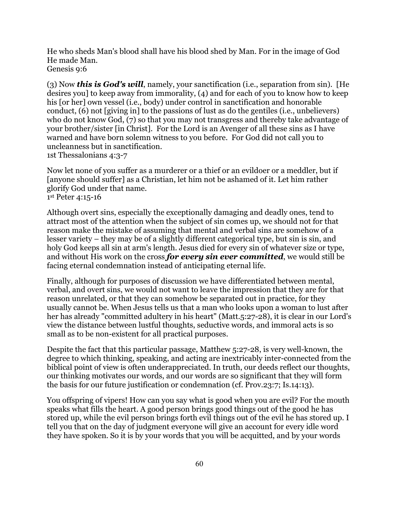He who sheds Man's blood shall have his blood shed by Man. For in the image of God He made Man. Genesis 9:6

(3) Now *this is God's will*, namely, your sanctification (i.e., separation from sin). [He desires you] to keep away from immorality, (4) and for each of you to know how to keep his [or her] own vessel (i.e., body) under control in sanctification and honorable conduct, (6) not [giving in] to the passions of lust as do the gentiles (i.e., unbelievers) who do not know God, (7) so that you may not transgress and thereby take advantage of your brother/sister [in Christ]. For the Lord is an Avenger of all these sins as I have warned and have born solemn witness to you before. For God did not call you to uncleanness but in sanctification. 1st Thessalonians 4:3-7

Now let none of you suffer as a murderer or a thief or an evildoer or a meddler, but if [anyone should suffer] as a Christian, let him not be ashamed of it. Let him rather glorify God under that name.

1st Peter 4:15-16

Although overt sins, especially the exceptionally damaging and deadly ones, tend to attract most of the attention when the subject of sin comes up, we should not for that reason make the mistake of assuming that mental and verbal sins are somehow of a lesser variety – they may be of a slightly different categorical type, but sin is sin, and holy God keeps all sin at arm's length. Jesus died for every sin of whatever size or type, and without His work on the cross *for every sin ever committed*, we would still be facing eternal condemnation instead of anticipating eternal life.

Finally, although for purposes of discussion we have differentiated between mental, verbal, and overt sins, we would not want to leave the impression that they are for that reason unrelated, or that they can somehow be separated out in practice, for they usually cannot be. When Jesus tells us that a man who looks upon a woman to lust after her has already "committed adultery in his heart" (Matt.5:27-28), it is clear in our Lord's view the distance between lustful thoughts, seductive words, and immoral acts is so small as to be non-existent for all practical purposes.

Despite the fact that this particular passage, Matthew 5:27-28, is very well-known, the degree to which thinking, speaking, and acting are inextricably inter-connected from the biblical point of view is often underappreciated. In truth, our deeds reflect our thoughts, our thinking motivates our words, and our words are so significant that they will form the basis for our future justification or condemnation (cf. Prov.23:7; Is.14:13).

You offspring of vipers! How can you say what is good when you are evil? For the mouth speaks what fills the heart. A good person brings good things out of the good he has stored up, while the evil person brings forth evil things out of the evil he has stored up. I tell you that on the day of judgment everyone will give an account for every idle word they have spoken. So it is by your words that you will be acquitted, and by your words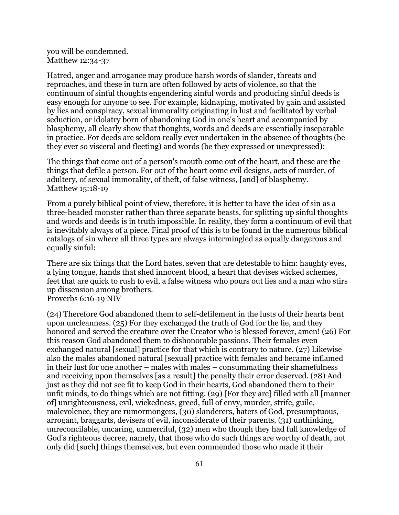you will be condemned. Matthew 12:34-37

Hatred, anger and arrogance may produce harsh words of slander, threats and reproaches, and these in turn are often followed by acts of violence, so that the continuum of sinful thoughts engendering sinful words and producing sinful deeds is easy enough for anyone to see. For example, kidnaping, motivated by gain and assisted by lies and conspiracy, sexual immorality originating in lust and facilitated by verbal seduction, or idolatry born of abandoning God in one's heart and accompanied by blasphemy, all clearly show that thoughts, words and deeds are essentially inseparable in practice. For deeds are seldom really ever undertaken in the absence of thoughts (be they ever so visceral and fleeting) and words (be they expressed or unexpressed):

The things that come out of a person's mouth come out of the heart, and these are the things that defile a person. For out of the heart come evil designs, acts of murder, of adultery, of sexual immorality, of theft, of false witness, [and] of blasphemy. Matthew 15:18-19

From a purely biblical point of view, therefore, it is better to have the idea of sin as a three-headed monster rather than three separate beasts, for splitting up sinful thoughts and words and deeds is in truth impossible. In reality, they form a continuum of evil that is inevitably always of a piece. Final proof of this is to be found in the numerous biblical catalogs of sin where all three types are always intermingled as equally dangerous and equally sinful:

There are six things that the Lord hates, seven that are detestable to him: haughty eyes, a lying tongue, hands that shed innocent blood, a heart that devises wicked schemes, feet that are quick to rush to evil, a false witness who pours out lies and a man who stirs up dissension among brothers.

Proverbs 6:16-19 NIV

(24) Therefore God abandoned them to self-defilement in the lusts of their hearts bent upon uncleanness. (25) For they exchanged the truth of God for the lie, and they honored and served the creature over the Creator who is blessed forever, amen! (26) For this reason God abandoned them to dishonorable passions. Their females even exchanged natural [sexual] practice for that which is contrary to nature. (27) Likewise also the males abandoned natural [sexual] practice with females and became inflamed in their lust for one another – males with males – consummating their shamefulness and receiving upon themselves [as a result] the penalty their error deserved. (28) And just as they did not see fit to keep God in their hearts, God abandoned them to their unfit minds, to do things which are not fitting. (29) [For they are] filled with all [manner of] unrighteousness, evil, wickedness, greed, full of envy, murder, strife, guile, malevolence, they are rumormongers, (30) slanderers, haters of God, presumptuous, arrogant, braggarts, devisers of evil, inconsiderate of their parents, (31) unthinking, unreconcilable, uncaring, unmerciful, (32) men who though they had full knowledge of God's righteous decree, namely, that those who do such things are worthy of death, not only did [such] things themselves, but even commended those who made it their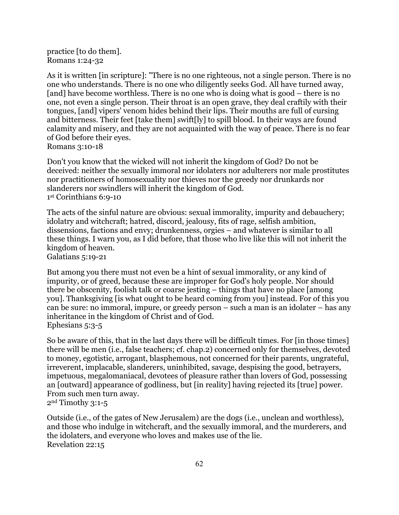practice [to do them]. Romans 1:24-32

As it is written [in scripture]: "There is no one righteous, not a single person. There is no one who understands. There is no one who diligently seeks God. All have turned away, [and] have become worthless. There is no one who is doing what is good – there is no one, not even a single person. Their throat is an open grave, they deal craftily with their tongues, [and] vipers' venom hides behind their lips. Their mouths are full of cursing and bitterness. Their feet [take them] swift[ly] to spill blood. In their ways are found calamity and misery, and they are not acquainted with the way of peace. There is no fear of God before their eyes. Romans 3:10-18

Don't you know that the wicked will not inherit the kingdom of God? Do not be deceived: neither the sexually immoral nor idolaters nor adulterers nor male prostitutes nor practitioners of homosexuality nor thieves nor the greedy nor drunkards nor slanderers nor swindlers will inherit the kingdom of God. 1st Corinthians 6:9-10

The acts of the sinful nature are obvious: sexual immorality, impurity and debauchery; idolatry and witchcraft; hatred, discord, jealousy, fits of rage, selfish ambition, dissensions, factions and envy; drunkenness, orgies – and whatever is similar to all these things. I warn you, as I did before, that those who live like this will not inherit the kingdom of heaven.

Galatians 5:19-21

But among you there must not even be a hint of sexual immorality, or any kind of impurity, or of greed, because these are improper for God's holy people. Nor should there be obscenity, foolish talk or coarse jesting – things that have no place [among you]. Thanksgiving [is what ought to be heard coming from you] instead. For of this you can be sure: no immoral, impure, or greedy person – such a man is an idolater – has any inheritance in the kingdom of Christ and of God. Ephesians 5:3-5

So be aware of this, that in the last days there will be difficult times. For [in those times] there will be men (i.e., false teachers; cf. chap.2) concerned only for themselves, devoted to money, egotistic, arrogant, blasphemous, not concerned for their parents, ungrateful, irreverent, implacable, slanderers, uninhibited, savage, despising the good, betrayers, impetuous, megalomaniacal, devotees of pleasure rather than lovers of God, possessing an [outward] appearance of godliness, but [in reality] having rejected its [true] power. From such men turn away. 2nd Timothy 3:1-5

Outside (i.e., of the gates of New Jerusalem) are the dogs (i.e., unclean and worthless), and those who indulge in witchcraft, and the sexually immoral, and the murderers, and the idolaters, and everyone who loves and makes use of the lie. Revelation 22:15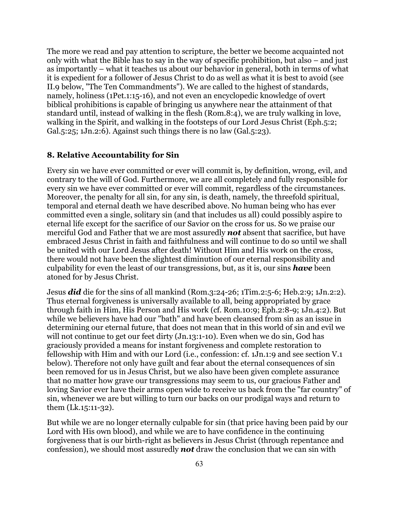The more we read and pay attention to scripture, the better we become acquainted not only with what the Bible has to say in the way of specific prohibition, but also – and just as importantly – what it teaches us about our behavior in general, both in terms of what it is expedient for a follower of Jesus Christ to do as well as what it is best to avoid (see II.9 below, "The Ten Commandments"). We are called to the highest of standards, namely, holiness (1Pet.1:15-16), and not even an encyclopedic knowledge of overt biblical prohibitions is capable of bringing us anywhere near the attainment of that standard until, instead of walking in the flesh (Rom.8:4), we are truly walking in love, walking in the Spirit, and walking in the footsteps of our Lord Jesus Christ (Eph.5:2; Gal.<sub>5</sub>:25; 1Jn.2:6). Against such things there is no law (Gal.<sub>5</sub>:23).

### **8. Relative Accountability for Sin**

Every sin we have ever committed or ever will commit is, by definition, wrong, evil, and contrary to the will of God. Furthermore, we are all completely and fully responsible for every sin we have ever committed or ever will commit, regardless of the circumstances. Moreover, the penalty for all sin, for any sin, is death, namely, the threefold spiritual, temporal and eternal death we have described above. No human being who has ever committed even a single, solitary sin (and that includes us all) could possibly aspire to eternal life except for the sacrifice of our Savior on the cross for us. So we praise our merciful God and Father that we are most assuredly *not* absent that sacrifice, but have embraced Jesus Christ in faith and faithfulness and will continue to do so until we shall be united with our Lord Jesus after death! Without Him and His work on the cross, there would not have been the slightest diminution of our eternal responsibility and culpability for even the least of our transgressions, but, as it is, our sins *have* been atoned for by Jesus Christ.

Jesus *did* die for the sins of all mankind (Rom.3:24-26; 1Tim.2:5-6; Heb.2:9; 1Jn.2:2). Thus eternal forgiveness is universally available to all, being appropriated by grace through faith in Him, His Person and His work (cf. Rom.10:9; Eph.2:8-9; 1Jn.4:2). But while we believers have had our "bath" and have been cleansed from sin as an issue in determining our eternal future, that does not mean that in this world of sin and evil we will not continue to get our feet dirty (Jn.13:1-10). Even when we do sin, God has graciously provided a means for instant forgiveness and complete restoration to fellowship with Him and with our Lord (i.e., confession: cf. 1Jn.1:9 and see section V.1 below). Therefore not only have guilt and fear about the eternal consequences of sin been removed for us in Jesus Christ, but we also have been given complete assurance that no matter how grave our transgressions may seem to us, our gracious Father and loving Savior ever have their arms open wide to receive us back from the "far country" of sin, whenever we are but willing to turn our backs on our prodigal ways and return to them (Lk.15:11-32).

But while we are no longer eternally culpable for sin (that price having been paid by our Lord with His own blood), and while we are to have confidence in the continuing forgiveness that is our birth-right as believers in Jesus Christ (through repentance and confession), we should most assuredly *not* draw the conclusion that we can sin with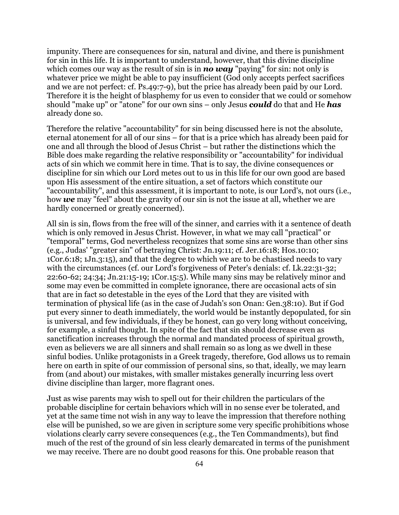impunity. There are consequences for sin, natural and divine, and there is punishment for sin in this life. It is important to understand, however, that this divine discipline which comes our way as the result of sin is in **no way** "paying" for sin: not only is whatever price we might be able to pay insufficient (God only accepts perfect sacrifices and we are not perfect: cf. Ps.49:7-9), but the price has already been paid by our Lord. Therefore it is the height of blasphemy for us even to consider that we could or somehow should "make up" or "atone" for our own sins – only Jesus *could* do that and He *has* already done so.

Therefore the relative "accountability" for sin being discussed here is not the absolute, eternal atonement for all of our sins – for that is a price which has already been paid for one and all through the blood of Jesus Christ – but rather the distinctions which the Bible does make regarding the relative responsibility or "accountability" for individual acts of sin which we commit here in time. That is to say, the divine consequences or discipline for sin which our Lord metes out to us in this life for our own good are based upon His assessment of the entire situation, a set of factors which constitute our "accountability", and this assessment, it is important to note, is our Lord's, not ours (i.e., how *we* may "feel" about the gravity of our sin is not the issue at all, whether we are hardly concerned or greatly concerned).

All sin is sin, flows from the free will of the sinner, and carries with it a sentence of death which is only removed in Jesus Christ. However, in what we may call "practical" or "temporal" terms, God nevertheless recognizes that some sins are worse than other sins (e.g., Judas' "greater sin" of betraying Christ: Jn.19:11; cf. Jer.16:18; Hos.10:10; 1Cor.6:18; 1Jn.3:15), and that the degree to which we are to be chastised needs to vary with the circumstances (cf. our Lord's forgiveness of Peter's denials: cf. Lk.22:31-32; 22:60-62; 24:34; Jn.21:15-19; 1Cor.15:5). While many sins may be relatively minor and some may even be committed in complete ignorance, there are occasional acts of sin that are in fact so detestable in the eyes of the Lord that they are visited with termination of physical life (as in the case of Judah's son Onan: Gen.38:10). But if God put every sinner to death immediately, the world would be instantly depopulated, for sin is universal, and few individuals, if they be honest, can go very long without conceiving, for example, a sinful thought. In spite of the fact that sin should decrease even as sanctification increases through the normal and mandated process of spiritual growth, even as believers we are all sinners and shall remain so as long as we dwell in these sinful bodies. Unlike protagonists in a Greek tragedy, therefore, God allows us to remain here on earth in spite of our commission of personal sins, so that, ideally, we may learn from (and about) our mistakes, with smaller mistakes generally incurring less overt divine discipline than larger, more flagrant ones.

Just as wise parents may wish to spell out for their children the particulars of the probable discipline for certain behaviors which will in no sense ever be tolerated, and yet at the same time not wish in any way to leave the impression that therefore nothing else will be punished, so we are given in scripture some very specific prohibitions whose violations clearly carry severe consequences (e.g., the Ten Commandments), but find much of the rest of the ground of sin less clearly demarcated in terms of the punishment we may receive. There are no doubt good reasons for this. One probable reason that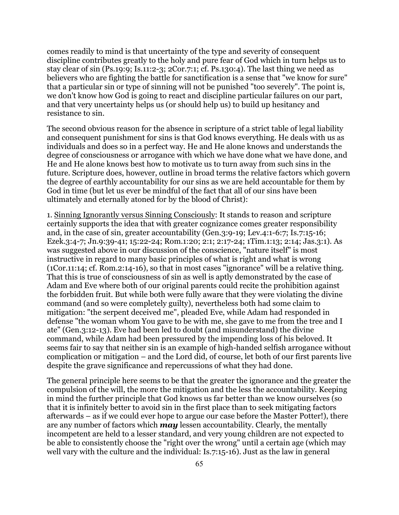comes readily to mind is that uncertainty of the type and severity of consequent discipline contributes greatly to the holy and pure fear of God which in turn helps us to stay clear of sin (Ps.19:9; Is.11:2-3; 2Cor.7:1; cf. Ps.130:4). The last thing we need as believers who are fighting the battle for sanctification is a sense that "we know for sure" that a particular sin or type of sinning will not be punished "too severely". The point is, we don't know how God is going to react and discipline particular failures on our part, and that very uncertainty helps us (or should help us) to build up hesitancy and resistance to sin.

The second obvious reason for the absence in scripture of a strict table of legal liability and consequent punishment for sins is that God knows everything. He deals with us as individuals and does so in a perfect way. He and He alone knows and understands the degree of consciousness or arrogance with which we have done what we have done, and He and He alone knows best how to motivate us to turn away from such sins in the future. Scripture does, however, outline in broad terms the relative factors which govern the degree of earthly accountability for our sins as we are held accountable for them by God in time (but let us ever be mindful of the fact that all of our sins have been ultimately and eternally atoned for by the blood of Christ):

1. Sinning Ignorantly versus Sinning Consciously: It stands to reason and scripture certainly supports the idea that with greater cognizance comes greater responsibility and, in the case of sin, greater accountability (Gen.3:9-19; Lev.4:1-6:7; Is.7:15-16; Ezek.3:4-7; Jn.9:39-41; 15:22-24; Rom.1:20; 2:1; 2:17-24; 1Tim.1:13; 2:14; Jas.3:1). As was suggested above in our discussion of the conscience, "nature itself" is most instructive in regard to many basic principles of what is right and what is wrong (1Cor.11:14; cf. Rom.2:14-16), so that in most cases "ignorance" will be a relative thing. That this is true of consciousness of sin as well is aptly demonstrated by the case of Adam and Eve where both of our original parents could recite the prohibition against the forbidden fruit. But while both were fully aware that they were violating the divine command (and so were completely guilty), nevertheless both had some claim to mitigation: "the serpent deceived me", pleaded Eve, while Adam had responded in defense "the woman whom You gave to be with me, she gave to me from the tree and I ate" (Gen.3:12-13). Eve had been led to doubt (and misunderstand) the divine command, while Adam had been pressured by the impending loss of his beloved. It seems fair to say that neither sin is an example of high-handed selfish arrogance without complication or mitigation – and the Lord did, of course, let both of our first parents live despite the grave significance and repercussions of what they had done.

The general principle here seems to be that the greater the ignorance and the greater the compulsion of the will, the more the mitigation and the less the accountability. Keeping in mind the further principle that God knows us far better than we know ourselves (so that it is infinitely better to avoid sin in the first place than to seek mitigating factors afterwards – as if we could ever hope to argue our case before the Master Potter!), there are any number of factors which *may* lessen accountability. Clearly, the mentally incompetent are held to a lesser standard, and very young children are not expected to be able to consistently choose the "right over the wrong" until a certain age (which may well vary with the culture and the individual: Is.7:15-16). Just as the law in general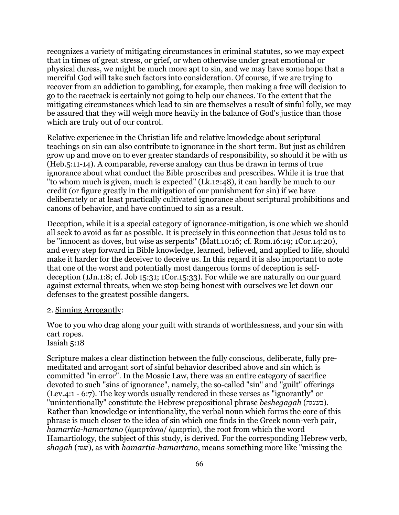recognizes a variety of mitigating circumstances in criminal statutes, so we may expect that in times of great stress, or grief, or when otherwise under great emotional or physical duress, we might be much more apt to sin, and we may have some hope that a merciful God will take such factors into consideration. Of course, if we are trying to recover from an addiction to gambling, for example, then making a free will decision to go to the racetrack is certainly not going to help our chances. To the extent that the mitigating circumstances which lead to sin are themselves a result of sinful folly, we may be assured that they will weigh more heavily in the balance of God's justice than those which are truly out of our control.

Relative experience in the Christian life and relative knowledge about scriptural teachings on sin can also contribute to ignorance in the short term. But just as children grow up and move on to ever greater standards of responsibility, so should it be with us (Heb.5:11-14). A comparable, reverse analogy can thus be drawn in terms of true ignorance about what conduct the Bible proscribes and prescribes. While it is true that "to whom much is given, much is expected" (Lk.12:48), it can hardly be much to our credit (or figure greatly in the mitigation of our punishment for sin) if we have deliberately or at least practically cultivated ignorance about scriptural prohibitions and canons of behavior, and have continued to sin as a result.

Deception, while it is a special category of ignorance-mitigation, is one which we should all seek to avoid as far as possible. It is precisely in this connection that Jesus told us to be "innocent as doves, but wise as serpents" (Matt.10:16; cf. Rom.16:19; 1Cor.14:20), and every step forward in Bible knowledge, learned, believed, and applied to life, should make it harder for the deceiver to deceive us. In this regard it is also important to note that one of the worst and potentially most dangerous forms of deception is selfdeception (1Jn.1:8; cf. Job 15:31; 1Cor.15:33). For while we are naturally on our guard against external threats, when we stop being honest with ourselves we let down our defenses to the greatest possible dangers.

#### 2. Sinning Arrogantly:

Woe to you who drag along your guilt with strands of worthlessness, and your sin with cart ropes.

Isaiah 5:18

Scripture makes a clear distinction between the fully conscious, deliberate, fully premeditated and arrogant sort of sinful behavior described above and sin which is committed "in error". In the Mosaic Law, there was an entire category of sacrifice devoted to such "sins of ignorance", namely, the so-called "sin" and "guilt" offerings (Lev.4:1 - 6:7). The key words usually rendered in these verses as "ignorantly" or "unintentionally" constitute the Hebrew prepositional phrase *beshegagah* (בשגגה). Rather than knowledge or intentionality, the verbal noun which forms the core of this phrase is much closer to the idea of sin which one finds in the Greek noun-verb pair, *hamartia-hamartano* (ἁμαρτάνω/ ἁμαρτία), the root from which the word Hamartiology, the subject of this study, is derived. For the corresponding Hebrew verb, *shagah* (שגה(, as with *hamartia-hamartano*, means something more like "missing the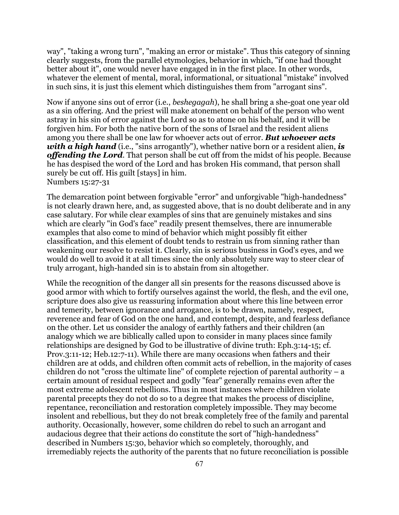way", "taking a wrong turn", "making an error or mistake". Thus this category of sinning clearly suggests, from the parallel etymologies, behavior in which, "if one had thought better about it", one would never have engaged in in the first place. In other words, whatever the element of mental, moral, informational, or situational "mistake" involved in such sins, it is just this element which distinguishes them from "arrogant sins".

Now if anyone sins out of error (i.e., *beshegagah*), he shall bring a she-goat one year old as a sin offering. And the priest will make atonement on behalf of the person who went astray in his sin of error against the Lord so as to atone on his behalf, and it will be forgiven him. For both the native born of the sons of Israel and the resident aliens among you there shall be one law for whoever acts out of error. *But whoever acts with a high hand* (i.e., "sins arrogantly"), whether native born or a resident alien, *is offending the Lord*. That person shall be cut off from the midst of his people. Because he has despised the word of the Lord and has broken His command, that person shall surely be cut off. His guilt [stays] in him. Numbers 15:27-31

The demarcation point between forgivable "error" and unforgivable "high-handedness" is not clearly drawn here, and, as suggested above, that is no doubt deliberate and in any case salutary. For while clear examples of sins that are genuinely mistakes and sins which are clearly "in God's face" readily present themselves, there are innumerable examples that also come to mind of behavior which might possibly fit either classification, and this element of doubt tends to restrain us from sinning rather than weakening our resolve to resist it. Clearly, sin is serious business in God's eyes, and we would do well to avoid it at all times since the only absolutely sure way to steer clear of truly arrogant, high-handed sin is to abstain from sin altogether.

While the recognition of the danger all sin presents for the reasons discussed above is good armor with which to fortify ourselves against the world, the flesh, and the evil one, scripture does also give us reassuring information about where this line between error and temerity, between ignorance and arrogance, is to be drawn, namely, respect, reverence and fear of God on the one hand, and contempt, despite, and fearless defiance on the other. Let us consider the analogy of earthly fathers and their children (an analogy which we are biblically called upon to consider in many places since family relationships are designed by God to be illustrative of divine truth: Eph.3:14-15; cf. Prov.3:11-12; Heb.12:7-11). While there are many occasions when fathers and their children are at odds, and children often commit acts of rebellion, in the majority of cases children do not "cross the ultimate line" of complete rejection of parental authority  $- a$ certain amount of residual respect and godly "fear" generally remains even after the most extreme adolescent rebellions. Thus in most instances where children violate parental precepts they do not do so to a degree that makes the process of discipline, repentance, reconciliation and restoration completely impossible. They may become insolent and rebellious, but they do not break completely free of the family and parental authority. Occasionally, however, some children do rebel to such an arrogant and audacious degree that their actions do constitute the sort of "high-handedness" described in Numbers 15:30, behavior which so completely, thoroughly, and irremediably rejects the authority of the parents that no future reconciliation is possible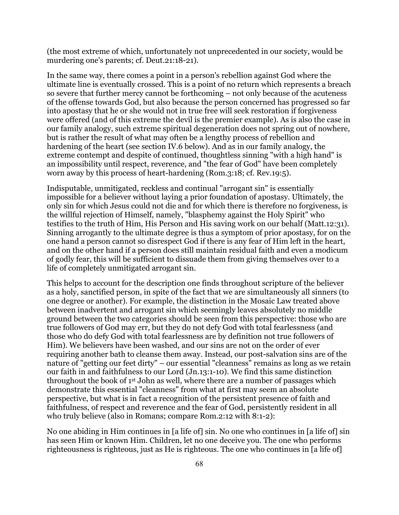(the most extreme of which, unfortunately not unprecedented in our society, would be murdering one's parents; cf. Deut.21:18-21).

In the same way, there comes a point in a person's rebellion against God where the ultimate line is eventually crossed. This is a point of no return which represents a breach so severe that further mercy cannot be forthcoming – not only because of the acuteness of the offense towards God, but also because the person concerned has progressed so far into apostasy that he or she would not in true free will seek restoration if forgiveness were offered (and of this extreme the devil is the premier example). As is also the case in our family analogy, such extreme spiritual degeneration does not spring out of nowhere, but is rather the result of what may often be a lengthy process of rebellion and hardening of the heart (see section IV.6 below). And as in our family analogy, the extreme contempt and despite of continued, thoughtless sinning "with a high hand" is an impossibility until respect, reverence, and "the fear of God" have been completely worn away by this process of heart-hardening (Rom.3:18; cf. Rev.19:5).

Indisputable, unmitigated, reckless and continual "arrogant sin" is essentially impossible for a believer without laying a prior foundation of apostasy. Ultimately, the only sin for which Jesus could not die and for which there is therefore no forgiveness, is the willful rejection of Himself, namely, "blasphemy against the Holy Spirit" who testifies to the truth of Him, His Person and His saving work on our behalf (Matt.12:31). Sinning arrogantly to the ultimate degree is thus a symptom of prior apostasy, for on the one hand a person cannot so disrespect God if there is any fear of Him left in the heart, and on the other hand if a person does still maintain residual faith and even a modicum of godly fear, this will be sufficient to dissuade them from giving themselves over to a life of completely unmitigated arrogant sin.

This helps to account for the description one finds throughout scripture of the believer as a holy, sanctified person, in spite of the fact that we are simultaneously all sinners (to one degree or another). For example, the distinction in the Mosaic Law treated above between inadvertent and arrogant sin which seemingly leaves absolutely no middle ground between the two categories should be seen from this perspective: those who are true followers of God may err, but they do not defy God with total fearlessness (and those who do defy God with total fearlessness are by definition not true followers of Him). We believers have been washed, and our sins are not on the order of ever requiring another bath to cleanse them away. Instead, our post-salvation sins are of the nature of "getting our feet dirty" – our essential "cleanness" remains as long as we retain our faith in and faithfulness to our Lord (Jn.13:1-10). We find this same distinction throughout the book of 1st John as well, where there are a number of passages which demonstrate this essential "cleanness" from what at first may seem an absolute perspective, but what is in fact a recognition of the persistent presence of faith and faithfulness, of respect and reverence and the fear of God, persistently resident in all who truly believe (also in Romans; compare Rom.2:12 with 8:1-2):

No one abiding in Him continues in [a life of] sin. No one who continues in [a life of] sin has seen Him or known Him. Children, let no one deceive you. The one who performs righteousness is righteous, just as He is righteous. The one who continues in [a life of]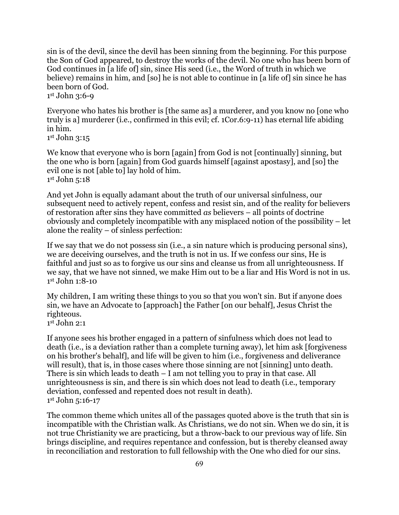sin is of the devil, since the devil has been sinning from the beginning. For this purpose the Son of God appeared, to destroy the works of the devil. No one who has been born of God continues in [a life of] sin, since His seed (i.e., the Word of truth in which we believe) remains in him, and [so] he is not able to continue in [a life of] sin since he has been born of God.

1st John 3:6-9

Everyone who hates his brother is [the same as] a murderer, and you know no [one who truly is a] murderer (i.e., confirmed in this evil; cf. 1Cor.6:9-11) has eternal life abiding in him.

1st John 3:15

We know that everyone who is born [again] from God is not [continually] sinning, but the one who is born [again] from God guards himself [against apostasy], and [so] the evil one is not [able to] lay hold of him. 1st John 5:18

And yet John is equally adamant about the truth of our universal sinfulness, our subsequent need to actively repent, confess and resist sin, and of the reality for believers of restoration after sins they have committed *as* believers – all points of doctrine obviously and completely incompatible with any misplaced notion of the possibility – let alone the reality – of sinless perfection:

If we say that we do not possess sin (i.e., a sin nature which is producing personal sins), we are deceiving ourselves, and the truth is not in us. If we confess our sins, He is faithful and just so as to forgive us our sins and cleanse us from all unrighteousness. If we say, that we have not sinned, we make Him out to be a liar and His Word is not in us. 1st John 1:8-10

My children, I am writing these things to you so that you won't sin. But if anyone does sin, we have an Advocate to [approach] the Father [on our behalf], Jesus Christ the righteous.

 $1<sup>st</sup>$  John 2:1

If anyone sees his brother engaged in a pattern of sinfulness which does not lead to death (i.e., is a deviation rather than a complete turning away), let him ask [forgiveness on his brother's behalf], and life will be given to him (i.e., forgiveness and deliverance will result), that is, in those cases where those sinning are not [sinning] unto death. There is sin which leads to death – I am not telling you to pray in that case. All unrighteousness is sin, and there is sin which does not lead to death (i.e., temporary deviation, confessed and repented does not result in death). 1st John 5:16-17

The common theme which unites all of the passages quoted above is the truth that sin is incompatible with the Christian walk. As Christians, we do not sin. When we do sin, it is not true Christianity we are practicing, but a throw-back to our previous way of life. Sin brings discipline, and requires repentance and confession, but is thereby cleansed away in reconciliation and restoration to full fellowship with the One who died for our sins.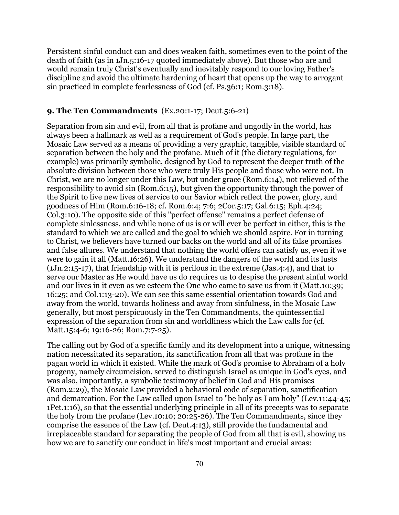Persistent sinful conduct can and does weaken faith, sometimes even to the point of the death of faith (as in 1Jn.5:16-17 quoted immediately above). But those who are and would remain truly Christ's eventually and inevitably respond to our loving Father's discipline and avoid the ultimate hardening of heart that opens up the way to arrogant sin practiced in complete fearlessness of God (cf. Ps.36:1; Rom.3:18).

# **9. The Ten Commandments** (Ex.20:1-17; Deut.5:6-21)

Separation from sin and evil, from all that is profane and ungodly in the world, has always been a hallmark as well as a requirement of God's people. In large part, the Mosaic Law served as a means of providing a very graphic, tangible, visible standard of separation between the holy and the profane. Much of it (the dietary regulations, for example) was primarily symbolic, designed by God to represent the deeper truth of the absolute division between those who were truly His people and those who were not. In Christ, we are no longer under this Law, but under grace (Rom.6:14), not relieved of the responsibility to avoid sin (Rom.6:15), but given the opportunity through the power of the Spirit to live new lives of service to our Savior which reflect the power, glory, and goodness of Him (Rom.6:16-18; cf. Rom.6:4; 7:6; 2Cor.5:17; Gal.6:15; Eph.4:24; Col.3:10). The opposite side of this "perfect offense" remains a perfect defense of complete sinlessness, and while none of us is or will ever be perfect in either, this is the standard to which we are called and the goal to which we should aspire. For in turning to Christ, we believers have turned our backs on the world and all of its false promises and false allures. We understand that nothing the world offers can satisfy us, even if we were to gain it all (Matt.16:26). We understand the dangers of the world and its lusts (1Jn.2:15-17), that friendship with it is perilous in the extreme (Jas.4:4), and that to serve our Master as He would have us do requires us to despise the present sinful world and our lives in it even as we esteem the One who came to save us from it (Matt.10:39; 16:25; and Col.1:13-20). We can see this same essential orientation towards God and away from the world, towards holiness and away from sinfulness, in the Mosaic Law generally, but most perspicuously in the Ten Commandments, the quintessential expression of the separation from sin and worldliness which the Law calls for (cf. Matt.15:4-6; 19:16-26; Rom.7:7-25).

The calling out by God of a specific family and its development into a unique, witnessing nation necessitated its separation, its sanctification from all that was profane in the pagan world in which it existed. While the mark of God's promise to Abraham of a holy progeny, namely circumcision, served to distinguish Israel as unique in God's eyes, and was also, importantly, a symbolic testimony of belief in God and His promises (Rom.2:29), the Mosaic Law provided a behavioral code of separation, sanctification and demarcation. For the Law called upon Israel to "be holy as I am holy" (Lev.11:44-45; 1Pet.1:16), so that the essential underlying principle in all of its precepts was to separate the holy from the profane (Lev.10:10; 20:25-26). The Ten Commandments, since they comprise the essence of the Law (cf. Deut.4:13), still provide the fundamental and irreplaceable standard for separating the people of God from all that is evil, showing us how we are to sanctify our conduct in life's most important and crucial areas: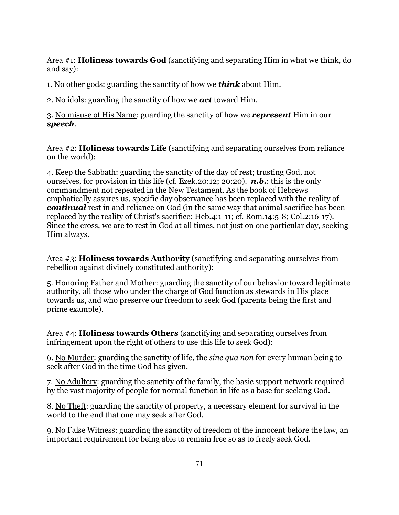Area #1: **Holiness towards God** (sanctifying and separating Him in what we think, do and say):

1. No other gods: guarding the sanctity of how we *think* about Him.

2. No idols: guarding the sanctity of how we *act* toward Him.

3. No misuse of His Name: guarding the sanctity of how we *represent* Him in our *speech*.

Area #2: **Holiness towards Life** (sanctifying and separating ourselves from reliance on the world):

4. Keep the Sabbath: guarding the sanctity of the day of rest; trusting God, not ourselves, for provision in this life (cf. Ezek.20:12; 20:20). *n.b.*: this is the only commandment not repeated in the New Testament. As the book of Hebrews emphatically assures us, specific day observance has been replaced with the reality of *continual* rest in and reliance on God (in the same way that animal sacrifice has been replaced by the reality of Christ's sacrifice: Heb.4:1-11; cf. Rom.14:5-8; Col.2:16-17). Since the cross, we are to rest in God at all times, not just on one particular day, seeking Him always.

Area #3: **Holiness towards Authority** (sanctifying and separating ourselves from rebellion against divinely constituted authority):

5. Honoring Father and Mother: guarding the sanctity of our behavior toward legitimate authority, all those who under the charge of God function as stewards in His place towards us, and who preserve our freedom to seek God (parents being the first and prime example).

Area #4: **Holiness towards Others** (sanctifying and separating ourselves from infringement upon the right of others to use this life to seek God):

6. No Murder: guarding the sanctity of life, the *sine qua non* for every human being to seek after God in the time God has given.

7. No Adultery: guarding the sanctity of the family, the basic support network required by the vast majority of people for normal function in life as a base for seeking God.

8. No Theft: guarding the sanctity of property, a necessary element for survival in the world to the end that one may seek after God.

9. No False Witness: guarding the sanctity of freedom of the innocent before the law, an important requirement for being able to remain free so as to freely seek God.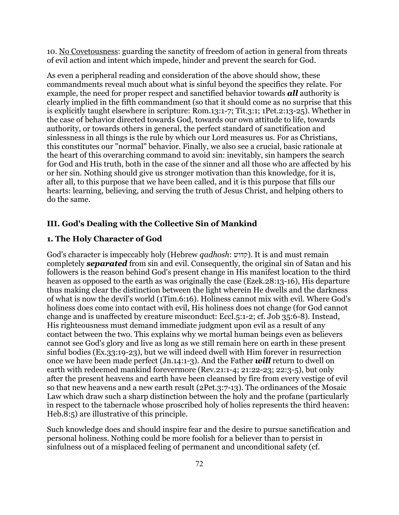10. No Covetousness: guarding the sanctity of freedom of action in general from threats of evil action and intent which impede, hinder and prevent the search for God.

As even a peripheral reading and consideration of the above should show, these commandments reveal much about what is sinful beyond the specifics they relate. For example, the need for proper respect and sanctified behavior towards *all* authority is clearly implied in the fifth commandment (so that it should come as no surprise that this is explicitly taught elsewhere in scripture: Rom.13:1-7; Tit.3:1; 1Pet.2:13-25). Whether in the case of behavior directed towards God, towards our own attitude to life, towards authority, or towards others in general, the perfect standard of sanctification and sinlessness in all things is the rule by which our Lord measures us. For as Christians, this constitutes our "normal" behavior. Finally, we also see a crucial, basic rationale at the heart of this overarching command to avoid sin: inevitably, sin hampers the search for God and His truth, both in the case of the sinner and all those who are affected by his or her sin. Nothing should give us stronger motivation than this knowledge, for it is, after all, to this purpose that we have been called, and it is this purpose that fills our hearts: learning, believing, and serving the truth of Jesus Christ, and helping others to do the same.

# **III. God's Dealing with the Collective Sin of Mankind**

# **1. The Holy Character of God**

God's character is impeccably holy (Hebrew *qadhosh*: קדוש). It is and must remain completely *separated* from sin and evil. Consequently, the original sin of Satan and his followers is the reason behind God's present change in His manifest location to the third heaven as opposed to the earth as was originally the case (Ezek.28:13-16), His departure thus making clear the distinction between the light wherein He dwells and the darkness of what is now the devil's world (1Tim.6:16). Holiness cannot mix with evil. Where God's holiness does come into contact with evil, His holiness does not change (for God cannot change and is unaffected by creature misconduct: Eccl.5:1-2; cf. Job 35:6-8). Instead, His righteousness must demand immediate judgment upon evil as a result of any contact between the two. This explains why we mortal human beings even as believers cannot see God's glory and live as long as we still remain here on earth in these present sinful bodies (Ex.33:19-23), but we will indeed dwell with Him forever in resurrection once we have been made perfect (Jn.14:1-3). And the Father *will* return to dwell on earth with redeemed mankind forevermore (Rev.21:1-4; 21:22-23; 22:3-5), but only after the present heavens and earth have been cleansed by fire from every vestige of evil so that new heavens and a new earth result (2Pet.3:7-13). The ordinances of the Mosaic Law which draw such a sharp distinction between the holy and the profane (particularly in respect to the tabernacle whose proscribed holy of holies represents the third heaven: Heb.8:5) are illustrative of this principle.

Such knowledge does and should inspire fear and the desire to pursue sanctification and personal holiness. Nothing could be more foolish for a believer than to persist in sinfulness out of a misplaced feeling of permanent and unconditional safety (cf.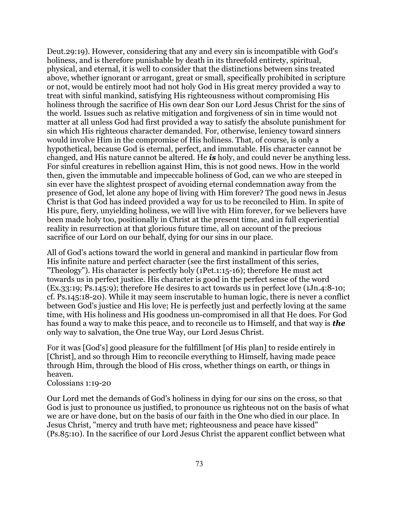Deut.29:19). However, considering that any and every sin is incompatible with God's holiness, and is therefore punishable by death in its threefold entirety, spiritual, physical, and eternal, it is well to consider that the distinctions between sins treated above, whether ignorant or arrogant, great or small, specifically prohibited in scripture or not, would be entirely moot had not holy God in His great mercy provided a way to treat with sinful mankind, satisfying His righteousness without compromising His holiness through the sacrifice of His own dear Son our Lord Jesus Christ for the sins of the world. Issues such as relative mitigation and forgiveness of sin in time would not matter at all unless God had first provided a way to satisfy the absolute punishment for sin which His righteous character demanded. For, otherwise, leniency toward sinners would involve Him in the compromise of His holiness. That, of course, is only a hypothetical, because God is eternal, perfect, and immutable. His character cannot be changed, and His nature cannot be altered. He *is* holy, and could never be anything less. For sinful creatures in rebellion against Him, this is not good news. How in the world then, given the immutable and impeccable holiness of God, can we who are steeped in sin ever have the slightest prospect of avoiding eternal condemnation away from the presence of God, let alone any hope of living with Him forever? The good news in Jesus Christ is that God has indeed provided a way for us to be reconciled to Him. In spite of His pure, fiery, unyielding holiness, we will live with Him forever, for we believers have been made holy too, positionally in Christ at the present time, and in full experiential reality in resurrection at that glorious future time, all on account of the precious sacrifice of our Lord on our behalf, dying for our sins in our place.

All of God's actions toward the world in general and mankind in particular flow from His infinite nature and perfect character (see the first installment of this series, "Theology"). His character is perfectly holy (1Pet.1:15-16); therefore He must act towards us in perfect justice. His character is good in the perfect sense of the word (Ex.33:19; Ps.145:9); therefore He desires to act towards us in perfect love (1Jn.4:8-10; cf. Ps.145:18-20). While it may seem inscrutable to human logic, there is never a conflict between God's justice and His love; He is perfectly just and perfectly loving at the same time, with His holiness and His goodness un-compromised in all that He does. For God has found a way to make this peace, and to reconcile us to Himself, and that way is *the* only way to salvation, the One true Way, our Lord Jesus Christ.

For it was [God's] good pleasure for the fulfillment [of His plan] to reside entirely in [Christ], and so through Him to reconcile everything to Himself, having made peace through Him, through the blood of His cross, whether things on earth, or things in heaven.

### Colossians 1:19-20

Our Lord met the demands of God's holiness in dying for our sins on the cross, so that God is just to pronounce us justified, to pronounce us righteous not on the basis of what we are or have done, but on the basis of our faith in the One who died in our place. In Jesus Christ, "mercy and truth have met; righteousness and peace have kissed" (Ps.85:10). In the sacrifice of our Lord Jesus Christ the apparent conflict between what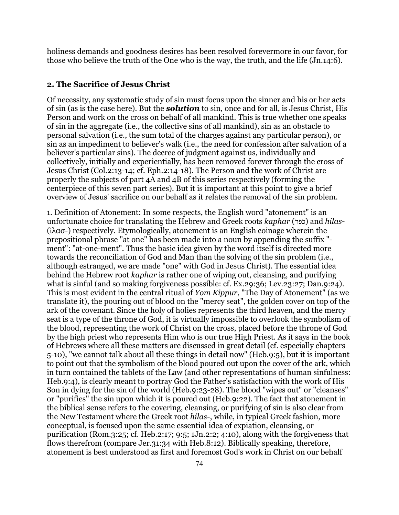holiness demands and goodness desires has been resolved forevermore in our favor, for those who believe the truth of the One who is the way, the truth, and the life (Jn.14:6).

#### **2. The Sacrifice of Jesus Christ**

Of necessity, any systematic study of sin must focus upon the sinner and his or her acts of sin (as is the case here). But the *solution* to sin, once and for all, is Jesus Christ, His Person and work on the cross on behalf of all mankind. This is true whether one speaks of sin in the aggregate (i.e., the collective sins of all mankind), sin as an obstacle to personal salvation (i.e., the sum total of the charges against any particular person), or sin as an impediment to believer's walk (i.e., the need for confession after salvation of a believer's particular sins). The decree of judgment against us, individually and collectively, initially and experientially, has been removed forever through the cross of Jesus Christ (Col.2:13-14; cf. Eph.2:14-18). The Person and the work of Christ are properly the subjects of part 4A and 4B of this series respectively (forming the centerpiece of this seven part series). But it is important at this point to give a brief overview of Jesus' sacrifice on our behalf as it relates the removal of the sin problem.

1. Definition of Atonement: In some respects, the English word "atonement" is an unfortunate choice for translating the Hebrew and Greek roots *kaphar* (כפר (and *hilas-* (ἱλασ-) respectively. Etymologically, atonement is an English coinage wherein the prepositional phrase "at one" has been made into a noun by appending the suffix " ment": "at-one-ment". Thus the basic idea given by the word itself is directed more towards the reconciliation of God and Man than the solving of the sin problem (i.e., although estranged, we are made "one" with God in Jesus Christ). The essential idea behind the Hebrew root *kaphar* is rather one of wiping out, cleansing, and purifying what is sinful (and so making forgiveness possible: cf. Ex.29:36; Lev.23:27; Dan.9:24). This is most evident in the central ritual of *Yom Kippur*, "The Day of Atonement" (as we translate it), the pouring out of blood on the "mercy seat", the golden cover on top of the ark of the covenant. Since the holy of holies represents the third heaven, and the mercy seat is a type of the throne of God, it is virtually impossible to overlook the symbolism of the blood, representing the work of Christ on the cross, placed before the throne of God by the high priest who represents Him who is our true High Priest. As it says in the book of Hebrews where all these matters are discussed in great detail (cf. especially chapters 5-10), "we cannot talk about all these things in detail now" (Heb.9:5), but it is important to point out that the symbolism of the blood poured out upon the cover of the ark, which in turn contained the tablets of the Law (and other representations of human sinfulness: Heb.9:4), is clearly meant to portray God the Father's satisfaction with the work of His Son in dying for the sin of the world (Heb.9:23-28). The blood "wipes out" or "cleanses" or "purifies" the sin upon which it is poured out (Heb.9:22). The fact that atonement in the biblical sense refers to the covering, cleansing, or purifying of sin is also clear from the New Testament where the Greek root *hilas-*, while, in typical Greek fashion, more conceptual, is focused upon the same essential idea of expiation, cleansing, or purification (Rom.3:25; cf. Heb.2:17; 9:5; 1Jn.2:2; 4:10), along with the forgiveness that flows therefrom (compare Jer.31:34 with Heb.8:12). Biblically speaking, therefore, atonement is best understood as first and foremost God's work in Christ on our behalf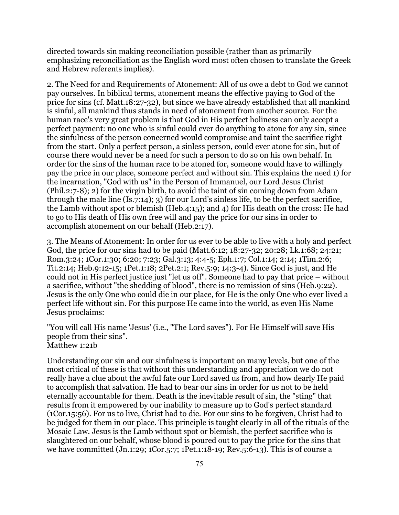directed towards sin making reconciliation possible (rather than as primarily emphasizing reconciliation as the English word most often chosen to translate the Greek and Hebrew referents implies).

2. The Need for and Requirements of Atonement: All of us owe a debt to God we cannot pay ourselves. In biblical terms, atonement means the effective paying to God of the price for sins (cf. Matt.18:27-32), but since we have already established that all mankind is sinful, all mankind thus stands in need of atonement from another source. For the human race's very great problem is that God in His perfect holiness can only accept a perfect payment: no one who is sinful could ever do anything to atone for any sin, since the sinfulness of the person concerned would compromise and taint the sacrifice right from the start. Only a perfect person, a sinless person, could ever atone for sin, but of course there would never be a need for such a person to do so on his own behalf. In order for the sins of the human race to be atoned for, someone would have to willingly pay the price in our place, someone perfect and without sin. This explains the need 1) for the incarnation, "God with us" in the Person of Immanuel, our Lord Jesus Christ (Phil.2:7-8); 2) for the virgin birth, to avoid the taint of sin coming down from Adam through the male line (Is.7:14); 3) for our Lord's sinless life, to be the perfect sacrifice, the Lamb without spot or blemish (Heb.4:15); and 4) for His death on the cross: He had to go to His death of His own free will and pay the price for our sins in order to accomplish atonement on our behalf (Heb.2:17).

3. The Means of Atonement: In order for us ever to be able to live with a holy and perfect God, the price for our sins had to be paid (Matt.6:12; 18:27-32; 20:28; Lk.1:68; 24:21; Rom.3:24; 1Cor.1:30; 6:20; 7:23; Gal.3:13; 4:4-5; Eph.1:7; Col.1:14; 2:14; 1Tim.2:6; Tit.2:14; Heb.9:12-15; 1Pet.1:18; 2Pet.2:1; Rev.5:9; 14:3-4). Since God is just, and He could not in His perfect justice just "let us off". Someone had to pay that price – without a sacrifice, without "the shedding of blood", there is no remission of sins (Heb.9:22). Jesus is the only One who could die in our place, for He is the only One who ever lived a perfect life without sin. For this purpose He came into the world, as even His Name Jesus proclaims:

"You will call His name 'Jesus' (i.e., "The Lord saves"). For He Himself will save His people from their sins". Matthew 1:21b

Understanding our sin and our sinfulness is important on many levels, but one of the most critical of these is that without this understanding and appreciation we do not really have a clue about the awful fate our Lord saved us from, and how dearly He paid to accomplish that salvation. He had to bear our sins in order for us not to be held eternally accountable for them. Death is the inevitable result of sin, the "sting" that results from it empowered by our inability to measure up to God's perfect standard (1Cor.15:56). For us to live, Christ had to die. For our sins to be forgiven, Christ had to be judged for them in our place. This principle is taught clearly in all of the rituals of the Mosaic Law. Jesus is the Lamb without spot or blemish, the perfect sacrifice who is slaughtered on our behalf, whose blood is poured out to pay the price for the sins that we have committed (Jn.1:29; 1Cor.5:7; 1Pet.1:18-19; Rev.5:6-13). This is of course a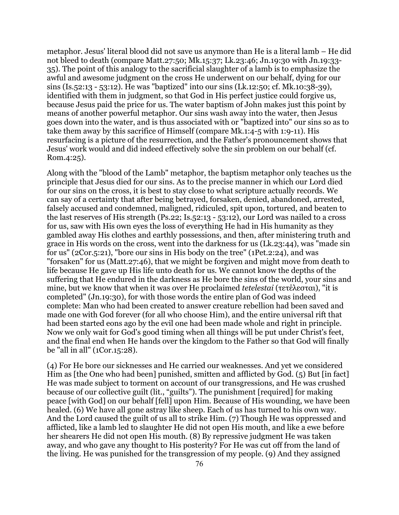metaphor. Jesus' literal blood did not save us anymore than He is a literal lamb – He did not bleed to death (compare Matt.27:50; Mk.15:37; Lk.23:46; Jn.19:30 with Jn.19:33- 35). The point of this analogy to the sacrificial slaughter of a lamb is to emphasize the awful and awesome judgment on the cross He underwent on our behalf, dying for our sins (Is.52:13 - 53:12). He was "baptized" into our sins (Lk.12:50; cf. Mk.10:38-39), identified with them in judgment, so that God in His perfect justice could forgive us, because Jesus paid the price for us. The water baptism of John makes just this point by means of another powerful metaphor. Our sins wash away into the water, then Jesus goes down into the water, and is thus associated with or "baptized into" our sins so as to take them away by this sacrifice of Himself (compare Mk.1:4-5 with 1:9-11). His resurfacing is a picture of the resurrection, and the Father's pronouncement shows that Jesus' work would and did indeed effectively solve the sin problem on our behalf (cf. Rom.4:25).

Along with the "blood of the Lamb" metaphor, the baptism metaphor only teaches us the principle that Jesus died for our sins. As to the precise manner in which our Lord died for our sins on the cross, it is best to stay close to what scripture actually records. We can say of a certainty that after being betrayed, forsaken, denied, abandoned, arrested, falsely accused and condemned, maligned, ridiculed, spit upon, tortured, and beaten to the last reserves of His strength (Ps.22; Is.52:13 - 53:12), our Lord was nailed to a cross for us, saw with His own eyes the loss of everything He had in His humanity as they gambled away His clothes and earthly possessions, and then, after ministering truth and grace in His words on the cross, went into the darkness for us (Lk.23:44), was "made sin for us" (2Cor.5:21), "bore our sins in His body on the tree" (1Pet.2:24), and was "forsaken" for us (Matt.27:46), that we might be forgiven and might move from death to life because He gave up His life unto death for us. We cannot know the depths of the suffering that He endured in the darkness as He bore the sins of the world, your sins and mine, but we know that when it was over He proclaimed *tetelestai* (τετέλεσται), "it is completed" (Jn.19:30), for with those words the entire plan of God was indeed complete: Man who had been created to answer creature rebellion had been saved and made one with God forever (for all who choose Him), and the entire universal rift that had been started eons ago by the evil one had been made whole and right in principle. Now we only wait for God's good timing when all things will be put under Christ's feet, and the final end when He hands over the kingdom to the Father so that God will finally be "all in all" (1Cor.15:28).

(4) For He bore our sicknesses and He carried our weaknesses. And yet we considered Him as [the One who had been] punished, smitten and afflicted by God. (5) But [in fact] He was made subject to torment on account of our transgressions, and He was crushed because of our collective guilt (lit., "guilts"). The punishment [required] for making peace [with God] on our behalf [fell] upon Him. Because of His wounding, we have been healed. (6) We have all gone astray like sheep. Each of us has turned to his own way. And the Lord caused the guilt of us all to strike Him. (7) Though He was oppressed and afflicted, like a lamb led to slaughter He did not open His mouth, and like a ewe before her shearers He did not open His mouth. (8) By repressive judgment He was taken away, and who gave any thought to His posterity? For He was cut off from the land of the living. He was punished for the transgression of my people. (9) And they assigned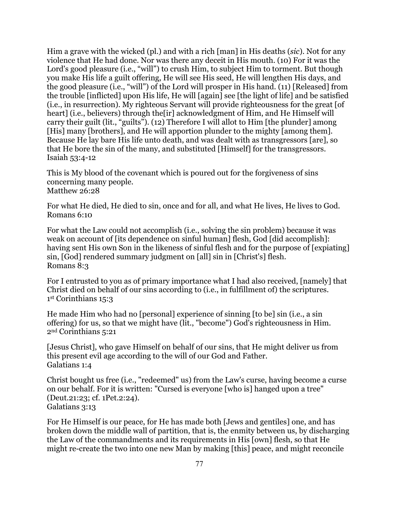Him a grave with the wicked (pl.) and with a rich [man] in His deaths (*sic*). Not for any violence that He had done. Nor was there any deceit in His mouth. (10) For it was the Lord's good pleasure (i.e., "will") to crush Him, to subject Him to torment. But though you make His life a guilt offering, He will see His seed, He will lengthen His days, and the good pleasure (i.e., "will") of the Lord will prosper in His hand. (11) [Released] from the trouble [inflicted] upon His life, He will [again] see [the light of life] and be satisfied (i.e., in resurrection). My righteous Servant will provide righteousness for the great [of heart] (i.e., believers) through the [ir] acknowledgment of Him, and He Himself will carry their guilt (lit., "guilts"). (12) Therefore I will allot to Him [the plunder] among [His] many [brothers], and He will apportion plunder to the mighty [among them]. Because He lay bare His life unto death, and was dealt with as transgressors [are], so that He bore the sin of the many, and substituted [Himself] for the transgressors. Isaiah 53:4-12

This is My blood of the covenant which is poured out for the forgiveness of sins concerning many people. Matthew 26:28

For what He died, He died to sin, once and for all, and what He lives, He lives to God. Romans 6:10

For what the Law could not accomplish (i.e., solving the sin problem) because it was weak on account of [its dependence on sinful human] flesh, God [did accomplish]: having sent His own Son in the likeness of sinful flesh and for the purpose of [expiating] sin, [God] rendered summary judgment on [all] sin in [Christ's] flesh. Romans 8:3

For I entrusted to you as of primary importance what I had also received, [namely] that Christ died on behalf of our sins according to (i.e., in fulfillment of) the scriptures. 1st Corinthians 15:3

He made Him who had no [personal] experience of sinning [to be] sin (i.e., a sin offering) for us, so that we might have (lit., "become") God's righteousness in Him. 2nd Corinthians 5:21

[Jesus Christ], who gave Himself on behalf of our sins, that He might deliver us from this present evil age according to the will of our God and Father. Galatians 1:4

Christ bought us free (i.e., "redeemed" us) from the Law's curse, having become a curse on our behalf. For it is written: "Cursed is everyone [who is] hanged upon a tree" (Deut.21:23; cf. 1Pet.2:24). Galatians 3:13

For He Himself is our peace, for He has made both [Jews and gentiles] one, and has broken down the middle wall of partition, that is, the enmity between us, by discharging the Law of the commandments and its requirements in His [own] flesh, so that He might re-create the two into one new Man by making [this] peace, and might reconcile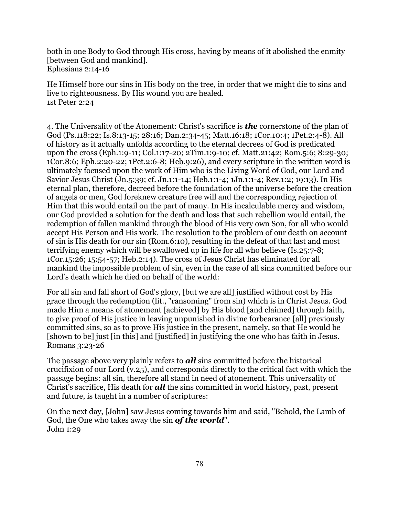both in one Body to God through His cross, having by means of it abolished the enmity [between God and mankind]. Ephesians 2:14-16

He Himself bore our sins in His body on the tree, in order that we might die to sins and live to righteousness. By His wound you are healed. 1st Peter 2:24

4. The Universality of the Atonement: Christ's sacrifice is *the* cornerstone of the plan of God (Ps.118:22; Is.8:13-15; 28:16; Dan.2:34-45; Matt.16:18; 1Cor.10:4; 1Pet.2:4-8). All of history as it actually unfolds according to the eternal decrees of God is predicated upon the cross (Eph.1:9-11; Col.1:17-20; 2Tim.1:9-10; cf. Matt.21:42; Rom.5:6; 8:29-30; 1Cor.8:6; Eph.2:20-22; 1Pet.2:6-8; Heb.9:26), and every scripture in the written word is ultimately focused upon the work of Him who is the Living Word of God, our Lord and Savior Jesus Christ (Jn.5:39; cf. Jn.1:1-14; Heb.1:1-4; 1Jn.1:1-4; Rev.1:2; 19:13). In His eternal plan, therefore, decreed before the foundation of the universe before the creation of angels or men, God foreknew creature free will and the corresponding rejection of Him that this would entail on the part of many. In His incalculable mercy and wisdom, our God provided a solution for the death and loss that such rebellion would entail, the redemption of fallen mankind through the blood of His very own Son, for all who would accept His Person and His work. The resolution to the problem of our death on account of sin is His death for our sin (Rom.6:10), resulting in the defeat of that last and most terrifying enemy which will be swallowed up in life for all who believe (Is.25:7-8; 1Cor.15:26; 15:54-57; Heb.2:14). The cross of Jesus Christ has eliminated for all mankind the impossible problem of sin, even in the case of all sins committed before our Lord's death which he died on behalf of the world:

For all sin and fall short of God's glory, [but we are all] justified without cost by His grace through the redemption (lit., "ransoming" from sin) which is in Christ Jesus. God made Him a means of atonement [achieved] by His blood [and claimed] through faith, to give proof of His justice in leaving unpunished in divine forbearance [all] previously committed sins, so as to prove His justice in the present, namely, so that He would be [shown to be] just [in this] and [justified] in justifying the one who has faith in Jesus. Romans 3:23-26

The passage above very plainly refers to *all* sins committed before the historical crucifixion of our Lord (v.25), and corresponds directly to the critical fact with which the passage begins: all sin, therefore all stand in need of atonement. This universality of Christ's sacrifice, His death for *all* the sins committed in world history, past, present and future, is taught in a number of scriptures:

On the next day, [John] saw Jesus coming towards him and said, "Behold, the Lamb of God, the One who takes away the sin *of the world*". John 1:29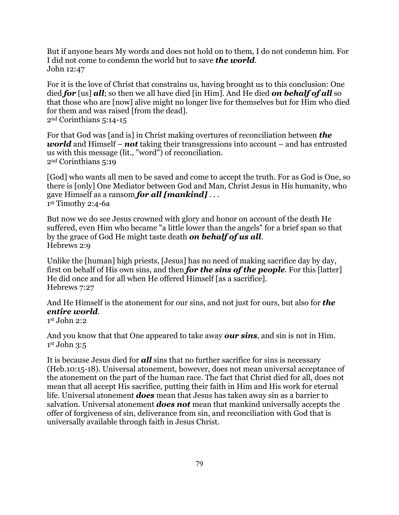But if anyone hears My words and does not hold on to them, I do not condemn him. For I did not come to condemn the world but to save *the world*. John 12:47

For it is the love of Christ that constrains us, having brought us to this conclusion: One died *for* [us] *all*; so then we all have died [in Him]. And He died *on behalf of all* so that those who are [now] alive might no longer live for themselves but for Him who died for them and was raised [from the dead]. 2nd Corinthians 5:14-15

For that God was [and is] in Christ making overtures of reconciliation between *the world* and Himself – *not* taking their transgressions into account – and has entrusted us with this message (lit., "word") of reconciliation. 2nd Corinthians 5:19

[God] who wants all men to be saved and come to accept the truth. For as God is One, so there is [only] One Mediator between God and Man, Christ Jesus in His humanity, who gave Himself as a ransom *for all [mankind]* . . . 1st Timothy 2:4-6a

But now we do see Jesus crowned with glory and honor on account of the death He suffered, even Him who became "a little lower than the angels" for a brief span so that by the grace of God He might taste death *on behalf of us all*. Hebrews 2:9

Unlike the [human] high priests, [Jesus] has no need of making sacrifice day by day, first on behalf of His own sins, and then *for the sins of the people*. For this [latter] He did once and for all when He offered Himself [as a sacrifice]. Hebrews 7:27

And He Himself is the atonement for our sins, and not just for ours, but also for *the entire world*.

1st John 2:2

And you know that that One appeared to take away *our sins*, and sin is not in Him. 1st John 3:5

It is because Jesus died for *all* sins that no further sacrifice for sins is necessary (Heb.10:15-18). Universal atonement, however, does not mean universal acceptance of the atonement on the part of the human race. The fact that Christ died for all, does not mean that all accept His sacrifice, putting their faith in Him and His work for eternal life. Universal atonement *does* mean that Jesus has taken away sin as a barrier to salvation. Universal atonement *does not* mean that mankind universally accepts the offer of forgiveness of sin, deliverance from sin, and reconciliation with God that is universally available through faith in Jesus Christ.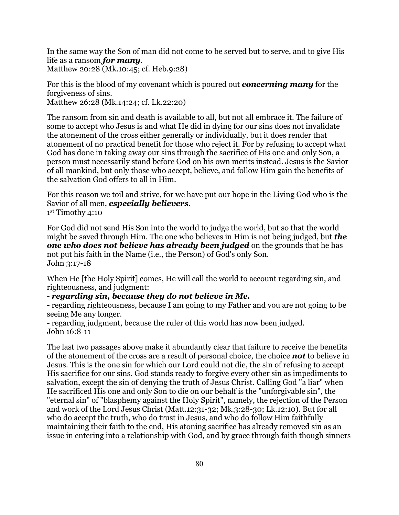In the same way the Son of man did not come to be served but to serve, and to give His life as a ransom *for many*. Matthew 20:28 (Mk.10:45; cf. Heb.9:28)

For this is the blood of my covenant which is poured out *concerning many* for the forgiveness of sins. Matthew 26:28 (Mk.14:24; cf. Lk.22:20)

The ransom from sin and death is available to all, but not all embrace it. The failure of some to accept who Jesus is and what He did in dying for our sins does not invalidate the atonement of the cross either generally or individually, but it does render that atonement of no practical benefit for those who reject it. For by refusing to accept what God has done in taking away our sins through the sacrifice of His one and only Son, a person must necessarily stand before God on his own merits instead. Jesus is the Savior of all mankind, but only those who accept, believe, and follow Him gain the benefits of the salvation God offers to all in Him.

For this reason we toil and strive, for we have put our hope in the Living God who is the Savior of all men, *especially believers*. 1st Timothy 4:10

For God did not send His Son into the world to judge the world, but so that the world might be saved through Him. The one who believes in Him is not being judged, but *the one who does not believe has already been judged* on the grounds that he has not put his faith in the Name (i.e., the Person) of God's only Son. John 3:17-18

When He [the Holy Spirit] comes, He will call the world to account regarding sin, and righteousness, and judgment:

- *regarding sin, because they do not believe in Me.* 

- regarding righteousness, because I am going to my Father and you are not going to be seeing Me any longer.

- regarding judgment, because the ruler of this world has now been judged. John 16:8-11

The last two passages above make it abundantly clear that failure to receive the benefits of the atonement of the cross are a result of personal choice, the choice *not* to believe in Jesus. This is the one sin for which our Lord could not die, the sin of refusing to accept His sacrifice for our sins. God stands ready to forgive every other sin as impediments to salvation, except the sin of denying the truth of Jesus Christ. Calling God "a liar" when He sacrificed His one and only Son to die on our behalf is the "unforgivable sin", the "eternal sin" of "blasphemy against the Holy Spirit", namely, the rejection of the Person and work of the Lord Jesus Christ (Matt.12:31-32; Mk.3:28-30; Lk.12:10). But for all who do accept the truth, who do trust in Jesus, and who do follow Him faithfully maintaining their faith to the end, His atoning sacrifice has already removed sin as an issue in entering into a relationship with God, and by grace through faith though sinners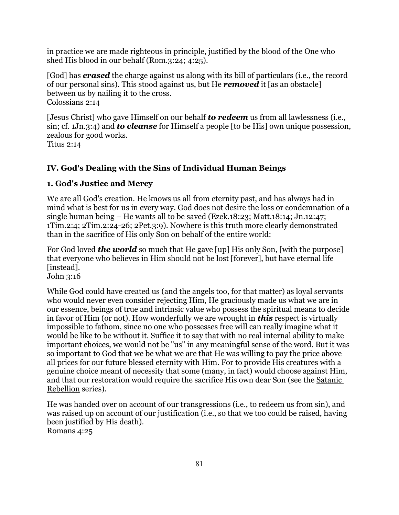in practice we are made righteous in principle, justified by the blood of the One who shed His blood in our behalf (Rom.3:24; 4:25).

[God] has *erased* the charge against us along with its bill of particulars (i.e., the record of our personal sins). This stood against us, but He *removed* it [as an obstacle] between us by nailing it to the cross. Colossians 2:14

[Jesus Christ] who gave Himself on our behalf *to redeem* us from all lawlessness (i.e., sin; cf. 1Jn.3:4) and *to cleanse* for Himself a people [to be His] own unique possession, zealous for good works. Titus 2:14

# **IV. God's Dealing with the Sins of Individual Human Beings**

## **1. God's Justice and Mercy**

We are all God's creation. He knows us all from eternity past, and has always had in mind what is best for us in every way. God does not desire the loss or condemnation of a single human being – He wants all to be saved (Ezek.18:23; Matt.18:14; Jn.12:47; 1Tim.2:4; 2Tim.2:24-26; 2Pet.3:9). Nowhere is this truth more clearly demonstrated than in the sacrifice of His only Son on behalf of the entire world:

For God loved *the world* so much that He gave [up] His only Son, [with the purpose] that everyone who believes in Him should not be lost [forever], but have eternal life [instead]. John 3:16

While God could have created us (and the angels too, for that matter) as loyal servants who would never even consider rejecting Him, He graciously made us what we are in our essence, beings of true and intrinsic value who possess the spiritual means to decide in favor of Him (or not). How wonderfully we are wrought in *this* respect is virtually impossible to fathom, since no one who possesses free will can really imagine what it would be like to be without it. Suffice it to say that with no real internal ability to make important choices, we would not be "us" in any meaningful sense of the word. But it was so important to God that we be what we are that He was willing to pay the price above all prices for our future blessed eternity with Him. For to provide His creatures with a genuine choice meant of necessity that some (many, in fact) would choose against Him, and that our restoration would require the sacrifice His own dear Son (see the Satanic Rebellion series).

He was handed over on account of our transgressions (i.e., to redeem us from sin), and was raised up on account of our justification (i.e., so that we too could be raised, having been justified by His death). Romans 4:25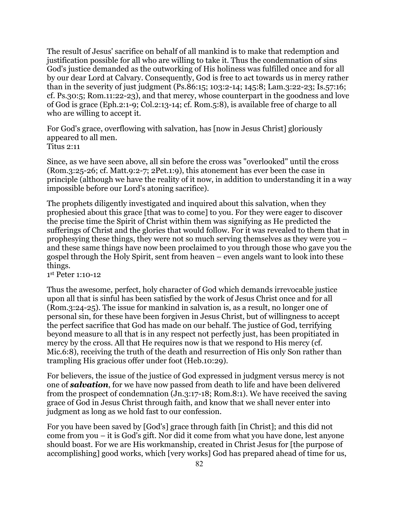The result of Jesus' sacrifice on behalf of all mankind is to make that redemption and justification possible for all who are willing to take it. Thus the condemnation of sins God's justice demanded as the outworking of His holiness was fulfilled once and for all by our dear Lord at Calvary. Consequently, God is free to act towards us in mercy rather than in the severity of just judgment (Ps.86:15; 103:2-14; 145:8; Lam.3:22-23; Is.57:16; cf. Ps.30:5; Rom.11:22-23), and that mercy, whose counterpart in the goodness and love of God is grace (Eph.2:1-9; Col.2:13-14; cf. Rom.5:8), is available free of charge to all who are willing to accept it.

For God's grace, overflowing with salvation, has [now in Jesus Christ] gloriously appeared to all men. Titus 2:11

Since, as we have seen above, all sin before the cross was "overlooked" until the cross (Rom.3:25-26; cf. Matt.9:2-7; 2Pet.1:9), this atonement has ever been the case in principle (although we have the reality of it now, in addition to understanding it in a way impossible before our Lord's atoning sacrifice).

The prophets diligently investigated and inquired about this salvation, when they prophesied about this grace [that was to come] to you. For they were eager to discover the precise time the Spirit of Christ within them was signifying as He predicted the sufferings of Christ and the glories that would follow. For it was revealed to them that in prophesying these things, they were not so much serving themselves as they were you – and these same things have now been proclaimed to you through those who gave you the gospel through the Holy Spirit, sent from heaven – even angels want to look into these things.

1st Peter 1:10-12

Thus the awesome, perfect, holy character of God which demands irrevocable justice upon all that is sinful has been satisfied by the work of Jesus Christ once and for all (Rom.3:24-25). The issue for mankind in salvation is, as a result, no longer one of personal sin, for these have been forgiven in Jesus Christ, but of willingness to accept the perfect sacrifice that God has made on our behalf. The justice of God, terrifying beyond measure to all that is in any respect not perfectly just, has been propitiated in mercy by the cross. All that He requires now is that we respond to His mercy (cf. Mic.6:8), receiving the truth of the death and resurrection of His only Son rather than trampling His gracious offer under foot (Heb.10:29).

For believers, the issue of the justice of God expressed in judgment versus mercy is not one of *salvation*, for we have now passed from death to life and have been delivered from the prospect of condemnation (Jn.3:17-18; Rom.8:1). We have received the saving grace of God in Jesus Christ through faith, and know that we shall never enter into judgment as long as we hold fast to our confession.

For you have been saved by [God's] grace through faith [in Christ]; and this did not come from you – it is God's gift. Nor did it come from what you have done, lest anyone should boast. For we are His workmanship, created in Christ Jesus for [the purpose of accomplishing] good works, which [very works] God has prepared ahead of time for us,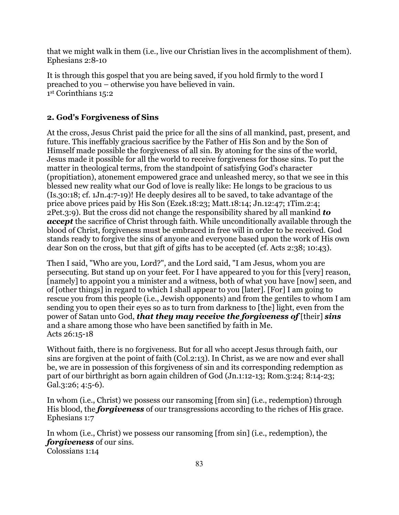that we might walk in them (i.e., live our Christian lives in the accomplishment of them). Ephesians 2:8-10

It is through this gospel that you are being saved, if you hold firmly to the word I preached to you – otherwise you have believed in vain. 1st Corinthians 15:2

### **2. God's Forgiveness of Sins**

At the cross, Jesus Christ paid the price for all the sins of all mankind, past, present, and future. This ineffably gracious sacrifice by the Father of His Son and by the Son of Himself made possible the forgiveness of all sin. By atoning for the sins of the world, Jesus made it possible for all the world to receive forgiveness for those sins. To put the matter in theological terms, from the standpoint of satisfying God's character (propitiation), atonement empowered grace and unleashed mercy, so that we see in this blessed new reality what our God of love is really like: He longs to be gracious to us (Is.30:18; cf. 1Jn.4:7-19)! He deeply desires all to be saved, to take advantage of the price above prices paid by His Son (Ezek.18:23; Matt.18:14; Jn.12:47; 1Tim.2:4; 2Pet.3:9). But the cross did not change the responsibility shared by all mankind *to accept* the sacrifice of Christ through faith. While unconditionally available through the blood of Christ, forgiveness must be embraced in free will in order to be received. God stands ready to forgive the sins of anyone and everyone based upon the work of His own dear Son on the cross, but that gift of gifts has to be accepted (cf. Acts 2:38; 10:43).

Then I said, "Who are you, Lord?", and the Lord said, "I am Jesus, whom you are persecuting. But stand up on your feet. For I have appeared to you for this [very] reason, [namely] to appoint you a minister and a witness, both of what you have [now] seen, and of [other things] in regard to which I shall appear to you [later]. [For] I am going to rescue you from this people (i.e., Jewish opponents) and from the gentiles to whom I am sending you to open their eyes so as to turn from darkness to [the] light, even from the power of Satan unto God, *that they may receive the forgiveness of* [their] *sins*  and a share among those who have been sanctified by faith in Me. Acts 26:15-18

Without faith, there is no forgiveness. But for all who accept Jesus through faith, our sins are forgiven at the point of faith (Col.2:13). In Christ, as we are now and ever shall be, we are in possession of this forgiveness of sin and its corresponding redemption as part of our birthright as born again children of God (Jn.1:12-13; Rom.3:24; 8:14-23; Gal.3:26; 4:5-6).

In whom (i.e., Christ) we possess our ransoming [from sin] (i.e., redemption) through His blood, the *forgiveness* of our transgressions according to the riches of His grace. Ephesians 1:7

In whom (i.e., Christ) we possess our ransoming [from sin] (i.e., redemption), the *forgiveness* of our sins. Colossians 1:14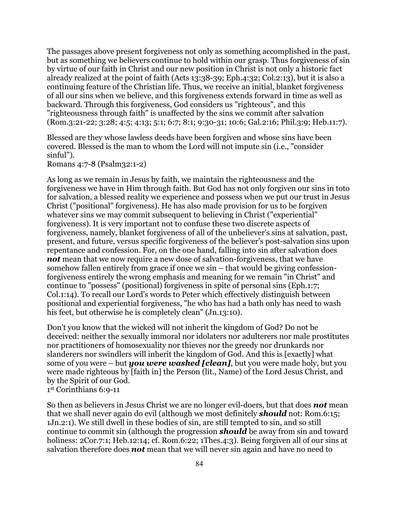The passages above present forgiveness not only as something accomplished in the past, but as something we believers continue to hold within our grasp. Thus forgiveness of sin by virtue of our faith in Christ and our new position in Christ is not only a historic fact already realized at the point of faith (Acts 13:38-39; Eph.4:32; Col.2:13), but it is also a continuing feature of the Christian life. Thus, we receive an initial, blanket forgiveness of all our sins when we believe, and this forgiveness extends forward in time as well as backward. Through this forgiveness, God considers us "righteous", and this "righteousness through faith" is unaffected by the sins we commit after salvation (Rom.3:21-22; 3:28; 4:5; 4:13; 5:1; 6:7; 8:1; 9:30-31; 10:6; Gal.2:16; Phil.3:9; Heb.11:7).

Blessed are they whose lawless deeds have been forgiven and whose sins have been covered. Blessed is the man to whom the Lord will not impute sin (i.e., "consider sinful").

Romans 4:7-8 (Psalm32:1-2)

As long as we remain in Jesus by faith, we maintain the righteousness and the forgiveness we have in Him through faith. But God has not only forgiven our sins in toto for salvation, a blessed reality we experience and possess when we put our trust in Jesus Christ ("positional" forgiveness). He has also made provision for us to be forgiven whatever sins we may commit subsequent to believing in Christ ("experiential" forgiveness). It is very important not to confuse these two discrete aspects of forgiveness, namely, blanket forgiveness of all of the unbeliever's sins at salvation, past, present, and future, versus specific forgiveness of the believer's post-salvation sins upon repentance and confession. For, on the one hand, falling into sin after salvation does *not* mean that we now require a new dose of salvation-forgiveness, that we have somehow fallen entirely from grace if once we sin – that would be giving confessionforgiveness entirely the wrong emphasis and meaning for we remain "in Christ" and continue to "possess" (positional) forgiveness in spite of personal sins (Eph.1:7; Col.1:14). To recall our Lord's words to Peter which effectively distinguish between positional and experiential forgiveness, "he who has had a bath only has need to wash his feet, but otherwise he is completely clean" (Jn.13:10).

Don't you know that the wicked will not inherit the kingdom of God? Do not be deceived: neither the sexually immoral nor idolaters nor adulterers nor male prostitutes nor practitioners of homosexuality nor thieves nor the greedy nor drunkards nor slanderers nor swindlers will inherit the kingdom of God. And this is [exactly] what some of you were – but *you were washed [clean]*, but you were made holy, but you were made righteous by [faith in] the Person (lit., Name) of the Lord Jesus Christ, and by the Spirit of our God. 1st Corinthians 6:9-11

So then as believers in Jesus Christ we are no longer evil-doers, but that does *not* mean that we shall never again do evil (although we most definitely *should* not: Rom.6:15; 1Jn.2:1). We still dwell in these bodies of sin, are still tempted to sin, and so still continue to commit sin (although the progression *should* be away from sin and toward holiness: 2Cor.7:1; Heb.12:14; cf. Rom.6:22; 1Thes.4:3). Being forgiven all of our sins at salvation therefore does *not* mean that we will never sin again and have no need to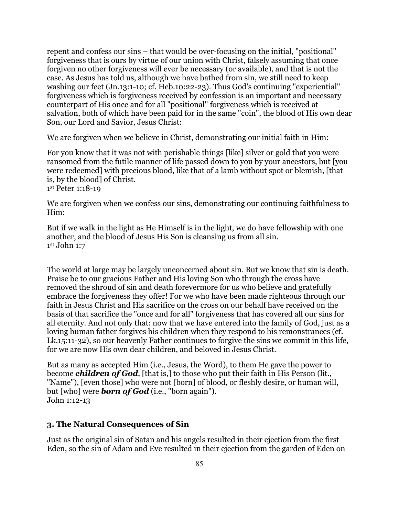repent and confess our sins – that would be over-focusing on the initial, "positional" forgiveness that is ours by virtue of our union with Christ, falsely assuming that once forgiven no other forgiveness will ever be necessary (or available), and that is not the case. As Jesus has told us, although we have bathed from sin, we still need to keep washing our feet (Jn.13:1-10; cf. Heb.10:22-23). Thus God's continuing "experiential" forgiveness which is forgiveness received by confession is an important and necessary counterpart of His once and for all "positional" forgiveness which is received at salvation, both of which have been paid for in the same "coin", the blood of His own dear Son, our Lord and Savior, Jesus Christ:

We are forgiven when we believe in Christ, demonstrating our initial faith in Him:

For you know that it was not with perishable things [like] silver or gold that you were ransomed from the futile manner of life passed down to you by your ancestors, but [you were redeemed] with precious blood, like that of a lamb without spot or blemish, [that is, by the blood] of Christ.

1st Peter 1:18-19

We are forgiven when we confess our sins, demonstrating our continuing faithfulness to Him:

But if we walk in the light as He Himself is in the light, we do have fellowship with one another, and the blood of Jesus His Son is cleansing us from all sin. 1st John 1:7

The world at large may be largely unconcerned about sin. But we know that sin is death. Praise be to our gracious Father and His loving Son who through the cross have removed the shroud of sin and death forevermore for us who believe and gratefully embrace the forgiveness they offer! For we who have been made righteous through our faith in Jesus Christ and His sacrifice on the cross on our behalf have received on the basis of that sacrifice the "once and for all" forgiveness that has covered all our sins for all eternity. And not only that: now that we have entered into the family of God, just as a loving human father forgives his children when they respond to his remonstrances (cf. Lk.15:11-32), so our heavenly Father continues to forgive the sins we commit in this life, for we are now His own dear children, and beloved in Jesus Christ.

But as many as accepted Him (i.e., Jesus, the Word), to them He gave the power to become *children of God*, [that is,] to those who put their faith in His Person (lit., "Name"), [even those] who were not [born] of blood, or fleshly desire, or human will, but [who] were *born of God* (i.e., "born again"). John 1:12-13

### **3. The Natural Consequences of Sin**

Just as the original sin of Satan and his angels resulted in their ejection from the first Eden, so the sin of Adam and Eve resulted in their ejection from the garden of Eden on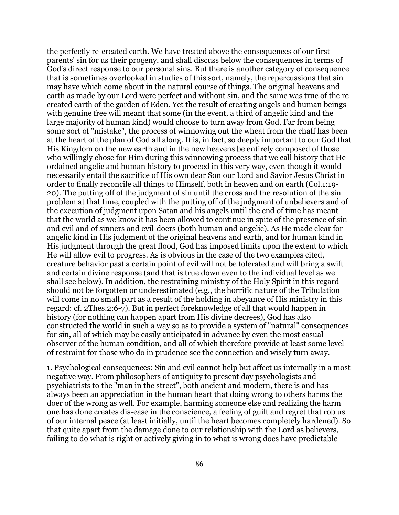the perfectly re-created earth. We have treated above the consequences of our first parents' sin for us their progeny, and shall discuss below the consequences in terms of God's direct response to our personal sins. But there is another category of consequence that is sometimes overlooked in studies of this sort, namely, the repercussions that sin may have which come about in the natural course of things. The original heavens and earth as made by our Lord were perfect and without sin, and the same was true of the recreated earth of the garden of Eden. Yet the result of creating angels and human beings with genuine free will meant that some (in the event, a third of angelic kind and the large majority of human kind) would choose to turn away from God. Far from being some sort of "mistake", the process of winnowing out the wheat from the chaff has been at the heart of the plan of God all along. It is, in fact, so deeply important to our God that His Kingdom on the new earth and in the new heavens be entirely composed of those who willingly chose for Him during this winnowing process that we call history that He ordained angelic and human history to proceed in this very way, even though it would necessarily entail the sacrifice of His own dear Son our Lord and Savior Jesus Christ in order to finally reconcile all things to Himself, both in heaven and on earth (Col.1:19- 20). The putting off of the judgment of sin until the cross and the resolution of the sin problem at that time, coupled with the putting off of the judgment of unbelievers and of the execution of judgment upon Satan and his angels until the end of time has meant that the world as we know it has been allowed to continue in spite of the presence of sin and evil and of sinners and evil-doers (both human and angelic). As He made clear for angelic kind in His judgment of the original heavens and earth, and for human kind in His judgment through the great flood, God has imposed limits upon the extent to which He will allow evil to progress. As is obvious in the case of the two examples cited, creature behavior past a certain point of evil will not be tolerated and will bring a swift and certain divine response (and that is true down even to the individual level as we shall see below). In addition, the restraining ministry of the Holy Spirit in this regard should not be forgotten or underestimated (e.g., the horrific nature of the Tribulation will come in no small part as a result of the holding in abeyance of His ministry in this regard: cf. 2Thes.2:6-7). But in perfect foreknowledge of all that would happen in history (for nothing can happen apart from His divine decrees), God has also constructed the world in such a way so as to provide a system of "natural" consequences for sin, all of which may be easily anticipated in advance by even the most casual observer of the human condition, and all of which therefore provide at least some level of restraint for those who do in prudence see the connection and wisely turn away.

1. Psychological consequences: Sin and evil cannot help but affect us internally in a most negative way. From philosophers of antiquity to present day psychologists and psychiatrists to the "man in the street", both ancient and modern, there is and has always been an appreciation in the human heart that doing wrong to others harms the doer of the wrong as well. For example, harming someone else and realizing the harm one has done creates dis-ease in the conscience, a feeling of guilt and regret that rob us of our internal peace (at least initially, until the heart becomes completely hardened). So that quite apart from the damage done to our relationship with the Lord as believers, failing to do what is right or actively giving in to what is wrong does have predictable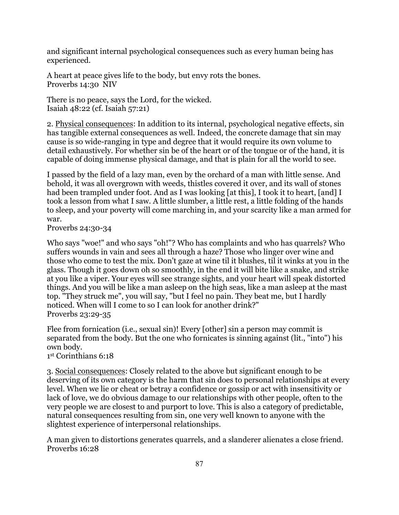and significant internal psychological consequences such as every human being has experienced.

A heart at peace gives life to the body, but envy rots the bones. Proverbs 14:30 NIV

There is no peace, says the Lord, for the wicked. Isaiah 48:22 (cf. Isaiah 57:21)

2. Physical consequences: In addition to its internal, psychological negative effects, sin has tangible external consequences as well. Indeed, the concrete damage that sin may cause is so wide-ranging in type and degree that it would require its own volume to detail exhaustively. For whether sin be of the heart or of the tongue or of the hand, it is capable of doing immense physical damage, and that is plain for all the world to see.

I passed by the field of a lazy man, even by the orchard of a man with little sense. And behold, it was all overgrown with weeds, thistles covered it over, and its wall of stones had been trampled under foot. And as I was looking [at this], I took it to heart, [and] I took a lesson from what I saw. A little slumber, a little rest, a little folding of the hands to sleep, and your poverty will come marching in, and your scarcity like a man armed for war.

Proverbs 24:30-34

Who says "woe!" and who says "oh!"? Who has complaints and who has quarrels? Who suffers wounds in vain and sees all through a haze? Those who linger over wine and those who come to test the mix. Don't gaze at wine til it blushes, til it winks at you in the glass. Though it goes down oh so smoothly, in the end it will bite like a snake, and strike at you like a viper. Your eyes will see strange sights, and your heart will speak distorted things. And you will be like a man asleep on the high seas, like a man asleep at the mast top. "They struck me", you will say, "but I feel no pain. They beat me, but I hardly noticed. When will I come to so I can look for another drink?" Proverbs 23:29-35

Flee from fornication (i.e., sexual sin)! Every [other] sin a person may commit is separated from the body. But the one who fornicates is sinning against (lit., "into") his own body.

1st Corinthians 6:18

3. Social consequences: Closely related to the above but significant enough to be deserving of its own category is the harm that sin does to personal relationships at every level. When we lie or cheat or betray a confidence or gossip or act with insensitivity or lack of love, we do obvious damage to our relationships with other people, often to the very people we are closest to and purport to love. This is also a category of predictable, natural consequences resulting from sin, one very well known to anyone with the slightest experience of interpersonal relationships.

A man given to distortions generates quarrels, and a slanderer alienates a close friend. Proverbs 16:28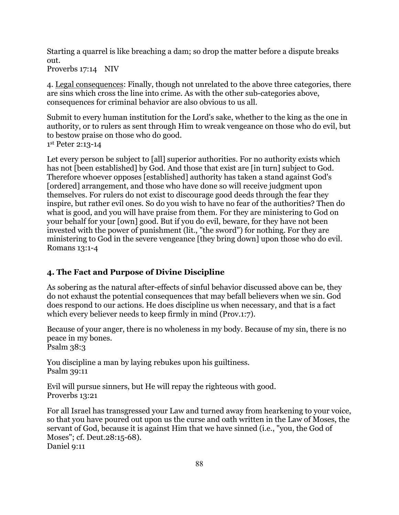Starting a quarrel is like breaching a dam; so drop the matter before a dispute breaks out.

Proverbs 17:14 NIV

4. Legal consequences: Finally, though not unrelated to the above three categories, there are sins which cross the line into crime. As with the other sub-categories above, consequences for criminal behavior are also obvious to us all.

Submit to every human institution for the Lord's sake, whether to the king as the one in authority, or to rulers as sent through Him to wreak vengeance on those who do evil, but to bestow praise on those who do good.

1st Peter 2:13-14

Let every person be subject to [all] superior authorities. For no authority exists which has not [been established] by God. And those that exist are [in turn] subject to God. Therefore whoever opposes [established] authority has taken a stand against God's [ordered] arrangement, and those who have done so will receive judgment upon themselves. For rulers do not exist to discourage good deeds through the fear they inspire, but rather evil ones. So do you wish to have no fear of the authorities? Then do what is good, and you will have praise from them. For they are ministering to God on your behalf for your [own] good. But if you do evil, beware, for they have not been invested with the power of punishment (lit., "the sword") for nothing. For they are ministering to God in the severe vengeance [they bring down] upon those who do evil. Romans 13:1-4

# **4. The Fact and Purpose of Divine Discipline**

As sobering as the natural after-effects of sinful behavior discussed above can be, they do not exhaust the potential consequences that may befall believers when we sin. God does respond to our actions. He does discipline us when necessary, and that is a fact which every believer needs to keep firmly in mind (Prov.1:7).

Because of your anger, there is no wholeness in my body. Because of my sin, there is no peace in my bones.

Psalm 38:3

You discipline a man by laying rebukes upon his guiltiness. Psalm 39:11

Evil will pursue sinners, but He will repay the righteous with good. Proverbs 13:21

For all Israel has transgressed your Law and turned away from hearkening to your voice, so that you have poured out upon us the curse and oath written in the Law of Moses, the servant of God, because it is against Him that we have sinned (i.e., "you, the God of Moses"; cf. Deut.28:15-68). Daniel 9:11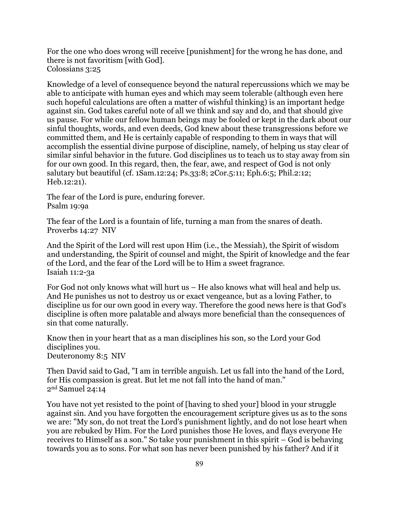For the one who does wrong will receive [punishment] for the wrong he has done, and there is not favoritism [with God]. Colossians 3:25

Knowledge of a level of consequence beyond the natural repercussions which we may be able to anticipate with human eyes and which may seem tolerable (although even here such hopeful calculations are often a matter of wishful thinking) is an important hedge against sin. God takes careful note of all we think and say and do, and that should give us pause. For while our fellow human beings may be fooled or kept in the dark about our sinful thoughts, words, and even deeds, God knew about these transgressions before we committed them, and He is certainly capable of responding to them in ways that will accomplish the essential divine purpose of discipline, namely, of helping us stay clear of similar sinful behavior in the future. God disciplines us to teach us to stay away from sin for our own good. In this regard, then, the fear, awe, and respect of God is not only salutary but beautiful (cf. 1Sam.12:24; Ps.33:8; 2Cor.5:11; Eph.6:5; Phil.2:12; Heb.12:21).

The fear of the Lord is pure, enduring forever. Psalm 19:9a

The fear of the Lord is a fountain of life, turning a man from the snares of death. Proverbs 14:27 NIV

And the Spirit of the Lord will rest upon Him (i.e., the Messiah), the Spirit of wisdom and understanding, the Spirit of counsel and might, the Spirit of knowledge and the fear of the Lord, and the fear of the Lord will be to Him a sweet fragrance. Isaiah 11:2-3a

For God not only knows what will hurt us – He also knows what will heal and help us. And He punishes us not to destroy us or exact vengeance, but as a loving Father, to discipline us for our own good in every way. Therefore the good news here is that God's discipline is often more palatable and always more beneficial than the consequences of sin that come naturally.

Know then in your heart that as a man disciplines his son, so the Lord your God disciplines you. Deuteronomy 8:5 NIV

Then David said to Gad, "I am in terrible anguish. Let us fall into the hand of the Lord, for His compassion is great. But let me not fall into the hand of man." 2nd Samuel 24:14

You have not yet resisted to the point of [having to shed your] blood in your struggle against sin. And you have forgotten the encouragement scripture gives us as to the sons we are: "My son, do not treat the Lord's punishment lightly, and do not lose heart when you are rebuked by Him. For the Lord punishes those He loves, and flays everyone He receives to Himself as a son." So take your punishment in this spirit – God is behaving towards you as to sons. For what son has never been punished by his father? And if it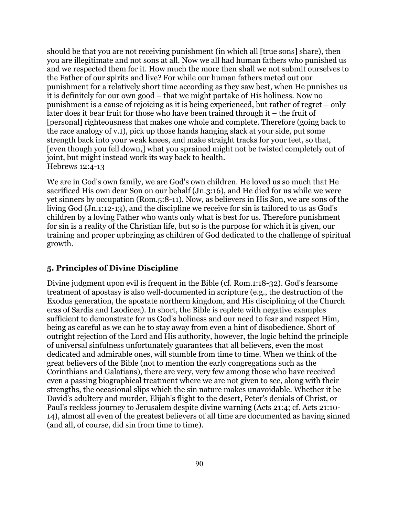should be that you are not receiving punishment (in which all [true sons] share), then you are illegitimate and not sons at all. Now we all had human fathers who punished us and we respected them for it. How much the more then shall we not submit ourselves to the Father of our spirits and live? For while our human fathers meted out our punishment for a relatively short time according as they saw best, when He punishes us it is definitely for our own good – that we might partake of His holiness. Now no punishment is a cause of rejoicing as it is being experienced, but rather of regret – only later does it bear fruit for those who have been trained through it – the fruit of [personal] righteousness that makes one whole and complete. Therefore (going back to the race analogy of v.1), pick up those hands hanging slack at your side, put some strength back into your weak knees, and make straight tracks for your feet, so that, [even though you fell down,] what you sprained might not be twisted completely out of joint, but might instead work its way back to health. Hebrews 12:4-13

We are in God's own family, we are God's own children. He loved us so much that He sacrificed His own dear Son on our behalf (Jn.3:16), and He died for us while we were yet sinners by occupation (Rom.5:8-11). Now, as believers in His Son, we are sons of the living God (Jn.1:12-13), and the discipline we receive for sin is tailored to us as God's children by a loving Father who wants only what is best for us. Therefore punishment for sin is a reality of the Christian life, but so is the purpose for which it is given, our training and proper upbringing as children of God dedicated to the challenge of spiritual growth.

### **5. Principles of Divine Discipline**

Divine judgment upon evil is frequent in the Bible (cf. Rom.1:18-32). God's fearsome treatment of apostasy is also well-documented in scripture (e.g., the destruction of the Exodus generation, the apostate northern kingdom, and His disciplining of the Church eras of Sardis and Laodicea). In short, the Bible is replete with negative examples sufficient to demonstrate for us God's holiness and our need to fear and respect Him, being as careful as we can be to stay away from even a hint of disobedience. Short of outright rejection of the Lord and His authority, however, the logic behind the principle of universal sinfulness unfortunately guarantees that all believers, even the most dedicated and admirable ones, will stumble from time to time. When we think of the great believers of the Bible (not to mention the early congregations such as the Corinthians and Galatians), there are very, very few among those who have received even a passing biographical treatment where we are not given to see, along with their strengths, the occasional slips which the sin nature makes unavoidable. Whether it be David's adultery and murder, Elijah's flight to the desert, Peter's denials of Christ, or Paul's reckless journey to Jerusalem despite divine warning (Acts 21:4; cf. Acts 21:10- 14), almost all even of the greatest believers of all time are documented as having sinned (and all, of course, did sin from time to time).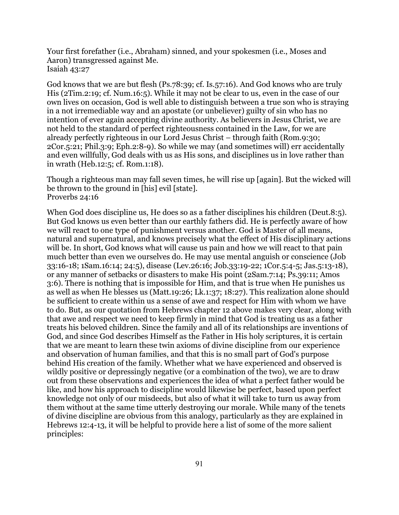Your first forefather (i.e., Abraham) sinned, and your spokesmen (i.e., Moses and Aaron) transgressed against Me. Isaiah 43:27

God knows that we are but flesh (Ps.78:39; cf. Is.57:16). And God knows who are truly His (2Tim.2:19; cf. Num.16:5). While it may not be clear to us, even in the case of our own lives on occasion, God is well able to distinguish between a true son who is straying in a not irremediable way and an apostate (or unbeliever) guilty of sin who has no intention of ever again accepting divine authority. As believers in Jesus Christ, we are not held to the standard of perfect righteousness contained in the Law, for we are already perfectly righteous in our Lord Jesus Christ – through faith (Rom.9:30; 2Cor.5:21; Phil.3:9; Eph.2:8-9). So while we may (and sometimes will) err accidentally and even willfully, God deals with us as His sons, and disciplines us in love rather than in wrath (Heb.12:5; cf. Rom.1:18).

Though a righteous man may fall seven times, he will rise up [again]. But the wicked will be thrown to the ground in [his] evil [state]. Proverbs 24:16

When God does discipline us, He does so as a father disciplines his children (Deut.8:5). But God knows us even better than our earthly fathers did. He is perfectly aware of how we will react to one type of punishment versus another. God is Master of all means, natural and supernatural, and knows precisely what the effect of His disciplinary actions will be. In short, God knows what will cause us pain and how we will react to that pain much better than even we ourselves do. He may use mental anguish or conscience (Job 33:16-18; 1Sam.16:14; 24:5), disease (Lev.26:16; Job.33:19-22; 1Cor.5:4-5; Jas.5:13-18), or any manner of setbacks or disasters to make His point (2Sam.7:14; Ps.39:11; Amos 3:6). There is nothing that is impossible for Him, and that is true when He punishes us as well as when He blesses us (Matt.19:26; Lk.1:37; 18:27). This realization alone should be sufficient to create within us a sense of awe and respect for Him with whom we have to do. But, as our quotation from Hebrews chapter 12 above makes very clear, along with that awe and respect we need to keep firmly in mind that God is treating us as a father treats his beloved children. Since the family and all of its relationships are inventions of God, and since God describes Himself as the Father in His holy scriptures, it is certain that we are meant to learn these twin axioms of divine discipline from our experience and observation of human families, and that this is no small part of God's purpose behind His creation of the family. Whether what we have experienced and observed is wildly positive or depressingly negative (or a combination of the two), we are to draw out from these observations and experiences the idea of what a perfect father would be like, and how his approach to discipline would likewise be perfect, based upon perfect knowledge not only of our misdeeds, but also of what it will take to turn us away from them without at the same time utterly destroying our morale. While many of the tenets of divine discipline are obvious from this analogy, particularly as they are explained in Hebrews 12:4-13, it will be helpful to provide here a list of some of the more salient principles: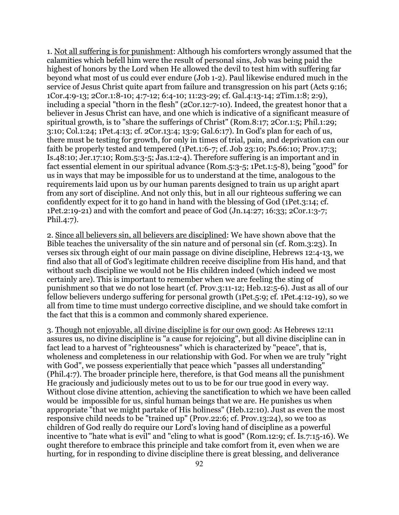1. Not all suffering is for punishment: Although his comforters wrongly assumed that the calamities which befell him were the result of personal sins, Job was being paid the highest of honors by the Lord when He allowed the devil to test him with suffering far beyond what most of us could ever endure (Job 1-2). Paul likewise endured much in the service of Jesus Christ quite apart from failure and transgression on his part (Acts 9:16; 1Cor.4:9-13; 2Cor.1:8-10; 4:7-12; 6:4-10; 11:23-29; cf. Gal.4:13-14; 2Tim.1:8; 2:9), including a special "thorn in the flesh" (2Cor.12:7-10). Indeed, the greatest honor that a believer in Jesus Christ can have, and one which is indicative of a significant measure of spiritual growth, is to "share the sufferings of Christ" (Rom.8:17; 2Cor.1:5; Phil.1:29; 3:10; Col.1:24; 1Pet.4:13; cf. 2Cor.13:4; 13:9; Gal.6:17). In God's plan for each of us, there must be testing for growth, for only in times of trial, pain, and deprivation can our faith be properly tested and tempered (1Pet.1:6-7; cf. Job 23:10; Ps.66:10; Prov.17:3; Is.48:10; Jer.17:10; Rom.5:3-5; Jas.1:2-4). Therefore suffering is an important and in fact essential element in our spiritual advance (Rom.5:3-5; 1Pet.1:5-8), being "good" for us in ways that may be impossible for us to understand at the time, analogous to the requirements laid upon us by our human parents designed to train us up aright apart from any sort of discipline. And not only this, but in all our righteous suffering we can confidently expect for it to go hand in hand with the blessing of God (1Pet.3:14; cf. 1Pet.2:19-21) and with the comfort and peace of God (Jn.14:27; 16:33; 2Cor.1:3-7; Phil.4:7).

2. Since all believers sin, all believers are disciplined: We have shown above that the Bible teaches the universality of the sin nature and of personal sin (cf. Rom.3:23). In verses six through eight of our main passage on divine discipline, Hebrews 12:4-13, we find also that all of God's legitimate children receive discipline from His hand, and that without such discipline we would not be His children indeed (which indeed we most certainly are). This is important to remember when we are feeling the sting of punishment so that we do not lose heart (cf. Prov.3:11-12; Heb.12:5-6). Just as all of our fellow believers undergo suffering for personal growth (1Pet.5:9; cf. 1Pet.4:12-19), so we all from time to time must undergo corrective discipline, and we should take comfort in the fact that this is a common and commonly shared experience.

3. Though not enjoyable, all divine discipline is for our own good: As Hebrews 12:11 assures us, no divine discipline is "a cause for rejoicing", but all divine discipline can in fact lead to a harvest of "righteousness" which is characterized by "peace", that is, wholeness and completeness in our relationship with God. For when we are truly "right with God", we possess experientially that peace which "passes all understanding" (Phil.4:7). The broader principle here, therefore, is that God means all the punishment He graciously and judiciously metes out to us to be for our true good in every way. Without close divine attention, achieving the sanctification to which we have been called would be impossible for us, sinful human beings that we are. He punishes us when appropriate "that we might partake of His holiness" (Heb.12:10). Just as even the most responsive child needs to be "trained up" (Prov.22:6; cf. Prov.13:24), so we too as children of God really do require our Lord's loving hand of discipline as a powerful incentive to "hate what is evil" and "cling to what is good" (Rom.12:9; cf. Is.7:15-16). We ought therefore to embrace this principle and take comfort from it, even when we are hurting, for in responding to divine discipline there is great blessing, and deliverance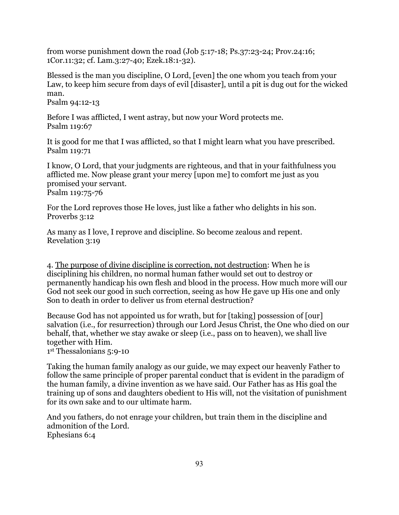from worse punishment down the road (Job 5:17-18; Ps.37:23-24; Prov.24:16; 1Cor.11:32; cf. Lam.3:27-40; Ezek.18:1-32).

Blessed is the man you discipline, O Lord, [even] the one whom you teach from your Law, to keep him secure from days of evil [disaster], until a pit is dug out for the wicked man.

Psalm 94:12-13

Before I was afflicted, I went astray, but now your Word protects me. Psalm 119:67

It is good for me that I was afflicted, so that I might learn what you have prescribed. Psalm 119:71

I know, O Lord, that your judgments are righteous, and that in your faithfulness you afflicted me. Now please grant your mercy [upon me] to comfort me just as you promised your servant. Psalm 119:75-76

For the Lord reproves those He loves, just like a father who delights in his son. Proverbs 3:12

As many as I love, I reprove and discipline. So become zealous and repent. Revelation 3:19

4. The purpose of divine discipline is correction, not destruction: When he is disciplining his children, no normal human father would set out to destroy or permanently handicap his own flesh and blood in the process. How much more will our God not seek our good in such correction, seeing as how He gave up His one and only Son to death in order to deliver us from eternal destruction?

Because God has not appointed us for wrath, but for [taking] possession of [our] salvation (i.e., for resurrection) through our Lord Jesus Christ, the One who died on our behalf, that, whether we stay awake or sleep (i.e., pass on to heaven), we shall live together with Him.

1st Thessalonians 5:9-10

Taking the human family analogy as our guide, we may expect our heavenly Father to follow the same principle of proper parental conduct that is evident in the paradigm of the human family, a divine invention as we have said. Our Father has as His goal the training up of sons and daughters obedient to His will, not the visitation of punishment for its own sake and to our ultimate harm.

And you fathers, do not enrage your children, but train them in the discipline and admonition of the Lord. Ephesians 6:4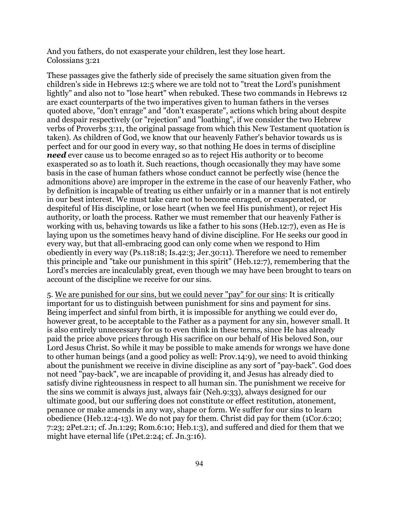And you fathers, do not exasperate your children, lest they lose heart. Colossians 3:21

These passages give the fatherly side of precisely the same situation given from the children's side in Hebrews 12:5 where we are told not to "treat the Lord's punishment lightly" and also not to "lose heart" when rebuked. These two commands in Hebrews 12 are exact counterparts of the two imperatives given to human fathers in the verses quoted above, "don't enrage" and "don't exasperate", actions which bring about despite and despair respectively (or "rejection" and "loathing", if we consider the two Hebrew verbs of Proverbs 3:11, the original passage from which this New Testament quotation is taken). As children of God, we know that our heavenly Father's behavior towards us is perfect and for our good in every way, so that nothing He does in terms of discipline *need* ever cause us to become enraged so as to reject His authority or to become exasperated so as to loath it. Such reactions, though occasionally they may have some basis in the case of human fathers whose conduct cannot be perfectly wise (hence the admonitions above) are improper in the extreme in the case of our heavenly Father, who by definition is incapable of treating us either unfairly or in a manner that is not entirely in our best interest. We must take care not to become enraged, or exasperated, or despiteful of His discipline, or lose heart (when we feel His punishment), or reject His authority, or loath the process. Rather we must remember that our heavenly Father is working with us, behaving towards us like a father to his sons (Heb.12:7), even as He is laying upon us the sometimes heavy hand of divine discipline. For He seeks our good in every way, but that all-embracing good can only come when we respond to Him obediently in every way (Ps.118:18; Is.42:3; Jer.30:11). Therefore we need to remember this principle and "take our punishment in this spirit" (Heb.12:7), remembering that the Lord's mercies are incalculably great, even though we may have been brought to tears on account of the discipline we receive for our sins.

5. We are punished for our sins, but we could never "pay" for our sins: It is critically important for us to distinguish between punishment for sins and payment for sins. Being imperfect and sinful from birth, it is impossible for anything we could ever do, however great, to be acceptable to the Father as a payment for any sin, however small. It is also entirely unnecessary for us to even think in these terms, since He has already paid the price above prices through His sacrifice on our behalf of His beloved Son, our Lord Jesus Christ. So while it may be possible to make amends for wrongs we have done to other human beings (and a good policy as well: Prov.14:9), we need to avoid thinking about the punishment we receive in divine discipline as any sort of "pay-back". God does not need "pay-back", we are incapable of providing it, and Jesus has already died to satisfy divine righteousness in respect to all human sin. The punishment we receive for the sins we commit is always just, always fair (Neh.9:33), always designed for our ultimate good, but our suffering does not constitute or effect restitution, atonement, penance or make amends in any way, shape or form. We suffer for our sins to learn obedience (Heb.12:4-13). We do not pay for them. Christ did pay for them (1Cor.6:20; 7:23; 2Pet.2:1; cf. Jn.1:29; Rom.6:10; Heb.1:3), and suffered and died for them that we might have eternal life (1Pet.2:24; cf. Jn.3:16).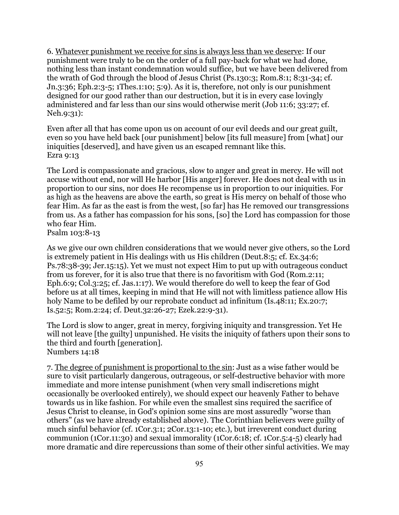6. Whatever punishment we receive for sins is always less than we deserve: If our punishment were truly to be on the order of a full pay-back for what we had done, nothing less than instant condemnation would suffice, but we have been delivered from the wrath of God through the blood of Jesus Christ (Ps.130:3; Rom.8:1; 8:31-34; cf. Jn.3:36; Eph.2:3-5; 1Thes.1:10; 5:9). As it is, therefore, not only is our punishment designed for our good rather than our destruction, but it is in every case lovingly administered and far less than our sins would otherwise merit (Job 11:6; 33:27; cf. Neh.9:31):

Even after all that has come upon us on account of our evil deeds and our great guilt, even so you have held back [our punishment] below [its full measure] from [what] our iniquities [deserved], and have given us an escaped remnant like this. Ezra 9:13

The Lord is compassionate and gracious, slow to anger and great in mercy. He will not accuse without end, nor will He harbor [His anger] forever. He does not deal with us in proportion to our sins, nor does He recompense us in proportion to our iniquities. For as high as the heavens are above the earth, so great is His mercy on behalf of those who fear Him. As far as the east is from the west, [so far] has He removed our transgressions from us. As a father has compassion for his sons, [so] the Lord has compassion for those who fear Him. Psalm 103:8-13

As we give our own children considerations that we would never give others, so the Lord is extremely patient in His dealings with us His children (Deut.8:5; cf. Ex.34:6; Ps.78:38-39; Jer.15:15). Yet we must not expect Him to put up with outrageous conduct from us forever, for it is also true that there is no favoritism with God (Rom.2:11; Eph.6:9; Col.3:25; cf. Jas.1:17). We would therefore do well to keep the fear of God before us at all times, keeping in mind that He will not with limitless patience allow His holy Name to be defiled by our reprobate conduct ad infinitum (Is.48:11; Ex.20:7; Is.52:5; Rom.2:24; cf. Deut.32:26-27; Ezek.22:9-31).

The Lord is slow to anger, great in mercy, forgiving iniquity and transgression. Yet He will not leave [the guilty] unpunished. He visits the iniquity of fathers upon their sons to the third and fourth [generation]. Numbers 14:18

7. The degree of punishment is proportional to the sin: Just as a wise father would be sure to visit particularly dangerous, outrageous, or self-destructive behavior with more immediate and more intense punishment (when very small indiscretions might occasionally be overlooked entirely), we should expect our heavenly Father to behave towards us in like fashion. For while even the smallest sins required the sacrifice of Jesus Christ to cleanse, in God's opinion some sins are most assuredly "worse than others" (as we have already established above). The Corinthian believers were guilty of much sinful behavior (cf. 1Cor.3:1; 2Cor.13:1-10; etc.), but irreverent conduct during communion (1Cor.11:30) and sexual immorality (1Cor.6:18; cf. 1Cor.5:4-5) clearly had more dramatic and dire repercussions than some of their other sinful activities. We may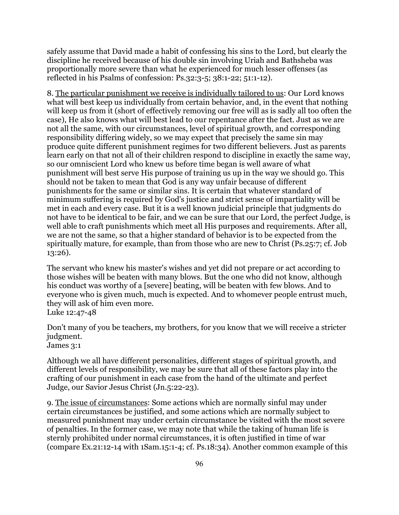safely assume that David made a habit of confessing his sins to the Lord, but clearly the discipline he received because of his double sin involving Uriah and Bathsheba was proportionally more severe than what he experienced for much lesser offenses (as reflected in his Psalms of confession: Ps.32:3-5; 38:1-22; 51:1-12).

8. The particular punishment we receive is individually tailored to us: Our Lord knows what will best keep us individually from certain behavior, and, in the event that nothing will keep us from it (short of effectively removing our free will as is sadly all too often the case), He also knows what will best lead to our repentance after the fact. Just as we are not all the same, with our circumstances, level of spiritual growth, and corresponding responsibility differing widely, so we may expect that precisely the same sin may produce quite different punishment regimes for two different believers. Just as parents learn early on that not all of their children respond to discipline in exactly the same way, so our omniscient Lord who knew us before time began is well aware of what punishment will best serve His purpose of training us up in the way we should go. This should not be taken to mean that God is any way unfair because of different punishments for the same or similar sins. It is certain that whatever standard of minimum suffering is required by God's justice and strict sense of impartiality will be met in each and every case. But it is a well known judicial principle that judgments do not have to be identical to be fair, and we can be sure that our Lord, the perfect Judge, is well able to craft punishments which meet all His purposes and requirements. After all, we are not the same, so that a higher standard of behavior is to be expected from the spiritually mature, for example, than from those who are new to Christ (Ps.25:7; cf. Job 13:26).

The servant who knew his master's wishes and yet did not prepare or act according to those wishes will be beaten with many blows. But the one who did not know, although his conduct was worthy of a [severe] beating, will be beaten with few blows. And to everyone who is given much, much is expected. And to whomever people entrust much, they will ask of him even more. Luke 12:47-48

Don't many of you be teachers, my brothers, for you know that we will receive a stricter judgment. James 3:1

Although we all have different personalities, different stages of spiritual growth, and different levels of responsibility, we may be sure that all of these factors play into the crafting of our punishment in each case from the hand of the ultimate and perfect Judge, our Savior Jesus Christ (Jn.5:22-23).

9. The issue of circumstances: Some actions which are normally sinful may under certain circumstances be justified, and some actions which are normally subject to measured punishment may under certain circumstance be visited with the most severe of penalties. In the former case, we may note that while the taking of human life is sternly prohibited under normal circumstances, it is often justified in time of war (compare Ex.21:12-14 with 1Sam.15:1-4; cf. Ps.18:34). Another common example of this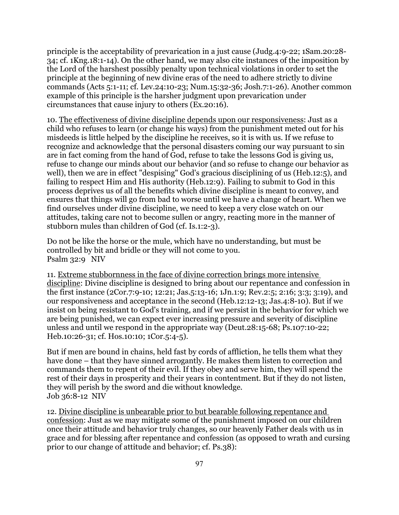principle is the acceptability of prevarication in a just cause (Judg.4:9-22; 1Sam.20:28- 34; cf. 1Kng.18:1-14). On the other hand, we may also cite instances of the imposition by the Lord of the harshest possibly penalty upon technical violations in order to set the principle at the beginning of new divine eras of the need to adhere strictly to divine commands (Acts 5:1-11; cf. Lev.24:10-23; Num.15:32-36; Josh.7:1-26). Another common example of this principle is the harsher judgment upon prevarication under circumstances that cause injury to others (Ex.20:16).

10. The effectiveness of divine discipline depends upon our responsiveness: Just as a child who refuses to learn (or change his ways) from the punishment meted out for his misdeeds is little helped by the discipline he receives, so it is with us. If we refuse to recognize and acknowledge that the personal disasters coming our way pursuant to sin are in fact coming from the hand of God, refuse to take the lessons God is giving us, refuse to change our minds about our behavior (and so refuse to change our behavior as well), then we are in effect "despising" God's gracious disciplining of us (Heb.12:5), and failing to respect Him and His authority (Heb.12:9). Failing to submit to God in this process deprives us of all the benefits which divine discipline is meant to convey, and ensures that things will go from bad to worse until we have a change of heart. When we find ourselves under divine discipline, we need to keep a very close watch on our attitudes, taking care not to become sullen or angry, reacting more in the manner of stubborn mules than children of God (cf. Is.1:2-3).

Do not be like the horse or the mule, which have no understanding, but must be controlled by bit and bridle or they will not come to you. Psalm 32:9 NIV

11. Extreme stubbornness in the face of divine correction brings more intensive discipline: Divine discipline is designed to bring about our repentance and confession in the first instance (2Cor.7:9-10; 12:21; Jas.5:13-16; 1Jn.1:9; Rev.2:5; 2:16; 3:3; 3:19), and our responsiveness and acceptance in the second (Heb.12:12-13; Jas.4:8-10). But if we insist on being resistant to God's training, and if we persist in the behavior for which we are being punished, we can expect ever increasing pressure and severity of discipline unless and until we respond in the appropriate way (Deut.28:15-68; Ps.107:10-22; Heb.10:26-31; cf. Hos.10:10; 1Cor.5:4-5).

But if men are bound in chains, held fast by cords of affliction, he tells them what they have done – that they have sinned arrogantly. He makes them listen to correction and commands them to repent of their evil. If they obey and serve him, they will spend the rest of their days in prosperity and their years in contentment. But if they do not listen, they will perish by the sword and die without knowledge. Job 36:8-12 NIV

12. Divine discipline is unbearable prior to but bearable following repentance and confession: Just as we may mitigate some of the punishment imposed on our children once their attitude and behavior truly changes, so our heavenly Father deals with us in grace and for blessing after repentance and confession (as opposed to wrath and cursing prior to our change of attitude and behavior; cf. Ps.38):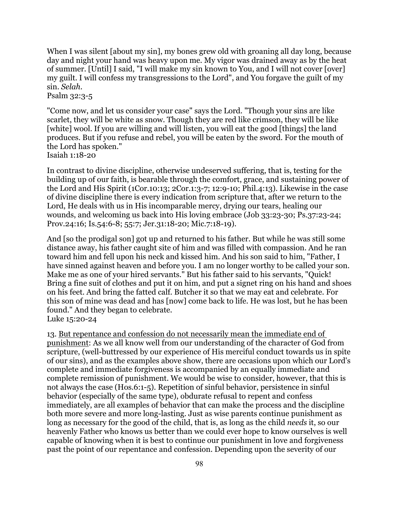When I was silent *[about my sin]*, my bones grew old with groaning all day long, because day and night your hand was heavy upon me. My vigor was drained away as by the heat of summer. [Until] I said, "I will make my sin known to You, and I will not cover [over] my guilt. I will confess my transgressions to the Lord", and You forgave the guilt of my sin. *Selah*.

Psalm 32:3-5

"Come now, and let us consider your case" says the Lord. "Though your sins are like scarlet, they will be white as snow. Though they are red like crimson, they will be like [white] wool. If you are willing and will listen, you will eat the good [things] the land produces. But if you refuse and rebel, you will be eaten by the sword. For the mouth of the Lord has spoken." Isaiah 1:18-20

In contrast to divine discipline, otherwise undeserved suffering, that is, testing for the building up of our faith, is bearable through the comfort, grace, and sustaining power of the Lord and His Spirit (1Cor.10:13; 2Cor.1:3-7; 12:9-10; Phil.4:13). Likewise in the case of divine discipline there is every indication from scripture that, after we return to the Lord, He deals with us in His incomparable mercy, drying our tears, healing our wounds, and welcoming us back into His loving embrace (Job 33:23-30; Ps.37:23-24; Prov.24:16; Is.54:6-8; 55:7; Jer.31:18-20; Mic.7:18-19).

And [so the prodigal son] got up and returned to his father. But while he was still some distance away, his father caught site of him and was filled with compassion. And he ran toward him and fell upon his neck and kissed him. And his son said to him, "Father, I have sinned against heaven and before you. I am no longer worthy to be called your son. Make me as one of your hired servants." But his father said to his servants, "Quick! Bring a fine suit of clothes and put it on him, and put a signet ring on his hand and shoes on his feet. And bring the fatted calf. Butcher it so that we may eat and celebrate. For this son of mine was dead and has [now] come back to life. He was lost, but he has been found." And they began to celebrate. Luke 15:20-24

13. But repentance and confession do not necessarily mean the immediate end of punishment: As we all know well from our understanding of the character of God from scripture, (well-buttressed by our experience of His merciful conduct towards us in spite of our sins), and as the examples above show, there are occasions upon which our Lord's complete and immediate forgiveness is accompanied by an equally immediate and complete remission of punishment. We would be wise to consider, however, that this is not always the case (Hos.6:1-5). Repetition of sinful behavior, persistence in sinful behavior (especially of the same type), obdurate refusal to repent and confess immediately, are all examples of behavior that can make the process and the discipline both more severe and more long-lasting. Just as wise parents continue punishment as long as necessary for the good of the child, that is, as long as the child *needs* it, so our heavenly Father who knows us better than we could ever hope to know ourselves is well capable of knowing when it is best to continue our punishment in love and forgiveness past the point of our repentance and confession. Depending upon the severity of our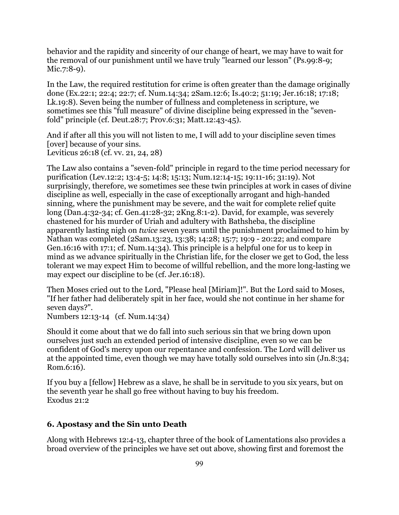behavior and the rapidity and sincerity of our change of heart, we may have to wait for the removal of our punishment until we have truly "learned our lesson" (Ps.99:8-9; Mic.7:8-9).

In the Law, the required restitution for crime is often greater than the damage originally done (Ex.22:1; 22:4; 22:7; cf. Num.14:34; 2Sam.12:6; Is.40:2; 51:19; Jer.16:18; 17:18; Lk.19:8). Seven being the number of fullness and completeness in scripture, we sometimes see this "full measure" of divine discipline being expressed in the "sevenfold" principle (cf. Deut.28:7; Prov.6:31; Matt.12:43-45).

And if after all this you will not listen to me, I will add to your discipline seven times [over] because of your sins. Leviticus 26:18 (cf. vv. 21, 24, 28)

The Law also contains a "seven-fold" principle in regard to the time period necessary for purification (Lev.12:2; 13:4-5; 14:8; 15:13; Num.12:14-15; 19:11-16; 31:19). Not surprisingly, therefore, we sometimes see these twin principles at work in cases of divine discipline as well, especially in the case of exceptionally arrogant and high-handed sinning, where the punishment may be severe, and the wait for complete relief quite long (Dan.4:32-34; cf. Gen.41:28-32; 2Kng.8:1-2). David, for example, was severely chastened for his murder of Uriah and adultery with Bathsheba, the discipline apparently lasting nigh on *twice* seven years until the punishment proclaimed to him by Nathan was completed (2Sam.13:23, 13:38; 14:28; 15:7; 19:9 - 20:22; and compare Gen.16:16 with 17:1; cf. Num.14:34). This principle is a helpful one for us to keep in mind as we advance spiritually in the Christian life, for the closer we get to God, the less tolerant we may expect Him to become of willful rebellion, and the more long-lasting we may expect our discipline to be (cf. Jer.16:18).

Then Moses cried out to the Lord, "Please heal [Miriam]!". But the Lord said to Moses, "If her father had deliberately spit in her face, would she not continue in her shame for seven days?".

Numbers 12:13-14 (cf. Num.14:34)

Should it come about that we do fall into such serious sin that we bring down upon ourselves just such an extended period of intensive discipline, even so we can be confident of God's mercy upon our repentance and confession. The Lord will deliver us at the appointed time, even though we may have totally sold ourselves into sin (Jn.8:34; Rom.6:16).

If you buy a [fellow] Hebrew as a slave, he shall be in servitude to you six years, but on the seventh year he shall go free without having to buy his freedom. Exodus 21:2

#### **6. Apostasy and the Sin unto Death**

Along with Hebrews 12:4-13, chapter three of the book of Lamentations also provides a broad overview of the principles we have set out above, showing first and foremost the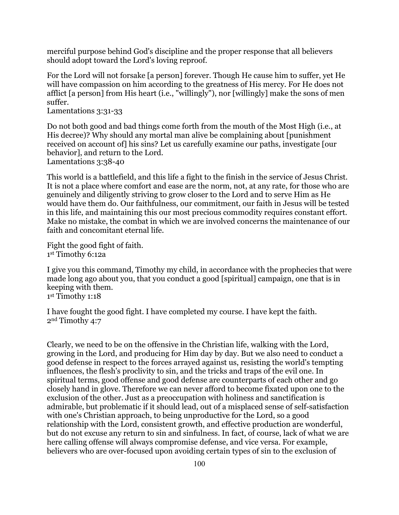merciful purpose behind God's discipline and the proper response that all believers should adopt toward the Lord's loving reproof.

For the Lord will not forsake [a person] forever. Though He cause him to suffer, yet He will have compassion on him according to the greatness of His mercy. For He does not afflict [a person] from His heart (i.e., "willingly"), nor [willingly] make the sons of men suffer.

Lamentations 3:31-33

Do not both good and bad things come forth from the mouth of the Most High (i.e., at His decree)? Why should any mortal man alive be complaining about [punishment received on account of] his sins? Let us carefully examine our paths, investigate [our behavior], and return to the Lord. Lamentations 3:38-40

This world is a battlefield, and this life a fight to the finish in the service of Jesus Christ. It is not a place where comfort and ease are the norm, not, at any rate, for those who are genuinely and diligently striving to grow closer to the Lord and to serve Him as He would have them do. Our faithfulness, our commitment, our faith in Jesus will be tested in this life, and maintaining this our most precious commodity requires constant effort. Make no mistake, the combat in which we are involved concerns the maintenance of our faith and concomitant eternal life.

Fight the good fight of faith. 1st Timothy 6:12a

I give you this command, Timothy my child, in accordance with the prophecies that were made long ago about you, that you conduct a good [spiritual] campaign, one that is in keeping with them. 1st Timothy 1:18

I have fought the good fight. I have completed my course. I have kept the faith. 2nd Timothy 4:7

Clearly, we need to be on the offensive in the Christian life, walking with the Lord, growing in the Lord, and producing for Him day by day. But we also need to conduct a good defense in respect to the forces arrayed against us, resisting the world's tempting influences, the flesh's proclivity to sin, and the tricks and traps of the evil one. In spiritual terms, good offense and good defense are counterparts of each other and go closely hand in glove. Therefore we can never afford to become fixated upon one to the exclusion of the other. Just as a preoccupation with holiness and sanctification is admirable, but problematic if it should lead, out of a misplaced sense of self-satisfaction with one's Christian approach, to being unproductive for the Lord, so a good relationship with the Lord, consistent growth, and effective production are wonderful, but do not excuse any return to sin and sinfulness. In fact, of course, lack of what we are here calling offense will always compromise defense, and vice versa. For example, believers who are over-focused upon avoiding certain types of sin to the exclusion of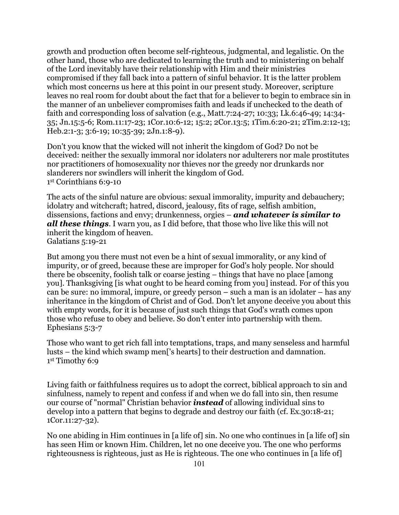growth and production often become self-righteous, judgmental, and legalistic. On the other hand, those who are dedicated to learning the truth and to ministering on behalf of the Lord inevitably have their relationship with Him and their ministries compromised if they fall back into a pattern of sinful behavior. It is the latter problem which most concerns us here at this point in our present study. Moreover, scripture leaves no real room for doubt about the fact that for a believer to begin to embrace sin in the manner of an unbeliever compromises faith and leads if unchecked to the death of faith and corresponding loss of salvation (e.g., Matt.7:24-27; 10:33; Lk.6:46-49; 14:34- 35; Jn.15:5-6; Rom.11:17-23; 1Cor.10:6-12; 15:2; 2Cor.13:5; 1Tim.6:20-21; 2Tim.2:12-13; Heb.2:1-3; 3:6-19; 10:35-39; 2Jn.1:8-9).

Don't you know that the wicked will not inherit the kingdom of God? Do not be deceived: neither the sexually immoral nor idolaters nor adulterers nor male prostitutes nor practitioners of homosexuality nor thieves nor the greedy nor drunkards nor slanderers nor swindlers will inherit the kingdom of God. 1st Corinthians 6:9-10

The acts of the sinful nature are obvious: sexual immorality, impurity and debauchery; idolatry and witchcraft; hatred, discord, jealousy, fits of rage, selfish ambition, dissensions, factions and envy; drunkenness, orgies – *and whatever is similar to all these things*. I warn you, as I did before, that those who live like this will not inherit the kingdom of heaven. Galatians 5:19-21

But among you there must not even be a hint of sexual immorality, or any kind of impurity, or of greed, because these are improper for God's holy people. Nor should there be obscenity, foolish talk or coarse jesting – things that have no place [among you]. Thanksgiving [is what ought to be heard coming from you] instead. For of this you can be sure: no immoral, impure, or greedy person – such a man is an idolater – has any inheritance in the kingdom of Christ and of God. Don't let anyone deceive you about this with empty words, for it is because of just such things that God's wrath comes upon those who refuse to obey and believe. So don't enter into partnership with them. Ephesians 5:3-7

Those who want to get rich fall into temptations, traps, and many senseless and harmful lusts – the kind which swamp men['s hearts] to their destruction and damnation. 1st Timothy 6:9

Living faith or faithfulness requires us to adopt the correct, biblical approach to sin and sinfulness, namely to repent and confess if and when we do fall into sin, then resume our course of "normal" Christian behavior *instead* of allowing individual sins to develop into a pattern that begins to degrade and destroy our faith (cf. Ex.30:18-21; 1Cor.11:27-32).

No one abiding in Him continues in [a life of] sin. No one who continues in [a life of] sin has seen Him or known Him. Children, let no one deceive you. The one who performs righteousness is righteous, just as He is righteous. The one who continues in [a life of]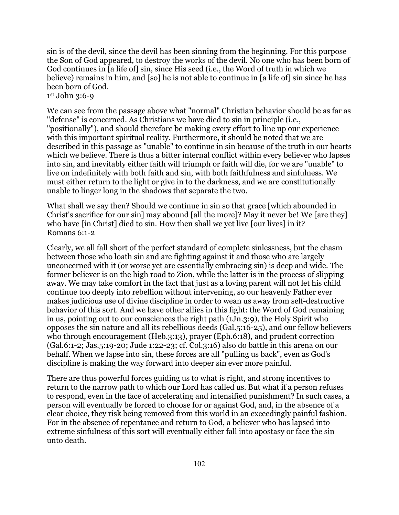sin is of the devil, since the devil has been sinning from the beginning. For this purpose the Son of God appeared, to destroy the works of the devil. No one who has been born of God continues in [a life of] sin, since His seed (i.e., the Word of truth in which we believe) remains in him, and [so] he is not able to continue in [a life of] sin since he has been born of God.

### 1st John 3:6-9

We can see from the passage above what "normal" Christian behavior should be as far as "defense" is concerned. As Christians we have died to sin in principle (i.e., "positionally"), and should therefore be making every effort to line up our experience with this important spiritual reality. Furthermore, it should be noted that we are described in this passage as "unable" to continue in sin because of the truth in our hearts which we believe. There is thus a bitter internal conflict within every believer who lapses into sin, and inevitably either faith will triumph or faith will die, for we are "unable" to live on indefinitely with both faith and sin, with both faithfulness and sinfulness. We must either return to the light or give in to the darkness, and we are constitutionally unable to linger long in the shadows that separate the two.

What shall we say then? Should we continue in sin so that grace [which abounded in Christ's sacrifice for our sin] may abound [all the more]? May it never be! We [are they] who have [in Christ] died to sin. How then shall we yet live [our lives] in it? Romans 6:1-2

Clearly, we all fall short of the perfect standard of complete sinlessness, but the chasm between those who loath sin and are fighting against it and those who are largely unconcerned with it (or worse yet are essentially embracing sin) is deep and wide. The former believer is on the high road to Zion, while the latter is in the process of slipping away. We may take comfort in the fact that just as a loving parent will not let his child continue too deeply into rebellion without intervening, so our heavenly Father ever makes judicious use of divine discipline in order to wean us away from self-destructive behavior of this sort. And we have other allies in this fight: the Word of God remaining in us, pointing out to our consciences the right path (1Jn.3:9), the Holy Spirit who opposes the sin nature and all its rebellious deeds (Gal.5:16-25), and our fellow believers who through encouragement (Heb.3:13), prayer (Eph.6:18), and prudent correction (Gal.6:1-2; Jas.5:19-20; Jude 1:22-23; cf. Col.3:16) also do battle in this arena on our behalf. When we lapse into sin, these forces are all "pulling us back", even as God's discipline is making the way forward into deeper sin ever more painful.

There are thus powerful forces guiding us to what is right, and strong incentives to return to the narrow path to which our Lord has called us. But what if a person refuses to respond, even in the face of accelerating and intensified punishment? In such cases, a person will eventually be forced to choose for or against God, and, in the absence of a clear choice, they risk being removed from this world in an exceedingly painful fashion. For in the absence of repentance and return to God, a believer who has lapsed into extreme sinfulness of this sort will eventually either fall into apostasy or face the sin unto death.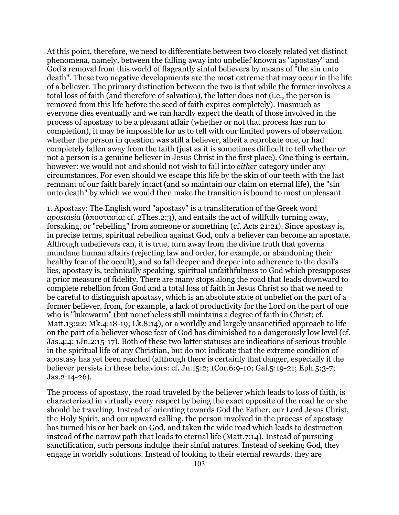At this point, therefore, we need to differentiate between two closely related yet distinct phenomena, namely, between the falling away into unbelief known as "apostasy" and God's removal from this world of flagrantly sinful believers by means of "the sin unto death". These two negative developments are the most extreme that may occur in the life of a believer. The primary distinction between the two is that while the former involves a total loss of faith (and therefore of salvation), the latter does not (i.e., the person is removed from this life before the seed of faith expires completely). Inasmuch as everyone dies eventually and we can hardly expect the death of those involved in the process of apostasy to be a pleasant affair (whether or not that process has run to completion), it may be impossible for us to tell with our limited powers of observation whether the person in question was still a believer, albeit a reprobate one, or had completely fallen away from the faith (just as it is sometimes difficult to tell whether or not a person is a genuine believer in Jesus Christ in the first place). One thing is certain, however: we would not and should not wish to fall into *either* category under any circumstances. For even should we escape this life by the skin of our teeth with the last remnant of our faith barely intact (and so maintain our claim on eternal life), the "sin unto death" by which we would then make the transition is bound to most unpleasant.

1. Apostasy: The English word "apostasy" is a transliteration of the Greek word *apostasia* (ἀποστασία; cf. 2Thes.2:3), and entails the act of willfully turning away, forsaking, or "rebelling" from someone or something (cf. Acts 21:21). Since apostasy is, in precise terms, spiritual rebellion against God, only a believer can become an apostate. Although unbelievers can, it is true, turn away from the divine truth that governs mundane human affairs (rejecting law and order, for example, or abandoning their healthy fear of the occult), and so fall deeper and deeper into adherence to the devil's lies, apostasy is, technically speaking, spiritual unfaithfulness to God which presupposes a prior measure of fidelity. There are many stops along the road that leads downward to complete rebellion from God and a total loss of faith in Jesus Christ so that we need to be careful to distinguish apostasy, which is an absolute state of unbelief on the part of a former believer, from, for example, a lack of productivity for the Lord on the part of one who is "lukewarm" (but nonetheless still maintains a degree of faith in Christ; cf. Matt.13:22; Mk.4:18-19; Lk.8:14), or a worldly and largely unsanctified approach to life on the part of a believer whose fear of God has diminished to a dangerously low level (cf. Jas.4:4; 1Jn.2:15-17). Both of these two latter statuses are indications of serious trouble in the spiritual life of any Christian, but do not indicate that the extreme condition of apostasy has yet been reached (although there is certainly that danger, especially if the believer persists in these behaviors: cf. Jn.15:2; 1Cor.6:9-10; Gal.5:19-21; Eph.5:3-7; Jas.2:14-26).

The process of apostasy, the road traveled by the believer which leads to loss of faith, is characterized in virtually every respect by being the exact opposite of the road he or she should be traveling. Instead of orienting towards God the Father, our Lord Jesus Christ, the Holy Spirit, and our upward calling, the person involved in the process of apostasy has turned his or her back on God, and taken the wide road which leads to destruction instead of the narrow path that leads to eternal life (Matt.7:14). Instead of pursuing sanctification, such persons indulge their sinful natures. Instead of seeking God, they engage in worldly solutions. Instead of looking to their eternal rewards, they are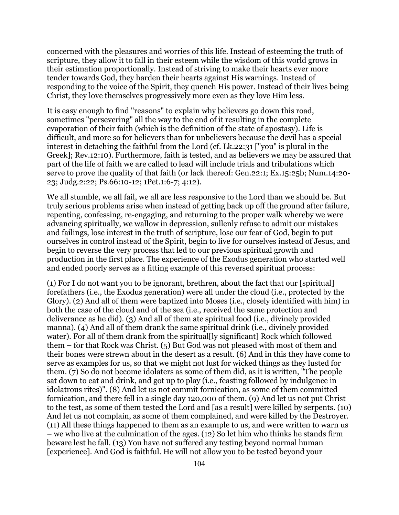concerned with the pleasures and worries of this life. Instead of esteeming the truth of scripture, they allow it to fall in their esteem while the wisdom of this world grows in their estimation proportionally. Instead of striving to make their hearts ever more tender towards God, they harden their hearts against His warnings. Instead of responding to the voice of the Spirit, they quench His power. Instead of their lives being Christ, they love themselves progressively more even as they love Him less.

It is easy enough to find "reasons" to explain why believers go down this road, sometimes "persevering" all the way to the end of it resulting in the complete evaporation of their faith (which is the definition of the state of apostasy). Life is difficult, and more so for believers than for unbelievers because the devil has a special interest in detaching the faithful from the Lord (cf. Lk.22:31 ["you" is plural in the Greek]; Rev.12:10). Furthermore, faith is tested, and as believers we may be assured that part of the life of faith we are called to lead will include trials and tribulations which serve to prove the quality of that faith (or lack thereof: Gen.22:1; Ex.15:25b; Num.14:20- 23; Judg.2:22; Ps.66:10-12; 1Pet.1:6-7; 4:12).

We all stumble, we all fail, we all are less responsive to the Lord than we should be. But truly serious problems arise when instead of getting back up off the ground after failure, repenting, confessing, re-engaging, and returning to the proper walk whereby we were advancing spiritually, we wallow in depression, sullenly refuse to admit our mistakes and failings, lose interest in the truth of scripture, lose our fear of God, begin to put ourselves in control instead of the Spirit, begin to live for ourselves instead of Jesus, and begin to reverse the very process that led to our previous spiritual growth and production in the first place. The experience of the Exodus generation who started well and ended poorly serves as a fitting example of this reversed spiritual process:

(1) For I do not want you to be ignorant, brethren, about the fact that our [spiritual] forefathers (i.e., the Exodus generation) were all under the cloud (i.e., protected by the Glory). (2) And all of them were baptized into Moses (i.e., closely identified with him) in both the case of the cloud and of the sea (i.e., received the same protection and deliverance as he did). (3) And all of them ate spiritual food (i.e., divinely provided manna). (4) And all of them drank the same spiritual drink (i.e., divinely provided water). For all of them drank from the spiritual [Iv significant] Rock which followed them – for that Rock was Christ. (5) But God was not pleased with most of them and their bones were strewn about in the desert as a result. (6) And in this they have come to serve as examples for us, so that we might not lust for wicked things as they lusted for them. (7) So do not become idolaters as some of them did, as it is written, "The people sat down to eat and drink, and got up to play (i.e., feasting followed by indulgence in idolatrous rites)". (8) And let us not commit fornication, as some of them committed fornication, and there fell in a single day 120,000 of them. (9) And let us not put Christ to the test, as some of them tested the Lord and [as a result] were killed by serpents. (10) And let us not complain, as some of them complained, and were killed by the Destroyer. (11) All these things happened to them as an example to us, and were written to warn us – we who live at the culmination of the ages. (12) So let him who thinks he stands firm beware lest he fall. (13) You have not suffered any testing beyond normal human [experience]. And God is faithful. He will not allow you to be tested beyond your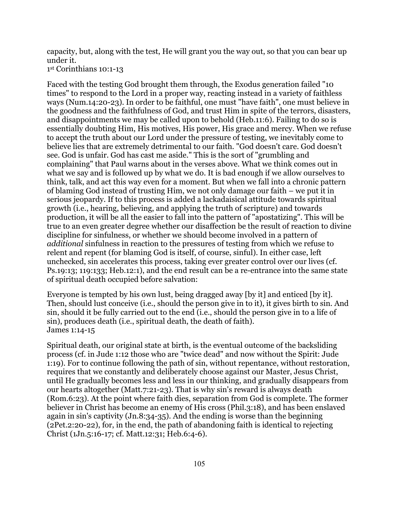capacity, but, along with the test, He will grant you the way out, so that you can bear up under it.

```
1st Corinthians 10:1-13
```
Faced with the testing God brought them through, the Exodus generation failed "10 times" to respond to the Lord in a proper way, reacting instead in a variety of faithless ways (Num.14:20-23). In order to be faithful, one must "have faith", one must believe in the goodness and the faithfulness of God, and trust Him in spite of the terrors, disasters, and disappointments we may be called upon to behold (Heb.11:6). Failing to do so is essentially doubting Him, His motives, His power, His grace and mercy. When we refuse to accept the truth about our Lord under the pressure of testing, we inevitably come to believe lies that are extremely detrimental to our faith. "God doesn't care. God doesn't see. God is unfair. God has cast me aside." This is the sort of "grumbling and complaining" that Paul warns about in the verses above. What we think comes out in what we say and is followed up by what we do. It is bad enough if we allow ourselves to think, talk, and act this way even for a moment. But when we fall into a chronic pattern of blaming God instead of trusting Him, we not only damage our faith – we put it in serious jeopardy. If to this process is added a lackadaisical attitude towards spiritual growth (i.e., hearing, believing, and applying the truth of scripture) and towards production, it will be all the easier to fall into the pattern of "apostatizing". This will be true to an even greater degree whether our disaffection be the result of reaction to divine discipline for sinfulness, or whether we should become involved in a pattern of *additional* sinfulness in reaction to the pressures of testing from which we refuse to relent and repent (for blaming God is itself, of course, sinful). In either case, left unchecked, sin accelerates this process, taking ever greater control over our lives (cf. Ps.19:13; 119:133; Heb.12:1), and the end result can be a re-entrance into the same state of spiritual death occupied before salvation:

Everyone is tempted by his own lust, being dragged away [by it] and enticed [by it]. Then, should lust conceive (i.e., should the person give in to it), it gives birth to sin. And sin, should it be fully carried out to the end (i.e., should the person give in to a life of sin), produces death (i.e., spiritual death, the death of faith). James 1:14-15

Spiritual death, our original state at birth, is the eventual outcome of the backsliding process (cf. in Jude 1:12 those who are "twice dead" and now without the Spirit: Jude 1:19). For to continue following the path of sin, without repentance, without restoration, requires that we constantly and deliberately choose against our Master, Jesus Christ, until He gradually becomes less and less in our thinking, and gradually disappears from our hearts altogether (Matt.7:21-23). That is why sin's reward is always death (Rom.6:23). At the point where faith dies, separation from God is complete. The former believer in Christ has become an enemy of His cross (Phil.3:18), and has been enslaved again in sin's captivity (Jn.8:34-35). And the ending is worse than the beginning (2Pet.2:20-22), for, in the end, the path of abandoning faith is identical to rejecting Christ (1Jn.5:16-17; cf. Matt.12:31; Heb.6:4-6).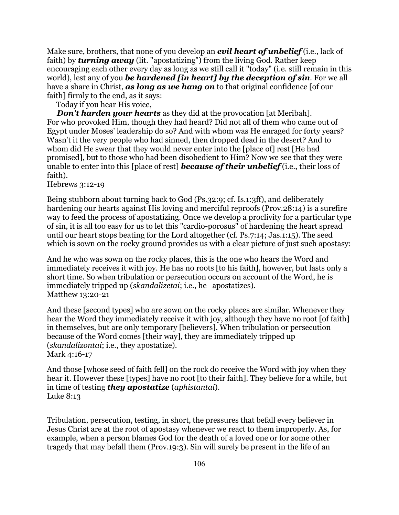Make sure, brothers, that none of you develop an *evil heart of unbelief* (i.e., lack of faith) by *turning away* (lit. "apostatizing") from the living God. Rather keep encouraging each other every day as long as we still call it "today" (i.e. still remain in this world), lest any of you *be hardened [in heart] by the deception of sin*. For we all have a share in Christ, *as long as we hang on* to that original confidence [of our faith] firmly to the end, as it says:

Today if you hear His voice,

*Don't harden your hearts* as they did at the provocation [at Meribah]. For who provoked Him, though they had heard? Did not all of them who came out of Egypt under Moses' leadership do so? And with whom was He enraged for forty years? Wasn't it the very people who had sinned, then dropped dead in the desert? And to whom did He swear that they would never enter into the [place of] rest [He had promised], but to those who had been disobedient to Him? Now we see that they were unable to enter into this [place of rest] *because of their unbelief* (i.e., their loss of faith).

Hebrews 3:12-19

Being stubborn about turning back to God (Ps.32:9; cf. Is.1:3ff), and deliberately hardening our hearts against His loving and merciful reproofs (Prov.28:14) is a surefire way to feed the process of apostatizing. Once we develop a proclivity for a particular type of sin, it is all too easy for us to let this "cardio-porosus" of hardening the heart spread until our heart stops beating for the Lord altogether (cf. Ps.7:14; Jas.1:15). The seed which is sown on the rocky ground provides us with a clear picture of just such apostasy:

And he who was sown on the rocky places, this is the one who hears the Word and immediately receives it with joy. He has no roots [to his faith], however, but lasts only a short time. So when tribulation or persecution occurs on account of the Word, he is immediately tripped up (*skandalizetai*; i.e., he apostatizes). Matthew 13:20-21

And these [second types] who are sown on the rocky places are similar. Whenever they hear the Word they immediately receive it with joy, although they have no root [of faith] in themselves, but are only temporary [believers]. When tribulation or persecution because of the Word comes [their way], they are immediately tripped up (*skandalizontai*; i.e., they apostatize). Mark 4:16-17

And those [whose seed of faith fell] on the rock do receive the Word with joy when they hear it. However these [types] have no root [to their faith]. They believe for a while, but in time of testing *they apostatize* (*aphistantai*). Luke 8:13

Tribulation, persecution, testing, in short, the pressures that befall every believer in Jesus Christ are at the root of apostasy whenever we react to them improperly. As, for example, when a person blames God for the death of a loved one or for some other tragedy that may befall them (Prov.19:3). Sin will surely be present in the life of an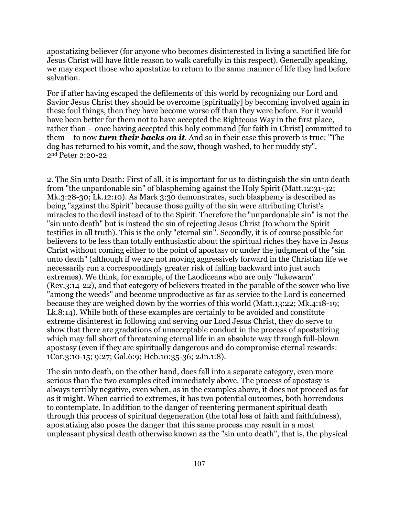apostatizing believer (for anyone who becomes disinterested in living a sanctified life for Jesus Christ will have little reason to walk carefully in this respect). Generally speaking, we may expect those who apostatize to return to the same manner of life they had before salvation.

For if after having escaped the defilements of this world by recognizing our Lord and Savior Jesus Christ they should be overcome [spiritually] by becoming involved again in these foul things, then they have become worse off than they were before. For it would have been better for them not to have accepted the Righteous Way in the first place, rather than – once having accepted this holy command [for faith in Christ] committed to them – to now *turn their backs on it*. And so in their case this proverb is true: "The dog has returned to his vomit, and the sow, though washed, to her muddy sty". 2nd Peter 2:20-22

2. The Sin unto Death: First of all, it is important for us to distinguish the sin unto death from "the unpardonable sin" of blaspheming against the Holy Spirit (Matt.12:31-32; Mk.3:28-30; Lk.12:10). As Mark 3:30 demonstrates, such blasphemy is described as being "against the Spirit" because those guilty of the sin were attributing Christ's miracles to the devil instead of to the Spirit. Therefore the "unpardonable sin" is not the "sin unto death" but is instead the sin of rejecting Jesus Christ (to whom the Spirit testifies in all truth). This is the only "eternal sin". Secondly, it is of course possible for believers to be less than totally enthusiastic about the spiritual riches they have in Jesus Christ without coming either to the point of apostasy or under the judgment of the "sin unto death" (although if we are not moving aggressively forward in the Christian life we necessarily run a correspondingly greater risk of falling backward into just such extremes). We think, for example, of the Laodiceans who are only "lukewarm" (Rev.3:14-22), and that category of believers treated in the parable of the sower who live "among the weeds" and become unproductive as far as service to the Lord is concerned because they are weighed down by the worries of this world (Matt.13:22; Mk.4:18-19; Lk.8:14). While both of these examples are certainly to be avoided and constitute extreme disinterest in following and serving our Lord Jesus Christ, they do serve to show that there are gradations of unacceptable conduct in the process of apostatizing which may fall short of threatening eternal life in an absolute way through full-blown apostasy (even if they are spiritually dangerous and do compromise eternal rewards: 1Cor.3:10-15; 9:27; Gal.6:9; Heb.10:35-36; 2Jn.1:8).

The sin unto death, on the other hand, does fall into a separate category, even more serious than the two examples cited immediately above. The process of apostasy is always terribly negative, even when, as in the examples above, it does not proceed as far as it might. When carried to extremes, it has two potential outcomes, both horrendous to contemplate. In addition to the danger of reentering permanent spiritual death through this process of spiritual degeneration (the total loss of faith and faithfulness), apostatizing also poses the danger that this same process may result in a most unpleasant physical death otherwise known as the "sin unto death", that is, the physical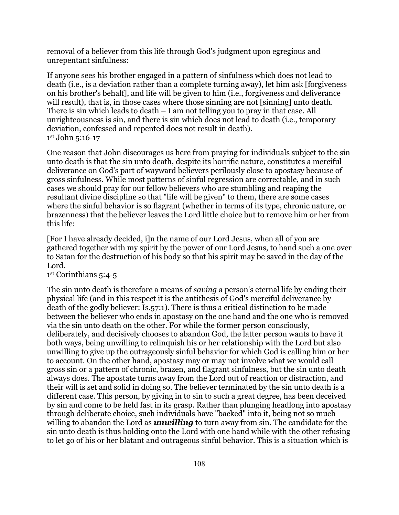removal of a believer from this life through God's judgment upon egregious and unrepentant sinfulness:

If anyone sees his brother engaged in a pattern of sinfulness which does not lead to death (i.e., is a deviation rather than a complete turning away), let him ask [forgiveness on his brother's behalf], and life will be given to him (i.e., forgiveness and deliverance will result), that is, in those cases where those sinning are not [sinning] unto death. There is sin which leads to death – I am not telling you to pray in that case. All unrighteousness is sin, and there is sin which does not lead to death (i.e., temporary deviation, confessed and repented does not result in death). 1st John 5:16-17

One reason that John discourages us here from praying for individuals subject to the sin unto death is that the sin unto death, despite its horrific nature, constitutes a merciful deliverance on God's part of wayward believers perilously close to apostasy because of gross sinfulness. While most patterns of sinful regression are correctable, and in such cases we should pray for our fellow believers who are stumbling and reaping the resultant divine discipline so that "life will be given" to them, there are some cases where the sinful behavior is so flagrant (whether in terms of its type, chronic nature, or brazenness) that the believer leaves the Lord little choice but to remove him or her from this life:

[For I have already decided, i]n the name of our Lord Jesus, when all of you are gathered together with my spirit by the power of our Lord Jesus, to hand such a one over to Satan for the destruction of his body so that his spirit may be saved in the day of the Lord.

1st Corinthians 5:4-5

The sin unto death is therefore a means of *saving* a person's eternal life by ending their physical life (and in this respect it is the antithesis of God's merciful deliverance by death of the godly believer: Is.57:1). There is thus a critical distinction to be made between the believer who ends in apostasy on the one hand and the one who is removed via the sin unto death on the other. For while the former person consciously, deliberately, and decisively chooses to abandon God, the latter person wants to have it both ways, being unwilling to relinquish his or her relationship with the Lord but also unwilling to give up the outrageously sinful behavior for which God is calling him or her to account. On the other hand, apostasy may or may not involve what we would call gross sin or a pattern of chronic, brazen, and flagrant sinfulness, but the sin unto death always does. The apostate turns away from the Lord out of reaction or distraction, and their will is set and solid in doing so. The believer terminated by the sin unto death is a different case. This person, by giving in to sin to such a great degree, has been deceived by sin and come to be held fast in its grasp. Rather than plunging headlong into apostasy through deliberate choice, such individuals have "backed" into it, being not so much willing to abandon the Lord as *unwilling* to turn away from sin. The candidate for the sin unto death is thus holding onto the Lord with one hand while with the other refusing to let go of his or her blatant and outrageous sinful behavior. This is a situation which is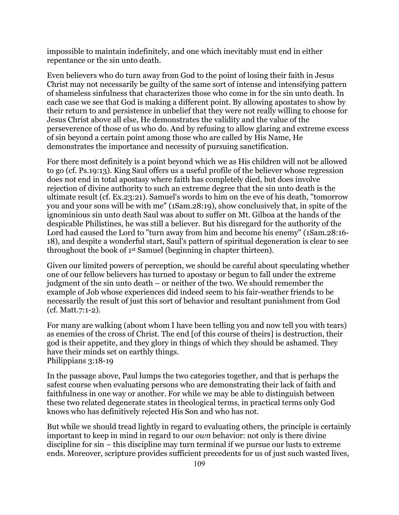impossible to maintain indefinitely, and one which inevitably must end in either repentance or the sin unto death.

Even believers who do turn away from God to the point of losing their faith in Jesus Christ may not necessarily be guilty of the same sort of intense and intensifying pattern of shameless sinfulness that characterizes those who come in for the sin unto death. In each case we see that God is making a different point. By allowing apostates to show by their return to and persistence in unbelief that they were not really willing to choose for Jesus Christ above all else, He demonstrates the validity and the value of the perseverence of those of us who do. And by refusing to allow glaring and extreme excess of sin beyond a certain point among those who are called by His Name, He demonstrates the importance and necessity of pursuing sanctification.

For there most definitely is a point beyond which we as His children will not be allowed to go (cf. Ps.19:13). King Saul offers us a useful profile of the believer whose regression does not end in total apostasy where faith has completely died, but does involve rejection of divine authority to such an extreme degree that the sin unto death is the ultimate result (cf. Ex.23:21). Samuel's words to him on the eve of his death, "tomorrow you and your sons will be with me" (1Sam.28:19), show conclusively that, in spite of the ignominious sin unto death Saul was about to suffer on Mt. Gilboa at the hands of the despicable Philistines, he was still a believer. But his disregard for the authority of the Lord had caused the Lord to "turn away from him and become his enemy" (1Sam.28:16- 18), and despite a wonderful start, Saul's pattern of spiritual degeneration is clear to see throughout the book of 1st Samuel (beginning in chapter thirteen).

Given our limited powers of perception, we should be careful about speculating whether one of our fellow believers has turned to apostasy or begun to fall under the extreme judgment of the sin unto death – or neither of the two. We should remember the example of Job whose experiences did indeed seem to his fair-weather friends to be necessarily the result of just this sort of behavior and resultant punishment from God (cf. Matt.7:1-2).

For many are walking (about whom I have been telling you and now tell you with tears) as enemies of the cross of Christ. The end [of this course of theirs] is destruction, their god is their appetite, and they glory in things of which they should be ashamed. They have their minds set on earthly things. Philippians 3:18-19

In the passage above, Paul lumps the two categories together, and that is perhaps the safest course when evaluating persons who are demonstrating their lack of faith and faithfulness in one way or another. For while we may be able to distinguish between these two related degenerate states in theological terms, in practical terms only God knows who has definitively rejected His Son and who has not.

But while we should tread lightly in regard to evaluating others, the principle is certainly important to keep in mind in regard to our *own* behavior: not only is there divine discipline for sin – this discipline may turn terminal if we pursue our lusts to extreme ends. Moreover, scripture provides sufficient precedents for us of just such wasted lives,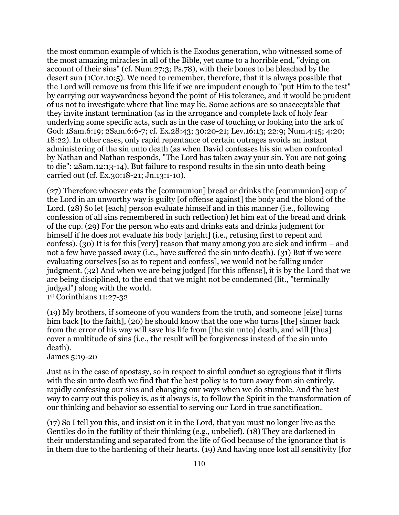the most common example of which is the Exodus generation, who witnessed some of the most amazing miracles in all of the Bible, yet came to a horrible end, "dying on account of their sins" (cf. Num.27:3; Ps.78), with their bones to be bleached by the desert sun (1Cor.10:5). We need to remember, therefore, that it is always possible that the Lord will remove us from this life if we are impudent enough to "put Him to the test" by carrying our waywardness beyond the point of His tolerance, and it would be prudent of us not to investigate where that line may lie. Some actions are so unacceptable that they invite instant termination (as in the arrogance and complete lack of holy fear underlying some specific acts, such as in the case of touching or looking into the ark of God: 1Sam.6:19; 2Sam.6:6-7; cf. Ex.28:43; 30:20-21; Lev.16:13; 22:9; Num.4:15; 4:20; 18:22). In other cases, only rapid repentance of certain outrages avoids an instant administering of the sin unto death (as when David confesses his sin when confronted by Nathan and Nathan responds, "The Lord has taken away your sin. You are not going to die": 2Sam.12:13-14). But failure to respond results in the sin unto death being carried out (cf. Ex.30:18-21; Jn.13:1-10).

(27) Therefore whoever eats the [communion] bread or drinks the [communion] cup of the Lord in an unworthy way is guilty [of offense against] the body and the blood of the Lord. (28) So let [each] person evaluate himself and in this manner (i.e., following confession of all sins remembered in such reflection) let him eat of the bread and drink of the cup. (29) For the person who eats and drinks eats and drinks judgment for himself if he does not evaluate his body [aright] (i.e., refusing first to repent and confess). (30) It is for this [very] reason that many among you are sick and infirm – and not a few have passed away (i.e., have suffered the sin unto death). (31) But if we were evaluating ourselves [so as to repent and confess], we would not be falling under judgment. (32) And when we are being judged [for this offense], it is by the Lord that we are being disciplined, to the end that we might not be condemned (lit., "terminally judged") along with the world.

1st Corinthians 11:27-32

(19) My brothers, if someone of you wanders from the truth, and someone [else] turns him back [to the faith], (20) he should know that the one who turns [the] sinner back from the error of his way will save his life from [the sin unto] death, and will [thus] cover a multitude of sins (i.e., the result will be forgiveness instead of the sin unto death).

### James 5:19-20

Just as in the case of apostasy, so in respect to sinful conduct so egregious that it flirts with the sin unto death we find that the best policy is to turn away from sin entirely, rapidly confessing our sins and changing our ways when we do stumble. And the best way to carry out this policy is, as it always is, to follow the Spirit in the transformation of our thinking and behavior so essential to serving our Lord in true sanctification.

(17) So I tell you this, and insist on it in the Lord, that you must no longer live as the Gentiles do in the futility of their thinking (e.g., unbelief). (18) They are darkened in their understanding and separated from the life of God because of the ignorance that is in them due to the hardening of their hearts. (19) And having once lost all sensitivity [for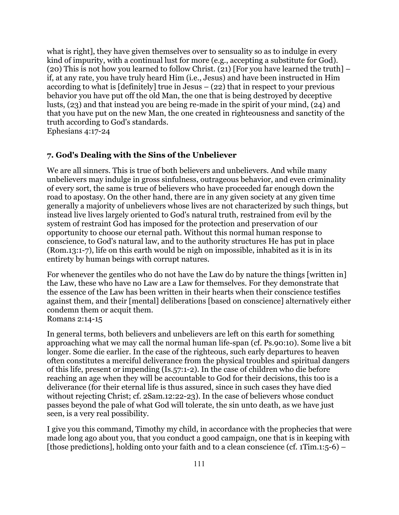what is right], they have given themselves over to sensuality so as to indulge in every kind of impurity, with a continual lust for more (e.g., accepting a substitute for God). (20) This is not how you learned to follow Christ. (21) [For you have learned the truth] – if, at any rate, you have truly heard Him (i.e., Jesus) and have been instructed in Him according to what is [definitely] true in Jesus – (22) that in respect to your previous behavior you have put off the old Man, the one that is being destroyed by deceptive lusts, (23) and that instead you are being re-made in the spirit of your mind, (24) and that you have put on the new Man, the one created in righteousness and sanctity of the truth according to God's standards.

Ephesians 4:17-24

## **7. God's Dealing with the Sins of the Unbeliever**

We are all sinners. This is true of both believers and unbelievers. And while many unbelievers may indulge in gross sinfulness, outrageous behavior, and even criminality of every sort, the same is true of believers who have proceeded far enough down the road to apostasy. On the other hand, there are in any given society at any given time generally a majority of unbelievers whose lives are not characterized by such things, but instead live lives largely oriented to God's natural truth, restrained from evil by the system of restraint God has imposed for the protection and preservation of our opportunity to choose our eternal path. Without this normal human response to conscience, to God's natural law, and to the authority structures He has put in place (Rom.13:1-7), life on this earth would be nigh on impossible, inhabited as it is in its entirety by human beings with corrupt natures.

For whenever the gentiles who do not have the Law do by nature the things [written in] the Law, these who have no Law are a Law for themselves. For they demonstrate that the essence of the Law has been written in their hearts when their conscience testifies against them, and their [mental] deliberations [based on conscience] alternatively either condemn them or acquit them. Romans 2:14-15

In general terms, both believers and unbelievers are left on this earth for something approaching what we may call the normal human life-span (cf. Ps.90:10). Some live a bit longer. Some die earlier. In the case of the righteous, such early departures to heaven often constitutes a merciful deliverance from the physical troubles and spiritual dangers of this life, present or impending (Is.57:1-2). In the case of children who die before reaching an age when they will be accountable to God for their decisions, this too is a deliverance (for their eternal life is thus assured, since in such cases they have died without rejecting Christ; cf. 2Sam.12:22-23). In the case of believers whose conduct passes beyond the pale of what God will tolerate, the sin unto death, as we have just seen, is a very real possibility.

I give you this command, Timothy my child, in accordance with the prophecies that were made long ago about you, that you conduct a good campaign, one that is in keeping with [those predictions], holding onto your faith and to a clean conscience (cf. 1Tim.1:5-6) –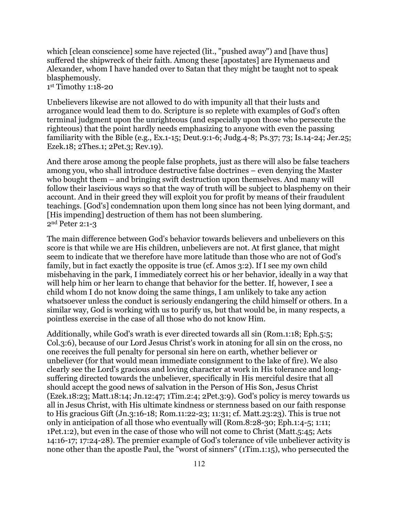which [clean conscience] some have rejected (lit., "pushed away") and [have thus] suffered the shipwreck of their faith. Among these [apostates] are Hymenaeus and Alexander, whom I have handed over to Satan that they might be taught not to speak blasphemously.

1st Timothy 1:18-20

Unbelievers likewise are not allowed to do with impunity all that their lusts and arrogance would lead them to do. Scripture is so replete with examples of God's often terminal judgment upon the unrighteous (and especially upon those who persecute the righteous) that the point hardly needs emphasizing to anyone with even the passing familiarity with the Bible (e.g., Ex.1-15; Deut.9:1-6; Judg.4-8; Ps.37; 73; Is.14-24; Jer.25; Ezek.18; 2Thes.1; 2Pet.3; Rev.19).

And there arose among the people false prophets, just as there will also be false teachers among you, who shall introduce destructive false doctrines – even denying the Master who bought them – and bringing swift destruction upon themselves. And many will follow their lascivious ways so that the way of truth will be subject to blasphemy on their account. And in their greed they will exploit you for profit by means of their fraudulent teachings. [God's] condemnation upon them long since has not been lying dormant, and [His impending] destruction of them has not been slumbering. 2nd Peter 2:1-3

The main difference between God's behavior towards believers and unbelievers on this score is that while we are His children, unbelievers are not. At first glance, that might seem to indicate that we therefore have more latitude than those who are not of God's family, but in fact exactly the opposite is true (cf. Amos 3:2). If I see my own child misbehaving in the park, I immediately correct his or her behavior, ideally in a way that will help him or her learn to change that behavior for the better. If, however, I see a child whom I do not know doing the same things, I am unlikely to take any action whatsoever unless the conduct is seriously endangering the child himself or others. In a similar way, God is working with us to purify us, but that would be, in many respects, a pointless exercise in the case of all those who do not know Him.

Additionally, while God's wrath is ever directed towards all sin (Rom.1:18; Eph.5:5; Col.3:6), because of our Lord Jesus Christ's work in atoning for all sin on the cross, no one receives the full penalty for personal sin here on earth, whether believer or unbeliever (for that would mean immediate consignment to the lake of fire). We also clearly see the Lord's gracious and loving character at work in His tolerance and longsuffering directed towards the unbeliever, specifically in His merciful desire that all should accept the good news of salvation in the Person of His Son, Jesus Christ (Ezek.18:23; Matt.18:14; Jn.12:47; 1Tim.2:4; 2Pet.3:9). God's policy is mercy towards us all in Jesus Christ, with His ultimate kindness or sternness based on our faith response to His gracious Gift (Jn.3:16-18; Rom.11:22-23; 11:31; cf. Matt.23:23). This is true not only in anticipation of all those who eventually will (Rom.8:28-30; Eph.1:4-5; 1:11; 1Pet.1:2), but even in the case of those who will not come to Christ (Matt.5:45; Acts 14:16-17; 17:24-28). The premier example of God's tolerance of vile unbeliever activity is none other than the apostle Paul, the "worst of sinners" (1Tim.1:15), who persecuted the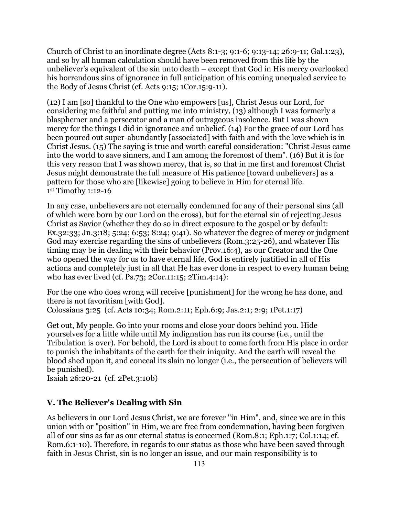Church of Christ to an inordinate degree (Acts 8:1-3; 9:1-6; 9:13-14; 26:9-11; Gal.1:23), and so by all human calculation should have been removed from this life by the unbeliever's equivalent of the sin unto death – except that God in His mercy overlooked his horrendous sins of ignorance in full anticipation of his coming unequaled service to the Body of Jesus Christ (cf. Acts 9:15; 1Cor.15:9-11).

(12) I am [so] thankful to the One who empowers [us], Christ Jesus our Lord, for considering me faithful and putting me into ministry, (13) although I was formerly a blasphemer and a persecutor and a man of outrageous insolence. But I was shown mercy for the things I did in ignorance and unbelief. (14) For the grace of our Lord has been poured out super-abundantly [associated] with faith and with the love which is in Christ Jesus. (15) The saying is true and worth careful consideration: "Christ Jesus came into the world to save sinners, and I am among the foremost of them". (16) But it is for this very reason that I was shown mercy, that is, so that in me first and foremost Christ Jesus might demonstrate the full measure of His patience [toward unbelievers] as a pattern for those who are [likewise] going to believe in Him for eternal life. 1st Timothy 1:12-16

In any case, unbelievers are not eternally condemned for any of their personal sins (all of which were born by our Lord on the cross), but for the eternal sin of rejecting Jesus Christ as Savior (whether they do so in direct exposure to the gospel or by default: Ex.32:33; Jn.3:18; 5:24; 6:53; 8:24; 9:41). So whatever the degree of mercy or judgment God may exercise regarding the sins of unbelievers (Rom.3:25-26), and whatever His timing may be in dealing with their behavior (Prov.16:4), as our Creator and the One who opened the way for us to have eternal life, God is entirely justified in all of His actions and completely just in all that He has ever done in respect to every human being who has ever lived (cf. Ps.73; 2Cor.11:15; 2Tim.4:14):

For the one who does wrong will receive [punishment] for the wrong he has done, and there is not favoritism [with God].

Colossians 3:25 (cf. Acts 10:34; Rom.2:11; Eph.6:9; Jas.2:1; 2:9; 1Pet.1:17)

Get out, My people. Go into your rooms and close your doors behind you. Hide yourselves for a little while until My indignation has run its course (i.e., until the Tribulation is over). For behold, the Lord is about to come forth from His place in order to punish the inhabitants of the earth for their iniquity. And the earth will reveal the blood shed upon it, and conceal its slain no longer (i.e., the persecution of believers will be punished).

Isaiah 26:20-21 (cf. 2Pet.3:10b)

# **V. The Believer's Dealing with Sin**

As believers in our Lord Jesus Christ, we are forever "in Him", and, since we are in this union with or "position" in Him, we are free from condemnation, having been forgiven all of our sins as far as our eternal status is concerned (Rom.8:1; Eph.1:7; Col.1:14; cf. Rom.6:1-10). Therefore, in regards to our status as those who have been saved through faith in Jesus Christ, sin is no longer an issue, and our main responsibility is to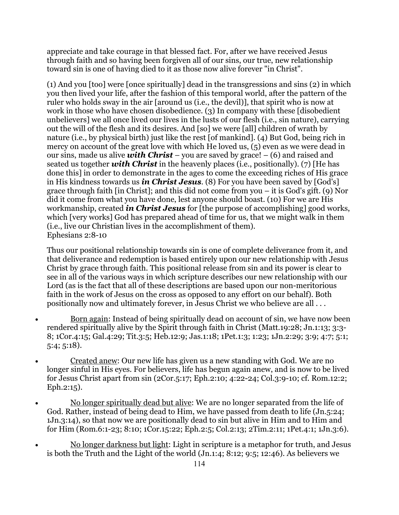appreciate and take courage in that blessed fact. For, after we have received Jesus through faith and so having been forgiven all of our sins, our true, new relationship toward sin is one of having died to it as those now alive forever "in Christ".

(1) And you [too] were [once spiritually] dead in the transgressions and sins (2) in which you then lived your life, after the fashion of this temporal world, after the pattern of the ruler who holds sway in the air [around us (i.e., the devil)], that spirit who is now at work in those who have chosen disobedience. (3) In company with these [disobedient unbelievers] we all once lived our lives in the lusts of our flesh (i.e., sin nature), carrying out the will of the flesh and its desires. And [so] we were [all] children of wrath by nature (i.e., by physical birth) just like the rest [of mankind]. (4) But God, being rich in mercy on account of the great love with which He loved us, (5) even as we were dead in our sins, made us alive *with Christ* – you are saved by grace! – (6) and raised and seated us together *with Christ* in the heavenly places (i.e., positionally). (7) [He has done this] in order to demonstrate in the ages to come the exceeding riches of His grace in His kindness towards us *in Christ Jesus*. (8) For you have been saved by [God's] grace through faith [in Christ]; and this did not come from you – it is God's gift. (9) Nor did it come from what you have done, lest anyone should boast. (10) For we are His workmanship, created *in Christ Jesus* for [the purpose of accomplishing] good works, which [very works] God has prepared ahead of time for us, that we might walk in them (i.e., live our Christian lives in the accomplishment of them). Ephesians 2:8-10

Thus our positional relationship towards sin is one of complete deliverance from it, and that deliverance and redemption is based entirely upon our new relationship with Jesus Christ by grace through faith. This positional release from sin and its power is clear to see in all of the various ways in which scripture describes our new relationship with our Lord (as is the fact that all of these descriptions are based upon our non-meritorious faith in the work of Jesus on the cross as opposed to any effort on our behalf). Both positionally now and ultimately forever, in Jesus Christ we who believe are all . . .

- Born again: Instead of being spiritually dead on account of sin, we have now been rendered spiritually alive by the Spirit through faith in Christ (Matt.19:28; Jn.1:13; 3:3- 8; 1Cor.4:15; Gal.4:29; Tit.3:5; Heb.12:9; Jas.1:18; 1Pet.1:3; 1:23; 1Jn.2:29; 3:9; 4:7; 5:1; 5:4; 5:18).
- Created anew: Our new life has given us a new standing with God. We are no longer sinful in His eyes. For believers, life has begun again anew, and is now to be lived for Jesus Christ apart from sin (2Cor.5:17; Eph.2:10; 4:22-24; Col.3:9-10; cf. Rom.12:2; Eph.2:15).
- No longer spiritually dead but alive: We are no longer separated from the life of God. Rather, instead of being dead to Him, we have passed from death to life (Jn.5:24; 1Jn.3:14), so that now we are positionally dead to sin but alive in Him and to Him and for Him (Rom.6:1-23; 8:10; 1Cor.15:22; Eph.2:5; Col.2:13; 2Tim.2:11; 1Pet.4:1; 1Jn.3:6).
- No longer darkness but light: Light in scripture is a metaphor for truth, and Jesus is both the Truth and the Light of the world (Jn.1:4; 8:12; 9:5; 12:46). As believers we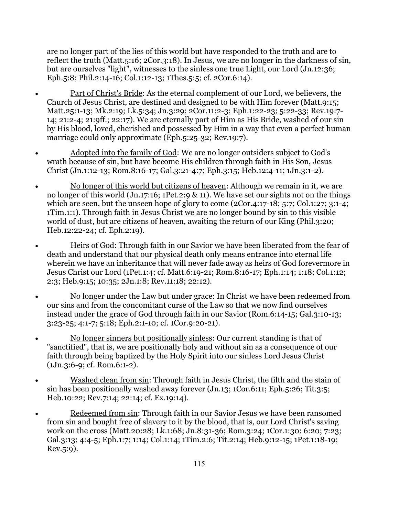are no longer part of the lies of this world but have responded to the truth and are to reflect the truth (Matt.5:16; 2Cor.3:18). In Jesus, we are no longer in the darkness of sin, but are ourselves "light", witnesses to the sinless one true Light, our Lord (Jn.12:36; Eph.5:8; Phil.2:14-16; Col.1:12-13; 1Thes.5:5; cf. 2Cor.6:14).

- Part of Christ's Bride: As the eternal complement of our Lord, we believers, the Church of Jesus Christ, are destined and designed to be with Him forever (Matt.9:15; Matt.25:1-13; Mk.2:19; Lk.5:34; Jn.3:29; 2Cor.11:2-3; Eph.1:22-23; 5:22-33; Rev.19:7- 14; 21:2-4; 21:9ff.; 22:17). We are eternally part of Him as His Bride, washed of our sin by His blood, loved, cherished and possessed by Him in a way that even a perfect human marriage could only approximate (Eph.5:25-32; Rev.19:7).
- Adopted into the family of God: We are no longer outsiders subject to God's wrath because of sin, but have become His children through faith in His Son, Jesus Christ (Jn.1:12-13; Rom.8:16-17; Gal.3:21-4:7; Eph.3:15; Heb.12:4-11; 1Jn.3:1-2).
- No longer of this world but citizens of heaven: Although we remain in it, we are no longer of this world (Jn.17:16; 1Pet.2:9 & 11). We have set our sights not on the things which are seen, but the unseen hope of glory to come (2Cor.4:17-18; 5:7; Col.1:27; 3:1-4; 1Tim.1:1). Through faith in Jesus Christ we are no longer bound by sin to this visible world of dust, but are citizens of heaven, awaiting the return of our King (Phil.3:20; Heb.12:22-24; cf. Eph.2:19).
- Heirs of God: Through faith in our Savior we have been liberated from the fear of death and understand that our physical death only means entrance into eternal life wherein we have an inheritance that will never fade away as heirs of God forevermore in Jesus Christ our Lord (1Pet.1:4; cf. Matt.6:19-21; Rom.8:16-17; Eph.1:14; 1:18; Col.1:12; 2:3; Heb.9:15; 10:35; 2Jn.1:8; Rev.11:18; 22:12).
- No longer under the Law but under grace: In Christ we have been redeemed from our sins and from the concomitant curse of the Law so that we now find ourselves instead under the grace of God through faith in our Savior (Rom.6:14-15; Gal.3:10-13; 3:23-25; 4:1-7; 5:18; Eph.2:1-10; cf. 1Cor.9:20-21).
- No longer sinners but positionally sinless: Our current standing is that of "sanctified", that is, we are positionally holy and without sin as a consequence of our faith through being baptized by the Holy Spirit into our sinless Lord Jesus Christ (1Jn.3:6-9; cf. Rom.6:1-2).
- Washed clean from sin: Through faith in Jesus Christ, the filth and the stain of sin has been positionally washed away forever (Jn.13; 1Cor.6:11; Eph.5:26; Tit.3:5; Heb.10:22; Rev.7:14; 22:14; cf. Ex.19:14).
- Redeemed from sin: Through faith in our Savior Jesus we have been ransomed from sin and bought free of slavery to it by the blood, that is, our Lord Christ's saving work on the cross (Matt.20:28; Lk.1:68; Jn.8:31-36; Rom.3:24; 1Cor.1:30; 6:20; 7:23; Gal.3:13; 4:4-5; Eph.1:7; 1:14; Col.1:14; 1Tim.2:6; Tit.2:14; Heb.9:12-15; 1Pet.1:18-19; Rev.5:9).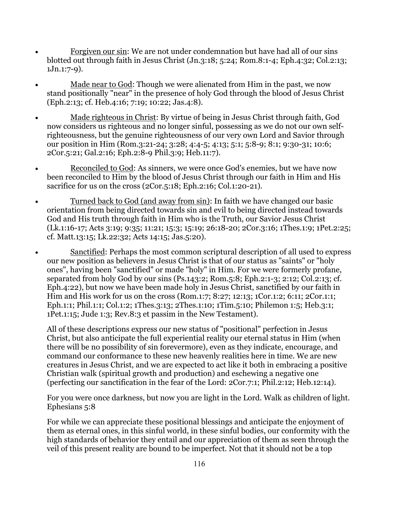- Forgiven our sin: We are not under condemnation but have had all of our sins blotted out through faith in Jesus Christ (Jn.3:18; 5:24; Rom.8:1-4; Eph.4:32; Col.2:13; 1Jn.1:7-9).
- Made near to God: Though we were alienated from Him in the past, we now stand positionally "near" in the presence of holy God through the blood of Jesus Christ (Eph.2:13; cf. Heb.4:16; 7:19; 10:22; Jas.4:8).
- Made righteous in Christ: By virtue of being in Jesus Christ through faith, God now considers us righteous and no longer sinful, possessing as we do not our own selfrighteousness, but the genuine righteousness of our very own Lord and Savior through our position in Him (Rom.3:21-24; 3:28; 4:4-5; 4:13; 5:1; 5:8-9; 8:1; 9:30-31; 10:6; 2Cor.5:21; Gal.2:16; Eph.2:8-9 Phil.3:9; Heb.11:7).
- Reconciled to God: As sinners, we were once God's enemies, but we have now been reconciled to Him by the blood of Jesus Christ through our faith in Him and His sacrifice for us on the cross (2Cor.5:18; Eph.2:16; Col.1:20-21).
- Turned back to God (and away from sin): In faith we have changed our basic orientation from being directed towards sin and evil to being directed instead towards God and His truth through faith in Him who is the Truth, our Savior Jesus Christ (Lk.1:16-17; Acts 3:19; 9:35; 11:21; 15:3; 15:19; 26:18-20; 2Cor.3:16; 1Thes.1:9; 1Pet.2:25; cf. Matt.13:15; Lk.22:32; Acts 14:15; Jas.5:20).
- Sanctified: Perhaps the most common scriptural description of all used to express our new position as believers in Jesus Christ is that of our status as "saints" or "holy ones", having been "sanctified" or made "holy" in Him. For we were formerly profane, separated from holy God by our sins (Ps.143:2; Rom.5:8; Eph.2:1-3; 2:12; Col.2:13; cf. Eph.4:22), but now we have been made holy in Jesus Christ, sanctified by our faith in Him and His work for us on the cross (Rom.1:7; 8:27; 12:13; 1Cor.1:2; 6:11; 2Cor.1:1; Eph.1:1; Phil.1:1; Col.1:2; 1Thes.3:13; 2Thes.1:10; 1Tim.5:10; Philemon 1:5; Heb.3:1; 1Pet.1:15; Jude 1:3; Rev.8:3 et passim in the New Testament).

All of these descriptions express our new status of "positional" perfection in Jesus Christ, but also anticipate the full experiential reality our eternal status in Him (when there will be no possibility of sin forevermore), even as they indicate, encourage, and command our conformance to these new heavenly realities here in time. We are new creatures in Jesus Christ, and we are expected to act like it both in embracing a positive Christian walk (spiritual growth and production) and eschewing a negative one (perfecting our sanctification in the fear of the Lord: 2Cor.7:1; Phil.2:12; Heb.12:14).

For you were once darkness, but now you are light in the Lord. Walk as children of light. Ephesians 5:8

For while we can appreciate these positional blessings and anticipate the enjoyment of them as eternal ones, in this sinful world, in these sinful bodies, our conformity with the high standards of behavior they entail and our appreciation of them as seen through the veil of this present reality are bound to be imperfect. Not that it should not be a top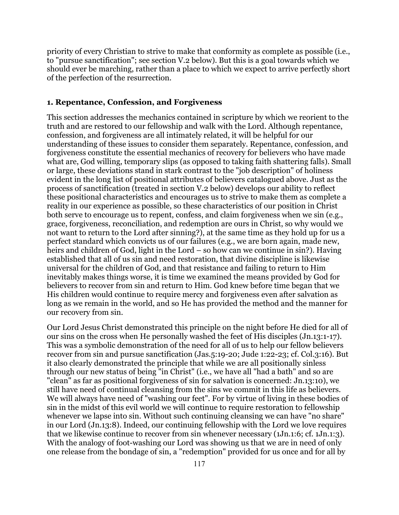priority of every Christian to strive to make that conformity as complete as possible (i.e., to "pursue sanctification"; see section V.2 below). But this is a goal towards which we should ever be marching, rather than a place to which we expect to arrive perfectly short of the perfection of the resurrection.

### **1. Repentance, Confession, and Forgiveness**

This section addresses the mechanics contained in scripture by which we reorient to the truth and are restored to our fellowship and walk with the Lord. Although repentance, confession, and forgiveness are all intimately related, it will be helpful for our understanding of these issues to consider them separately. Repentance, confession, and forgiveness constitute the essential mechanics of recovery for believers who have made what are, God willing, temporary slips (as opposed to taking faith shattering falls). Small or large, these deviations stand in stark contrast to the "job description" of holiness evident in the long list of positional attributes of believers catalogued above. Just as the process of sanctification (treated in section V.2 below) develops our ability to reflect these positional characteristics and encourages us to strive to make them as complete a reality in our experience as possible, so these characteristics of our position in Christ both serve to encourage us to repent, confess, and claim forgiveness when we sin (e.g., grace, forgiveness, reconciliation, and redemption are ours in Christ, so why would we not want to return to the Lord after sinning?), at the same time as they hold up for us a perfect standard which convicts us of our failures (e.g., we are born again, made new, heirs and children of God, light in the Lord – so how can we continue in sin?). Having established that all of us sin and need restoration, that divine discipline is likewise universal for the children of God, and that resistance and failing to return to Him inevitably makes things worse, it is time we examined the means provided by God for believers to recover from sin and return to Him. God knew before time began that we His children would continue to require mercy and forgiveness even after salvation as long as we remain in the world, and so He has provided the method and the manner for our recovery from sin.

Our Lord Jesus Christ demonstrated this principle on the night before He died for all of our sins on the cross when He personally washed the feet of His disciples (Jn.13:1-17). This was a symbolic demonstration of the need for all of us to help our fellow believers recover from sin and pursue sanctification (Jas.5:19-20; Jude 1:22-23; cf. Col.3:16). But it also clearly demonstrated the principle that while we are all positionally sinless through our new status of being "in Christ" (i.e., we have all "had a bath" and so are "clean" as far as positional forgiveness of sin for salvation is concerned: Jn.13:10), we still have need of continual cleansing from the sins we commit in this life as believers. We will always have need of "washing our feet". For by virtue of living in these bodies of sin in the midst of this evil world we will continue to require restoration to fellowship whenever we lapse into sin. Without such continuing cleansing we can have "no share" in our Lord (Jn.13:8). Indeed, our continuing fellowship with the Lord we love requires that we likewise continue to recover from sin whenever necessary (1Jn.1:6; cf. 1Jn.1:3). With the analogy of foot-washing our Lord was showing us that we are in need of only one release from the bondage of sin, a "redemption" provided for us once and for all by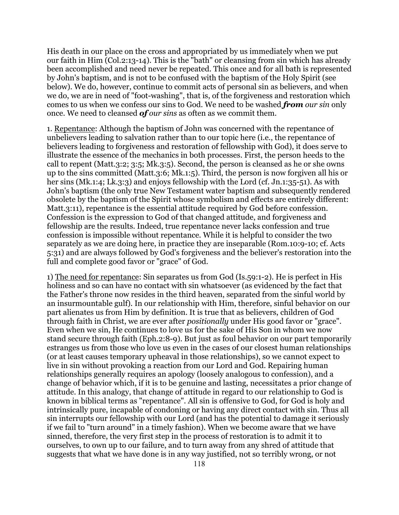His death in our place on the cross and appropriated by us immediately when we put our faith in Him (Col.2:13-14). This is the "bath" or cleansing from sin which has already been accomplished and need never be repeated. This once and for all bath is represented by John's baptism, and is not to be confused with the baptism of the Holy Spirit (see below). We do, however, continue to commit acts of personal sin as believers, and when we do, we are in need of "foot-washing", that is, of the forgiveness and restoration which comes to us when we confess our sins to God. We need to be washed *from our sin* only once. We need to cleansed *of our sins* as often as we commit them.

1. Repentance: Although the baptism of John was concerned with the repentance of unbelievers leading to salvation rather than to our topic here (i.e., the repentance of believers leading to forgiveness and restoration of fellowship with God), it does serve to illustrate the essence of the mechanics in both processes. First, the person heeds to the call to repent (Matt.3:2; 3:5; Mk.3:5). Second, the person is cleansed as he or she owns up to the sins committed (Matt.3:6; Mk.1:5). Third, the person is now forgiven all his or her sins (Mk.1:4; Lk.3:3) and enjoys fellowship with the Lord (cf. Jn.1:35-51). As with John's baptism (the only true New Testament water baptism and subsequently rendered obsolete by the baptism of the Spirit whose symbolism and effects are entirely different: Matt.3:11), repentance is the essential attitude required by God before confession. Confession is the expression to God of that changed attitude, and forgiveness and fellowship are the results. Indeed, true repentance never lacks confession and true confession is impossible without repentance. While it is helpful to consider the two separately as we are doing here, in practice they are inseparable (Rom.10:9-10; cf. Acts 5:31) and are always followed by God's forgiveness and the believer's restoration into the full and complete good favor or "grace" of God.

1) The need for repentance: Sin separates us from God (Is.59:1-2). He is perfect in His holiness and so can have no contact with sin whatsoever (as evidenced by the fact that the Father's throne now resides in the third heaven, separated from the sinful world by an insurmountable gulf). In our relationship with Him, therefore, sinful behavior on our part alienates us from Him by definition. It is true that as believers, children of God through faith in Christ, we are ever after *positionally* under His good favor or "grace". Even when we sin, He continues to love us for the sake of His Son in whom we now stand secure through faith (Eph.2:8-9). But just as foul behavior on our part temporarily estranges us from those who love us even in the cases of our closest human relationships (or at least causes temporary upheaval in those relationships), so we cannot expect to live in sin without provoking a reaction from our Lord and God. Repairing human relationships generally requires an apology (loosely analogous to confession), and a change of behavior which, if it is to be genuine and lasting, necessitates a prior change of attitude. In this analogy, that change of attitude in regard to our relationship to God is known in biblical terms as "repentance". All sin is offensive to God, for God is holy and intrinsically pure, incapable of condoning or having any direct contact with sin. Thus all sin interrupts our fellowship with our Lord (and has the potential to damage it seriously if we fail to "turn around" in a timely fashion). When we become aware that we have sinned, therefore, the very first step in the process of restoration is to admit it to ourselves, to own up to our failure, and to turn away from any shred of attitude that suggests that what we have done is in any way justified, not so terribly wrong, or not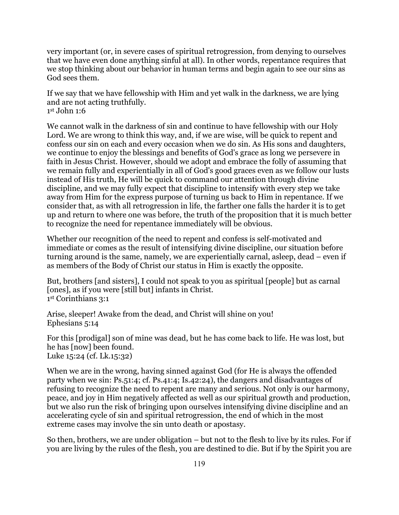very important (or, in severe cases of spiritual retrogression, from denying to ourselves that we have even done anything sinful at all). In other words, repentance requires that we stop thinking about our behavior in human terms and begin again to see our sins as God sees them.

If we say that we have fellowship with Him and yet walk in the darkness, we are lying and are not acting truthfully. 1st John 1:6

We cannot walk in the darkness of sin and continue to have fellowship with our Holy Lord. We are wrong to think this way, and, if we are wise, will be quick to repent and confess our sin on each and every occasion when we do sin. As His sons and daughters, we continue to enjoy the blessings and benefits of God's grace as long we persevere in faith in Jesus Christ. However, should we adopt and embrace the folly of assuming that we remain fully and experientially in all of God's good graces even as we follow our lusts instead of His truth, He will be quick to command our attention through divine discipline, and we may fully expect that discipline to intensify with every step we take away from Him for the express purpose of turning us back to Him in repentance. If we consider that, as with all retrogression in life, the farther one falls the harder it is to get up and return to where one was before, the truth of the proposition that it is much better to recognize the need for repentance immediately will be obvious.

Whether our recognition of the need to repent and confess is self-motivated and immediate or comes as the result of intensifying divine discipline, our situation before turning around is the same, namely, we are experientially carnal, asleep, dead – even if as members of the Body of Christ our status in Him is exactly the opposite.

But, brothers [and sisters], I could not speak to you as spiritual [people] but as carnal [ones], as if you were [still but] infants in Christ. 1st Corinthians 3:1

Arise, sleeper! Awake from the dead, and Christ will shine on you! Ephesians 5:14

For this [prodigal] son of mine was dead, but he has come back to life. He was lost, but he has [now] been found. Luke 15:24 (cf. Lk.15:32)

When we are in the wrong, having sinned against God (for He is always the offended party when we sin: Ps.51:4; cf. Ps.41:4; Is.42:24), the dangers and disadvantages of refusing to recognize the need to repent are many and serious. Not only is our harmony, peace, and joy in Him negatively affected as well as our spiritual growth and production, but we also run the risk of bringing upon ourselves intensifying divine discipline and an accelerating cycle of sin and spiritual retrogression, the end of which in the most extreme cases may involve the sin unto death or apostasy.

So then, brothers, we are under obligation – but not to the flesh to live by its rules. For if you are living by the rules of the flesh, you are destined to die. But if by the Spirit you are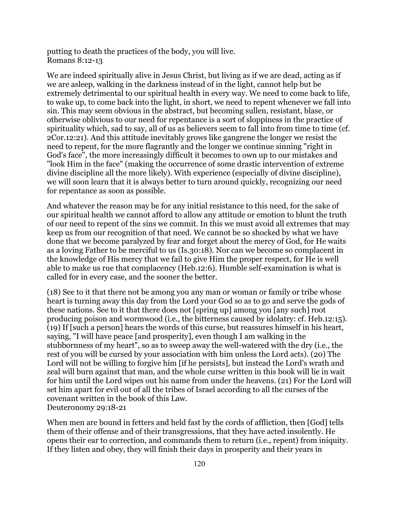putting to death the practices of the body, you will live. Romans 8:12-13

We are indeed spiritually alive in Jesus Christ, but living as if we are dead, acting as if we are asleep, walking in the darkness instead of in the light, cannot help but be extremely detrimental to our spiritual health in every way. We need to come back to life, to wake up, to come back into the light, in short, we need to repent whenever we fall into sin. This may seem obvious in the abstract, but becoming sullen, resistant, blase, or otherwise oblivious to our need for repentance is a sort of sloppiness in the practice of spirituality which, sad to say, all of us as believers seem to fall into from time to time (cf. 2Cor.12:21). And this attitude inevitably grows like gangrene the longer we resist the need to repent, for the more flagrantly and the longer we continue sinning "right in God's face", the more increasingly difficult it becomes to own up to our mistakes and "look Him in the face" (making the occurrence of some drastic intervention of extreme divine discipline all the more likely). With experience (especially of divine discipline), we will soon learn that it is always better to turn around quickly, recognizing our need for repentance as soon as possible.

And whatever the reason may be for any initial resistance to this need, for the sake of our spiritual health we cannot afford to allow any attitude or emotion to blunt the truth of our need to repent of the sins we commit. In this we must avoid all extremes that may keep us from our recognition of that need. We cannot be so shocked by what we have done that we become paralyzed by fear and forget about the mercy of God, for He waits as a loving Father to be merciful to us (Is.30:18). Nor can we become so complacent in the knowledge of His mercy that we fail to give Him the proper respect, for He is well able to make us rue that complacency (Heb.12:6). Humble self-examination is what is called for in every case, and the sooner the better.

(18) See to it that there not be among you any man or woman or family or tribe whose heart is turning away this day from the Lord your God so as to go and serve the gods of these nations. See to it that there does not [spring up] among you [any such] root producing poison and wormwood (i.e., the bitterness caused by idolatry: cf. Heb.12:15). (19) If [such a person] hears the words of this curse, but reassures himself in his heart, saying, "I will have peace [and prosperity], even though I am walking in the stubbornness of my heart", so as to sweep away the well-watered with the dry (i.e., the rest of you will be cursed by your association with him unless the Lord acts). (20) The Lord will not be willing to forgive him [if he persists], but instead the Lord's wrath and zeal will burn against that man, and the whole curse written in this book will lie in wait for him until the Lord wipes out his name from under the heavens. (21) For the Lord will set him apart for evil out of all the tribes of Israel according to all the curses of the covenant written in the book of this Law. Deuteronomy 29:18-21

When men are bound in fetters and held fast by the cords of affliction, then [God] tells them of their offense and of their transgressions, that they have acted insolently. He opens their ear to correction, and commands them to return (i.e., repent) from iniquity. If they listen and obey, they will finish their days in prosperity and their years in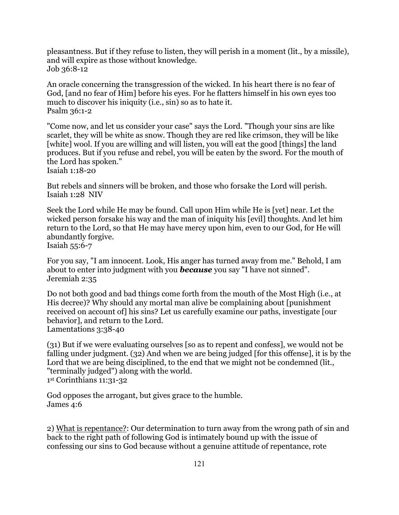pleasantness. But if they refuse to listen, they will perish in a moment (lit., by a missile), and will expire as those without knowledge. Job 36:8-12

An oracle concerning the transgression of the wicked. In his heart there is no fear of God, [and no fear of Him] before his eyes. For he flatters himself in his own eyes too much to discover his iniquity (i.e., sin) so as to hate it. Psalm 36:1-2

"Come now, and let us consider your case" says the Lord. "Though your sins are like scarlet, they will be white as snow. Though they are red like crimson, they will be like [white] wool. If you are willing and will listen, you will eat the good [things] the land produces. But if you refuse and rebel, you will be eaten by the sword. For the mouth of the Lord has spoken."

Isaiah 1:18-20

But rebels and sinners will be broken, and those who forsake the Lord will perish. Isaiah 1:28 NIV

Seek the Lord while He may be found. Call upon Him while He is [yet] near. Let the wicked person forsake his way and the man of iniquity his [evil] thoughts. And let him return to the Lord, so that He may have mercy upon him, even to our God, for He will abundantly forgive.

Isaiah 55:6-7

For you say, "I am innocent. Look, His anger has turned away from me." Behold, I am about to enter into judgment with you *because* you say "I have not sinned". Jeremiah 2:35

Do not both good and bad things come forth from the mouth of the Most High (i.e., at His decree)? Why should any mortal man alive be complaining about [punishment received on account of] his sins? Let us carefully examine our paths, investigate [our behavior], and return to the Lord. Lamentations 3:38-40

(31) But if we were evaluating ourselves [so as to repent and confess], we would not be falling under judgment. (32) And when we are being judged [for this offense], it is by the Lord that we are being disciplined, to the end that we might not be condemned (lit., "terminally judged") along with the world.

1st Corinthians 11:31-32

God opposes the arrogant, but gives grace to the humble. James 4:6

2) What is repentance?: Our determination to turn away from the wrong path of sin and back to the right path of following God is intimately bound up with the issue of confessing our sins to God because without a genuine attitude of repentance, rote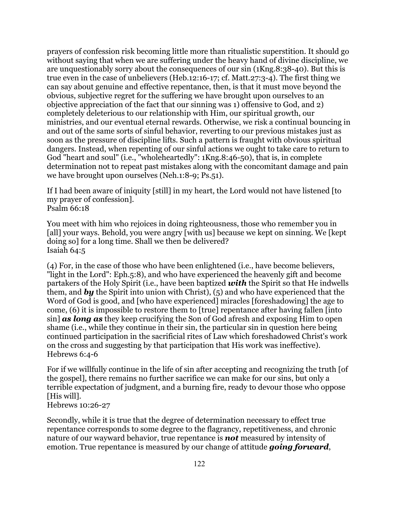prayers of confession risk becoming little more than ritualistic superstition. It should go without saying that when we are suffering under the heavy hand of divine discipline, we are unquestionably sorry about the consequences of our sin (1Kng.8:38-40). But this is true even in the case of unbelievers (Heb.12:16-17; cf. Matt.27:3-4). The first thing we can say about genuine and effective repentance, then, is that it must move beyond the obvious, subjective regret for the suffering we have brought upon ourselves to an objective appreciation of the fact that our sinning was 1) offensive to God, and 2) completely deleterious to our relationship with Him, our spiritual growth, our ministries, and our eventual eternal rewards. Otherwise, we risk a continual bouncing in and out of the same sorts of sinful behavior, reverting to our previous mistakes just as soon as the pressure of discipline lifts. Such a pattern is fraught with obvious spiritual dangers. Instead, when repenting of our sinful actions we ought to take care to return to God "heart and soul" (i.e., "wholeheartedly": 1Kng.8:46-50), that is, in complete determination not to repeat past mistakes along with the concomitant damage and pain we have brought upon ourselves (Neh.1:8-9; Ps.51).

If I had been aware of iniquity [still] in my heart, the Lord would not have listened [to my prayer of confession]. Psalm 66:18

You meet with him who rejoices in doing righteousness, those who remember you in [all] your ways. Behold, you were angry [with us] because we kept on sinning. We [kept doing so] for a long time. Shall we then be delivered? Isaiah 64:5

(4) For, in the case of those who have been enlightened (i.e., have become believers, "light in the Lord": Eph.5:8), and who have experienced the heavenly gift and become partakers of the Holy Spirit (i.e., have been baptized *with* the Spirit so that He indwells them, and *by* the Spirit into union with Christ), (5) and who have experienced that the Word of God is good, and [who have experienced] miracles [foreshadowing] the age to come, (6) it is impossible to restore them to [true] repentance after having fallen [into sin] *as long as* they keep crucifying the Son of God afresh and exposing Him to open shame (i.e., while they continue in their sin, the particular sin in question here being continued participation in the sacrificial rites of Law which foreshadowed Christ's work on the cross and suggesting by that participation that His work was ineffective). Hebrews 6:4-6

For if we willfully continue in the life of sin after accepting and recognizing the truth [of the gospel], there remains no further sacrifice we can make for our sins, but only a terrible expectation of judgment, and a burning fire, ready to devour those who oppose [His will].

Hebrews 10:26-27

Secondly, while it is true that the degree of determination necessary to effect true repentance corresponds to some degree to the flagrancy, repetitiveness, and chronic nature of our wayward behavior, true repentance is *not* measured by intensity of emotion. True repentance is measured by our change of attitude *going forward*,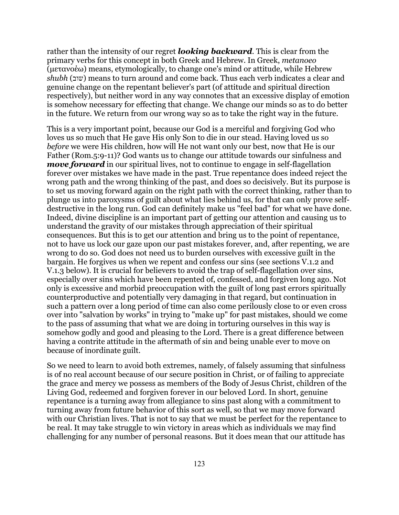rather than the intensity of our regret *looking backward*. This is clear from the primary verbs for this concept in both Greek and Hebrew. In Greek, *metanoeo* (μετανοέω) means, etymologically, to change one's mind or attitude, while Hebrew *shubh* (שוב (means to turn around and come back. Thus each verb indicates a clear and genuine change on the repentant believer's part (of attitude and spiritual direction respectively), but neither word in any way connotes that an excessive display of emotion is somehow necessary for effecting that change. We change our minds so as to do better in the future. We return from our wrong way so as to take the right way in the future.

This is a very important point, because our God is a merciful and forgiving God who loves us so much that He gave His only Son to die in our stead. Having loved us so *before* we were His children, how will He not want only our best, now that He is our Father (Rom.5:9-11)? God wants us to change our attitude towards our sinfulness and *move forward* in our spiritual lives, not to continue to engage in self-flagellation forever over mistakes we have made in the past. True repentance does indeed reject the wrong path and the wrong thinking of the past, and does so decisively. But its purpose is to set us moving forward again on the right path with the correct thinking, rather than to plunge us into paroxysms of guilt about what lies behind us, for that can only prove selfdestructive in the long run. God can definitely make us "feel bad" for what we have done. Indeed, divine discipline is an important part of getting our attention and causing us to understand the gravity of our mistakes through appreciation of their spiritual consequences. But this is to get our attention and bring us to the point of repentance, not to have us lock our gaze upon our past mistakes forever, and, after repenting, we are wrong to do so. God does not need us to burden ourselves with excessive guilt in the bargain. He forgives us when we repent and confess our sins (see sections V.1.2 and V.1.3 below). It is crucial for believers to avoid the trap of self-flagellation over sins, especially over sins which have been repented of, confessed, and forgiven long ago. Not only is excessive and morbid preoccupation with the guilt of long past errors spiritually counterproductive and potentially very damaging in that regard, but continuation in such a pattern over a long period of time can also come perilously close to or even cross over into "salvation by works" in trying to "make up" for past mistakes, should we come to the pass of assuming that what we are doing in torturing ourselves in this way is somehow godly and good and pleasing to the Lord. There is a great difference between having a contrite attitude in the aftermath of sin and being unable ever to move on because of inordinate guilt.

So we need to learn to avoid both extremes, namely, of falsely assuming that sinfulness is of no real account because of our secure position in Christ, or of failing to appreciate the grace and mercy we possess as members of the Body of Jesus Christ, children of the Living God, redeemed and forgiven forever in our beloved Lord. In short, genuine repentance is a turning away from allegiance to sins past along with a commitment to turning away from future behavior of this sort as well, so that we may move forward with our Christian lives. That is not to say that we must be perfect for the repentance to be real. It may take struggle to win victory in areas which as individuals we may find challenging for any number of personal reasons. But it does mean that our attitude has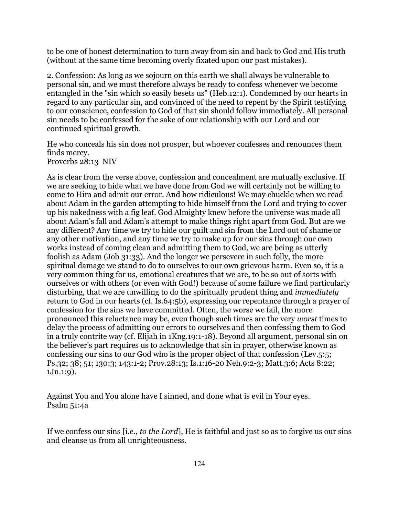to be one of honest determination to turn away from sin and back to God and His truth (without at the same time becoming overly fixated upon our past mistakes).

2. Confession: As long as we sojourn on this earth we shall always be vulnerable to personal sin, and we must therefore always be ready to confess whenever we become entangled in the "sin which so easily besets us" (Heb.12:1). Condemned by our hearts in regard to any particular sin, and convinced of the need to repent by the Spirit testifying to our conscience, confession to God of that sin should follow immediately. All personal sin needs to be confessed for the sake of our relationship with our Lord and our continued spiritual growth.

He who conceals his sin does not prosper, but whoever confesses and renounces them finds mercy. Proverbs 28:13 NIV

As is clear from the verse above, confession and concealment are mutually exclusive. If we are seeking to hide what we have done from God we will certainly not be willing to come to Him and admit our error. And how ridiculous! We may chuckle when we read about Adam in the garden attempting to hide himself from the Lord and trying to cover up his nakedness with a fig leaf. God Almighty knew before the universe was made all about Adam's fall and Adam's attempt to make things right apart from God. But are we any different? Any time we try to hide our guilt and sin from the Lord out of shame or any other motivation, and any time we try to make up for our sins through our own works instead of coming clean and admitting them to God, we are being as utterly foolish as Adam (Job 31:33). And the longer we persevere in such folly, the more spiritual damage we stand to do to ourselves to our own grievous harm. Even so, it is a very common thing for us, emotional creatures that we are, to be so out of sorts with ourselves or with others (or even with God!) because of some failure we find particularly disturbing, that we are unwilling to do the spiritually prudent thing and *immediately* return to God in our hearts (cf. Is.64:5b), expressing our repentance through a prayer of confession for the sins we have committed. Often, the worse we fail, the more pronounced this reluctance may be, even though such times are the very *worst* times to delay the process of admitting our errors to ourselves and then confessing them to God in a truly contrite way (cf. Elijah in 1Kng.19:1-18). Beyond all argument, personal sin on the believer's part requires us to acknowledge that sin in prayer, otherwise known as confessing our sins to our God who is the proper object of that confession (Lev.5:5; Ps.32; 38; 51; 130:3; 143:1-2; Prov.28:13; Is.1:16-20 Neh.9:2-3; Matt.3:6; Acts 8:22; 1Jn.1:9).

Against You and You alone have I sinned, and done what is evil in Your eyes. Psalm 51:4a

If we confess our sins [i.e., *to the Lord*], He is faithful and just so as to forgive us our sins and cleanse us from all unrighteousness.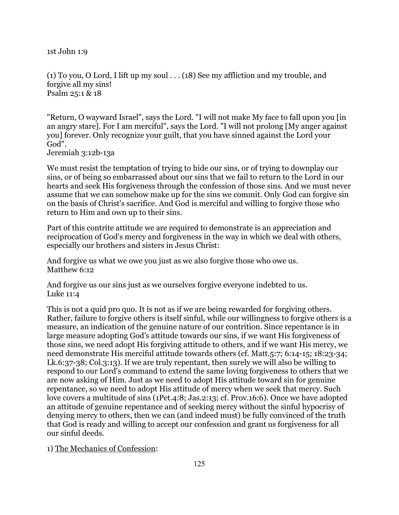1st John 1:9

(1) To you, O Lord, I lift up my soul  $\ldots$  (18) See my affliction and my trouble, and forgive all my sins! Psalm 25:1 & 18

"Return, O wayward Israel", says the Lord. "I will not make My face to fall upon you [in an angry stare]. For I am merciful", says the Lord. "I will not prolong [My anger against you] forever. Only recognize your guilt, that you have sinned against the Lord your God".

Jeremiah 3:12b-13a

We must resist the temptation of trying to hide our sins, or of trying to downplay our sins, or of being so embarrassed about our sins that we fail to return to the Lord in our hearts and seek His forgiveness through the confession of those sins. And we must never assume that we can somehow make up for the sins we commit. Only God can forgive sin on the basis of Christ's sacrifice. And God is merciful and willing to forgive those who return to Him and own up to their sins.

Part of this contrite attitude we are required to demonstrate is an appreciation and reciprocation of God's mercy and forgiveness in the way in which we deal with others, especially our brothers and sisters in Jesus Christ:

And forgive us what we owe you just as we also forgive those who owe us. Matthew 6:12

And forgive us our sins just as we ourselves forgive everyone indebted to us. Luke 11:4

This is not a quid pro quo. It is not as if we are being rewarded for forgiving others. Rather, failure to forgive others is itself sinful, while our willingness to forgive others is a measure, an indication of the genuine nature of our contrition. Since repentance is in large measure adopting God's attitude towards our sins, if we want His forgiveness of those sins, we need adopt His forgiving attitude to others, and if we want His mercy, we need demonstrate His merciful attitude towards others (cf. Matt.5:7; 6:14-15; 18:23-34; Lk.6:37-38; Col.3:13). If we are truly repentant, then surely we will also be willing to respond to our Lord's command to extend the same loving forgiveness to others that we are now asking of Him. Just as we need to adopt His attitude toward sin for genuine repentance, so we need to adopt His attitude of mercy when we seek that mercy. Such love covers a multitude of sins (1Pet.4:8; Jas.2:13; cf. Prov.16:6). Once we have adopted an attitude of genuine repentance and of seeking mercy without the sinful hypocrisy of denying mercy to others, then we can (and indeed must) be fully convinced of the truth that God is ready and willing to accept our confession and grant us forgiveness for all our sinful deeds.

1) The Mechanics of Confession: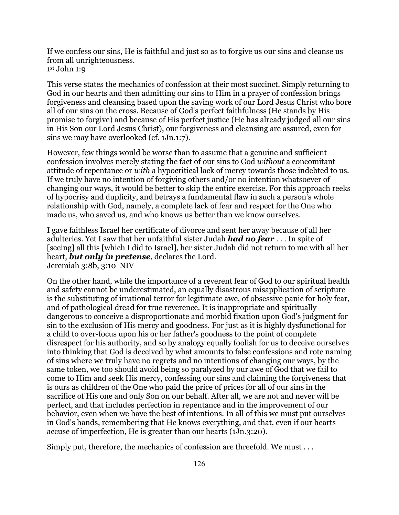If we confess our sins, He is faithful and just so as to forgive us our sins and cleanse us from all unrighteousness. 1st John 1:9

This verse states the mechanics of confession at their most succinct. Simply returning to God in our hearts and then admitting our sins to Him in a prayer of confession brings forgiveness and cleansing based upon the saving work of our Lord Jesus Christ who bore all of our sins on the cross. Because of God's perfect faithfulness (He stands by His promise to forgive) and because of His perfect justice (He has already judged all our sins in His Son our Lord Jesus Christ), our forgiveness and cleansing are assured, even for sins we may have overlooked (cf. 1Jn.1:7).

However, few things would be worse than to assume that a genuine and sufficient confession involves merely stating the fact of our sins to God *without* a concomitant attitude of repentance or *with* a hypocritical lack of mercy towards those indebted to us. If we truly have no intention of forgiving others and/or no intention whatsoever of changing our ways, it would be better to skip the entire exercise. For this approach reeks of hypocrisy and duplicity, and betrays a fundamental flaw in such a person's whole relationship with God, namely, a complete lack of fear and respect for the One who made us, who saved us, and who knows us better than we know ourselves.

I gave faithless Israel her certificate of divorce and sent her away because of all her adulteries. Yet I saw that her unfaithful sister Judah *had no fear* . . . In spite of [seeing] all this [which I did to Israel], her sister Judah did not return to me with all her heart, *but only in pretense*, declares the Lord. Jeremiah 3:8b, 3:10 NIV

On the other hand, while the importance of a reverent fear of God to our spiritual health and safety cannot be underestimated, an equally disastrous misapplication of scripture is the substituting of irrational terror for legitimate awe, of obsessive panic for holy fear, and of pathological dread for true reverence. It is inappropriate and spiritually dangerous to conceive a disproportionate and morbid fixation upon God's judgment for sin to the exclusion of His mercy and goodness. For just as it is highly dysfunctional for a child to over-focus upon his or her father's goodness to the point of complete disrespect for his authority, and so by analogy equally foolish for us to deceive ourselves into thinking that God is deceived by what amounts to false confessions and rote naming of sins where we truly have no regrets and no intentions of changing our ways, by the same token, we too should avoid being so paralyzed by our awe of God that we fail to come to Him and seek His mercy, confessing our sins and claiming the forgiveness that is ours as children of the One who paid the price of prices for all of our sins in the sacrifice of His one and only Son on our behalf. After all, we are not and never will be perfect, and that includes perfection in repentance and in the improvement of our behavior, even when we have the best of intentions. In all of this we must put ourselves in God's hands, remembering that He knows everything, and that, even if our hearts accuse of imperfection, He is greater than our hearts (1Jn.3:20).

Simply put, therefore, the mechanics of confession are threefold. We must . . .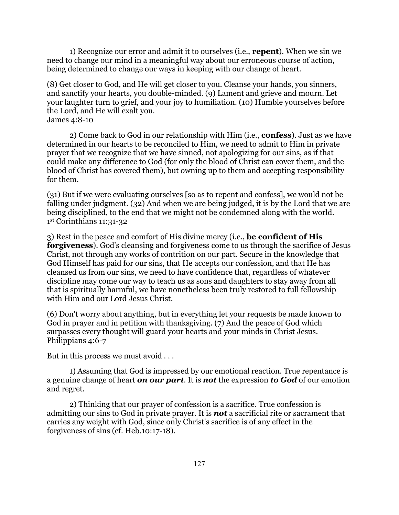1) Recognize our error and admit it to ourselves (i.e., **repent**). When we sin we need to change our mind in a meaningful way about our erroneous course of action, being determined to change our ways in keeping with our change of heart.

(8) Get closer to God, and He will get closer to you. Cleanse your hands, you sinners, and sanctify your hearts, you double-minded. (9) Lament and grieve and mourn. Let your laughter turn to grief, and your joy to humiliation. (10) Humble yourselves before the Lord, and He will exalt you.

James 4:8-10

 2) Come back to God in our relationship with Him (i.e., **confess**). Just as we have determined in our hearts to be reconciled to Him, we need to admit to Him in private prayer that we recognize that we have sinned, not apologizing for our sins, as if that could make any difference to God (for only the blood of Christ can cover them, and the blood of Christ has covered them), but owning up to them and accepting responsibility for them.

(31) But if we were evaluating ourselves [so as to repent and confess], we would not be falling under judgment. (32) And when we are being judged, it is by the Lord that we are being disciplined, to the end that we might not be condemned along with the world. 1st Corinthians 11:31-32

3) Rest in the peace and comfort of His divine mercy (i.e., **be confident of His forgiveness**). God's cleansing and forgiveness come to us through the sacrifice of Jesus Christ, not through any works of contrition on our part. Secure in the knowledge that God Himself has paid for our sins, that He accepts our confession, and that He has cleansed us from our sins, we need to have confidence that, regardless of whatever discipline may come our way to teach us as sons and daughters to stay away from all that is spiritually harmful, we have nonetheless been truly restored to full fellowship with Him and our Lord Jesus Christ.

(6) Don't worry about anything, but in everything let your requests be made known to God in prayer and in petition with thanksgiving. (7) And the peace of God which surpasses every thought will guard your hearts and your minds in Christ Jesus. Philippians 4:6-7

But in this process we must avoid . . .

 1) Assuming that God is impressed by our emotional reaction. True repentance is a genuine change of heart *on our part*. It is *not* the expression *to God* of our emotion and regret.

 2) Thinking that our prayer of confession is a sacrifice. True confession is admitting our sins to God in private prayer. It is *not* a sacrificial rite or sacrament that carries any weight with God, since only Christ's sacrifice is of any effect in the forgiveness of sins (cf. Heb.10:17-18).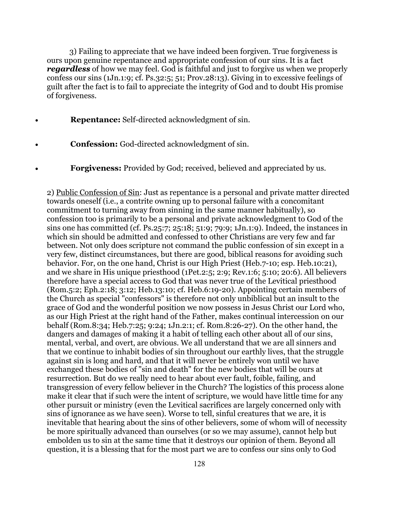3) Failing to appreciate that we have indeed been forgiven. True forgiveness is ours upon genuine repentance and appropriate confession of our sins. It is a fact *regardless* of how we may feel. God is faithful and just to forgive us when we properly confess our sins (1Jn.1:9; cf. Ps.32:5; 51; Prov.28:13). Giving in to excessive feelings of guilt after the fact is to fail to appreciate the integrity of God and to doubt His promise of forgiveness.

- **Repentance:** Self-directed acknowledgment of sin.
- **Confession:** God-directed acknowledgment of sin.
- **Forgiveness:** Provided by God; received, believed and appreciated by us.

2) Public Confession of Sin: Just as repentance is a personal and private matter directed towards oneself (i.e., a contrite owning up to personal failure with a concomitant commitment to turning away from sinning in the same manner habitually), so confession too is primarily to be a personal and private acknowledgment to God of the sins one has committed (cf. Ps.25:7; 25:18; 51:9; 79:9; 1Jn.1:9). Indeed, the instances in which sin should be admitted and confessed to other Christians are very few and far between. Not only does scripture not command the public confession of sin except in a very few, distinct circumstances, but there are good, biblical reasons for avoiding such behavior. For, on the one hand, Christ is our High Priest (Heb.7-10; esp. Heb.10:21), and we share in His unique priesthood (1Pet.2:5; 2:9; Rev.1:6; 5:10; 20:6). All believers therefore have a special access to God that was never true of the Levitical priesthood (Rom.5:2; Eph.2:18; 3:12; Heb.13:10; cf. Heb.6:19-20). Appointing certain members of the Church as special "confessors" is therefore not only unbiblical but an insult to the grace of God and the wonderful position we now possess in Jesus Christ our Lord who, as our High Priest at the right hand of the Father, makes continual intercession on our behalf (Rom.8:34; Heb.7:25; 9:24; 1Jn.2:1; cf. Rom.8:26-27). On the other hand, the dangers and damages of making it a habit of telling each other about all of our sins, mental, verbal, and overt, are obvious. We all understand that we are all sinners and that we continue to inhabit bodies of sin throughout our earthly lives, that the struggle against sin is long and hard, and that it will never be entirely won until we have exchanged these bodies of "sin and death" for the new bodies that will be ours at resurrection. But do we really need to hear about ever fault, foible, failing, and transgression of every fellow believer in the Church? The logistics of this process alone make it clear that if such were the intent of scripture, we would have little time for any other pursuit or ministry (even the Levitical sacrifices are largely concerned only with sins of ignorance as we have seen). Worse to tell, sinful creatures that we are, it is inevitable that hearing about the sins of other believers, some of whom will of necessity be more spiritually advanced than ourselves (or so we may assume), cannot help but embolden us to sin at the same time that it destroys our opinion of them. Beyond all question, it is a blessing that for the most part we are to confess our sins only to God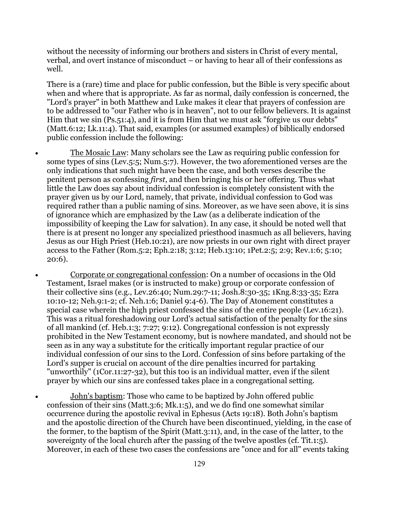without the necessity of informing our brothers and sisters in Christ of every mental, verbal, and overt instance of misconduct – or having to hear all of their confessions as well.

There is a (rare) time and place for public confession, but the Bible is very specific about when and where that is appropriate. As far as normal, daily confession is concerned, the "Lord's prayer" in both Matthew and Luke makes it clear that prayers of confession are to be addressed to "our Father who is in heaven", not to our fellow believers. It is against Him that we sin (Ps.51:4), and it is from Him that we must ask "forgive us our debts" (Matt.6:12; Lk.11:4). That said, examples (or assumed examples) of biblically endorsed public confession include the following:

- The Mosaic Law: Many scholars see the Law as requiring public confession for some types of sins (Lev.5:5; Num.5:7). However, the two aforementioned verses are the only indications that such might have been the case, and both verses describe the penitent person as confessing *first*, and then bringing his or her offering. Thus what little the Law does say about individual confession is completely consistent with the prayer given us by our Lord, namely, that private, individual confession to God was required rather than a public naming of sins. Moreover, as we have seen above, it is sins of ignorance which are emphasized by the Law (as a deliberate indication of the impossibility of keeping the Law for salvation). In any case, it should be noted well that there is at present no longer any specialized priesthood inasmuch as all believers, having Jesus as our High Priest (Heb.10:21), are now priests in our own right with direct prayer access to the Father (Rom.5:2; Eph.2:18; 3:12; Heb.13:10; 1Pet.2:5; 2:9; Rev.1:6; 5:10; 20:6).
- Corporate or congregational confession: On a number of occasions in the Old Testament, Israel makes (or is instructed to make) group or corporate confession of their collective sins (e.g., Lev.26:40; Num.29:7-11; Josh.8:30-35; 1Kng.8:33-35; Ezra 10:10-12; Neh.9:1-2; cf. Neh.1:6; Daniel 9:4-6). The Day of Atonement constitutes a special case wherein the high priest confessed the sins of the entire people (Lev.16:21). This was a ritual foreshadowing our Lord's actual satisfaction of the penalty for the sins of all mankind (cf. Heb.1:3; 7:27; 9:12). Congregational confession is not expressly prohibited in the New Testament economy, but is nowhere mandated, and should not be seen as in any way a substitute for the critically important regular practice of our individual confession of our sins to the Lord. Confession of sins before partaking of the Lord's supper is crucial on account of the dire penalties incurred for partaking "unworthily" (1Cor.11:27-32), but this too is an individual matter, even if the silent prayer by which our sins are confessed takes place in a congregational setting.
- John's baptism: Those who came to be baptized by John offered public confession of their sins (Matt.3:6; Mk.1:5), and we do find one somewhat similar occurrence during the apostolic revival in Ephesus (Acts 19:18). Both John's baptism and the apostolic direction of the Church have been discontinued, yielding, in the case of the former, to the baptism of the Spirit (Matt.3:11), and, in the case of the latter, to the sovereignty of the local church after the passing of the twelve apostles (cf. Tit.1:5). Moreover, in each of these two cases the confessions are "once and for all" events taking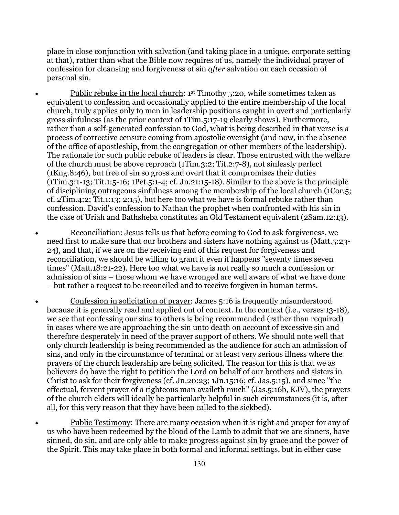place in close conjunction with salvation (and taking place in a unique, corporate setting at that), rather than what the Bible now requires of us, namely the individual prayer of confession for cleansing and forgiveness of sin *after* salvation on each occasion of personal sin.

- Public rebuke in the local church: 1st Timothy 5:20, while sometimes taken as equivalent to confession and occasionally applied to the entire membership of the local church, truly applies only to men in leadership positions caught in overt and particularly gross sinfulness (as the prior context of 1Tim.5:17-19 clearly shows). Furthermore, rather than a self-generated confession to God, what is being described in that verse is a process of corrective censure coming from apostolic oversight (and now, in the absence of the office of apostleship, from the congregation or other members of the leadership). The rationale for such public rebuke of leaders is clear. Those entrusted with the welfare of the church must be above reproach (1Tim.3:2; Tit.2:7-8), not sinlessly perfect (1Kng.8:46), but free of sin so gross and overt that it compromises their duties (1Tim.3:1-13; Tit.1:5-16; 1Pet.5:1-4; cf. Jn.21:15-18). Similar to the above is the principle of disciplining outrageous sinfulness among the membership of the local church (1Cor.5; cf. 2Tim.4:2; Tit.1:13; 2:15), but here too what we have is formal rebuke rather than confession. David's confession to Nathan the prophet when confronted with his sin in the case of Uriah and Bathsheba constitutes an Old Testament equivalent (2Sam.12:13).
- Reconciliation: Jesus tells us that before coming to God to ask forgiveness, we need first to make sure that our brothers and sisters have nothing against us (Matt.5:23- 24), and that, if we are on the receiving end of this request for forgiveness and reconciliation, we should be willing to grant it even if happens "seventy times seven times" (Matt.18:21-22). Here too what we have is not really so much a confession or admission of sins – those whom we have wronged are well aware of what we have done – but rather a request to be reconciled and to receive forgiven in human terms.
- Confession in solicitation of prayer: James 5:16 is frequently misunderstood because it is generally read and applied out of context. In the context (i.e., verses 13-18), we see that confessing our sins to others is being recommended (rather than required) in cases where we are approaching the sin unto death on account of excessive sin and therefore desperately in need of the prayer support of others. We should note well that only church leadership is being recommended as the audience for such an admission of sins, and only in the circumstance of terminal or at least very serious illness where the prayers of the church leadership are being solicited. The reason for this is that we as believers do have the right to petition the Lord on behalf of our brothers and sisters in Christ to ask for their forgiveness (cf. Jn.20:23; 1Jn.15:16; cf. Jas.5:15), and since "the effectual, fervent prayer of a righteous man availeth much" (Jas.5:16b, KJV), the prayers of the church elders will ideally be particularly helpful in such circumstances (it is, after all, for this very reason that they have been called to the sickbed).

• Public Testimony: There are many occasion when it is right and proper for any of us who have been redeemed by the blood of the Lamb to admit that we are sinners, have sinned, do sin, and are only able to make progress against sin by grace and the power of the Spirit. This may take place in both formal and informal settings, but in either case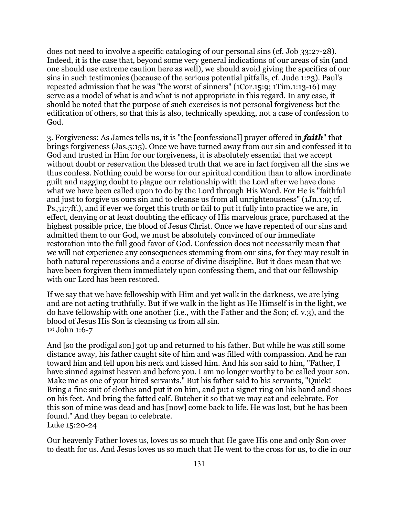does not need to involve a specific cataloging of our personal sins (cf. Job 33:27-28). Indeed, it is the case that, beyond some very general indications of our areas of sin (and one should use extreme caution here as well), we should avoid giving the specifics of our sins in such testimonies (because of the serious potential pitfalls, cf. Jude 1:23). Paul's repeated admission that he was "the worst of sinners" (1Cor.15:9; 1Tim.1:13-16) may serve as a model of what is and what is not appropriate in this regard. In any case, it should be noted that the purpose of such exercises is not personal forgiveness but the edification of others, so that this is also, technically speaking, not a case of confession to God.

3. Forgiveness: As James tells us, it is "the [confessional] prayer offered in *faith*" that brings forgiveness (Jas.5:15). Once we have turned away from our sin and confessed it to God and trusted in Him for our forgiveness, it is absolutely essential that we accept without doubt or reservation the blessed truth that we are in fact forgiven all the sins we thus confess. Nothing could be worse for our spiritual condition than to allow inordinate guilt and nagging doubt to plague our relationship with the Lord after we have done what we have been called upon to do by the Lord through His Word. For He is "faithful and just to forgive us ours sin and to cleanse us from all unrighteousness" (1Jn.1:9; cf. Ps.51:7ff.), and if ever we forget this truth or fail to put it fully into practice we are, in effect, denying or at least doubting the efficacy of His marvelous grace, purchased at the highest possible price, the blood of Jesus Christ. Once we have repented of our sins and admitted them to our God, we must be absolutely convinced of our immediate restoration into the full good favor of God. Confession does not necessarily mean that we will not experience any consequences stemming from our sins, for they may result in both natural repercussions and a course of divine discipline. But it does mean that we have been forgiven them immediately upon confessing them, and that our fellowship with our Lord has been restored.

If we say that we have fellowship with Him and yet walk in the darkness, we are lying and are not acting truthfully. But if we walk in the light as He Himself is in the light, we do have fellowship with one another (i.e., with the Father and the Son; cf. v.3), and the blood of Jesus His Son is cleansing us from all sin. 1st John 1:6-7

And [so the prodigal son] got up and returned to his father. But while he was still some distance away, his father caught site of him and was filled with compassion. And he ran toward him and fell upon his neck and kissed him. And his son said to him, "Father, I have sinned against heaven and before you. I am no longer worthy to be called your son. Make me as one of your hired servants." But his father said to his servants, "Quick! Bring a fine suit of clothes and put it on him, and put a signet ring on his hand and shoes on his feet. And bring the fatted calf. Butcher it so that we may eat and celebrate. For this son of mine was dead and has [now] come back to life. He was lost, but he has been found." And they began to celebrate. Luke 15:20-24

Our heavenly Father loves us, loves us so much that He gave His one and only Son over to death for us. And Jesus loves us so much that He went to the cross for us, to die in our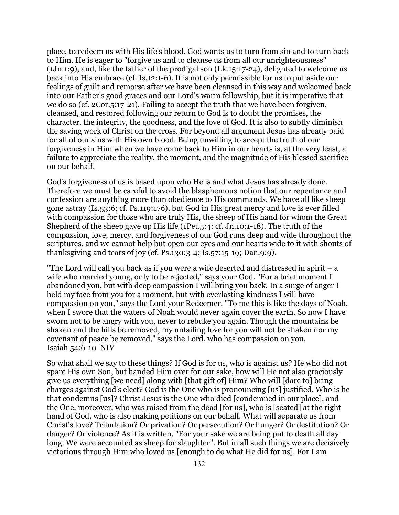place, to redeem us with His life's blood. God wants us to turn from sin and to turn back to Him. He is eager to "forgive us and to cleanse us from all our unrighteousness" (1Jn.1:9), and, like the father of the prodigal son (Lk.15:17-24), delighted to welcome us back into His embrace (cf. Is.12:1-6). It is not only permissible for us to put aside our feelings of guilt and remorse after we have been cleansed in this way and welcomed back into our Father's good graces and our Lord's warm fellowship, but it is imperative that we do so (cf. 2Cor.5:17-21). Failing to accept the truth that we have been forgiven, cleansed, and restored following our return to God is to doubt the promises, the character, the integrity, the goodness, and the love of God. It is also to subtly diminish the saving work of Christ on the cross. For beyond all argument Jesus has already paid for all of our sins with His own blood. Being unwilling to accept the truth of our forgiveness in Him when we have come back to Him in our hearts is, at the very least, a failure to appreciate the reality, the moment, and the magnitude of His blessed sacrifice on our behalf.

God's forgiveness of us is based upon who He is and what Jesus has already done. Therefore we must be careful to avoid the blasphemous notion that our repentance and confession are anything more than obedience to His commands. We have all like sheep gone astray (Is.53:6; cf. Ps.119:176), but God in His great mercy and love is ever filled with compassion for those who are truly His, the sheep of His hand for whom the Great Shepherd of the sheep gave up His life (1Pet.5:4; cf. Jn.10:1-18). The truth of the compassion, love, mercy, and forgiveness of our God runs deep and wide throughout the scriptures, and we cannot help but open our eyes and our hearts wide to it with shouts of thanksgiving and tears of joy (cf. Ps.130:3-4; Is.57:15-19; Dan.9:9).

"The Lord will call you back as if you were a wife deserted and distressed in spirit – a wife who married young, only to be rejected," says your God. "For a brief moment I abandoned you, but with deep compassion I will bring you back. In a surge of anger I held my face from you for a moment, but with everlasting kindness I will have compassion on you," says the Lord your Redeemer. "To me this is like the days of Noah, when I swore that the waters of Noah would never again cover the earth. So now I have sworn not to be angry with you, never to rebuke you again. Though the mountains be shaken and the hills be removed, my unfailing love for you will not be shaken nor my covenant of peace be removed," says the Lord, who has compassion on you. Isaiah 54:6-10 NIV

So what shall we say to these things? If God is for us, who is against us? He who did not spare His own Son, but handed Him over for our sake, how will He not also graciously give us everything [we need] along with [that gift of] Him? Who will [dare to] bring charges against God's elect? God is the One who is pronouncing [us] justified. Who is he that condemns [us]? Christ Jesus is the One who died [condemned in our place], and the One, moreover, who was raised from the dead [for us], who is [seated] at the right hand of God, who is also making petitions on our behalf. What will separate us from Christ's love? Tribulation? Or privation? Or persecution? Or hunger? Or destitution? Or danger? Or violence? As it is written, "For your sake we are being put to death all day long. We were accounted as sheep for slaughter". But in all such things we are decisively victorious through Him who loved us [enough to do what He did for us]. For I am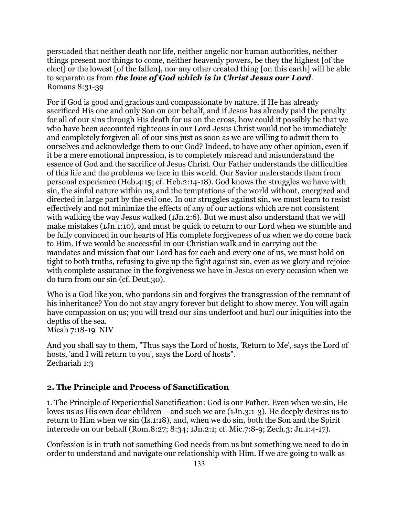persuaded that neither death nor life, neither angelic nor human authorities, neither things present nor things to come, neither heavenly powers, be they the highest [of the elect] or the lowest [of the fallen], nor any other created thing [on this earth] will be able to separate us from *the love of God which is in Christ Jesus our Lord*. Romans 8:31-39

For if God is good and gracious and compassionate by nature, if He has already sacrificed His one and only Son on our behalf, and if Jesus has already paid the penalty for all of our sins through His death for us on the cross, how could it possibly be that we who have been accounted righteous in our Lord Jesus Christ would not be immediately and completely forgiven all of our sins just as soon as we are willing to admit them to ourselves and acknowledge them to our God? Indeed, to have any other opinion, even if it be a mere emotional impression, is to completely misread and misunderstand the essence of God and the sacrifice of Jesus Christ. Our Father understands the difficulties of this life and the problems we face in this world. Our Savior understands them from personal experience (Heb.4:15; cf. Heb.2:14-18). God knows the struggles we have with sin, the sinful nature within us, and the temptations of the world without, energized and directed in large part by the evil one. In our struggles against sin, we must learn to resist effectively and not minimize the effects of any of our actions which are not consistent with walking the way Jesus walked (1Jn.2:6). But we must also understand that we will make mistakes (1Jn.1:10), and must be quick to return to our Lord when we stumble and be fully convinced in our hearts of His complete forgiveness of us when we do come back to Him. If we would be successful in our Christian walk and in carrying out the mandates and mission that our Lord has for each and every one of us, we must hold on tight to both truths, refusing to give up the fight against sin, even as we glory and rejoice with complete assurance in the forgiveness we have in Jesus on every occasion when we do turn from our sin (cf. Deut.30).

Who is a God like you, who pardons sin and forgives the transgression of the remnant of his inheritance? You do not stay angry forever but delight to show mercy. You will again have compassion on us; you will tread our sins underfoot and hurl our iniquities into the depths of the sea. Micah 7:18-19 NIV

And you shall say to them, "Thus says the Lord of hosts, 'Return to Me', says the Lord of hosts, 'and I will return to you', says the Lord of hosts". Zechariah 1:3

### **2. The Principle and Process of Sanctification**

1. The Principle of Experiential Sanctification: God is our Father. Even when we sin, He loves us as His own dear children – and such we are (1Jn.3:1-3). He deeply desires us to return to Him when we sin (Is.1:18), and, when we do sin, both the Son and the Spirit intercede on our behalf (Rom.8:27; 8:34; 1Jn.2:1; cf. Mic.7:8-9; Zech.3; Jn.1:4-17).

Confession is in truth not something God needs from us but something we need to do in order to understand and navigate our relationship with Him. If we are going to walk as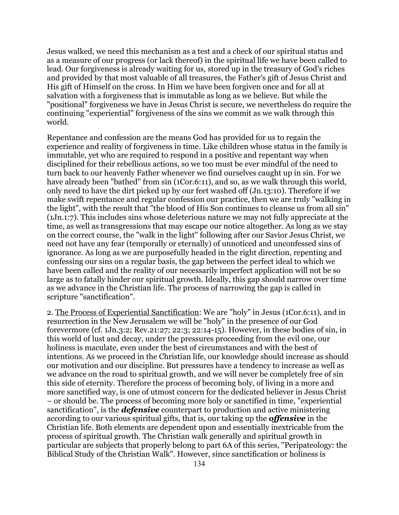Jesus walked, we need this mechanism as a test and a check of our spiritual status and as a measure of our progress (or lack thereof) in the spiritual life we have been called to lead. Our forgiveness is already waiting for us, stored up in the treasury of God's riches and provided by that most valuable of all treasures, the Father's gift of Jesus Christ and His gift of Himself on the cross. In Him we have been forgiven once and for all at salvation with a forgiveness that is immutable as long as we believe. But while the "positional" forgiveness we have in Jesus Christ is secure, we nevertheless do require the continuing "experiential" forgiveness of the sins we commit as we walk through this world.

Repentance and confession are the means God has provided for us to regain the experience and reality of forgiveness in time. Like children whose status in the family is immutable, yet who are required to respond in a positive and repentant way when disciplined for their rebellious actions, so we too must be ever mindful of the need to turn back to our heavenly Father whenever we find ourselves caught up in sin. For we have already been "bathed" from sin (1Cor.6:11), and so, as we walk through this world, only need to have the dirt picked up by our feet washed off (Jn.13:10). Therefore if we make swift repentance and regular confession our practice, then we are truly "walking in the light", with the result that "the blood of His Son continues to cleanse us from all sin" (1Jn.1:7). This includes sins whose deleterious nature we may not fully appreciate at the time, as well as transgressions that may escape our notice altogether. As long as we stay on the correct course, the "walk in the light" following after our Savior Jesus Christ, we need not have any fear (temporally or eternally) of unnoticed and unconfessed sins of ignorance. As long as we are purposefully headed in the right direction, repenting and confessing our sins on a regular basis, the gap between the perfect ideal to which we have been called and the reality of our necessarily imperfect application will not be so large as to fatally hinder our spiritual growth. Ideally, this gap should narrow over time as we advance in the Christian life. The process of narrowing the gap is called in scripture "sanctification".

2. The Process of Experiential Sanctification: We are "holy" in Jesus (1Cor.6:11), and in resurrection in the New Jerusalem we will be "holy" in the presence of our God forevermore (cf. 1Jn.3:2; Rev.21:27; 22:3; 22:14-15). However, in these bodies of sin, in this world of lust and decay, under the pressures proceeding from the evil one, our holiness is maculate, even under the best of circumstances and with the best of intentions. As we proceed in the Christian life, our knowledge should increase as should our motivation and our discipline. But pressures have a tendency to increase as well as we advance on the road to spiritual growth, and we will never be completely free of sin this side of eternity. Therefore the process of becoming holy, of living in a more and more sanctified way, is one of utmost concern for the dedicated believer in Jesus Christ – or should be. The process of becoming more holy or sanctified in time, "experiential sanctification", is the *defensive* counterpart to production and active ministering according to our various spiritual gifts, that is, our taking up the *offensive* in the Christian life. Both elements are dependent upon and essentially inextricable from the process of spiritual growth. The Christian walk generally and spiritual growth in particular are subjects that properly belong to part 6A of this series, "Peripateology: the Biblical Study of the Christian Walk". However, since sanctification or holiness is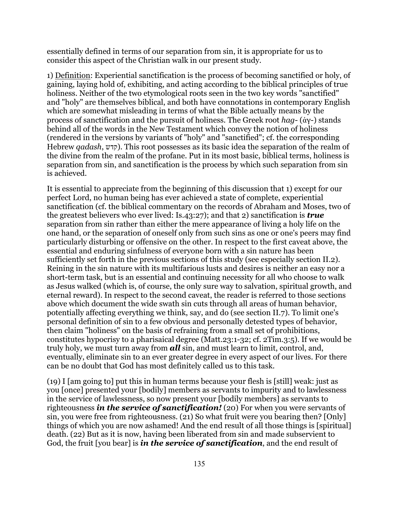essentially defined in terms of our separation from sin, it is appropriate for us to consider this aspect of the Christian walk in our present study.

1) Definition: Experiential sanctification is the process of becoming sanctified or holy, of gaining, laying hold of, exhibiting, and acting according to the biblical principles of true holiness. Neither of the two etymological roots seen in the two key words "sanctified" and "holy" are themselves biblical, and both have connotations in contemporary English which are somewhat misleading in terms of what the Bible actually means by the process of sanctification and the pursuit of holiness. The Greek root *hag*- (ἁγ-) stands behind all of the words in the New Testament which convey the notion of holiness (rendered in the versions by variants of "holy" and "sanctified"; cf. the corresponding Hebrew *qadash*, קדש). This root possesses as its basic idea the separation of the realm of the divine from the realm of the profane. Put in its most basic, biblical terms, holiness is separation from sin, and sanctification is the process by which such separation from sin is achieved.

It is essential to appreciate from the beginning of this discussion that 1) except for our perfect Lord, no human being has ever achieved a state of complete, experiential sanctification (cf. the biblical commentary on the records of Abraham and Moses, two of the greatest believers who ever lived: Is.43:27); and that 2) sanctification is *true* separation from sin rather than either the mere appearance of living a holy life on the one hand, or the separation of oneself only from such sins as one or one's peers may find particularly disturbing or offensive on the other. In respect to the first caveat above, the essential and enduring sinfulness of everyone born with a sin nature has been sufficiently set forth in the previous sections of this study (see especially section II.2). Reining in the sin nature with its multifarious lusts and desires is neither an easy nor a short-term task, but is an essential and continuing necessity for all who choose to walk as Jesus walked (which is, of course, the only sure way to salvation, spiritual growth, and eternal reward). In respect to the second caveat, the reader is referred to those sections above which document the wide swath sin cuts through all areas of human behavior, potentially affecting everything we think, say, and do (see section II.7). To limit one's personal definition of sin to a few obvious and personally detested types of behavior, then claim "holiness" on the basis of refraining from a small set of prohibitions, constitutes hypocrisy to a pharisaical degree (Matt.23:1-32; cf. 2Tim.3:5). If we would be truly holy, we must turn away from *all* sin, and must learn to limit, control, and, eventually, eliminate sin to an ever greater degree in every aspect of our lives. For there can be no doubt that God has most definitely called us to this task.

(19) I [am going to] put this in human terms because your flesh is [still] weak: just as you [once] presented your [bodily] members as servants to impurity and to lawlessness in the service of lawlessness, so now present your [bodily members] as servants to righteousness *in the service of sanctification!* (20) For when you were servants of sin, you were free from righteousness. (21) So what fruit were you bearing then? [Only] things of which you are now ashamed! And the end result of all those things is [spiritual] death. (22) But as it is now, having been liberated from sin and made subservient to God, the fruit [you bear] is *in the service of sanctification*, and the end result of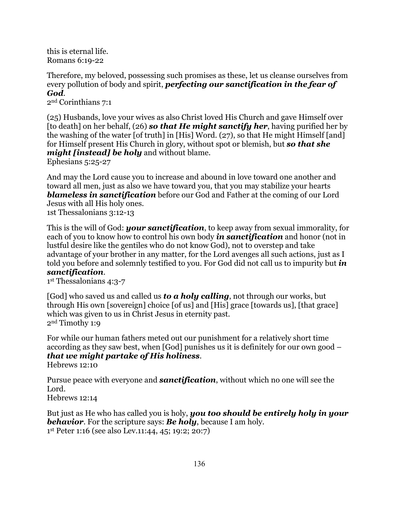this is eternal life. Romans 6:19-22

Therefore, my beloved, possessing such promises as these, let us cleanse ourselves from every pollution of body and spirit, *perfecting our sanctification in the fear of God*.

2nd Corinthians 7:1

(25) Husbands, love your wives as also Christ loved His Church and gave Himself over [to death] on her behalf, (26) *so that He might sanctify her*, having purified her by the washing of the water [of truth] in [His] Word. (27), so that He might Himself [and] for Himself present His Church in glory, without spot or blemish, but *so that she might [instead] be holy* and without blame.

Ephesians 5:25-27

And may the Lord cause you to increase and abound in love toward one another and toward all men, just as also we have toward you, that you may stabilize your hearts *blameless in sanctification* before our God and Father at the coming of our Lord Jesus with all His holy ones. 1st Thessalonians 3:12-13

This is the will of God: *your sanctification*, to keep away from sexual immorality, for each of you to know how to control his own body *in sanctification* and honor (not in lustful desire like the gentiles who do not know God), not to overstep and take advantage of your brother in any matter, for the Lord avenges all such actions, just as I told you before and solemnly testified to you. For God did not call us to impurity but *in sanctification*.

1st Thessalonians 4:3-7

[God] who saved us and called us *to a holy calling*, not through our works, but through His own [sovereign] choice [of us] and [His] grace [towards us], [that grace] which was given to us in Christ Jesus in eternity past. 2nd Timothy 1:9

For while our human fathers meted out our punishment for a relatively short time according as they saw best, when [God] punishes us it is definitely for our own good – *that we might partake of His holiness*.

Hebrews 12:10

Pursue peace with everyone and *sanctification*, without which no one will see the Lord.

Hebrews 12:14

But just as He who has called you is holy, *you too should be entirely holy in your behavior*. For the scripture says: *Be holy*, because I am holy. 1st Peter 1:16 (see also Lev.11:44, 45; 19:2; 20:7)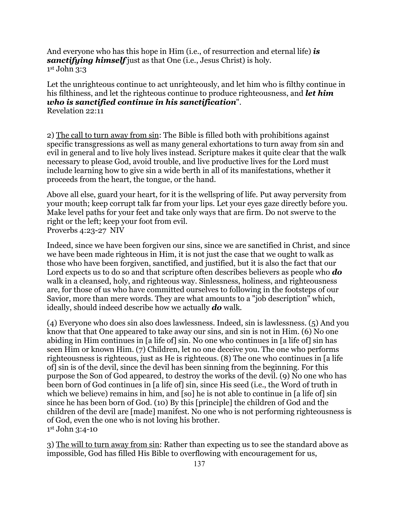And everyone who has this hope in Him (i.e., of resurrection and eternal life) *is sanctifying himself* just as that One (i.e., Jesus Christ) is holy. 1st John 3:3

Let the unrighteous continue to act unrighteously, and let him who is filthy continue in his filthiness, and let the righteous continue to produce righteousness, and *let him who is sanctified continue in his sanctification*". Revelation 22:11

2) The call to turn away from sin: The Bible is filled both with prohibitions against specific transgressions as well as many general exhortations to turn away from sin and evil in general and to live holy lives instead. Scripture makes it quite clear that the walk necessary to please God, avoid trouble, and live productive lives for the Lord must include learning how to give sin a wide berth in all of its manifestations, whether it proceeds from the heart, the tongue, or the hand.

Above all else, guard your heart, for it is the wellspring of life. Put away perversity from your mouth; keep corrupt talk far from your lips. Let your eyes gaze directly before you. Make level paths for your feet and take only ways that are firm. Do not swerve to the right or the left; keep your foot from evil. Proverbs 4:23-27 NIV

Indeed, since we have been forgiven our sins, since we are sanctified in Christ, and since we have been made righteous in Him, it is not just the case that we ought to walk as those who have been forgiven, sanctified, and justified, but it is also the fact that our Lord expects us to do so and that scripture often describes believers as people who *do* walk in a cleansed, holy, and righteous way. Sinlessness, holiness, and righteousness are, for those of us who have committed ourselves to following in the footsteps of our Savior, more than mere words. They are what amounts to a "job description" which, ideally, should indeed describe how we actually *do* walk.

(4) Everyone who does sin also does lawlessness. Indeed, sin is lawlessness. (5) And you know that that One appeared to take away our sins, and sin is not in Him. (6) No one abiding in Him continues in [a life of] sin. No one who continues in [a life of] sin has seen Him or known Him. (7) Children, let no one deceive you. The one who performs righteousness is righteous, just as He is righteous. (8) The one who continues in [a life of] sin is of the devil, since the devil has been sinning from the beginning. For this purpose the Son of God appeared, to destroy the works of the devil. (9) No one who has been born of God continues in [a life of] sin, since His seed (i.e., the Word of truth in which we believe) remains in him, and [so] he is not able to continue in [a life of] sin since he has been born of God. (10) By this [principle] the children of God and the children of the devil are [made] manifest. No one who is not performing righteousness is of God, even the one who is not loving his brother. 1st John 3:4-10

3) The will to turn away from sin: Rather than expecting us to see the standard above as impossible, God has filled His Bible to overflowing with encouragement for us,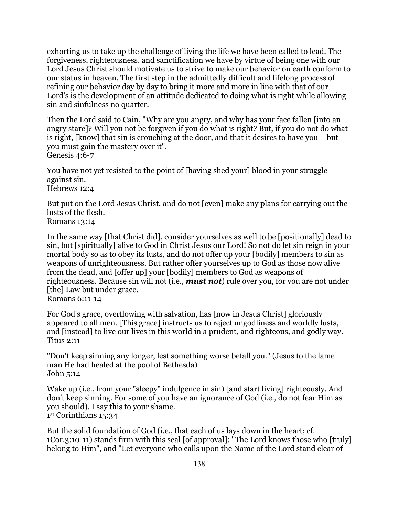exhorting us to take up the challenge of living the life we have been called to lead. The forgiveness, righteousness, and sanctification we have by virtue of being one with our Lord Jesus Christ should motivate us to strive to make our behavior on earth conform to our status in heaven. The first step in the admittedly difficult and lifelong process of refining our behavior day by day to bring it more and more in line with that of our Lord's is the development of an attitude dedicated to doing what is right while allowing sin and sinfulness no quarter.

Then the Lord said to Cain, "Why are you angry, and why has your face fallen [into an angry stare]? Will you not be forgiven if you do what is right? But, if you do not do what is right, [know] that sin is crouching at the door, and that it desires to have you – but you must gain the mastery over it". Genesis 4:6-7

You have not yet resisted to the point of [having shed your] blood in your struggle against sin. Hebrews 12:4

But put on the Lord Jesus Christ, and do not [even] make any plans for carrying out the lusts of the flesh. Romans 13:14

In the same way [that Christ did], consider yourselves as well to be [positionally] dead to sin, but [spiritually] alive to God in Christ Jesus our Lord! So not do let sin reign in your mortal body so as to obey its lusts, and do not offer up your [bodily] members to sin as weapons of unrighteousness. But rather offer yourselves up to God as those now alive from the dead, and [offer up] your [bodily] members to God as weapons of righteousness. Because sin will not (i.e., *must not*) rule over you, for you are not under [the] Law but under grace. Romans 6:11-14

For God's grace, overflowing with salvation, has [now in Jesus Christ] gloriously appeared to all men. [This grace] instructs us to reject ungodliness and worldly lusts, and [instead] to live our lives in this world in a prudent, and righteous, and godly way. Titus 2:11

"Don't keep sinning any longer, lest something worse befall you." (Jesus to the lame man He had healed at the pool of Bethesda) John 5:14

Wake up (i.e., from your "sleepy" indulgence in sin) [and start living] righteously. And don't keep sinning. For some of you have an ignorance of God (i.e., do not fear Him as you should). I say this to your shame. 1st Corinthians 15:34

But the solid foundation of God (i.e., that each of us lays down in the heart; cf. 1Cor.3:10-11) stands firm with this seal [of approval]: "The Lord knows those who [truly] belong to Him", and "Let everyone who calls upon the Name of the Lord stand clear of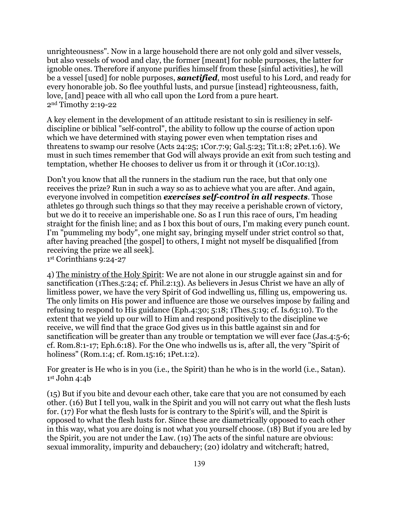unrighteousness". Now in a large household there are not only gold and silver vessels, but also vessels of wood and clay, the former [meant] for noble purposes, the latter for ignoble ones. Therefore if anyone purifies himself from these [sinful activities], he will be a vessel [used] for noble purposes, *sanctified*, most useful to his Lord, and ready for every honorable job. So flee youthful lusts, and pursue [instead] righteousness, faith, love, [and] peace with all who call upon the Lord from a pure heart. 2nd Timothy 2:19-22

A key element in the development of an attitude resistant to sin is resiliency in selfdiscipline or biblical "self-control", the ability to follow up the course of action upon which we have determined with staying power even when temptation rises and threatens to swamp our resolve (Acts 24:25; 1Cor.7:9; Gal.5:23; Tit.1:8; 2Pet.1:6). We must in such times remember that God will always provide an exit from such testing and temptation, whether He chooses to deliver us from it or through it (1Cor.10:13).

Don't you know that all the runners in the stadium run the race, but that only one receives the prize? Run in such a way so as to achieve what you are after. And again, everyone involved in competition *exercises self-control in all respects*. Those athletes go through such things so that they may receive a perishable crown of victory, but we do it to receive an imperishable one. So as I run this race of ours, I'm heading straight for the finish line; and as I box this bout of ours, I'm making every punch count. I'm "pummeling my body", one might say, bringing myself under strict control so that, after having preached [the gospel] to others, I might not myself be disqualified [from receiving the prize we all seek].

1st Corinthians 9:24-27

4) The ministry of the Holy Spirit: We are not alone in our struggle against sin and for sanctification (1Thes.5:24; cf. Phil.2:13). As believers in Jesus Christ we have an ally of limitless power, we have the very Spirit of God indwelling us, filling us, empowering us. The only limits on His power and influence are those we ourselves impose by failing and refusing to respond to His guidance (Eph.4:30; 5:18; 1Thes.5:19; cf. Is.63:10). To the extent that we yield up our will to Him and respond positively to the discipline we receive, we will find that the grace God gives us in this battle against sin and for sanctification will be greater than any trouble or temptation we will ever face (Jas.4:5-6; cf. Rom.8:1-17; Eph.6:18). For the One who indwells us is, after all, the very "Spirit of holiness" (Rom.1:4; cf. Rom.15:16; 1Pet.1:2).

For greater is He who is in you (i.e., the Spirit) than he who is in the world (i.e., Satan).  $1<sup>st</sup>$  John 4:4b

(15) But if you bite and devour each other, take care that you are not consumed by each other. (16) But I tell you, walk in the Spirit and you will not carry out what the flesh lusts for. (17) For what the flesh lusts for is contrary to the Spirit's will, and the Spirit is opposed to what the flesh lusts for. Since these are diametrically opposed to each other in this way, what you are doing is not what you yourself choose. (18) But if you are led by the Spirit, you are not under the Law. (19) The acts of the sinful nature are obvious: sexual immorality, impurity and debauchery; (20) idolatry and witchcraft; hatred,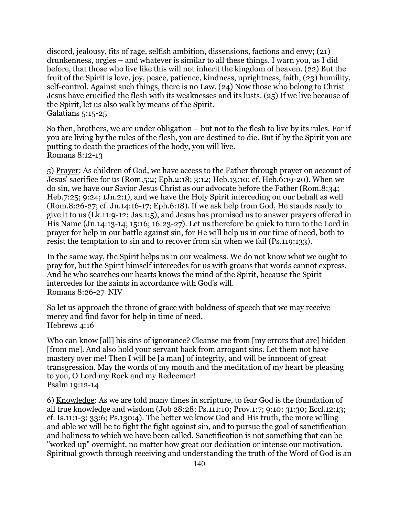discord, jealousy, fits of rage, selfish ambition, dissensions, factions and envy; (21) drunkenness, orgies – and whatever is similar to all these things. I warn you, as I did before, that those who live like this will not inherit the kingdom of heaven. (22) But the fruit of the Spirit is love, joy, peace, patience, kindness, uprightness, faith, (23) humility, self-control. Against such things, there is no Law. (24) Now those who belong to Christ Jesus have crucified the flesh with its weaknesses and its lusts. (25) If we live because of the Spirit, let us also walk by means of the Spirit. Galatians 5:15-25

So then, brothers, we are under obligation – but not to the flesh to live by its rules. For if you are living by the rules of the flesh, you are destined to die. But if by the Spirit you are putting to death the practices of the body, you will live. Romans 8:12-13

5) Prayer: As children of God, we have access to the Father through prayer on account of Jesus' sacrifice for us (Rom.5:2; Eph.2:18; 3:12; Heb.13:10; cf. Heb.6:19-20). When we do sin, we have our Savior Jesus Christ as our advocate before the Father (Rom.8:34; Heb.7:25; 9:24; 1Jn.2:1), and we have the Holy Spirit interceding on our behalf as well (Rom.8:26-27; cf. Jn.14:16-17; Eph.6:18). If we ask help from God, He stands ready to give it to us (Lk.11:9-12; Jas.1:5), and Jesus has promised us to answer prayers offered in His Name (Jn.14:13-14; 15:16; 16:23-27). Let us therefore be quick to turn to the Lord in prayer for help in our battle against sin, for He will help us in our time of need, both to resist the temptation to sin and to recover from sin when we fail (Ps.119:133).

In the same way, the Spirit helps us in our weakness. We do not know what we ought to pray for, but the Spirit himself intercedes for us with groans that words cannot express. And he who searches our hearts knows the mind of the Spirit, because the Spirit intercedes for the saints in accordance with God's will. Romans 8:26-27 NIV

So let us approach the throne of grace with boldness of speech that we may receive mercy and find favor for help in time of need. Hebrews 4:16

Who can know [all] his sins of ignorance? Cleanse me from [my errors that are] hidden [from me]. And also hold your servant back from arrogant sins. Let them not have mastery over me! Then I will be [a man] of integrity, and will be innocent of great transgression. May the words of my mouth and the meditation of my heart be pleasing to you, O Lord my Rock and my Redeemer! Psalm 19:12-14

6) Knowledge: As we are told many times in scripture, to fear God is the foundation of all true knowledge and wisdom (Job 28:28; Ps.111:10; Prov.1:7; 9:10; 31:30; Eccl.12:13; cf. Is.11:1-3; 33:6; Ps.130:4). The better we know God and His truth, the more willing and able we will be to fight the fight against sin, and to pursue the goal of sanctification and holiness to which we have been called. Sanctification is not something that can be "worked up" overnight, no matter how great our dedication or intense our motivation. Spiritual growth through receiving and understanding the truth of the Word of God is an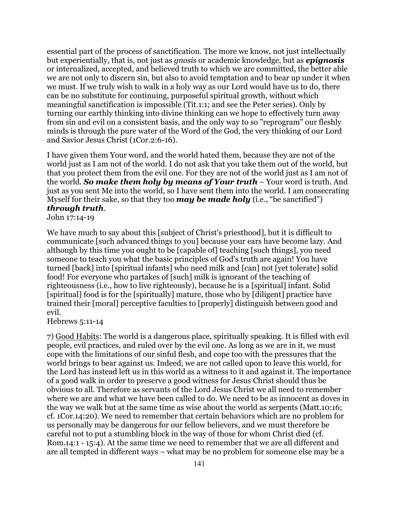essential part of the process of sanctification. The more we know, not just intellectually but experientially, that is, not just as *gnosis* or academic knowledge, but as *epignosis* or internalized, accepted, and believed truth to which we are committed, the better able we are not only to discern sin, but also to avoid temptation and to bear up under it when we must. If we truly wish to walk in a holy way as our Lord would have us to do, there can be no substitute for continuing, purposeful spiritual growth, without which meaningful sanctification is impossible (Tit.1:1; and see the Peter series). Only by turning our earthly thinking into divine thinking can we hope to effectively turn away from sin and evil on a consistent basis, and the only way to so "reprogram" our fleshly minds is through the pure water of the Word of the God, the very thinking of our Lord and Savior Jesus Christ (1Cor.2:6-16).

I have given them Your word, and the world hated them, because they are not of the world just as I am not of the world. I do not ask that you take them out of the world, but that you protect them from the evil one. For they are not of the world just as I am not of the world. *So make them holy by means of Your truth* – Your word is truth. And just as you sent Me into the world, so I have sent them into the world. I am consecrating Myself for their sake, so that they too *may be made holy* (i.e., "be sanctified") *through truth*.

John 17:14-19

We have much to say about this [subject of Christ's priesthood], but it is difficult to communicate [such advanced things to you] because your ears have become lazy. And although by this time you ought to be [capable of] teaching [such things], you need someone to teach you what the basic principles of God's truth are again! You have turned [back] into [spiritual infants] who need milk and [can] not [yet tolerate] solid food! For everyone who partakes of [such] milk is ignorant of the teaching of righteousness (i.e., how to live righteously), because he is a [spiritual] infant. Solid [spiritual] food is for the [spiritually] mature, those who by [diligent] practice have trained their [moral] perceptive faculties to [properly] distinguish between good and evil.

Hebrews 5:11-14

7) Good Habits: The world is a dangerous place, spiritually speaking. It is filled with evil people, evil practices, and ruled over by the evil one. As long as we are in it, we must cope with the limitations of our sinful flesh, and cope too with the pressures that the world brings to bear against us. Indeed, we are not called upon to leave this world, for the Lord has instead left us in this world as a witness to it and against it. The importance of a good walk in order to preserve a good witness for Jesus Christ should thus be obvious to all. Therefore as servants of the Lord Jesus Christ we all need to remember where we are and what we have been called to do. We need to be as innocent as doves in the way we walk but at the same time as wise about the world as serpents (Matt.10:16; cf. 1Cor.14:20). We need to remember that certain behaviors which are no problem for us personally may be dangerous for our fellow believers, and we must therefore be careful not to put a stumbling block in the way of those for whom Christ died (cf. Rom.14:1 - 15:4). At the same time we need to remember that we are all different and are all tempted in different ways – what may be no problem for someone else may be a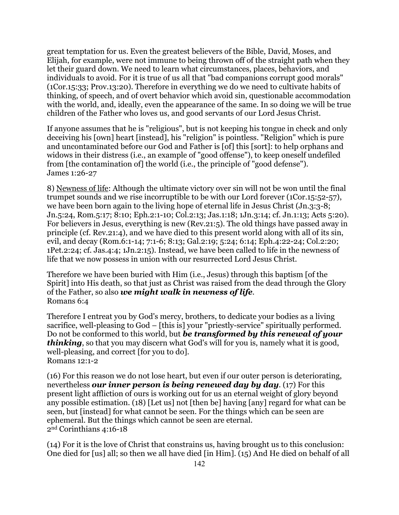great temptation for us. Even the greatest believers of the Bible, David, Moses, and Elijah, for example, were not immune to being thrown off of the straight path when they let their guard down. We need to learn what circumstances, places, behaviors, and individuals to avoid. For it is true of us all that "bad companions corrupt good morals" (1Cor.15:33; Prov.13:20). Therefore in everything we do we need to cultivate habits of thinking, of speech, and of overt behavior which avoid sin, questionable accommodation with the world, and, ideally, even the appearance of the same. In so doing we will be true children of the Father who loves us, and good servants of our Lord Jesus Christ.

If anyone assumes that he is "religious", but is not keeping his tongue in check and only deceiving his [own] heart [instead], his "religion" is pointless. "Religion" which is pure and uncontaminated before our God and Father is [of] this [sort]: to help orphans and widows in their distress (i.e., an example of "good offense"), to keep oneself undefiled from [the contamination of] the world (i.e., the principle of "good defense"). James 1:26-27

8) Newness of life: Although the ultimate victory over sin will not be won until the final trumpet sounds and we rise incorruptible to be with our Lord forever (1Cor.15:52-57), we have been born again to the living hope of eternal life in Jesus Christ (Jn.3:3-8; Jn.5:24, Rom.5:17; 8:10; Eph.2:1-10; Col.2:13; Jas.1:18; 1Jn.3:14; cf. Jn.1:13; Acts 5:20). For believers in Jesus, everything is new (Rev.21:5). The old things have passed away in principle (cf. Rev.21:4), and we have died to this present world along with all of its sin, evil, and decay (Rom.6:1-14; 7:1-6; 8:13; Gal.2:19; 5:24; 6:14; Eph.4:22-24; Col.2:20; 1Pet.2:24; cf. Jas.4:4; 1Jn.2:15). Instead, we have been called to life in the newness of life that we now possess in union with our resurrected Lord Jesus Christ.

Therefore we have been buried with Him (i.e., Jesus) through this baptism [of the Spirit] into His death, so that just as Christ was raised from the dead through the Glory of the Father, so also *we might walk in newness of life*. Romans 6:4

Therefore I entreat you by God's mercy, brothers, to dedicate your bodies as a living sacrifice, well-pleasing to God – [this is] your "priestly-service" spiritually performed. Do not be conformed to this world, but *be transformed by this renewal of your thinking*, so that you may discern what God's will for you is, namely what it is good, well-pleasing, and correct [for you to do]. Romans 12:1-2

(16) For this reason we do not lose heart, but even if our outer person is deteriorating, nevertheless *our inner person is being renewed day by day*. (17) For this present light affliction of ours is working out for us an eternal weight of glory beyond any possible estimation. (18) [Let us] not [then be] having [any] regard for what can be seen, but [instead] for what cannot be seen. For the things which can be seen are ephemeral. But the things which cannot be seen are eternal. 2nd Corinthians 4:16-18

(14) For it is the love of Christ that constrains us, having brought us to this conclusion: One died for [us] all; so then we all have died [in Him]. (15) And He died on behalf of all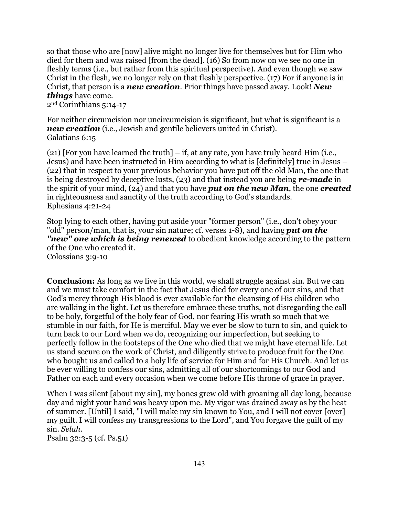so that those who are [now] alive might no longer live for themselves but for Him who died for them and was raised [from the dead]. (16) So from now on we see no one in fleshly terms (i.e., but rather from this spiritual perspective). And even though we saw Christ in the flesh, we no longer rely on that fleshly perspective. (17) For if anyone is in Christ, that person is a *new creation*. Prior things have passed away. Look! *New things* have come.

2nd Corinthians 5:14-17

For neither circumcision nor uncircumcision is significant, but what is significant is a *new creation* (i.e., Jewish and gentile believers united in Christ). Galatians 6:15

(21) [For you have learned the truth] – if, at any rate, you have truly heard Him (i.e., Jesus) and have been instructed in Him according to what is [definitely] true in Jesus – (22) that in respect to your previous behavior you have put off the old Man, the one that is being destroyed by deceptive lusts, (23) and that instead you are being *re-made* in the spirit of your mind, (24) and that you have *put on the new Man*, the one *created* in righteousness and sanctity of the truth according to God's standards. Ephesians 4:21-24

Stop lying to each other, having put aside your "former person" (i.e., don't obey your "old" person/man, that is, your sin nature; cf. verses 1-8), and having *put on the "new" one which is being renewed* to obedient knowledge according to the pattern of the One who created it. Colossians 3:9-10

**Conclusion:** As long as we live in this world, we shall struggle against sin. But we can and we must take comfort in the fact that Jesus died for every one of our sins, and that God's mercy through His blood is ever available for the cleansing of His children who are walking in the light. Let us therefore embrace these truths, not disregarding the call to be holy, forgetful of the holy fear of God, nor fearing His wrath so much that we stumble in our faith, for He is merciful. May we ever be slow to turn to sin, and quick to turn back to our Lord when we do, recognizing our imperfection, but seeking to perfectly follow in the footsteps of the One who died that we might have eternal life. Let us stand secure on the work of Christ, and diligently strive to produce fruit for the One who bought us and called to a holy life of service for Him and for His Church. And let us be ever willing to confess our sins, admitting all of our shortcomings to our God and Father on each and every occasion when we come before His throne of grace in prayer.

When I was silent *[about my sin]*, my bones grew old with groaning all day long, because day and night your hand was heavy upon me. My vigor was drained away as by the heat of summer. [Until] I said, "I will make my sin known to You, and I will not cover [over] my guilt. I will confess my transgressions to the Lord", and You forgave the guilt of my sin. *Selah*.

Psalm 32:3-5 (cf. Ps.51)